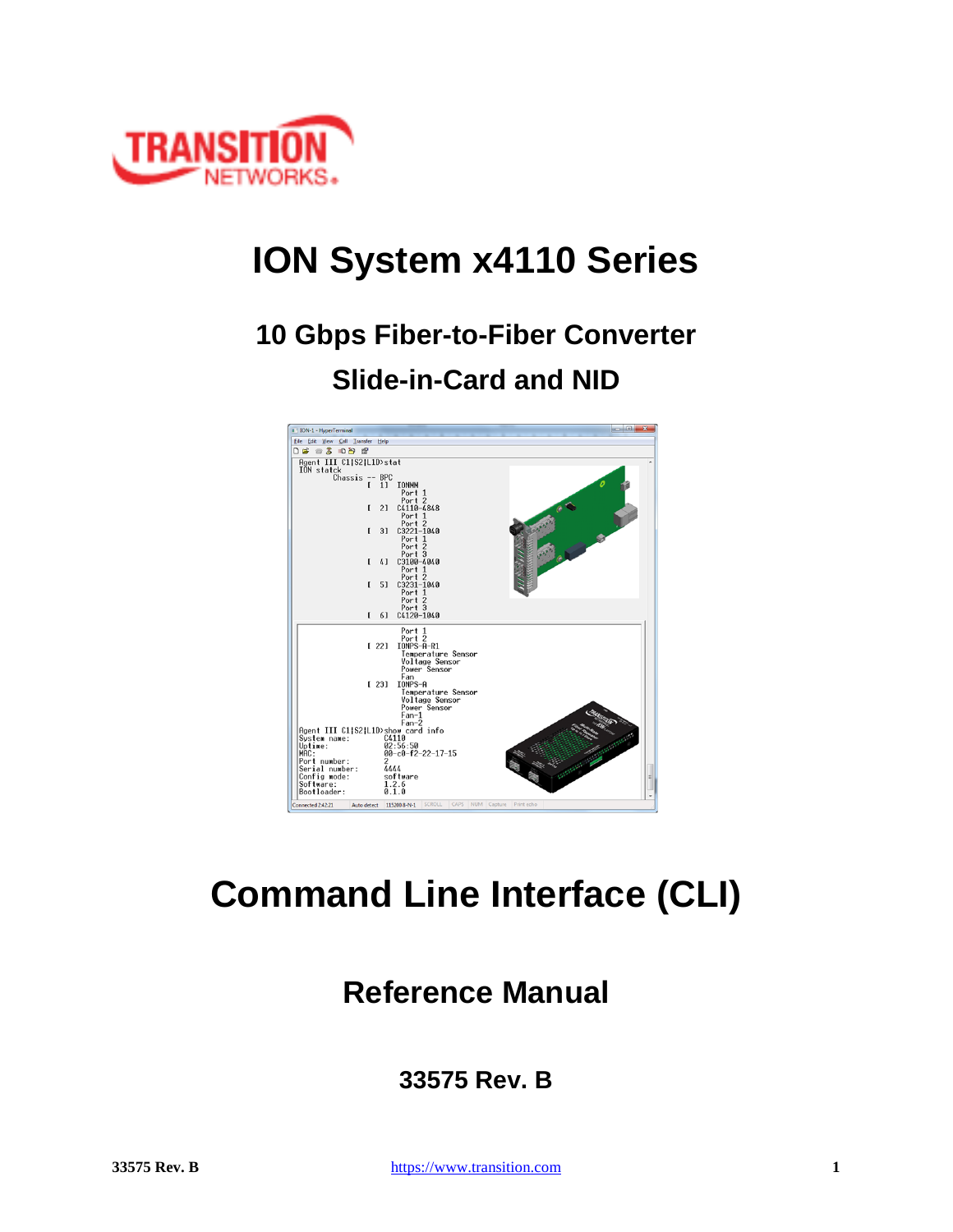

# **ION System x4110 Series**

# **10 Gbps Fiber-to-Fiber Converter Slide-in-Card and NID**



# **Command Line Interface (CLI)**

# **Reference Manual**

# **33575 Rev. B**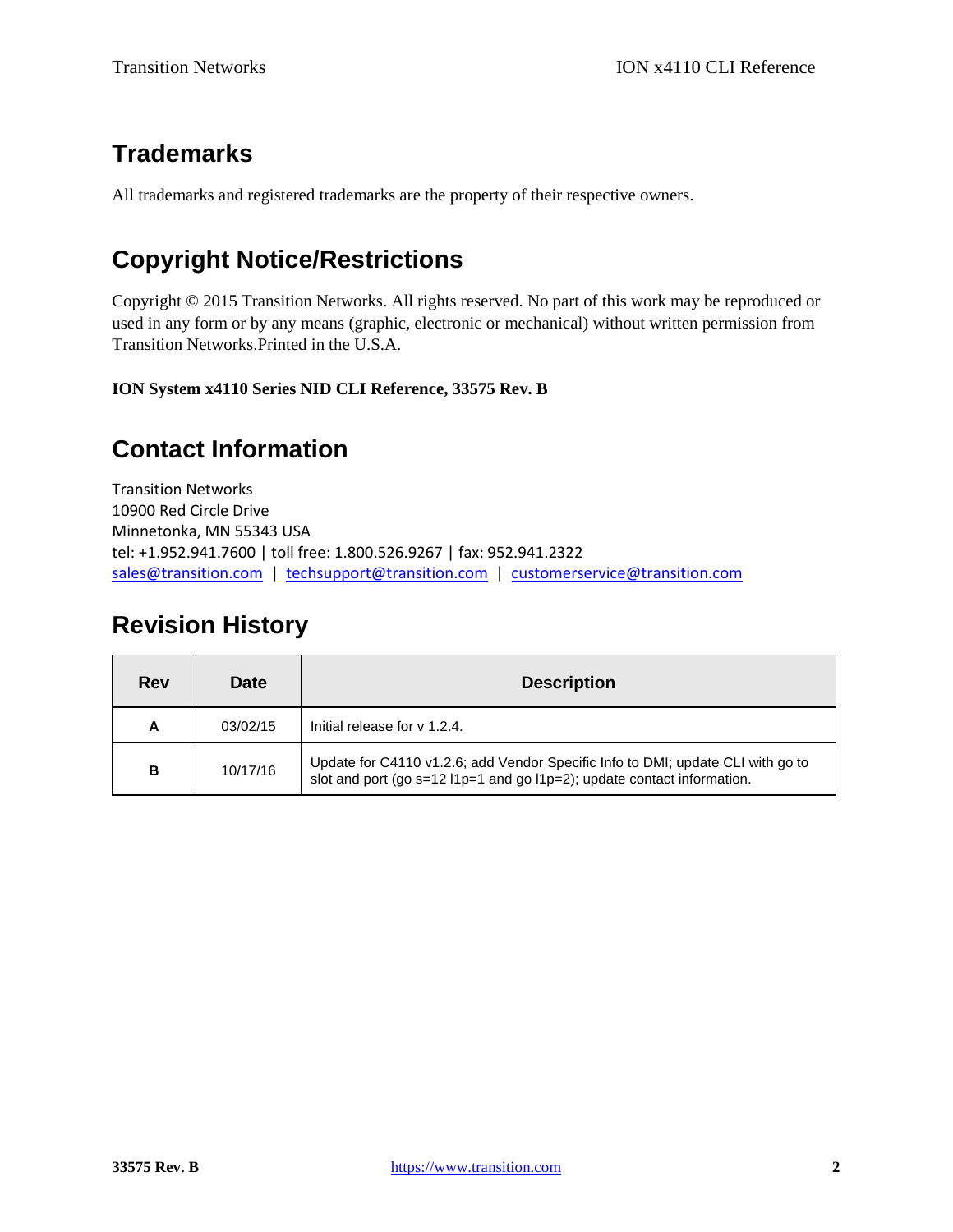# **Trademarks**

All trademarks and registered trademarks are the property of their respective owners.

# **Copyright Notice/Restrictions**

Copyright © 2015 Transition Networks. All rights reserved. No part of this work may be reproduced or used in any form or by any means (graphic, electronic or mechanical) without written permission from Transition Networks.Printed in the U.S.A.

**ION System x4110 Series NID CLI Reference, 33575 Rev. B**

# **Contact Information**

Transition Networks 10900 Red Circle Drive Minnetonka, MN 55343 USA tel: +1.952.941.7600 | toll free: 1.800.526.9267 | fax: 952.941.2322 [sales@transition.com](mailto:sales@transition.com) | [techsupport@transition.com](mailto:techsupport@transition.com) | [customerservice@transition.com](mailto:customerservice@transition.com)

# **Revision History**

| <b>Rev</b> | <b>Date</b> | <b>Description</b>                                                                                                                                           |
|------------|-------------|--------------------------------------------------------------------------------------------------------------------------------------------------------------|
| A          | 03/02/15    | Initial release for y 1.2.4.                                                                                                                                 |
| в          | 10/17/16    | Update for C4110 v1.2.6; add Vendor Specific Info to DMI; update CLI with go to<br>slot and port (go $s=12$ l1p=1 and go l1p=2); update contact information. |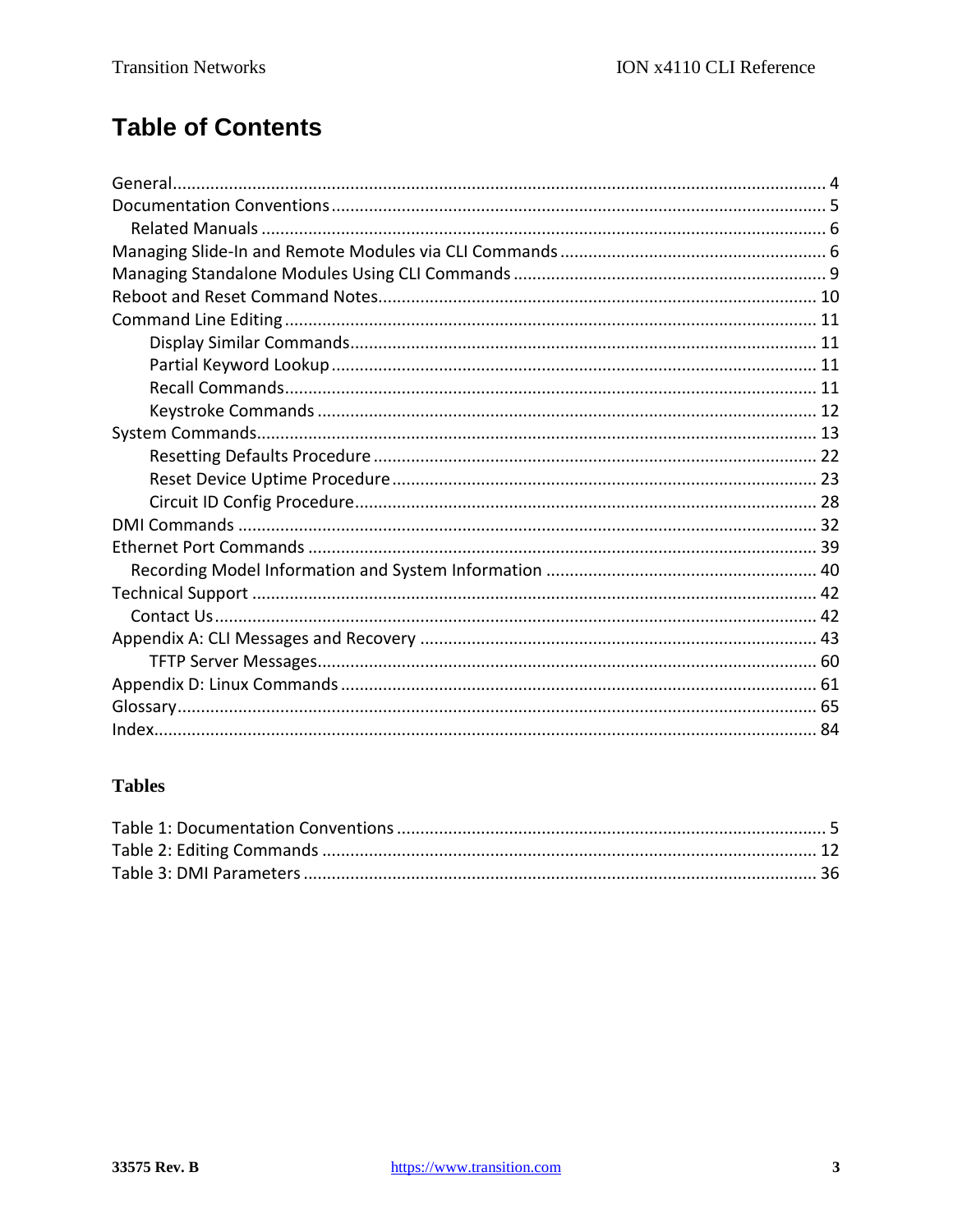# **Table of Contents**

## **Tables**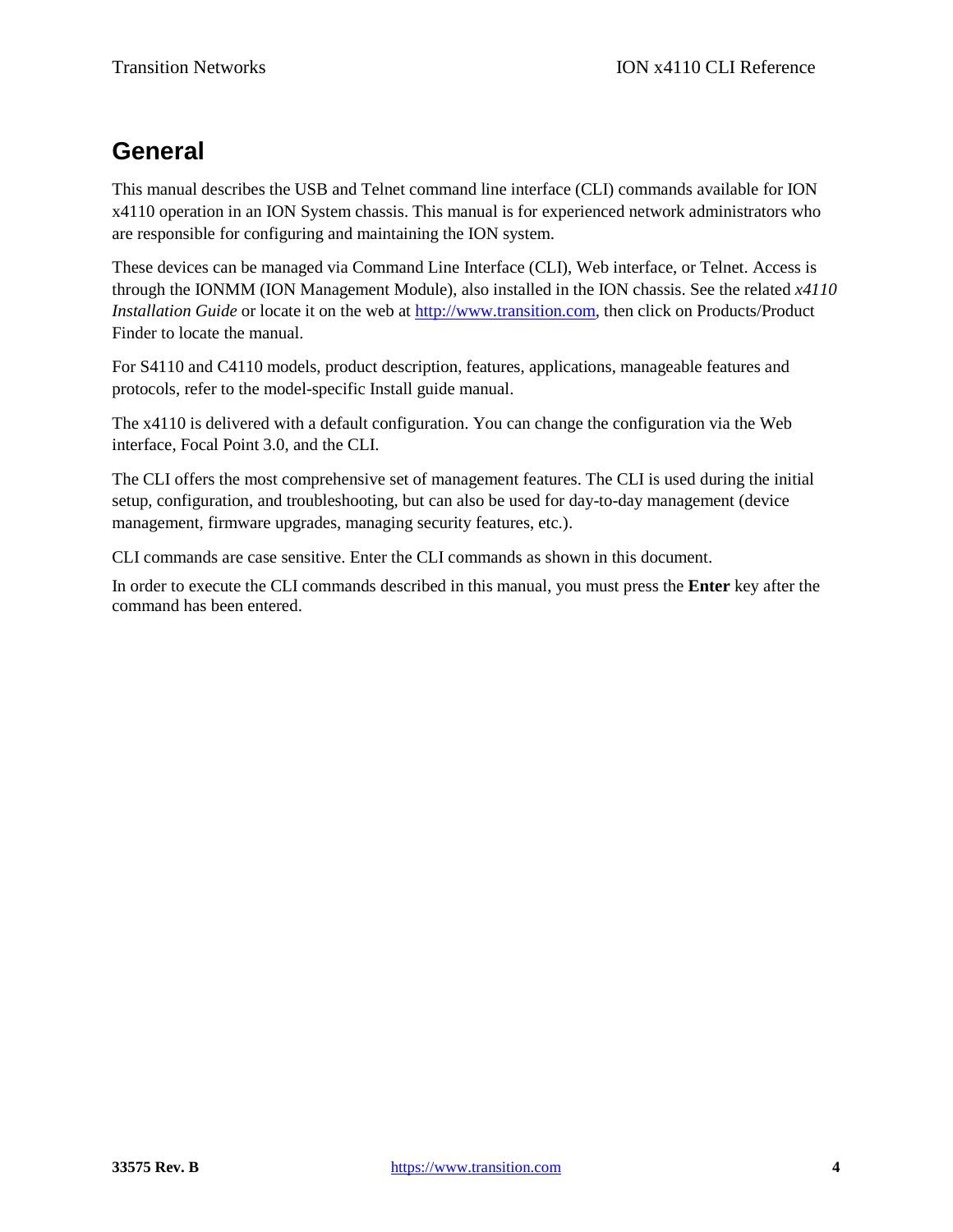# **General**

This manual describes the USB and Telnet command line interface (CLI) commands available for ION x4110 operation in an ION System chassis. This manual is for experienced network administrators who are responsible for configuring and maintaining the ION system.

These devices can be managed via Command Line Interface (CLI), Web interface, or Telnet. Access is through the IONMM (ION Management Module), also installed in the ION chassis. See the related *x4110 Installation Guide* or locate it on the web at [http://www.transition.com,](http://www.transition.com/) then click on Products/Product Finder to locate the manual.

For S4110 and C4110 models, product description, features, applications, manageable features and protocols, refer to the model-specific Install guide manual.

The x4110 is delivered with a default configuration. You can change the configuration via the Web interface, Focal Point 3.0, and the CLI.

The CLI offers the most comprehensive set of management features. The CLI is used during the initial setup, configuration, and troubleshooting, but can also be used for day-to-day management (device management, firmware upgrades, managing security features, etc.).

CLI commands are case sensitive. Enter the CLI commands as shown in this document.

In order to execute the CLI commands described in this manual, you must press the **Enter** key after the command has been entered.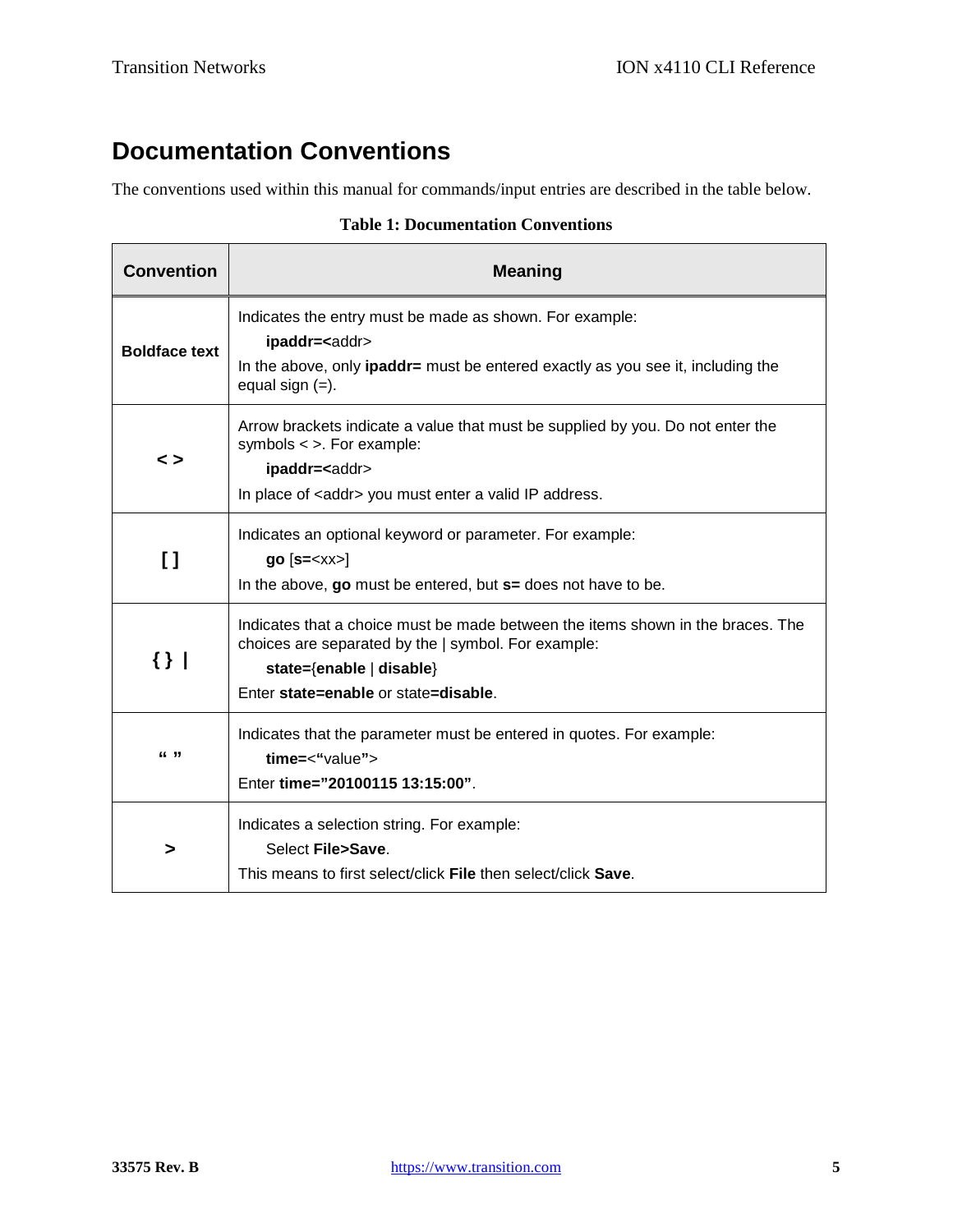# **Documentation Conventions**

The conventions used within this manual for commands/input entries are described in the table below.

| <b>Convention</b>    | <b>Meaning</b>                                                                                                                                                                                               |
|----------------------|--------------------------------------------------------------------------------------------------------------------------------------------------------------------------------------------------------------|
| <b>Boldface text</b> | Indicates the entry must be made as shown. For example:<br>ipaddr= <addr><br/>In the above, only <b>ipaddr</b>= must be entered exactly as you see it, including the<br/>equal sign <math>(=)</math>.</addr> |
| $\leq$               | Arrow brackets indicate a value that must be supplied by you. Do not enter the<br>symbols $\lt$ >. For example:<br>ipaddr= <addr><br/>In place of <addr> you must enter a valid IP address.</addr></addr>    |
| $\mathfrak{g}$       | Indicates an optional keyword or parameter. For example:<br>$go [s=]$<br>In the above, go must be entered, but s= does not have to be.                                                                       |
| $\{\}$               | Indicates that a choice must be made between the items shown in the braces. The<br>choices are separated by the   symbol. For example:<br>state={enable   disable}<br>Enter state=enable or state=disable.   |
| 66 99                | Indicates that the parameter must be entered in quotes. For example:<br>time=<"value"><br>Enter time="20100115 13:15:00".                                                                                    |
| >                    | Indicates a selection string. For example:<br>Select File>Save.<br>This means to first select/click File then select/click Save.                                                                             |

#### **Table 1: Documentation Conventions**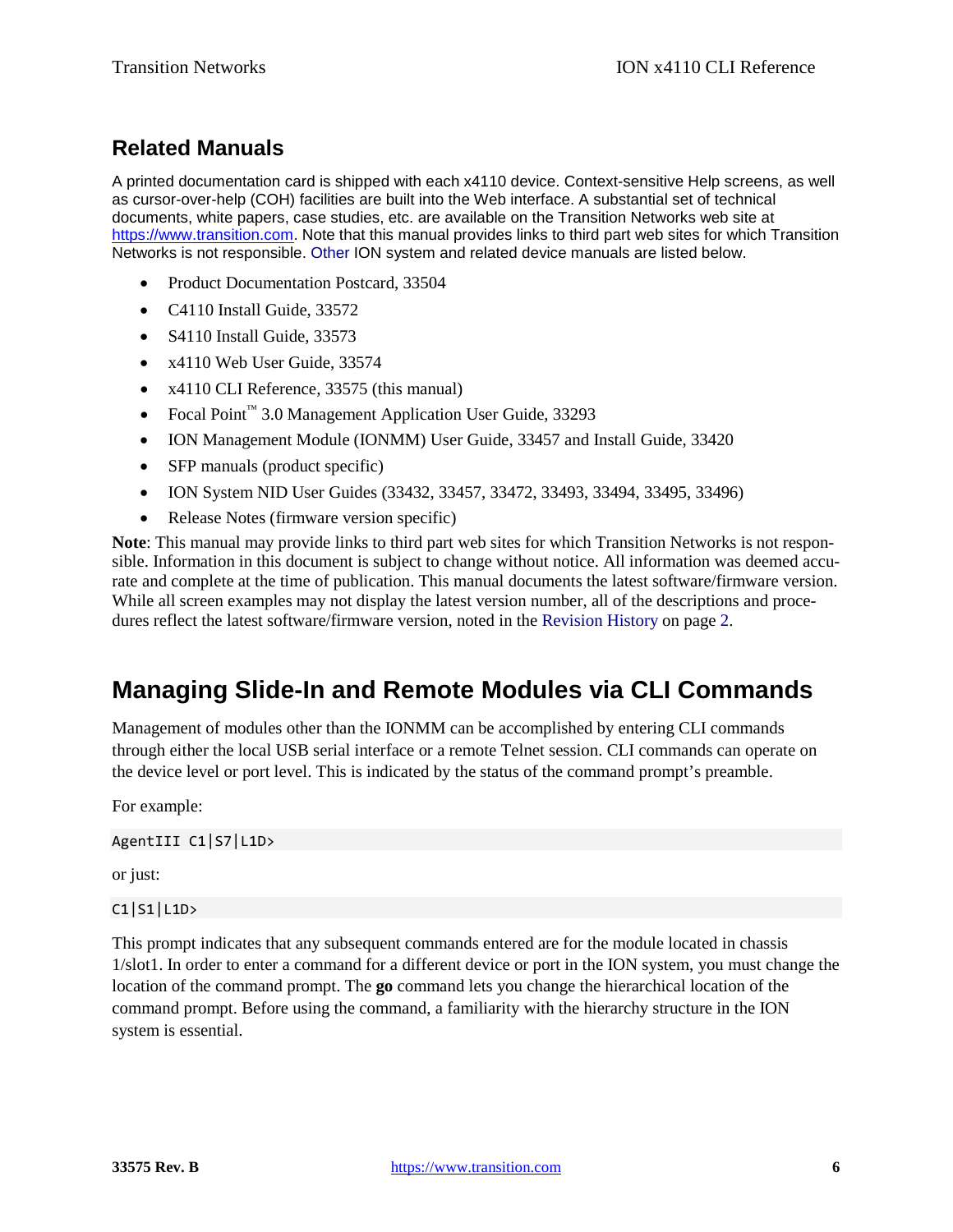# **Related Manuals**

A printed documentation card is shipped with each x4110 device. Context-sensitive Help screens, as well as cursor-over-help (COH) facilities are built into the Web interface. A substantial set of technical documents, white papers, case studies, etc. are available on the Transition Networks web site at [https://www.transition.com.](https://www.transition.com/) Note that this manual provides links to third part web sites for which Transition Networks is not responsible. Other ION system and related device manuals are listed below.

- Product Documentation Postcard, 33504
- C4110 Install Guide, 33572
- S4110 Install Guide, 33573
- x4110 Web User Guide, 33574
- x4110 CLI Reference, 33575 (this manual)
- Focal Point™ 3.0 Management Application User Guide, 33293
- ION Management Module (IONMM) User Guide, 33457 and Install Guide, 33420
- SFP manuals (product specific)
- ION System NID User Guides (33432, 33457, 33472, 33493, 33494, 33495, 33496)
- Release Notes (firmware version specific)

**Note**: This manual may provide links to third part web sites for which Transition Networks is not responsible. Information in this document is subject to change without notice. All information was deemed accurate and complete at the time of publication. This manual documents the latest software/firmware version. While all screen examples may not display the latest version number, all of the descriptions and procedures reflect the latest software/firmware version, noted in the Revision History on page 2.

# **Managing Slide-In and Remote Modules via CLI Commands**

Management of modules other than the IONMM can be accomplished by entering CLI commands through either the local USB serial interface or a remote Telnet session. CLI commands can operate on the device level or port level. This is indicated by the status of the command prompt's preamble.

For example:

AgentIII C1|S7|L1D>

or just:

#### C1|S1|L1D>

This prompt indicates that any subsequent commands entered are for the module located in chassis 1/slot1. In order to enter a command for a different device or port in the ION system, you must change the location of the command prompt. The **go** command lets you change the hierarchical location of the command prompt. Before using the command, a familiarity with the hierarchy structure in the ION system is essential.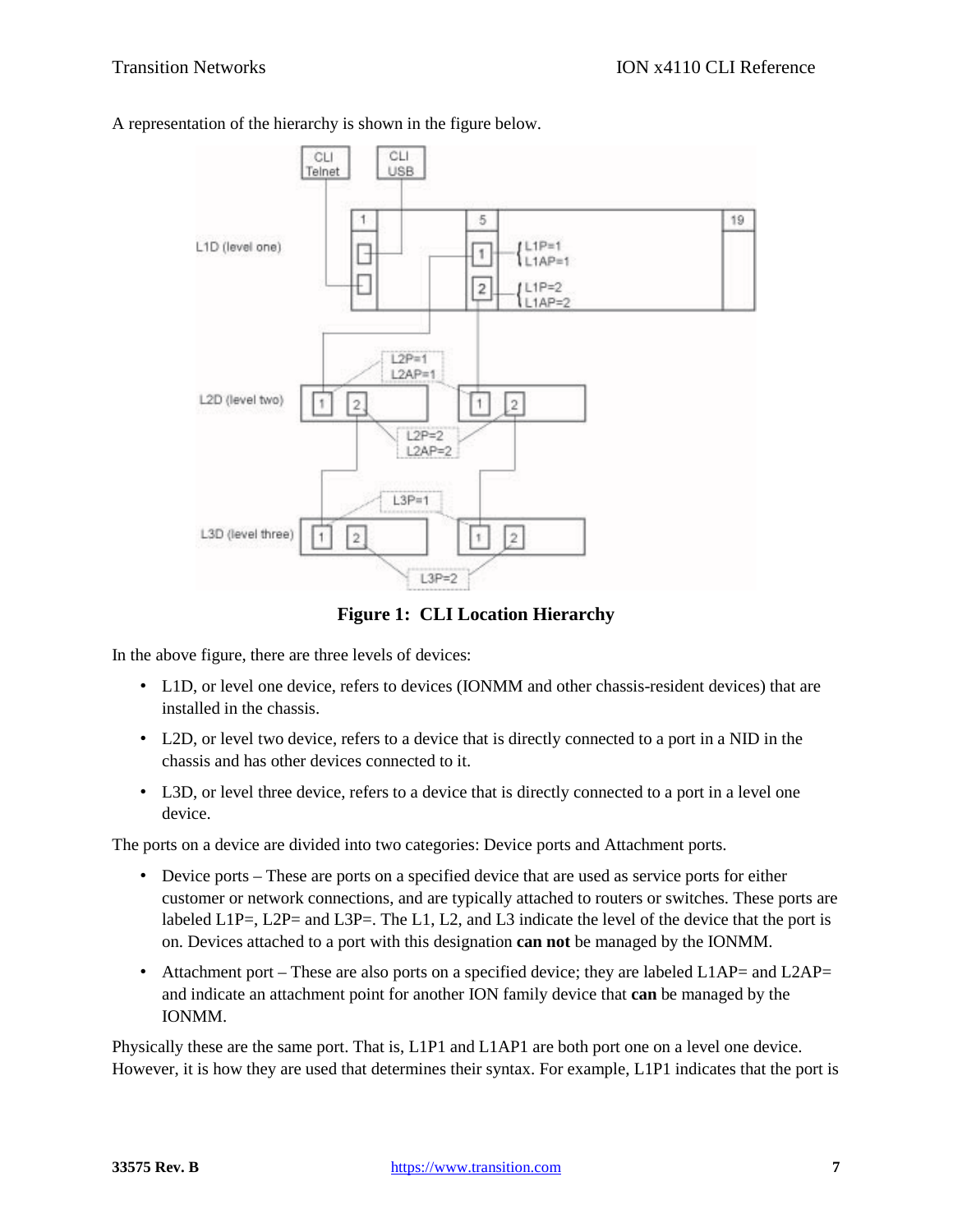



**Figure 1: CLI Location Hierarchy**

In the above figure, there are three levels of devices:

- L1D, or level one device, refers to devices (IONMM and other chassis-resident devices) that are installed in the chassis.
- L2D, or level two device, refers to a device that is directly connected to a port in a NID in the chassis and has other devices connected to it.
- L3D, or level three device, refers to a device that is directly connected to a port in a level one device.

The ports on a device are divided into two categories: Device ports and Attachment ports.

- Device ports These are ports on a specified device that are used as service ports for either customer or network connections, and are typically attached to routers or switches. These ports are labeled  $L1P=$ ,  $L2P=$  and  $L3P=$ . The  $L1$ ,  $L2$ , and  $L3$  indicate the level of the device that the port is on. Devices attached to a port with this designation **can not** be managed by the IONMM.
- Attachment port These are also ports on a specified device; they are labeled  $L1AP=$  and  $L2AP=$ and indicate an attachment point for another ION family device that **can** be managed by the IONMM.

Physically these are the same port. That is, L1P1 and L1AP1 are both port one on a level one device. However, it is how they are used that determines their syntax. For example, L1P1 indicates that the port is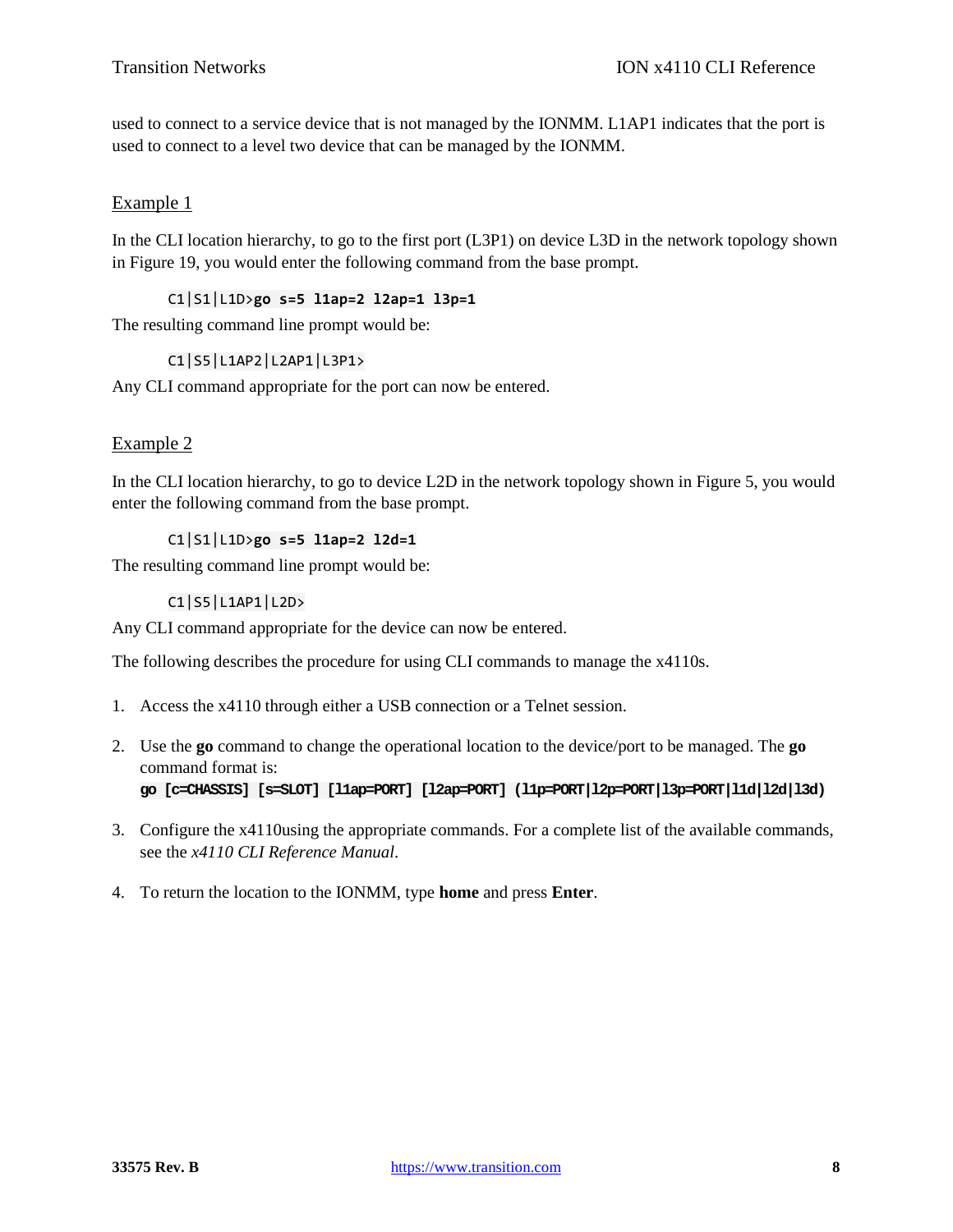used to connect to a service device that is not managed by the IONMM. L1AP1 indicates that the port is used to connect to a level two device that can be managed by the IONMM.

#### Example 1

In the CLI location hierarchy, to go to the first port (L3P1) on device L3D in the network topology shown in Figure 19, you would enter the following command from the base prompt.

#### C1|S1|L1D>**go s=5 l1ap=2 l2ap=1 l3p=1**

The resulting command line prompt would be:

#### C1|S5|L1AP2|L2AP1|L3P1>

Any CLI command appropriate for the port can now be entered.

#### Example 2

In the CLI location hierarchy, to go to device L2D in the network topology shown in Figure 5, you would enter the following command from the base prompt.

#### C1|S1|L1D>**go s=5 l1ap=2 l2d=1**

The resulting command line prompt would be:

#### C1|S5|L1AP1|L2D>

Any CLI command appropriate for the device can now be entered.

The following describes the procedure for using CLI commands to manage the x4110s.

- 1. Access the x4110 through either a USB connection or a Telnet session.
- 2. Use the **go** command to change the operational location to the device/port to be managed. The **go** command format is: **go [c=CHASSIS] [s=SLOT] [l1ap=PORT] [l2ap=PORT] (l1p=PORT|l2p=PORT|l3p=PORT|l1d|l2d|l3d)**
- 3. Configure the x4110using the appropriate commands. For a complete list of the available commands, see the *x4110 CLI Reference Manual*.
- 4. To return the location to the IONMM, type **home** and press **Enter**.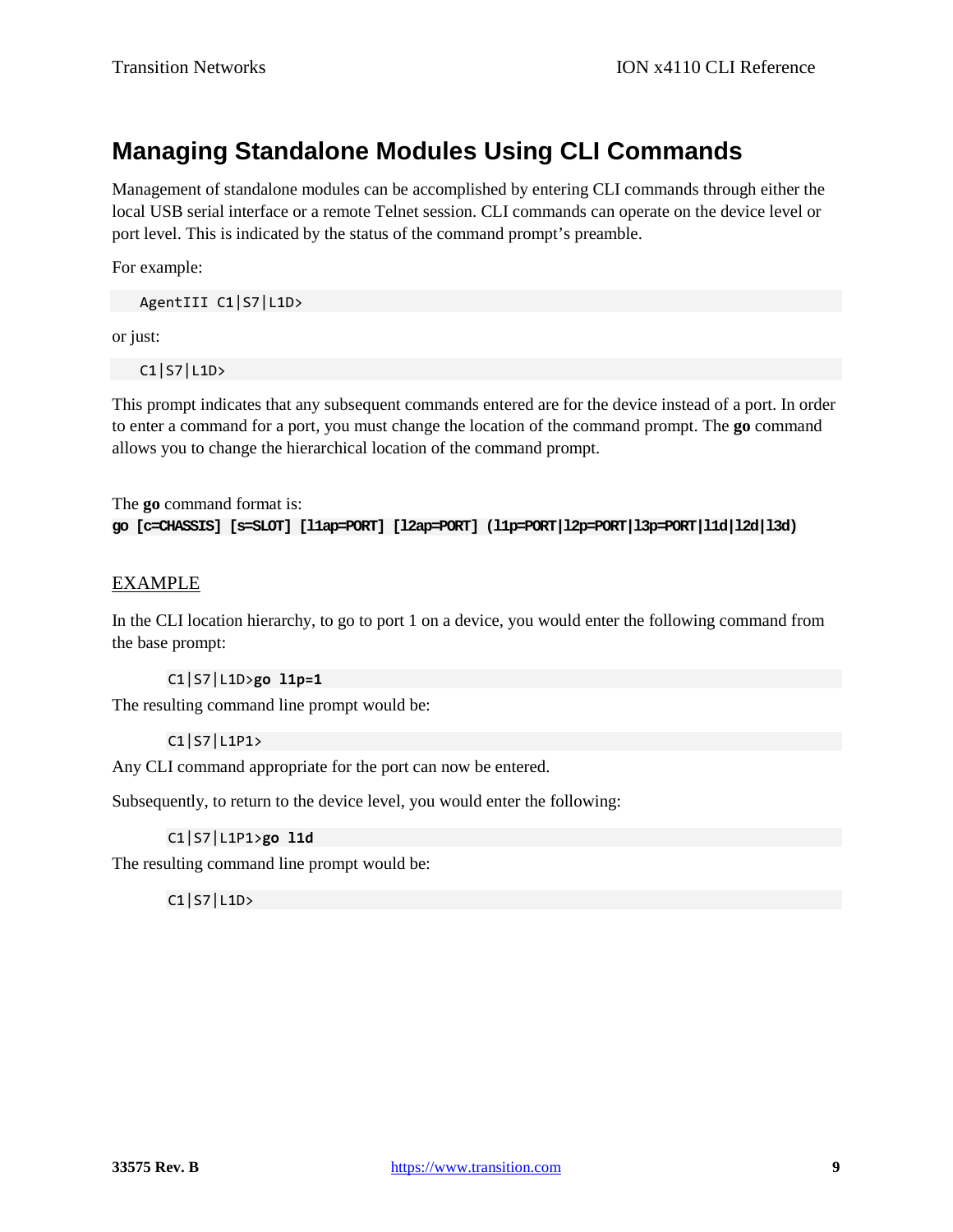# **Managing Standalone Modules Using CLI Commands**

Management of standalone modules can be accomplished by entering CLI commands through either the local USB serial interface or a remote Telnet session. CLI commands can operate on the device level or port level. This is indicated by the status of the command prompt's preamble.

For example:

AgentIII C1|S7|L1D>

or just:

C1|S7|L1D>

This prompt indicates that any subsequent commands entered are for the device instead of a port. In order to enter a command for a port, you must change the location of the command prompt. The **go** command allows you to change the hierarchical location of the command prompt.

The **go** command format is: **go [c=CHASSIS] [s=SLOT] [l1ap=PORT] [l2ap=PORT] (l1p=PORT|l2p=PORT|l3p=PORT|l1d|l2d|l3d)**

#### EXAMPLE

In the CLI location hierarchy, to go to port 1 on a device, you would enter the following command from the base prompt:

#### C1|S7|L1D>**go l1p=1**

The resulting command line prompt would be:

#### C1|S7|L1P1>

Any CLI command appropriate for the port can now be entered.

Subsequently, to return to the device level, you would enter the following:

#### C1|S7|L1P1>**go l1d**

The resulting command line prompt would be:

C1|S7|L1D>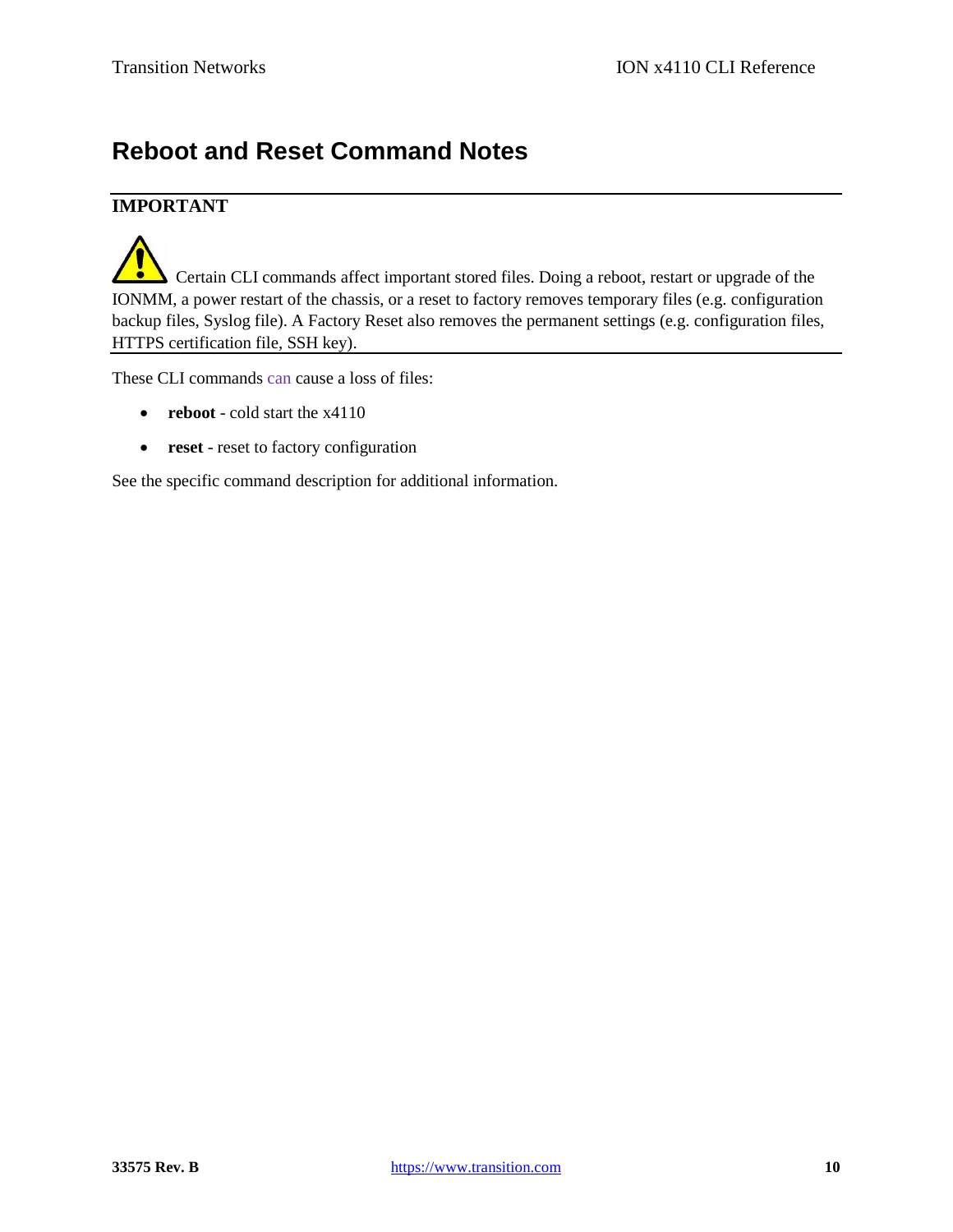# **Reboot and Reset Command Notes**

### **IMPORTANT**

 Certain CLI commands affect important stored files. Doing a reboot, restart or upgrade of the IONMM, a power restart of the chassis, or a reset to factory removes temporary files (e.g. configuration backup files, Syslog file). A Factory Reset also removes the permanent settings (e.g. configuration files, HTTPS certification file, SSH key).

These CLI commands can cause a loss of files:

- **reboot** cold start the x4110
- **reset** reset to factory configuration

See the specific command description for additional information.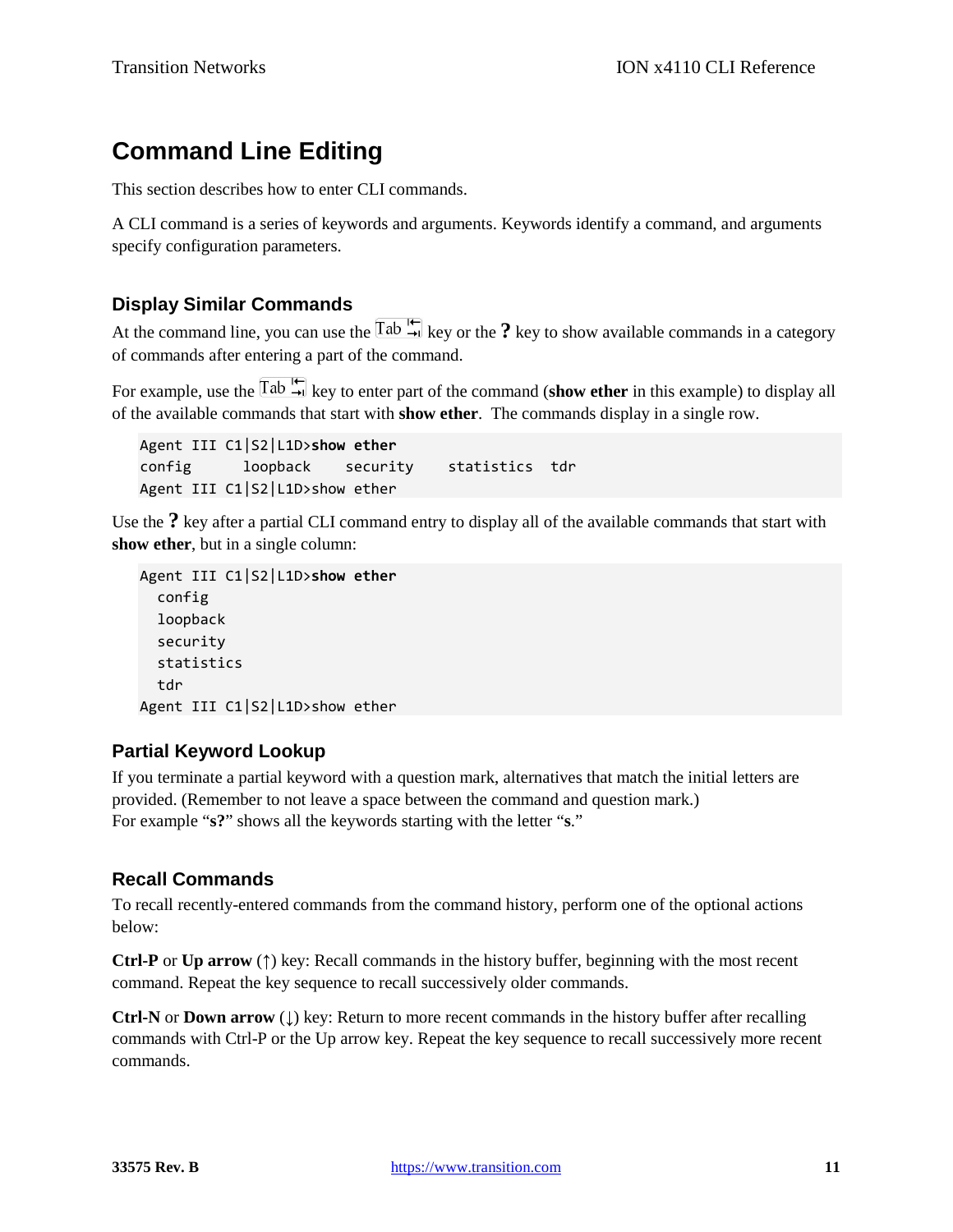# **Command Line Editing**

This section describes how to enter CLI commands.

A CLI command is a series of keywords and arguments. Keywords identify a command, and arguments specify configuration parameters.

#### **Display Similar Commands**

At the command line, you can use the  $\frac{\text{Tab}}{\text{N}}$  key or the ? key to show available commands in a category of commands after entering a part of the command.

For example, use the  $\boxed{\text{Tab} \xrightarrow{\text{tr}}}$  key to enter part of the command (**show ether** in this example) to display all of the available commands that start with **show ether**. The commands display in a single row.

Agent III C1|S2|L1D>**show ether** config loopback security statistics tdr Agent III C1|S2|L1D>show ether

Use the **?** key after a partial CLI command entry to display all of the available commands that start with **show ether**, but in a single column:

```
Agent III C1|S2|L1D>show ether
   config
   loopback
   security
   statistics
   tdr
Agent III C1|S2|L1D>show ether
```
#### **Partial Keyword Lookup**

If you terminate a partial keyword with a question mark, alternatives that match the initial letters are provided. (Remember to not leave a space between the command and question mark.) For example "**s?**" shows all the keywords starting with the letter "**s**."

### **Recall Commands**

To recall recently-entered commands from the command history, perform one of the optional actions below:

**Ctrl-P** or **Up arrow** (**↑**) key: Recall commands in the history buffer, beginning with the most recent command. Repeat the key sequence to recall successively older commands.

**Ctrl-N** or **Down arrow** (**↓**) key: Return to more recent commands in the history buffer after recalling commands with Ctrl-P or the Up arrow key. Repeat the key sequence to recall successively more recent commands.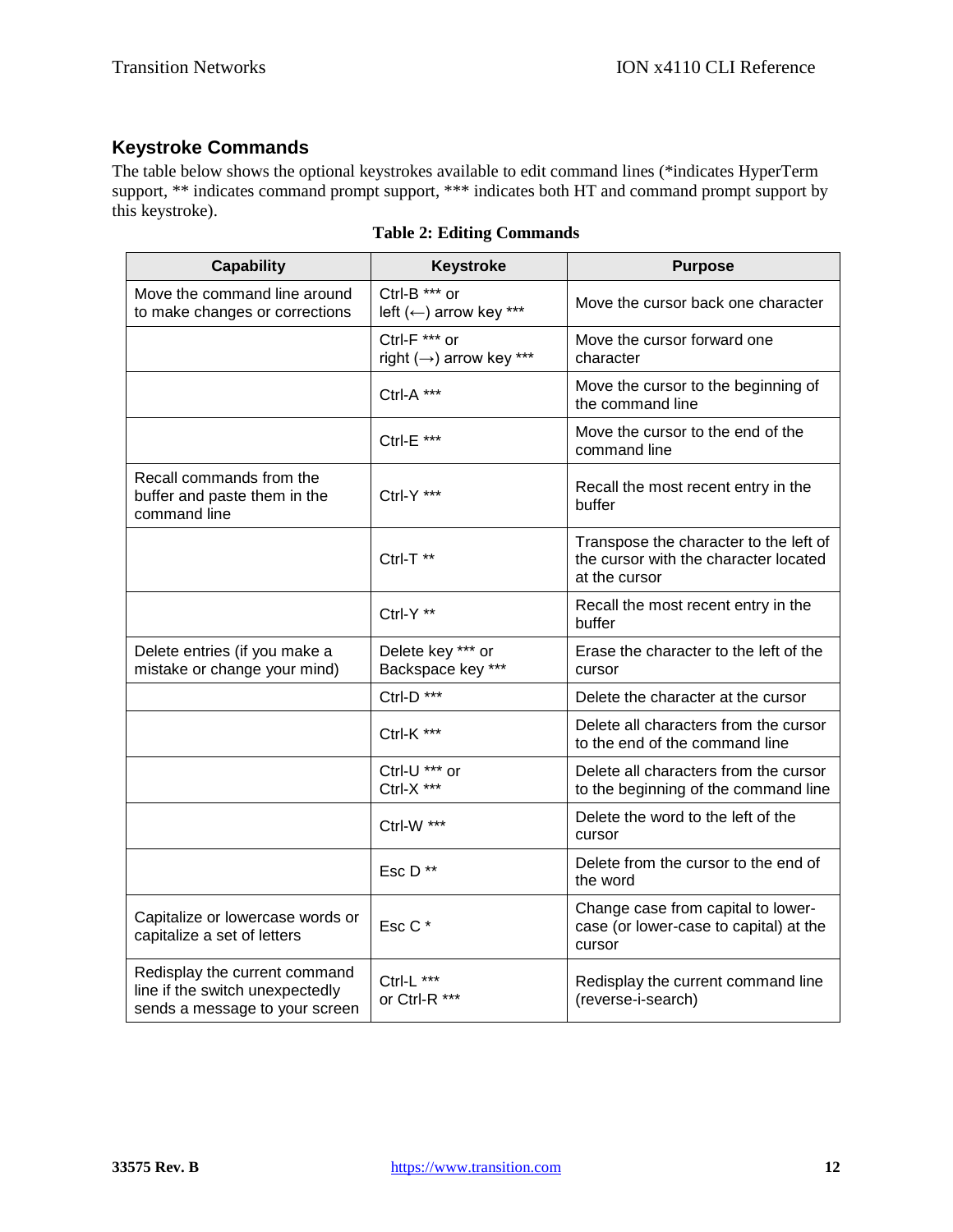### **Keystroke Commands**

The table below shows the optional keystrokes available to edit command lines (\*indicates HyperTerm support, \*\* indicates command prompt support, \*\*\* indicates both HT and command prompt support by this keystroke).

| <b>Capability</b>                                                                                  | <b>Keystroke</b>                         | <b>Purpose</b>                                                                                   |
|----------------------------------------------------------------------------------------------------|------------------------------------------|--------------------------------------------------------------------------------------------------|
| Move the command line around<br>to make changes or corrections                                     | Ctrl-B *** or<br>left (←) arrow key ***  | Move the cursor back one character                                                               |
|                                                                                                    | Ctrl-F *** or<br>right (→) arrow key *** | Move the cursor forward one<br>character                                                         |
|                                                                                                    | Ctrl-A ***                               | Move the cursor to the beginning of<br>the command line                                          |
|                                                                                                    | Ctrl-E ***                               | Move the cursor to the end of the<br>command line                                                |
| Recall commands from the<br>buffer and paste them in the<br>command line                           | Ctrl-Y ***                               | Recall the most recent entry in the<br>buffer                                                    |
|                                                                                                    | Ctrl-T **                                | Transpose the character to the left of<br>the cursor with the character located<br>at the cursor |
|                                                                                                    | Ctrl-Y **                                | Recall the most recent entry in the<br>buffer                                                    |
| Delete entries (if you make a<br>mistake or change your mind)                                      | Delete key *** or<br>Backspace key ***   | Erase the character to the left of the<br>cursor                                                 |
|                                                                                                    | Ctrl-D ***                               | Delete the character at the cursor                                                               |
|                                                                                                    | Ctrl-K ***                               | Delete all characters from the cursor<br>to the end of the command line                          |
|                                                                                                    | Ctrl-U *** or<br>Ctrl-X ***              | Delete all characters from the cursor<br>to the beginning of the command line                    |
|                                                                                                    | Ctrl-W ***                               | Delete the word to the left of the<br>cursor                                                     |
|                                                                                                    | Esc D**                                  | Delete from the cursor to the end of<br>the word                                                 |
| Capitalize or lowercase words or<br>capitalize a set of letters                                    | Esc C*                                   | Change case from capital to lower-<br>case (or lower-case to capital) at the<br>cursor           |
| Redisplay the current command<br>line if the switch unexpectedly<br>sends a message to your screen | Ctrl-L ***<br>or Ctrl-R ***              | Redisplay the current command line<br>(reverse-i-search)                                         |

**Table 2: Editing Commands**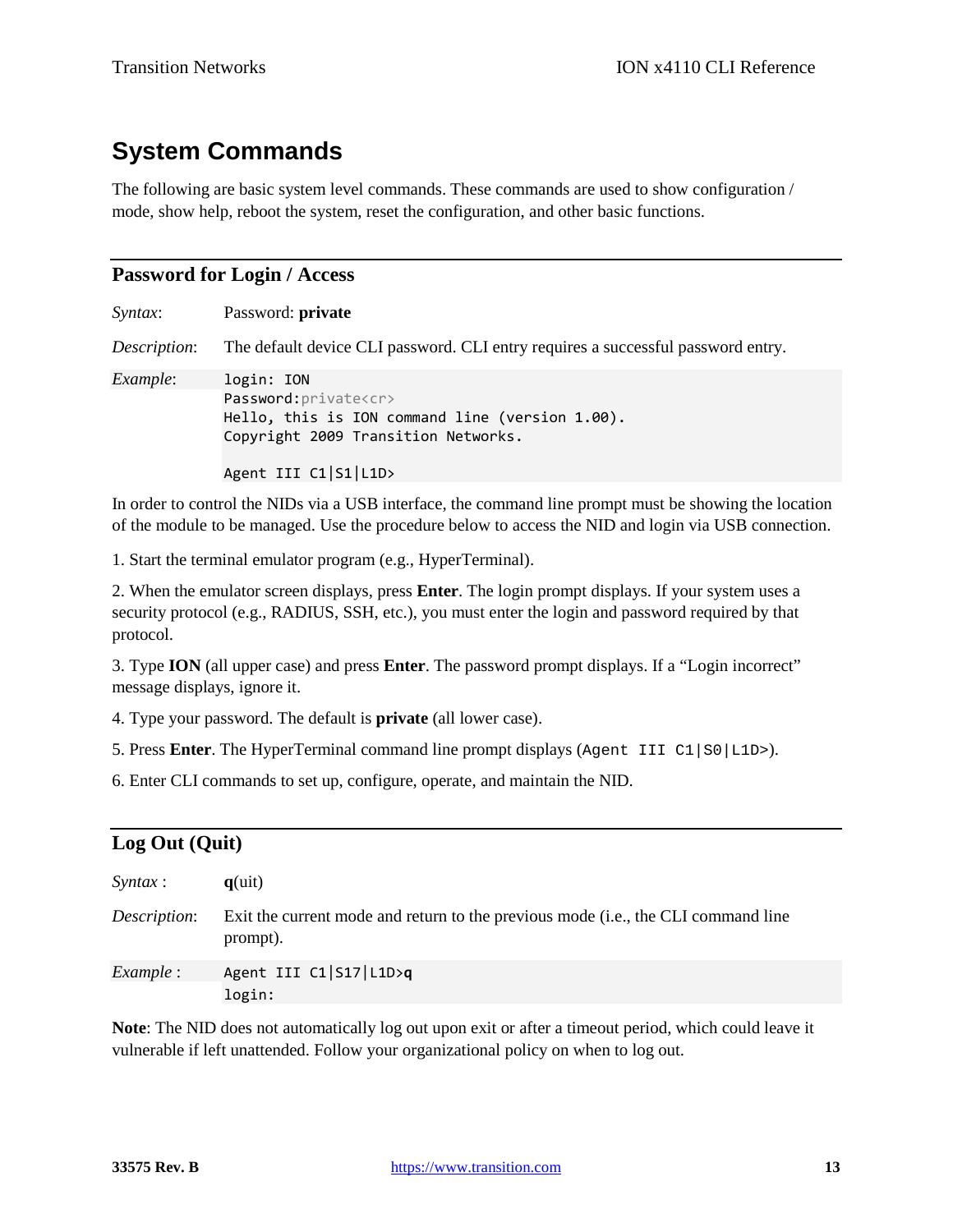# **System Commands**

The following are basic system level commands. These commands are used to show configuration / mode, show help, reboot the system, reset the configuration, and other basic functions.

#### **Password for Login / Access**

| Password: private                                                                                                                                                 |
|-------------------------------------------------------------------------------------------------------------------------------------------------------------------|
| The default device CLI password. CLI entry requires a successful password entry.                                                                                  |
| login: ION<br>Password: private <cr><br/>Hello, this is ION command line (version 1.00).<br/>Copyright 2009 Transition Networks.<br/>Agent III C1 S1 L1D&gt;</cr> |
|                                                                                                                                                                   |

In order to control the NIDs via a USB interface, the command line prompt must be showing the location of the module to be managed. Use the procedure below to access the NID and login via USB connection.

1. Start the terminal emulator program (e.g., HyperTerminal).

2. When the emulator screen displays, press **Enter**. The login prompt displays. If your system uses a security protocol (e.g., RADIUS, SSH, etc.), you must enter the login and password required by that protocol.

3. Type **ION** (all upper case) and press **Enter**. The password prompt displays. If a "Login incorrect" message displays, ignore it.

4. Type your password. The default is **private** (all lower case).

5. Press **Enter**. The HyperTerminal command line prompt displays (Agent III C1|S0|L1D>).

6. Enter CLI commands to set up, configure, operate, and maintain the NID.

#### **Log Out (Quit)**

| <i>Syntax</i> :  | $q$ (uit)                                                                                     |
|------------------|-----------------------------------------------------------------------------------------------|
| Description:     | Exit the current mode and return to the previous mode (i.e., the CLI command line<br>prompt). |
| <i>Example</i> : | Agent III C1 S17 L1D>q<br>login:                                                              |

**Note**: The NID does not automatically log out upon exit or after a timeout period, which could leave it vulnerable if left unattended. Follow your organizational policy on when to log out.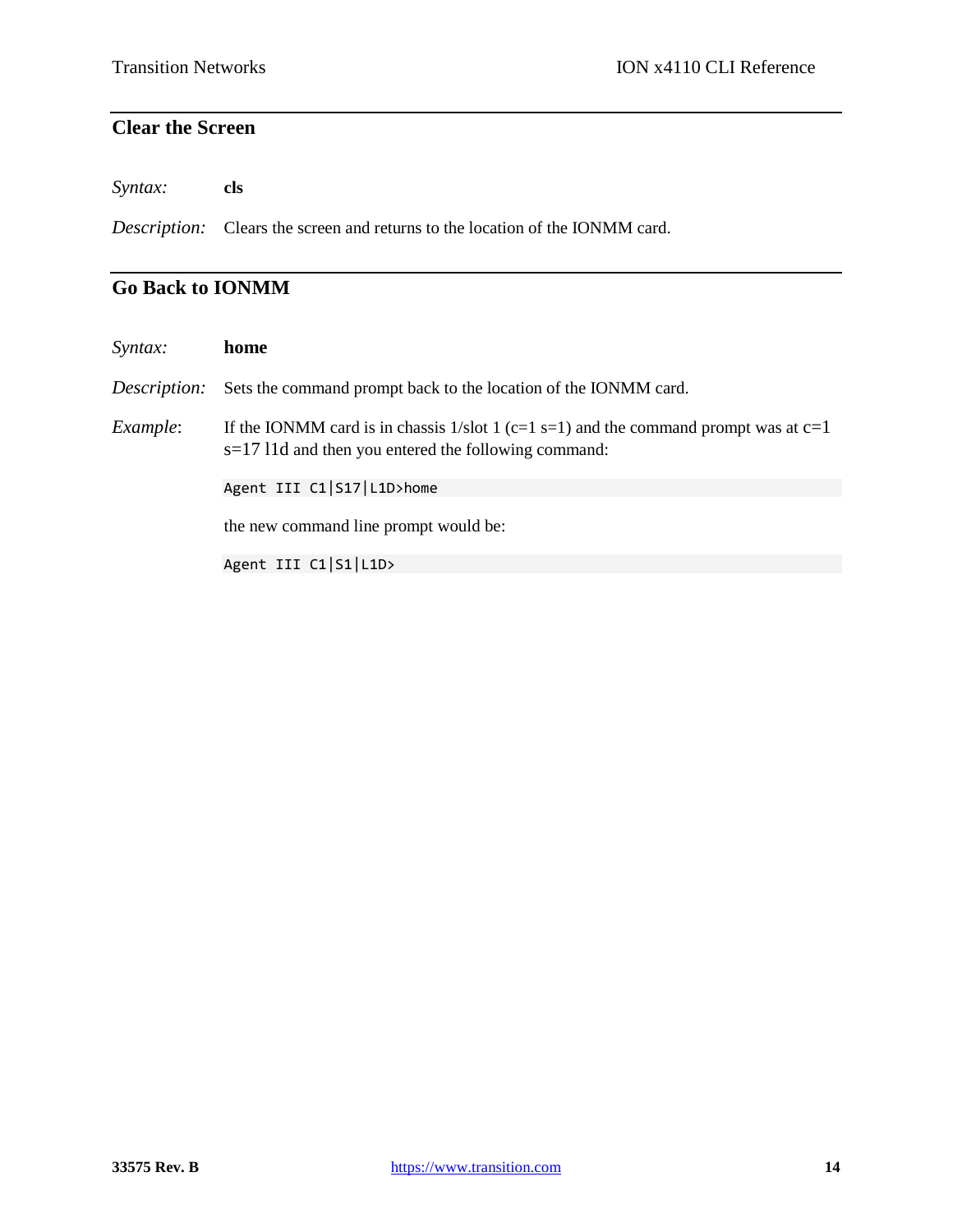### **Clear the Screen**

*Syntax:* **cls**

*Description:* Clears the screen and returns to the location of the IONMM card.

### **Go Back to IONMM**

| Syntax:      | home                                                                                                                                            |
|--------------|-------------------------------------------------------------------------------------------------------------------------------------------------|
| Description: | Sets the command prompt back to the location of the IONMM card.                                                                                 |
| Example:     | If the IONMM card is in chassis 1/slot 1 (c=1 s=1) and the command prompt was at $c=1$<br>$s=1711d$ and then you entered the following command: |
|              | Agent III C1 S17 L1D>home                                                                                                                       |
|              | the new command line prompt would be:                                                                                                           |
|              | Agent III C1 S1 L1D>                                                                                                                            |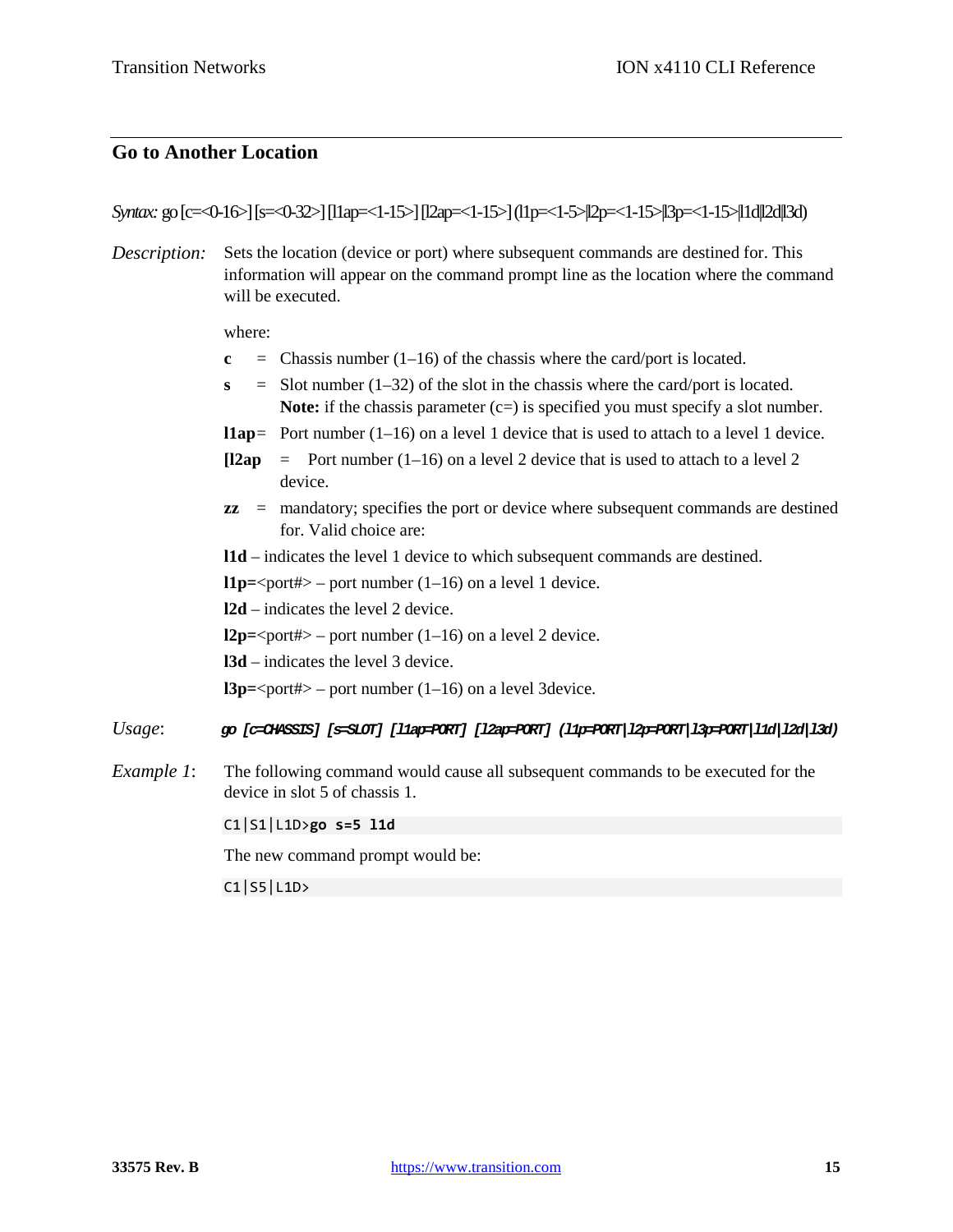#### **Go to Another Location**

*Syntax:* go [c=<0-16>] [s=<0-32>] [l1ap=<1-15>] [l2ap=<1-15>] (l1p=<1-5>|l2p=<1-15>|l3p=<1-15>|l1d|l2d|l3d)

*Description:* Sets the location (device or port) where subsequent commands are destined for. This information will appear on the command prompt line as the location where the command will be executed.

where:

- **c** = Chassis number  $(1-16)$  of the chassis where the card/port is located.
- $s =$  Slot number (1–32) of the slot in the chassis where the card/port is located. **Note:** if the chassis parameter  $(c=)$  is specified you must specify a slot number.
- **l1ap**= Port number (1–16) on a level 1 device that is used to attach to a level 1 device.
- $[12ap =$  Port number  $(1-16)$  on a level 2 device that is used to attach to a level 2 device.
- **zz** = mandatory; specifies the port or device where subsequent commands are destined for. Valid choice are:
- **l1d** indicates the level 1 device to which subsequent commands are destined.

 $l1p=\text{port}\#$  – port number (1–16) on a level 1 device.

**l2d** – indicates the level 2 device.

**l2p=**<port#> – port number  $(1-16)$  on a level 2 device.

**l3d** – indicates the level 3 device.

**l3p**= $\text{opt#}$  – port number (1–16) on a level 3 device.

- *Usage*: *go [c=CHASSIS] [s=SLOT] [l1ap=PORT] [l2ap=PORT] (l1p=PORT|l2p=PORT|l3p=PORT|l1d|l2d|l3d)*
- *Example 1*: The following command would cause all subsequent commands to be executed for the device in slot 5 of chassis 1.

C1|S1|L1D>**go s=5 l1d**

The new command prompt would be:

C1|S5|L1D>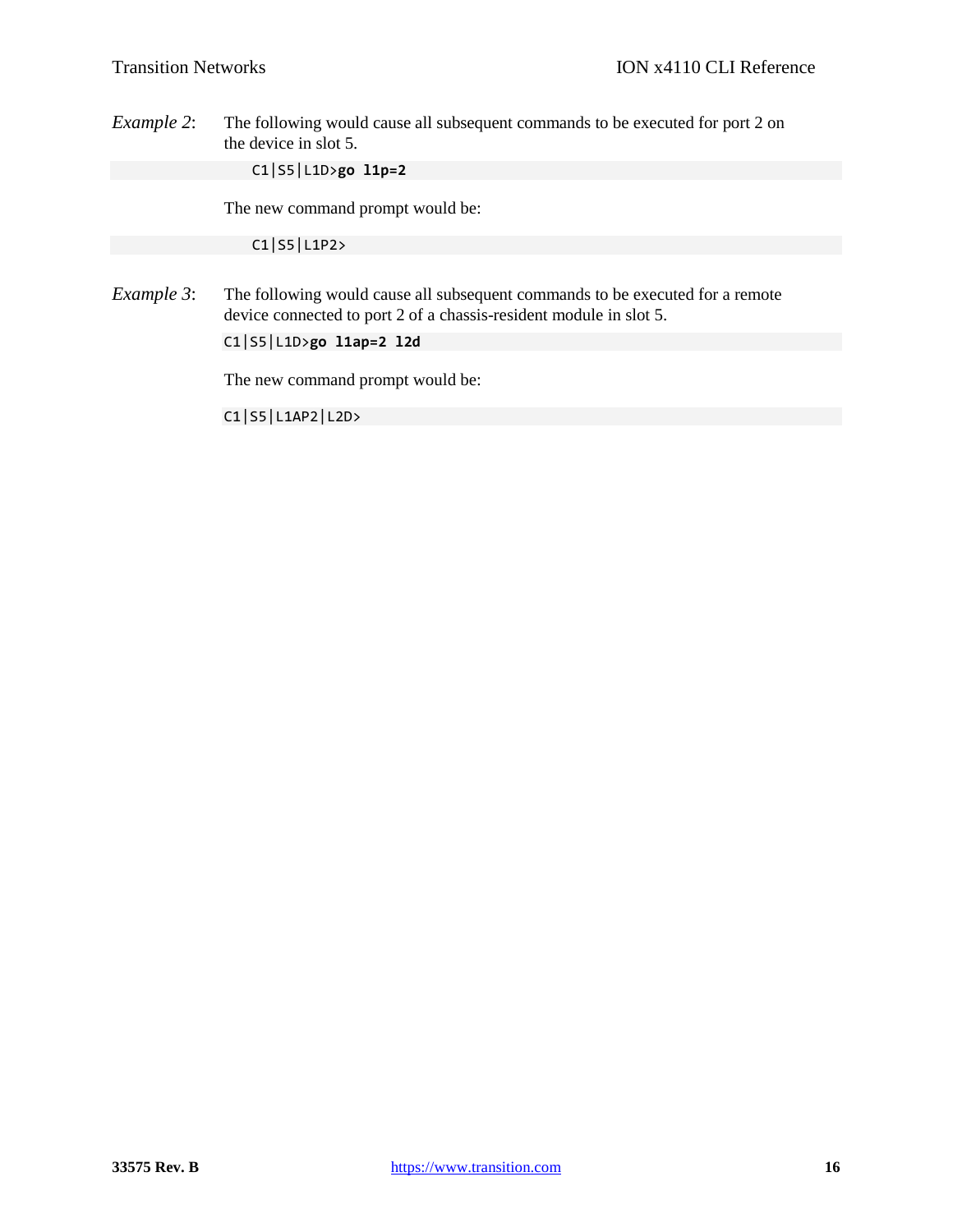*Example 2*: The following would cause all subsequent commands to be executed for port 2 on the device in slot 5.

C1|S5|L1D>**go l1p=2**

The new command prompt would be:

C1|S5|L1P2>

*Example 3*: The following would cause all subsequent commands to be executed for a remote device connected to port 2 of a chassis-resident module in slot 5.

C1|S5|L1D>**go l1ap=2 l2d**

The new command prompt would be:

C1|S5|L1AP2|L2D>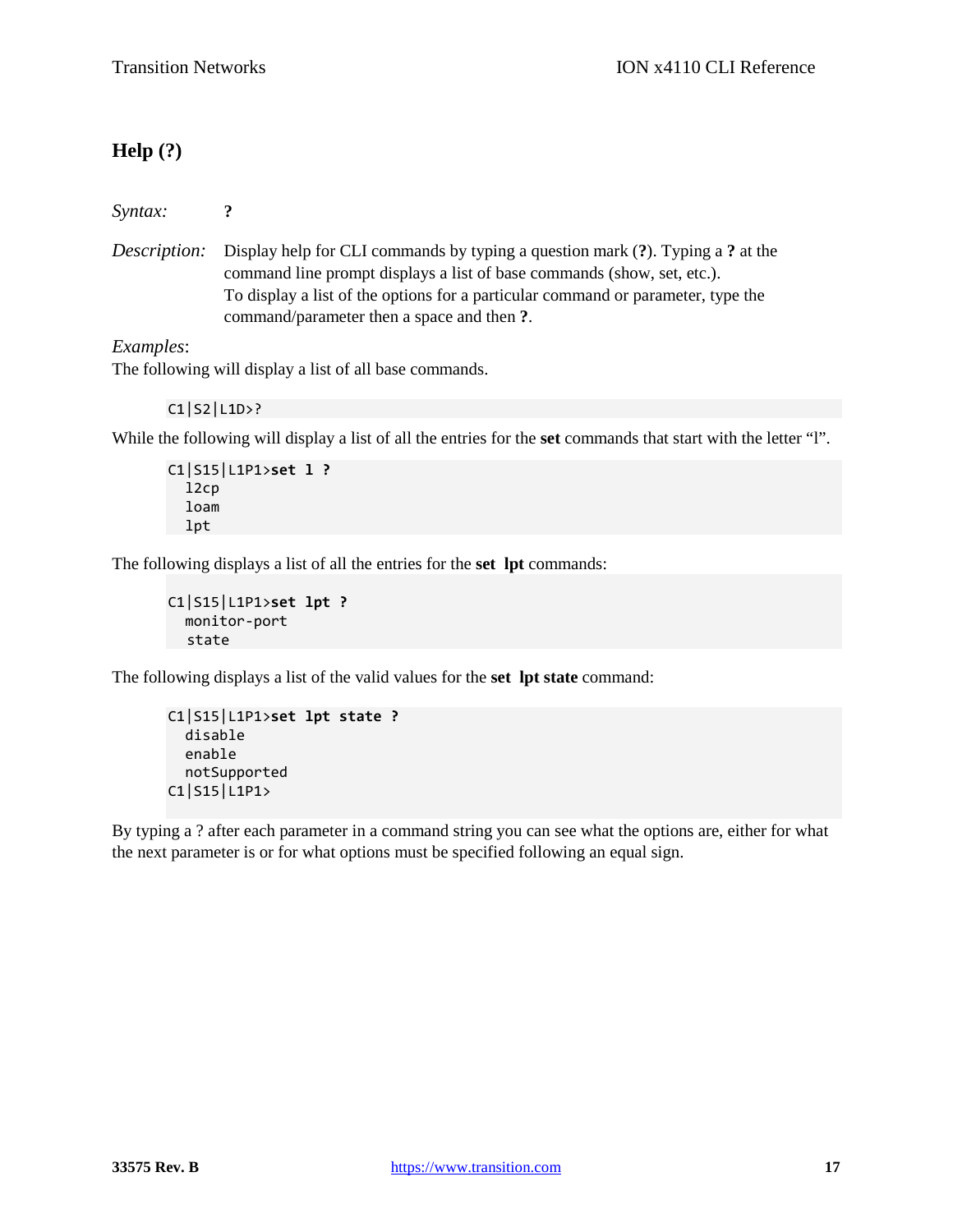### **Help (?)**

*Syntax:* **?**

*Description:* Display help for CLI commands by typing a question mark (**?**). Typing a **?** at the command line prompt displays a list of base commands (show, set, etc.). To display a list of the options for a particular command or parameter, type the command/parameter then a space and then **?**.

*Examples*:

The following will display a list of all base commands.

C1|S2|L1D>?

While the following will display a list of all the entries for the **set** commands that start with the letter "l".

```
C1|S15|L1P1>set l ?
   l2cp
   loam
   lpt
```
The following displays a list of all the entries for the **set lpt** commands:

```
C1|S15|L1P1>set lpt ?
   monitor-port
  state
```
The following displays a list of the valid values for the **set lpt state** command:

```
C1|S15|L1P1>set lpt state ?
   disable
   enable
   notSupported
C1|S15|L1P1>
```
By typing a ? after each parameter in a command string you can see what the options are, either for what the next parameter is or for what options must be specified following an equal sign.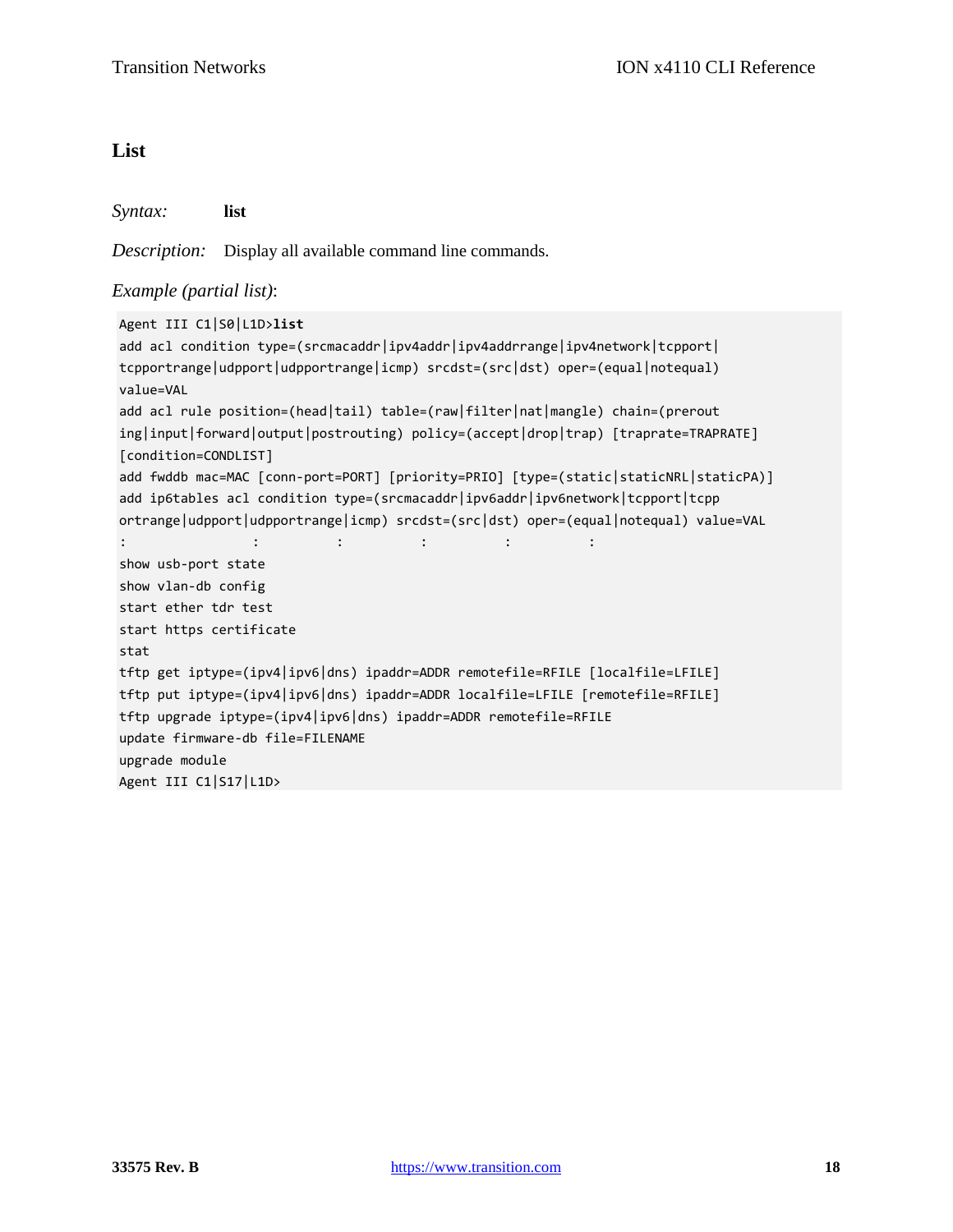#### **List**

*Syntax:* **list**

*Description:* Display all available command line commands.

#### *Example (partial list)*:

```
Agent III C1|S0|L1D>list
add acl condition type=(srcmacaddr|ipv4addr|ipv4addrrange|ipv4network|tcpport|
tcpportrange|udpport|udpportrange|icmp) srcdst=(src|dst) oper=(equal|notequal) 
value=VAL
add acl rule position=(head|tail) table=(raw|filter|nat|mangle) chain=(prerout
ing|input|forward|output|postrouting) policy=(accept|drop|trap) [traprate=TRAPRATE] 
[condition=CONDLIST]
add fwddb mac=MAC [conn-port=PORT] [priority=PRIO] [type=(static|staticNRL|staticPA)]
add ip6tables acl condition type=(srcmacaddr|ipv6addr|ipv6network|tcpport|tcpp
ortrange|udpport|udpportrange|icmp) srcdst=(src|dst) oper=(equal|notequal) value=VAL
: : : : : :
show usb-port state
show vlan-db config
start ether tdr test
start https certificate
stat
tftp get iptype=(ipv4|ipv6|dns) ipaddr=ADDR remotefile=RFILE [localfile=LFILE]
tftp put iptype=(ipv4|ipv6|dns) ipaddr=ADDR localfile=LFILE [remotefile=RFILE]
tftp upgrade iptype=(ipv4|ipv6|dns) ipaddr=ADDR remotefile=RFILE
update firmware-db file=FILENAME
upgrade module
Agent III C1|S17|L1D>
```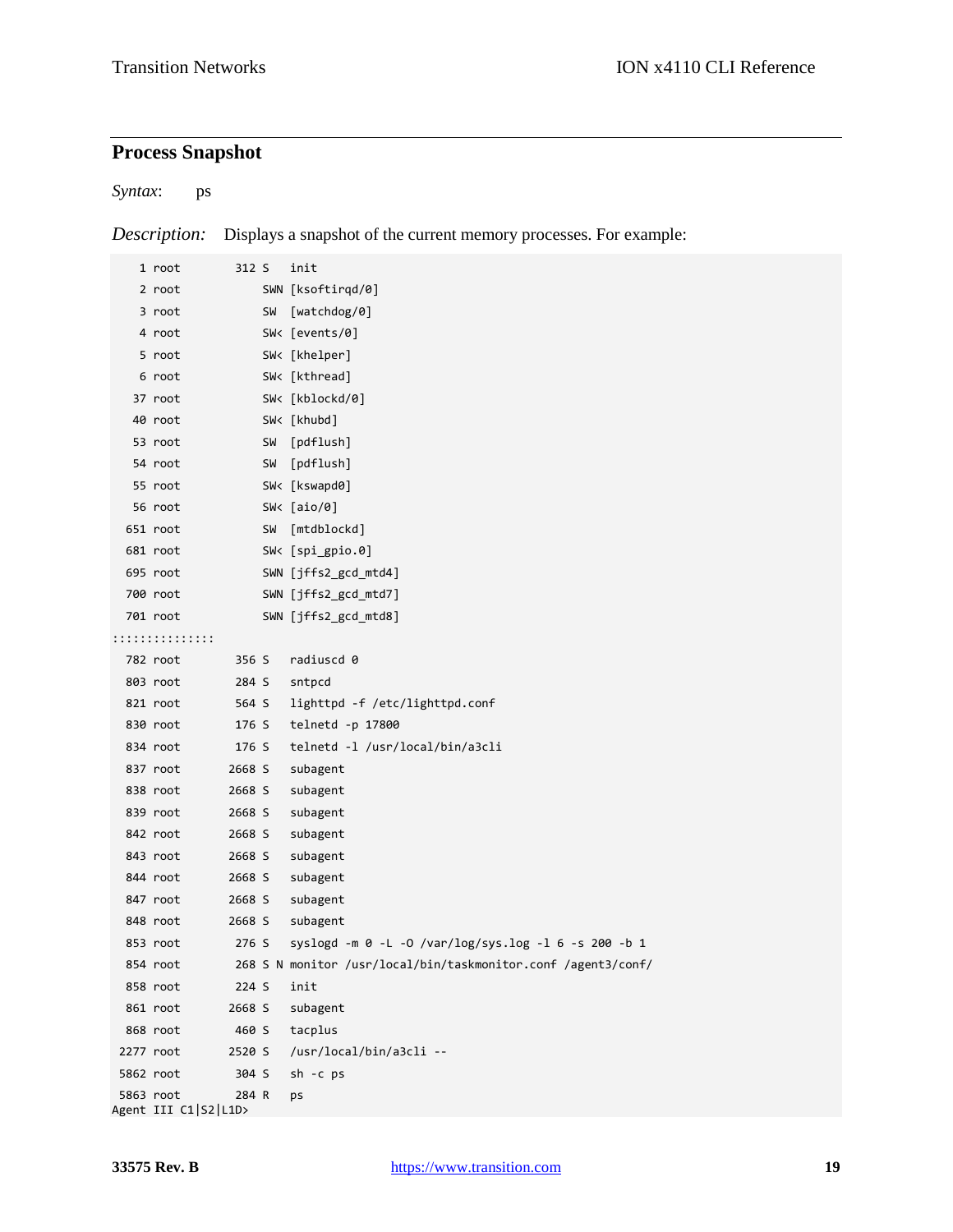## **Process Snapshot**

*Syntax*: ps

*Description:* Displays a snapshot of the current memory processes. For example:

|           | 1 root                            | 312 S  |           | init                                                          |
|-----------|-----------------------------------|--------|-----------|---------------------------------------------------------------|
|           | 2 root                            |        |           | SWN [ksoftirqd/0]                                             |
|           | 3 root                            |        | SW        | [watchdog/0]                                                  |
|           | 4 root                            |        |           | SW< [events/0]                                                |
|           | 5 root                            |        |           | SW< [khelper]                                                 |
|           | 6 root                            |        |           | SW< [kthread]                                                 |
|           | 37 root                           |        |           | SW< [kblockd/0]                                               |
|           | 40 root                           |        |           | SW< [khubd]                                                   |
|           | 53 root                           |        | <b>SW</b> | [pdflush]                                                     |
|           | 54 root                           |        | <b>SW</b> | [pdflush]                                                     |
|           | 55 root                           |        |           | SW< [kswapd0]                                                 |
|           | 56 root                           |        |           | SW< $[aio/0]$                                                 |
|           | 651 root                          |        | <b>SW</b> | [mtdblockd]                                                   |
|           | 681 root                          |        |           | SW< [spi_gpio.0]                                              |
|           | 695 root                          |        |           | SWN [jffs2_gcd_mtd4]                                          |
|           | 700 root                          |        |           | SWN [jffs2_gcd_mtd7]                                          |
|           | 701 root                          |        |           | SWN [jffs2_gcd_mtd8]                                          |
|           | ::::::::::::::::                  |        |           |                                                               |
|           | 782 root                          | 356 S  |           | radiuscd 0                                                    |
|           | 803 root                          | 284 S  |           | sntpcd                                                        |
|           | 821 root                          | 564 S  |           | lighttpd -f /etc/lighttpd.conf                                |
|           | 830 root                          | 176 S  |           | telnetd -p 17800                                              |
|           | 834 root                          | 176 S  |           | telnetd -1 /usr/local/bin/a3cli                               |
|           | 837 root                          | 2668 S |           | subagent                                                      |
|           | 838 root                          | 2668 S |           | subagent                                                      |
|           | 839 root                          | 2668 S |           | subagent                                                      |
|           | 842 root                          | 2668 S |           | subagent                                                      |
|           | 843 root                          | 2668 S |           | subagent                                                      |
|           | 844 root                          | 2668 S |           | subagent                                                      |
|           | 847 root                          | 2668 S |           | subagent                                                      |
|           | 848 root                          | 2668 S |           | subagent                                                      |
|           | 853 root                          | 276 S  |           | syslogd -m 0 -L -O /var/log/sys.log -l 6 -s 200 -b 1          |
|           | 854 root                          |        |           | 268 S N monitor /usr/local/bin/taskmonitor.conf /agent3/conf/ |
|           | 858 root                          | 224 S  |           | init                                                          |
|           | 861 root                          | 2668 S |           | subagent                                                      |
|           | 868 root                          | 460 S  |           | tacplus                                                       |
| 2277 root |                                   | 2520 S |           | /usr/local/bin/a3cli --                                       |
|           | 5862 root                         | 304 S  |           | sh -c ps                                                      |
|           | 5863 root<br>Agent III C1 S2 L1D> | 284 R  |           | ps                                                            |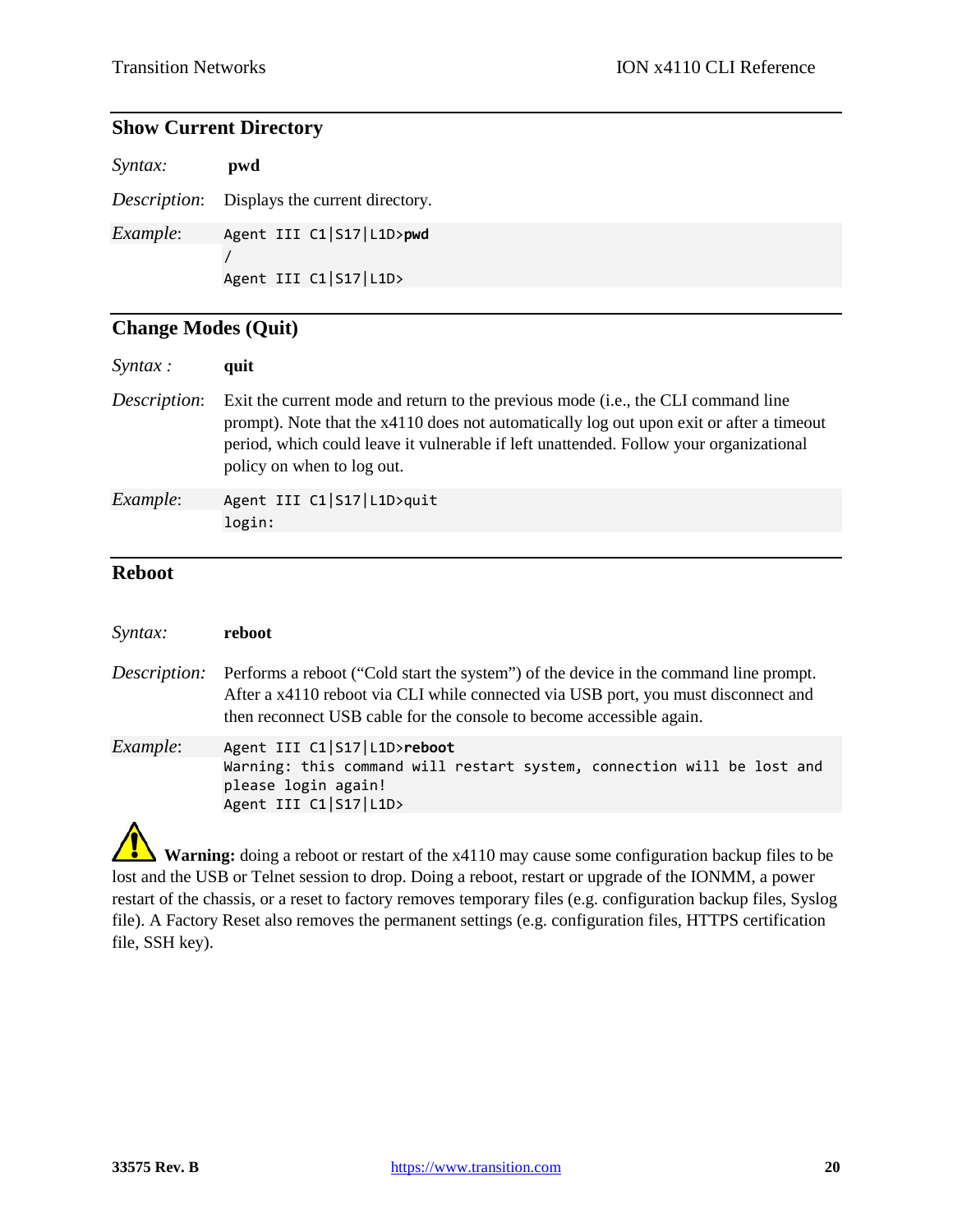### **Show Current Directory**

| Syntax:          | pwd                                                  |
|------------------|------------------------------------------------------|
|                  | <i>Description</i> : Displays the current directory. |
| <i>Example</i> : | Agent III C1 S17 L1D>pwd<br>Agent III C1 S17 L1D>    |

## **Change Modes (Quit)**

| $S$ <i>yntax</i> : | quit                                                                                                                                                                                                                                                                                                  |
|--------------------|-------------------------------------------------------------------------------------------------------------------------------------------------------------------------------------------------------------------------------------------------------------------------------------------------------|
| Description:       | Exit the current mode and return to the previous mode (i.e., the CLI command line<br>prompt). Note that the x4110 does not automatically log out upon exit or after a timeout<br>period, which could leave it vulnerable if left unattended. Follow your organizational<br>policy on when to log out. |
| Example:           | Agent III C1 S17 L1D>quit<br>login:                                                                                                                                                                                                                                                                   |

#### **Reboot**

| Syntax:             | reboot                                                                                                                                                                                                                                              |
|---------------------|-----------------------------------------------------------------------------------------------------------------------------------------------------------------------------------------------------------------------------------------------------|
| <i>Description:</i> | Performs a reboot ("Cold start the system") of the device in the command line prompt.<br>After a x4110 reboot via CLI while connected via USB port, you must disconnect and<br>then reconnect USB cable for the console to become accessible again. |
| <i>Example</i> :    | Agent III C1 S17 L1D>reboot<br>Warning: this command will restart system, connection will be lost and<br>please login again!<br>Agent III C1 S17 L1D>                                                                                               |
|                     |                                                                                                                                                                                                                                                     |

**Warning:** doing a reboot or restart of the x4110 may cause some configuration backup files to be lost and the USB or Telnet session to drop. Doing a reboot, restart or upgrade of the IONMM, a power restart of the chassis, or a reset to factory removes temporary files (e.g. configuration backup files, Syslog file). A Factory Reset also removes the permanent settings (e.g. configuration files, HTTPS certification file, SSH key).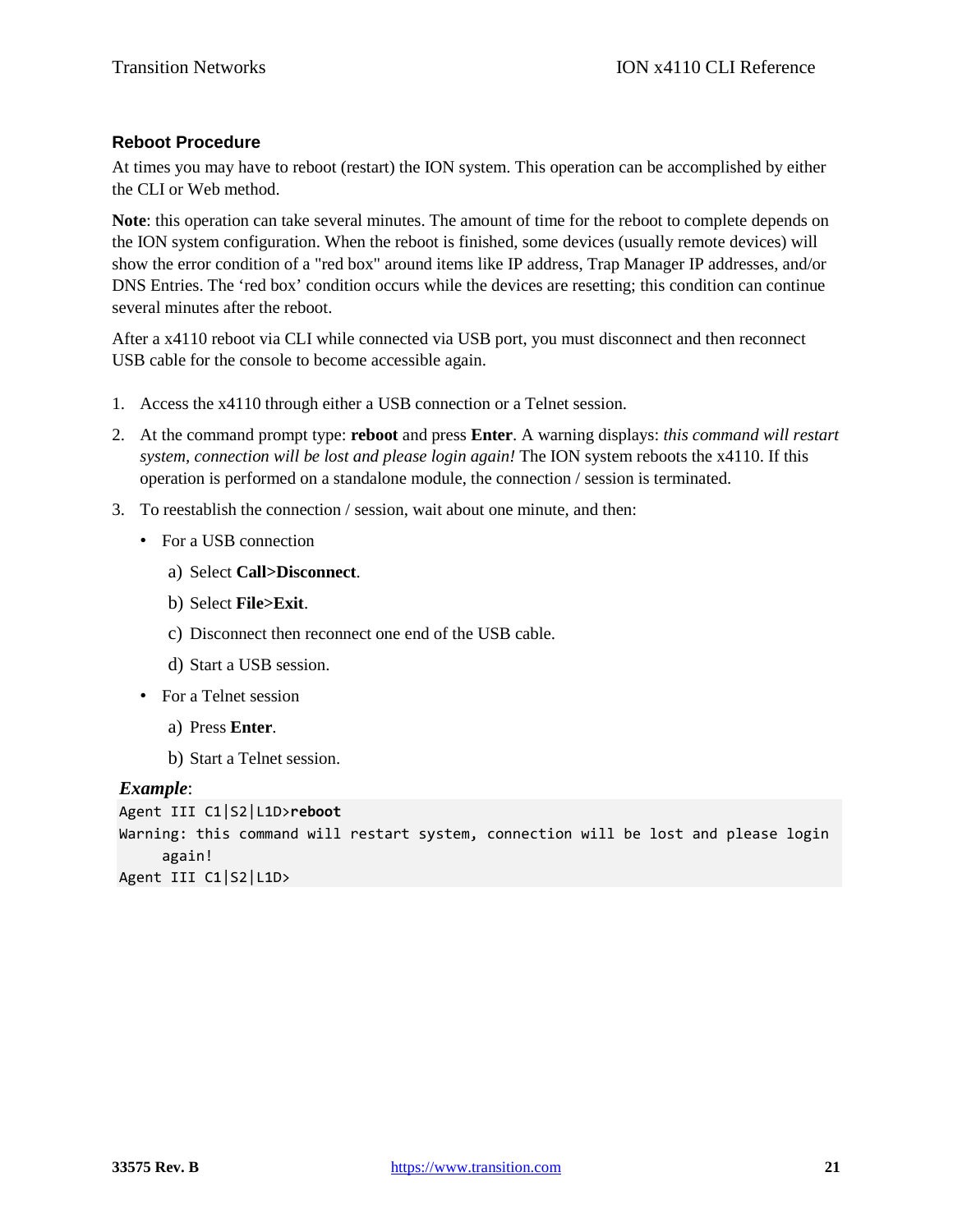#### **Reboot Procedure**

At times you may have to reboot (restart) the ION system. This operation can be accomplished by either the CLI or Web method.

**Note**: this operation can take several minutes. The amount of time for the reboot to complete depends on the ION system configuration. When the reboot is finished, some devices (usually remote devices) will show the error condition of a "red box" around items like IP address, Trap Manager IP addresses, and/or DNS Entries. The 'red box' condition occurs while the devices are resetting; this condition can continue several minutes after the reboot.

After a x4110 reboot via CLI while connected via USB port, you must disconnect and then reconnect USB cable for the console to become accessible again.

- 1. Access the x4110 through either a USB connection or a Telnet session.
- 2. At the command prompt type: **reboot** and press **Enter**. A warning displays: *this command will restart system, connection will be lost and please login again!* The ION system reboots the x4110. If this operation is performed on a standalone module, the connection / session is terminated.
- 3. To reestablish the connection / session, wait about one minute, and then:
	- For a USB connection
		- a) Select **Call>Disconnect**.
		- b) Select **File>Exit**.
		- c) Disconnect then reconnect one end of the USB cable.
		- d) Start a USB session.
	- For a Telnet session
		- a) Press **Enter**.
		- b) Start a Telnet session.

#### *Example*:

```
Agent III C1|S2|L1D>reboot
Warning: this command will restart system, connection will be lost and please login 
     again!
Agent III C1|S2|L1D>
```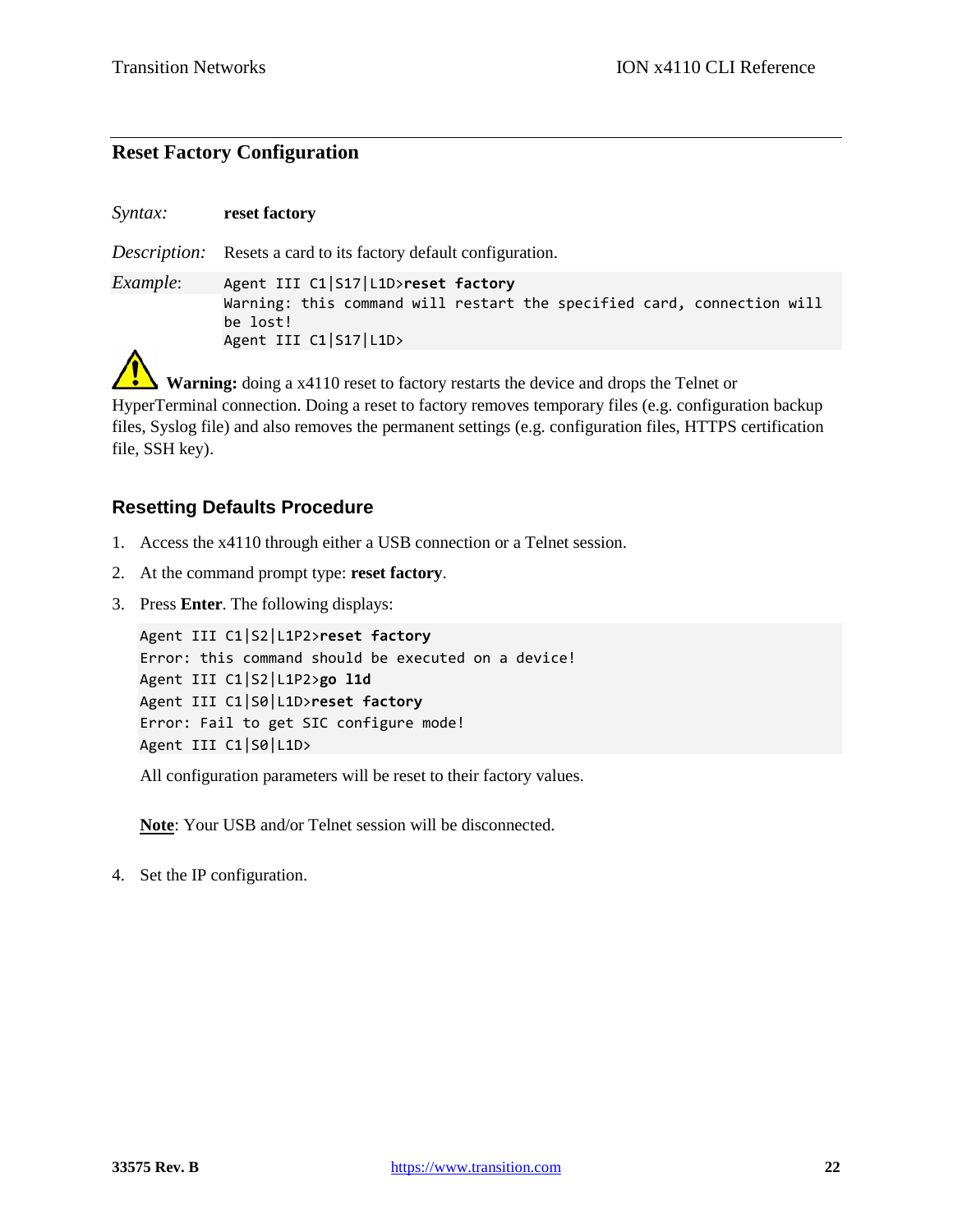### **Reset Factory Configuration**

*Syntax:* **reset factory** *Description:* Resets a card to its factory default configuration. *Example*: Agent III C1|S17|L1D>**reset factory** Warning: this command will restart the specified card, connection will be lost! Agent III C1|S17|L1D>

 **Warning:** doing a x4110 reset to factory restarts the device and drops the Telnet or HyperTerminal connection. Doing a reset to factory removes temporary files (e.g. configuration backup files, Syslog file) and also removes the permanent settings (e.g. configuration files, HTTPS certification file, SSH key).

#### **Resetting Defaults Procedure**

- 1. Access the x4110 through either a USB connection or a Telnet session.
- 2. At the command prompt type: **reset factory**.
- 3. Press **Enter**. The following displays:

```
Agent III C1|S2|L1P2>reset factory
Error: this command should be executed on a device!
Agent III C1|S2|L1P2>go l1d
Agent III C1|S0|L1D>reset factory
Error: Fail to get SIC configure mode!
Agent III C1|S0|L1D>
```
All configuration parameters will be reset to their factory values.

**Note**: Your USB and/or Telnet session will be disconnected.

4. Set the IP configuration.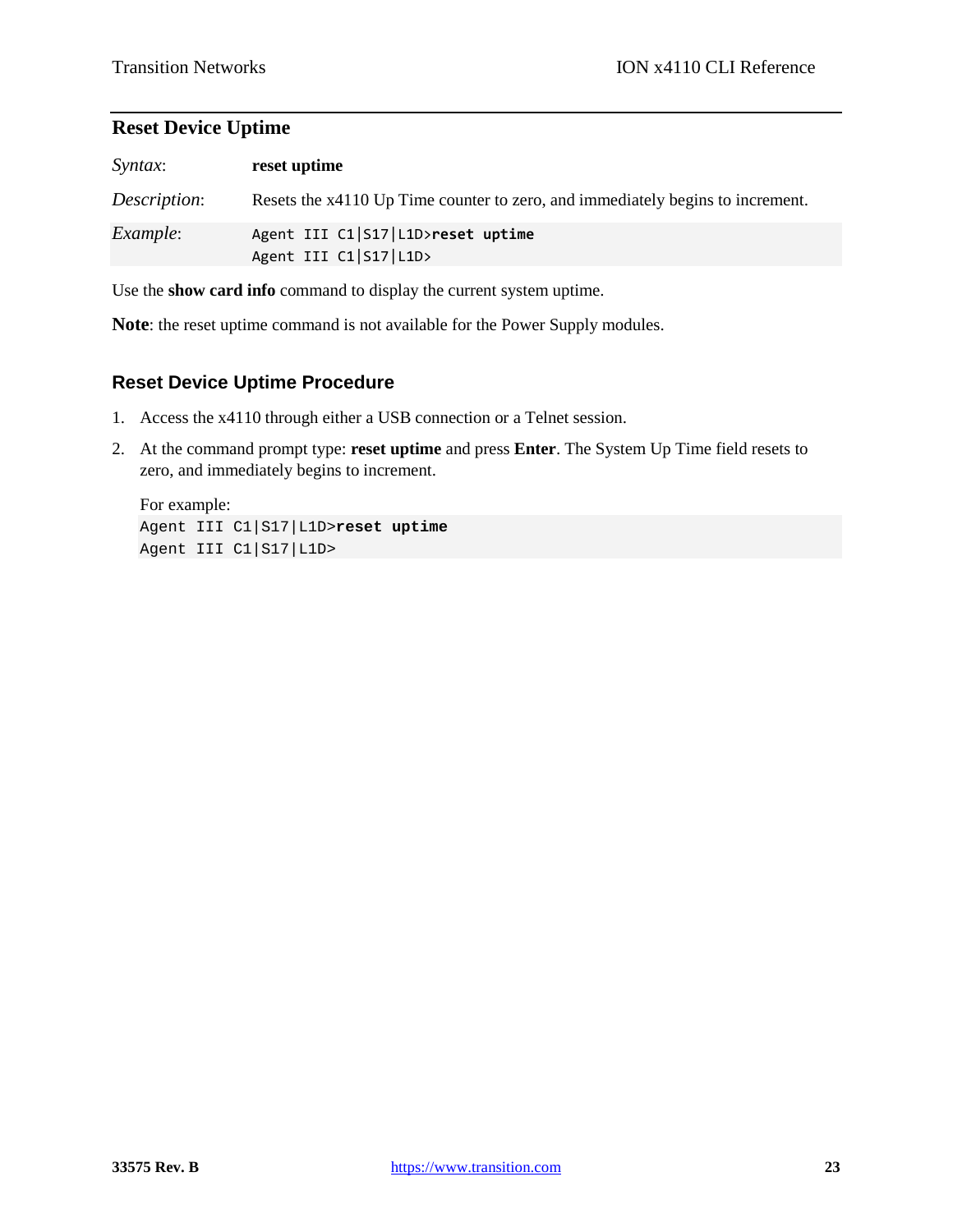### **Reset Device Uptime**

| Syntax:         | reset uptime                                                                   |
|-----------------|--------------------------------------------------------------------------------|
| Description:    | Resets the x4110 Up Time counter to zero, and immediately begins to increment. |
| <i>Example:</i> | Agent III C1 S17 L1D>reset uptime<br>Agent III C1 S17 L1D>                     |

Use the **show card info** command to display the current system uptime.

**Note**: the reset uptime command is not available for the Power Supply modules.

#### **Reset Device Uptime Procedure**

- 1. Access the x4110 through either a USB connection or a Telnet session.
- 2. At the command prompt type: **reset uptime** and press **Enter**. The System Up Time field resets to zero, and immediately begins to increment.

For example: Agent III C1|S17|L1D>**reset uptime** Agent III C1|S17|L1D>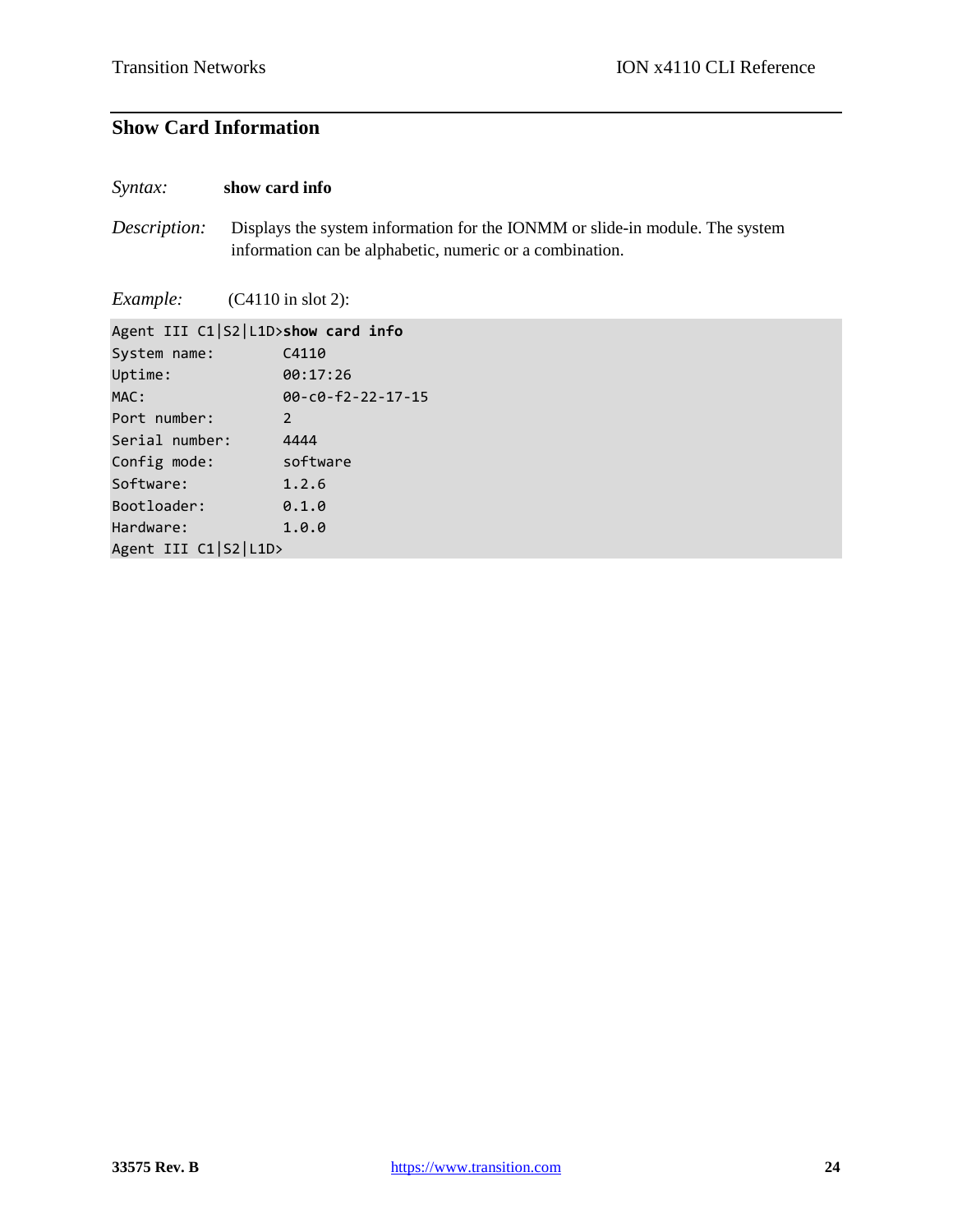### **Show Card Information**

#### *Syntax:* **show card info**

*Description:* Displays the system information for the IONMM or slide-in module. The system information can be alphabetic, numeric or a combination.

*Example:* (C4110 in slot 2):

| Agent III C1 S2 L1D>show card info |                               |
|------------------------------------|-------------------------------|
| System name:                       | C4110                         |
| Uptime:                            | 00:17:26                      |
| MAC:                               | $00 - c0 - f2 - 22 - 17 - 15$ |
| Port number:                       | 2                             |
| Serial number:                     | 4444                          |
| Config mode:                       | software                      |
| Software:                          | 1.2.6                         |
| Bootloader:                        | 0.1.0                         |
| Hardware:                          | 1.0.0                         |
| Agent III C1 S2 L1D>               |                               |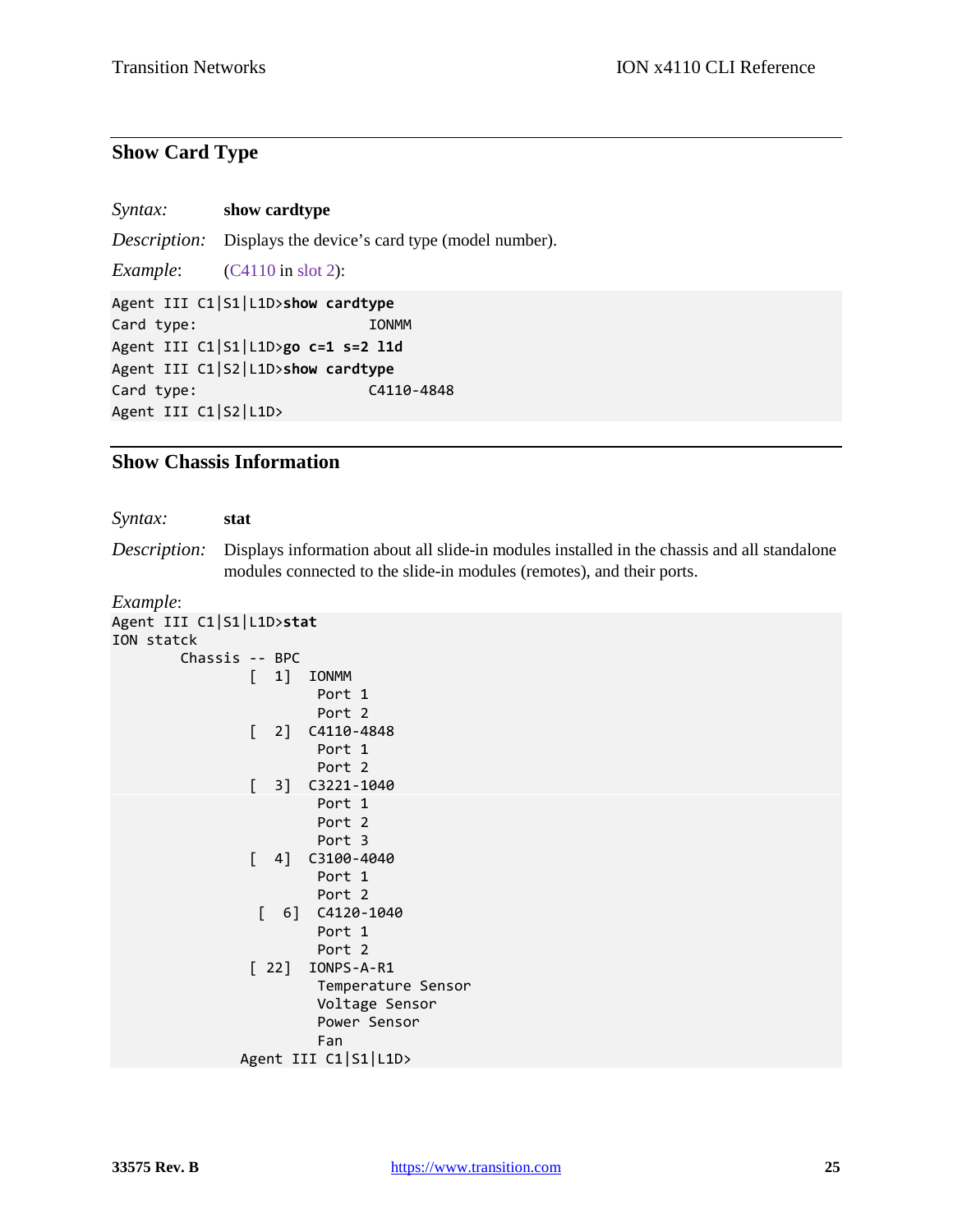### **Show Card Type**

| <i>Syntax:</i> | show cardtype |
|----------------|---------------|
|----------------|---------------|

*Description:* Displays the device's card type (model number).

*Example*: (C4110 in slot 2):

Agent III C1|S1|L1D>**show cardtype** Card type: IONMM Agent III C1|S1|L1D>**go c=1 s=2 l1d** Agent III C1|S2|L1D>**show cardtype** Card type: C4110-4848 Agent III C1|S2|L1D>

#### **Show Chassis Information**

*Syntax:* **stat**

*Description:* Displays information about all slide-in modules installed in the chassis and all standalone modules connected to the slide-in modules (remotes), and their ports.

*Example*:

```
Agent III C1|S1|L1D>stat
ION statck
         Chassis -- BPC
                 [ 1] IONMM
                         Port 1
                        Port 2
                 [ 2] C4110-4848
                         Port 1
                        Port 2
                 [ 3] C3221-1040
                         Port 1
                        Port 2
                        Port 3
                [ 4]  C3100 - 4040 Port 1
                        Port 2
                  [ 6] C4120-1040
                         Port 1
                        Port 2
                 [ 22] IONPS-A-R1
                         Temperature Sensor
                        Voltage Sensor
                        Power Sensor
                        Fan
                Agent III C1|S1|L1D>
```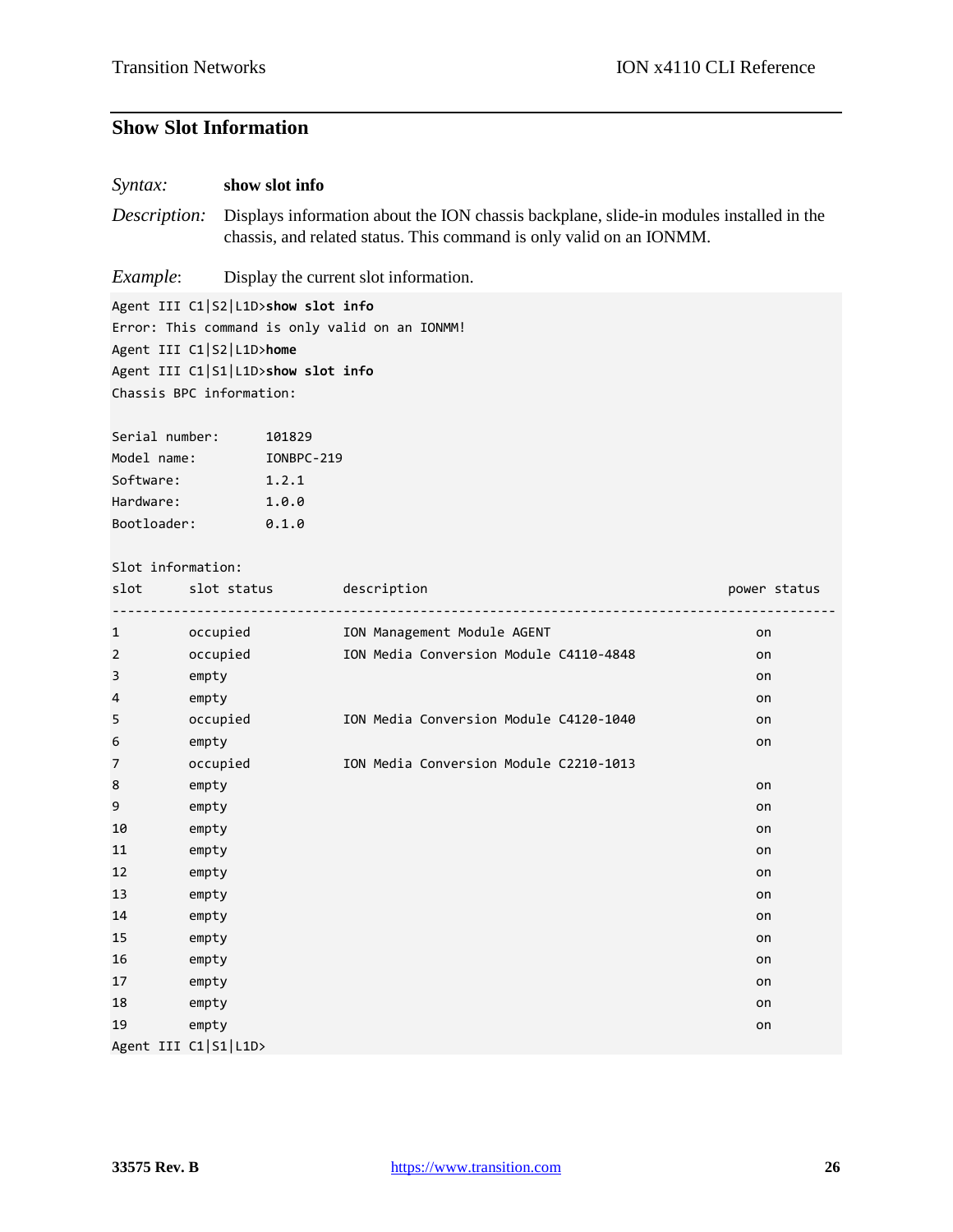#### **Show Slot Information**

#### *Syntax:* **show slot info**

*Description:* Displays information about the ION chassis backplane, slide-in modules installed in the chassis, and related status. This command is only valid on an IONMM.

*Example*: Display the current slot information.

Agent III C1|S2|L1D>**show slot info** Error: This command is only valid on an IONMM! Agent III C1|S2|L1D>**home** Agent III C1|S1|L1D>**show slot info** Chassis BPC information:

Serial number: 101829 Model name: IONBPC-219 Software: 1.2.1 Hardware: 1.0.0 Bootloader: 0.1.0

### Slot information:

|                | Slot information:    |                                        |              |
|----------------|----------------------|----------------------------------------|--------------|
| slot           | slot status          | description<br><u>--------------</u>   | power status |
| $\mathbf 1$    | occupied             | ION Management Module AGENT            | on           |
| $\overline{2}$ | occupied             | ION Media Conversion Module C4110-4848 | on           |
| 3              | empty                |                                        | on           |
| 4              | empty                |                                        | on           |
| 5              | occupied             | ION Media Conversion Module C4120-1040 | on           |
| 6              | empty                |                                        | on           |
| 7              | occupied             | ION Media Conversion Module C2210-1013 |              |
| 8              | empty                |                                        | on           |
| 9              | empty                |                                        | on           |
| 10             | empty                |                                        | on           |
| 11             | empty                |                                        | on           |
| 12             | empty                |                                        | on           |
| 13             | empty                |                                        | on           |
| 14             | empty                |                                        | on           |
| 15             | empty                |                                        | on           |
| 16             | empty                |                                        | on           |
| 17             | empty                |                                        | on           |
| 18             | empty                |                                        | on           |
| 19             | empty                |                                        | on           |
|                | Agent III C1 S1 L1D> |                                        |              |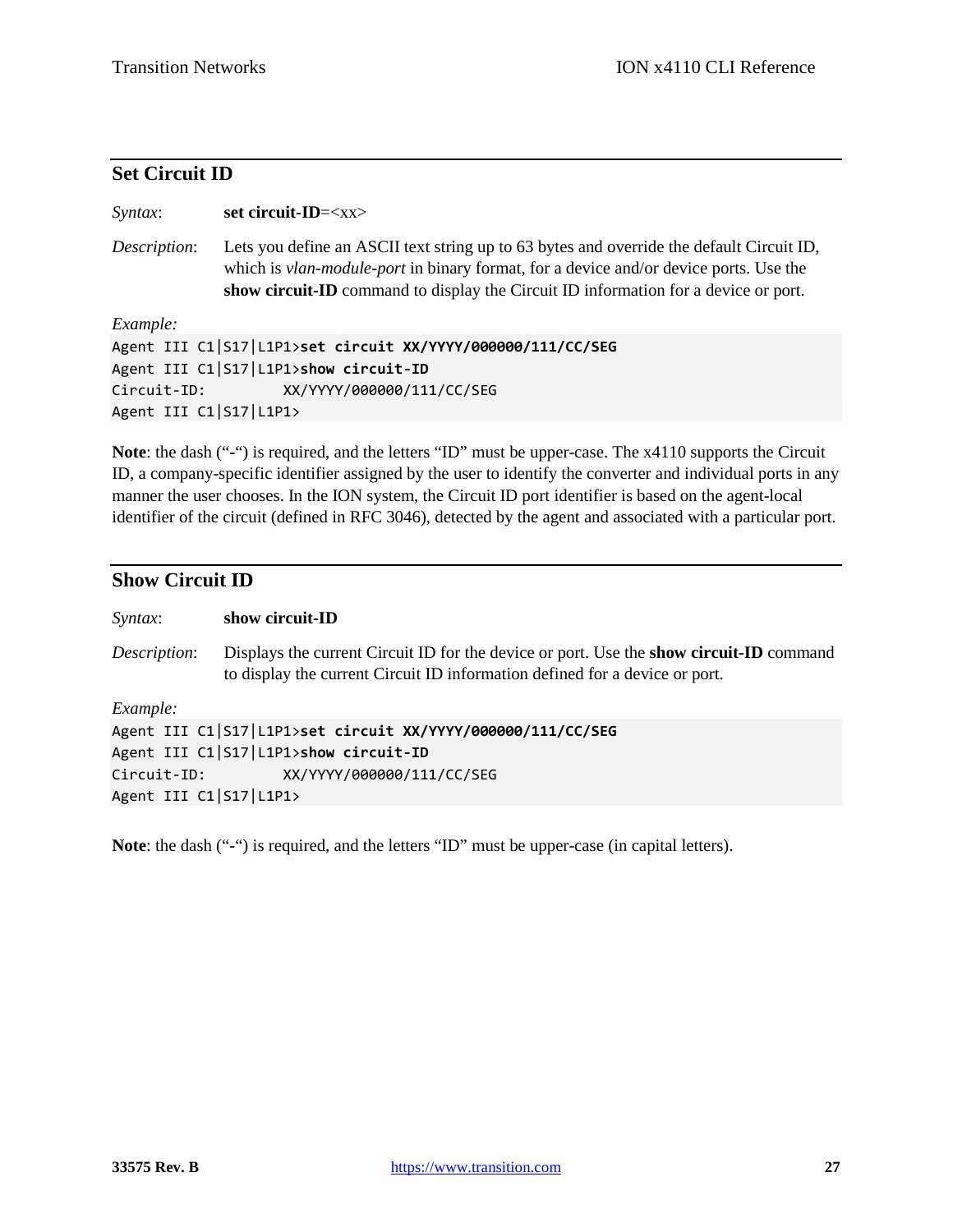### **Set Circuit ID**

| Syntax:                | set circuit-ID= $\langle$ xx>                                                                                                                                                                                                                                                   |
|------------------------|---------------------------------------------------------------------------------------------------------------------------------------------------------------------------------------------------------------------------------------------------------------------------------|
| Description:           | Lets you define an ASCII text string up to 63 bytes and override the default Circuit ID,<br>which is <i>vlan-module-port</i> in binary format, for a device and/or device ports. Use the<br>show circuit-ID command to display the Circuit ID information for a device or port. |
| Example:               |                                                                                                                                                                                                                                                                                 |
|                        | Agent III C1 S17 L1P1>set circuit XX/YYYY/000000/111/CC/SEG                                                                                                                                                                                                                     |
|                        | Agent III C1 S17 L1P1>show circuit-ID                                                                                                                                                                                                                                           |
| Circuit-ID:            | XX/YYYY/000000/111/CC/SEG                                                                                                                                                                                                                                                       |
| Agent III C1 S17 L1P1> |                                                                                                                                                                                                                                                                                 |
|                        |                                                                                                                                                                                                                                                                                 |

**Note**: the dash ("**-**") is required, and the letters "ID" must be upper-case. The x4110 supports the Circuit ID, a company-specific identifier assigned by the user to identify the converter and individual ports in any manner the user chooses. In the ION system, the Circuit ID port identifier is based on the agent-local identifier of the circuit (defined in RFC 3046), detected by the agent and associated with a particular port.

#### **Show Circuit ID**

| Syntax:                | show circuit-ID                                                                                                                                                               |
|------------------------|-------------------------------------------------------------------------------------------------------------------------------------------------------------------------------|
| Description:           | Displays the current Circuit ID for the device or port. Use the <b>show circuit-ID</b> command<br>to display the current Circuit ID information defined for a device or port. |
| Example:               |                                                                                                                                                                               |
|                        | Agent III C1 S17 L1P1>set circuit XX/YYYY/000000/111/CC/SEG                                                                                                                   |
|                        | Agent III C1 S17 L1P1>show circuit-ID                                                                                                                                         |
| Circuit-ID:            | XX/YYYY/000000/111/CC/SEG                                                                                                                                                     |
| Agent III C1 S17 L1P1> |                                                                                                                                                                               |
|                        |                                                                                                                                                                               |

**Note**: the dash ("**-**") is required, and the letters "ID" must be upper-case (in capital letters).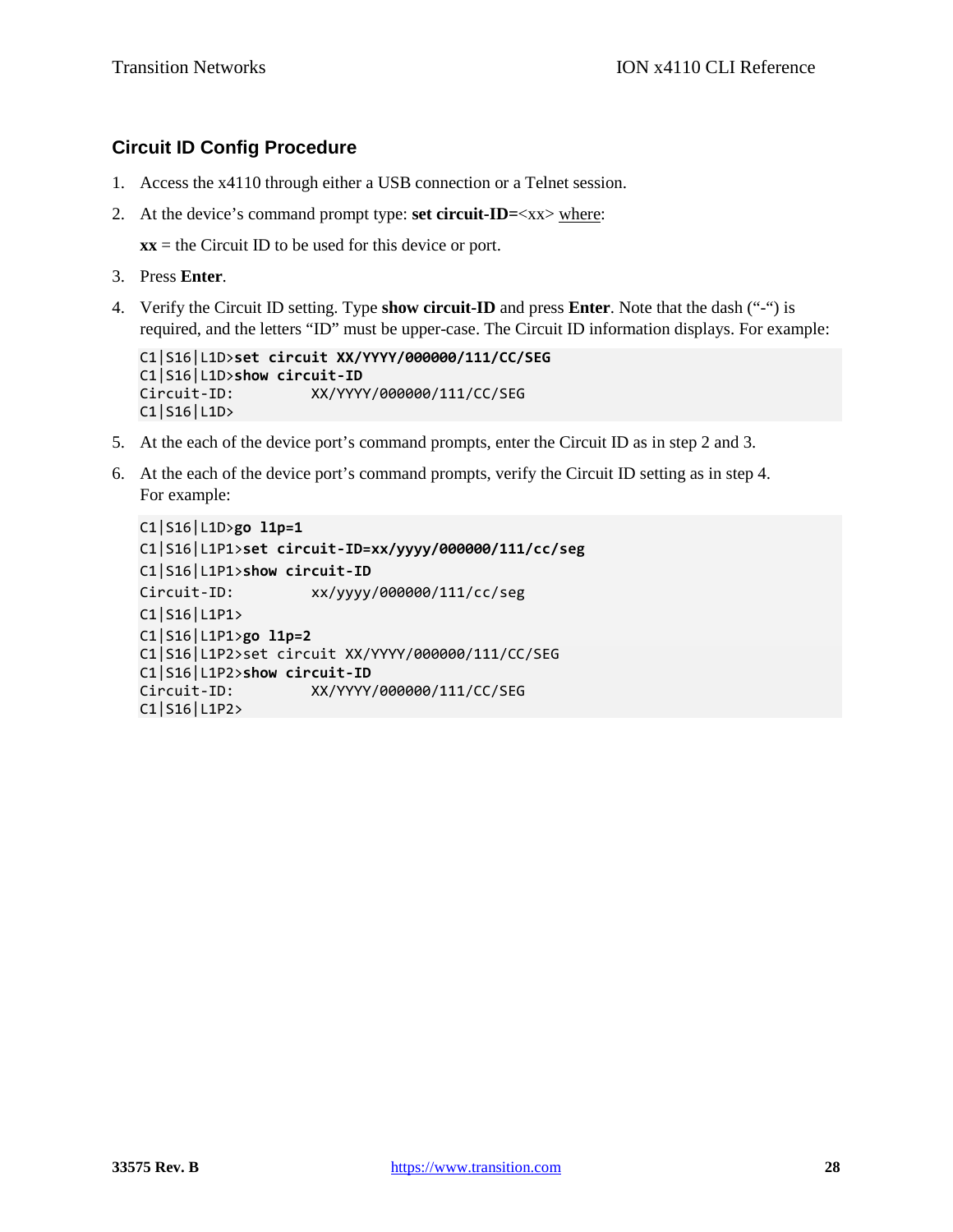#### **Circuit ID Config Procedure**

- 1. Access the x4110 through either a USB connection or a Telnet session.
- 2. At the device's command prompt type: **set circuit-ID=**<xx> where:

 $xx =$  the Circuit ID to be used for this device or port.

- 3. Press **Enter**.
- 4. Verify the Circuit ID setting. Type **show circuit-ID** and press **Enter**. Note that the dash ("-") is required, and the letters "ID" must be upper-case. The Circuit ID information displays. For example:

```
C1|S16|L1D>set circuit XX/YYYY/000000/111/CC/SEG
C1|S16|L1D>show circuit-ID
Circuit-ID: XX/YYYY/000000/111/CC/SEG
C1|S16|L1D>
```
- 5. At the each of the device port's command prompts, enter the Circuit ID as in step 2 and 3.
- 6. At the each of the device port's command prompts, verify the Circuit ID setting as in step 4. For example:

```
C1|S16|L1D>go l1p=1
C1|S16|L1P1>set circuit-ID=xx/yyyy/000000/111/cc/seg
C1|S16|L1P1>show circuit-ID
Circuit-ID: xx/yyyy/000000/111/cc/seg
C1|S16|L1P1>
C1|S16|L1P1>go l1p=2
C1|S16|L1P2>set circuit XX/YYYY/000000/111/CC/SEG
C1|S16|L1P2>show circuit-ID
Circuit-ID: XX/YYYY/000000/111/CC/SEG
C1|S16|L1P2>
```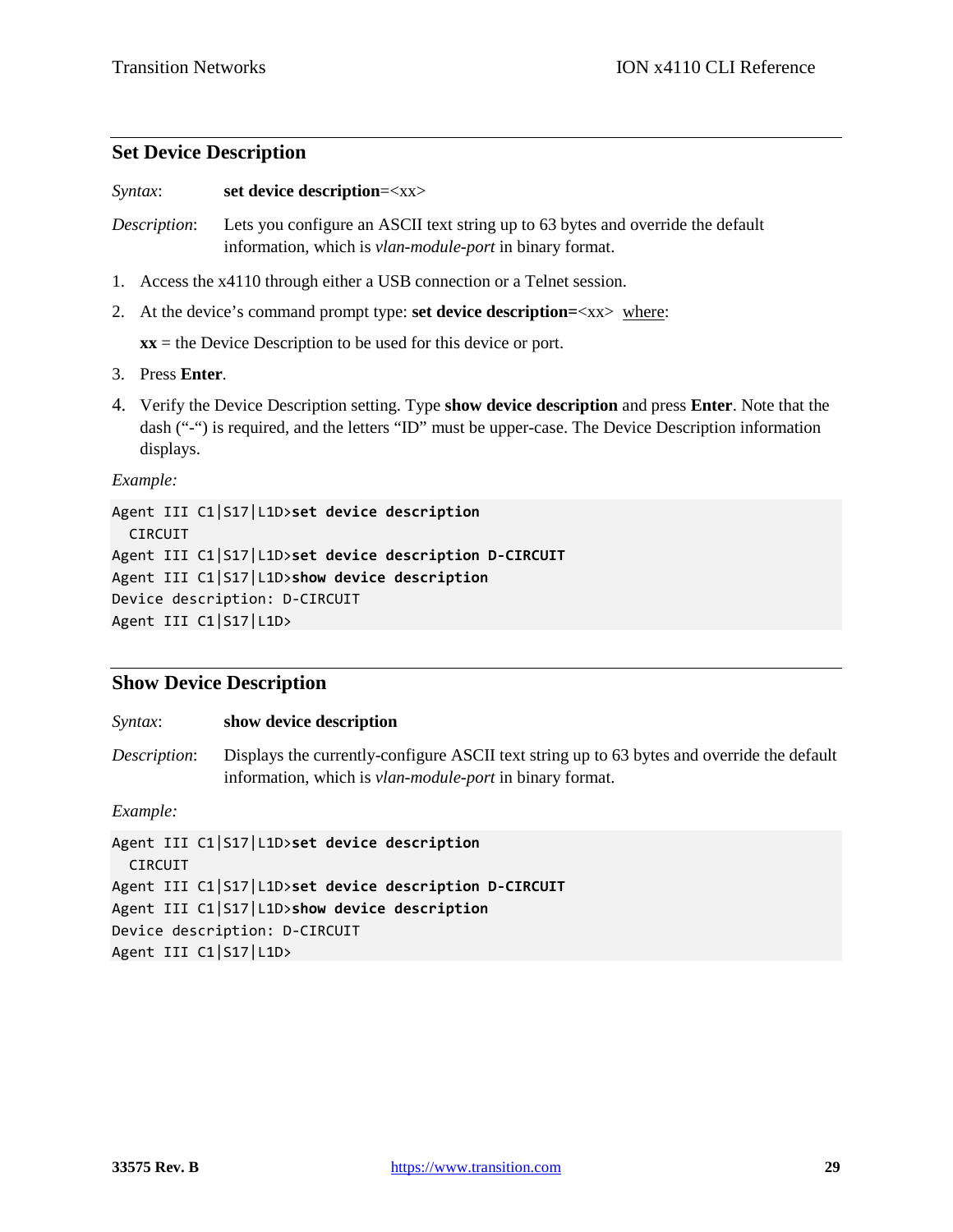#### **Set Device Description**

*Syntax*: **set device description**=<xx>

*Description*: Lets you configure an ASCII text string up to 63 bytes and override the default information, which is *vlan-module-port* in binary format.

- 1. Access the x4110 through either a USB connection or a Telnet session.
- 2. At the device's command prompt type: **set device description=**<xx> where:

 $xx =$  the Device Description to be used for this device or port.

- 3. Press **Enter**.
- 4. Verify the Device Description setting. Type **show device description** and press **Enter**. Note that the dash ("-") is required, and the letters "ID" must be upper-case. The Device Description information displays.

*Example:* 

```
Agent III C1|S17|L1D>set device description
  CIRCUIT
Agent III C1|S17|L1D>set device description D-CIRCUIT
Agent III C1|S17|L1D>show device description
Device description: D-CIRCUIT
Agent III C1|S17|L1D>
```
#### **Show Device Description**

*Syntax*: **show device description**

*Description*: Displays the currently-configure ASCII text string up to 63 bytes and override the default information, which is *vlan-module-port* in binary format.

*Example:* 

Agent III C1|S17|L1D>**set device description** CIRCUIT Agent III C1|S17|L1D>**set device description D-CIRCUIT** Agent III C1|S17|L1D>**show device description** Device description: D-CIRCUIT Agent III C1|S17|L1D>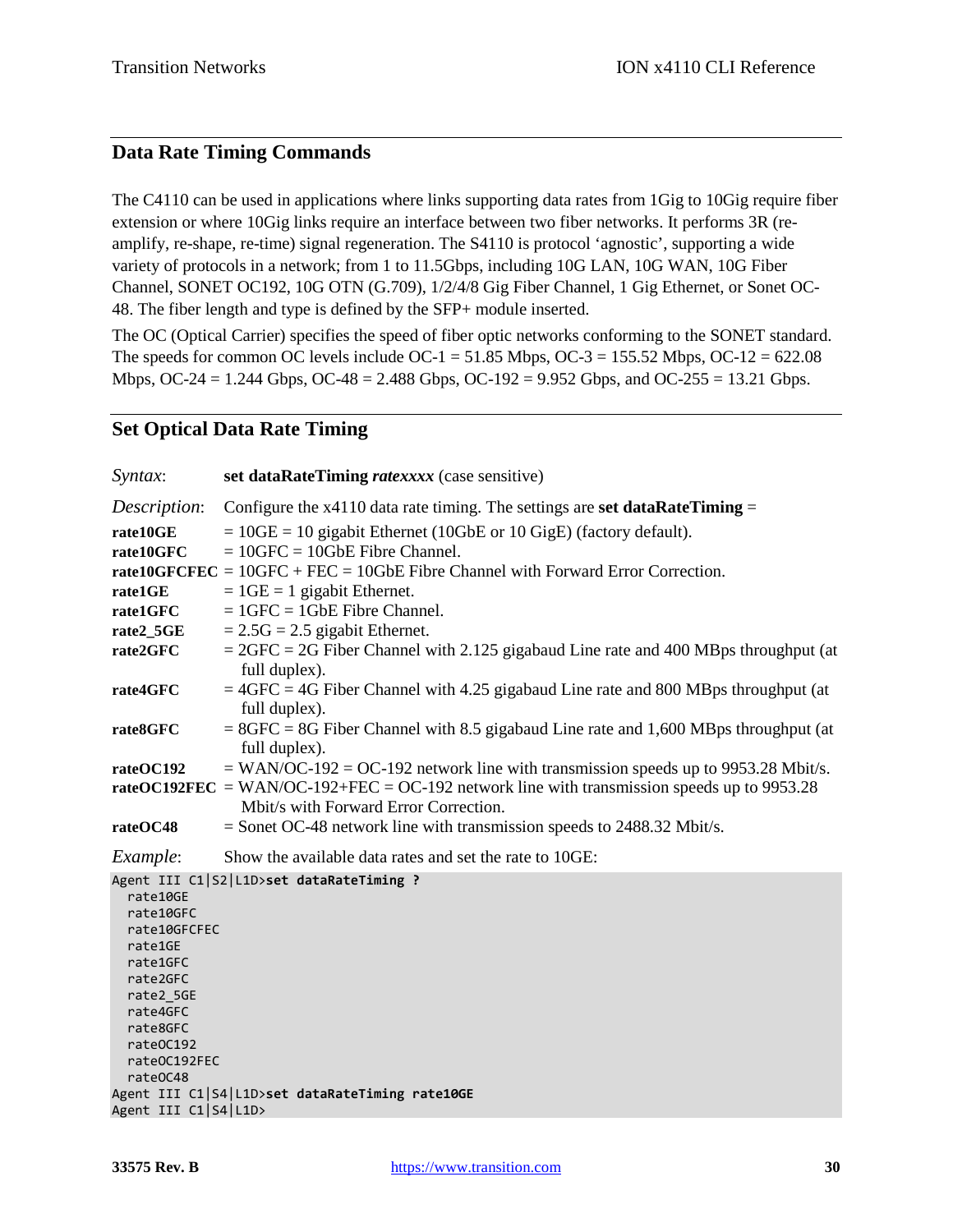### **Data Rate Timing Commands**

The C4110 can be used in applications where links supporting data rates from 1Gig to 10Gig require fiber extension or where 10Gig links require an interface between two fiber networks. It performs 3R (reamplify, re-shape, re-time) signal regeneration. The S4110 is protocol 'agnostic', supporting a wide variety of protocols in a network; from 1 to 11.5Gbps, including 10G LAN, 10G WAN, 10G Fiber Channel, SONET OC192, 10G OTN (G.709), 1/2/4/8 Gig Fiber Channel, 1 Gig Ethernet, or Sonet OC-48. The fiber length and type is defined by the SFP+ module inserted.

The OC (Optical Carrier) specifies the speed of fiber optic networks conforming to the SONET standard. The speeds for common OC levels include OC-1 =  $51.85$  Mbps, OC-3 =  $155.52$  Mbps, OC-12 =  $622.08$ Mbps, OC-24 = 1.244 Gbps, OC-48 = 2.488 Gbps, OC-192 = 9.952 Gbps, and OC-255 = 13.21 Gbps.

#### **Set Optical Data Rate Timing**

| Syntax:                                                                                                                                                | set dataRateTiming ratexxxx (case sensitive)                                                            |
|--------------------------------------------------------------------------------------------------------------------------------------------------------|---------------------------------------------------------------------------------------------------------|
| Description:                                                                                                                                           | Configure the $x4110$ data rate timing. The settings are set dataRateTiming =                           |
| rate10GE                                                                                                                                               | $= 10GE = 10$ gigabit Ethernet (10GbE or 10 GigE) (factory default).                                    |
| rate10GFC                                                                                                                                              | $= 10$ GFC = 10GbE Fibre Channel.                                                                       |
|                                                                                                                                                        | rate10GFCFEC = $10$ GFC + FEC = $10$ GbE Fibre Channel with Forward Error Correction.                   |
| rate1GE                                                                                                                                                | $= 1GE = 1$ gigabit Ethernet.                                                                           |
| rate1GFC                                                                                                                                               | $= 1$ GFC = 1GbE Fibre Channel.                                                                         |
| rate2_5GE                                                                                                                                              | $= 2.5G = 2.5$ gigabit Ethernet.                                                                        |
| rate2GFC                                                                                                                                               | $=$ 2GFC = 2G Fiber Channel with 2.125 gigabaud Line rate and 400 MBps throughput (at<br>full duplex).  |
| rate4GFC                                                                                                                                               | $=4$ GFC = 4G Fiber Channel with 4.25 gigabaud Line rate and 800 MBps throughput (at<br>full duplex).   |
| rate8GFC                                                                                                                                               | $= 8$ GFC = 8G Fiber Channel with 8.5 gigabaud Line rate and 1,600 MBps throughput (at<br>full duplex). |
| rateOC192                                                                                                                                              | $=$ WAN/OC-192 = OC-192 network line with transmission speeds up to 9953.28 Mbit/s.                     |
|                                                                                                                                                        | rateOC192FEC = WAN/OC-192+FEC = OC-192 network line with transmission speeds up to 9953.28              |
|                                                                                                                                                        | Mbit/s with Forward Error Correction.                                                                   |
| rateOC48                                                                                                                                               | $=$ Sonet OC-48 network line with transmission speeds to 2488.32 Mbit/s.                                |
| Example:                                                                                                                                               | Show the available data rates and set the rate to 10GE:                                                 |
| rate10GE<br>rate10GFC<br>rate10GFCFEC<br>rate1GE<br>rate1GFC<br>rate2GFC<br>rate2_5GE<br>rate4GFC<br>rate8GFC<br>rate0C192<br>rate0C192FEC<br>rate0C48 | Agent III C1 S2 L1D>set dataRateTiming ?                                                                |
| Agent III C1 S4 L1D>                                                                                                                                   | Agent III C1 S4 L1D>set dataRateTiming rate10GE                                                         |
|                                                                                                                                                        |                                                                                                         |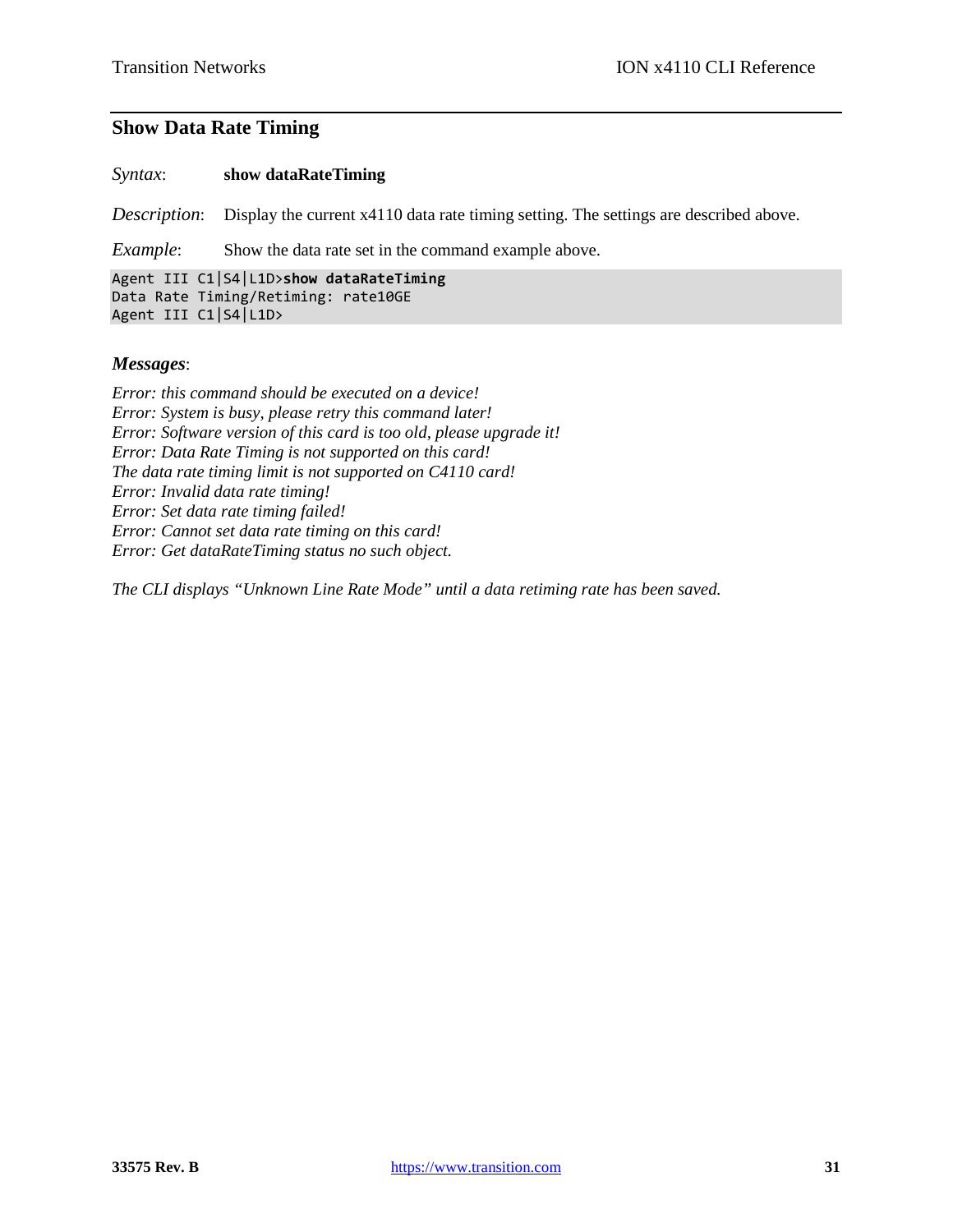## **Show Data Rate Timing**

*Syntax*: **show dataRateTiming**

*Description*: Display the current x4110 data rate timing setting. The settings are described above.

*Example*: Show the data rate set in the command example above.

Agent III C1|S4|L1D>**show dataRateTiming** Data Rate Timing/Retiming: rate10GE Agent III C1|S4|L1D>

#### *Messages*:

*Error: this command should be executed on a device! Error: System is busy, please retry this command later! Error: Software version of this card is too old, please upgrade it! Error: Data Rate Timing is not supported on this card! The data rate timing limit is not supported on C4110 card! Error: Invalid data rate timing! Error: Set data rate timing failed! Error: Cannot set data rate timing on this card! Error: Get dataRateTiming status no such object.*

*The CLI displays "Unknown Line Rate Mode" until a data retiming rate has been saved.*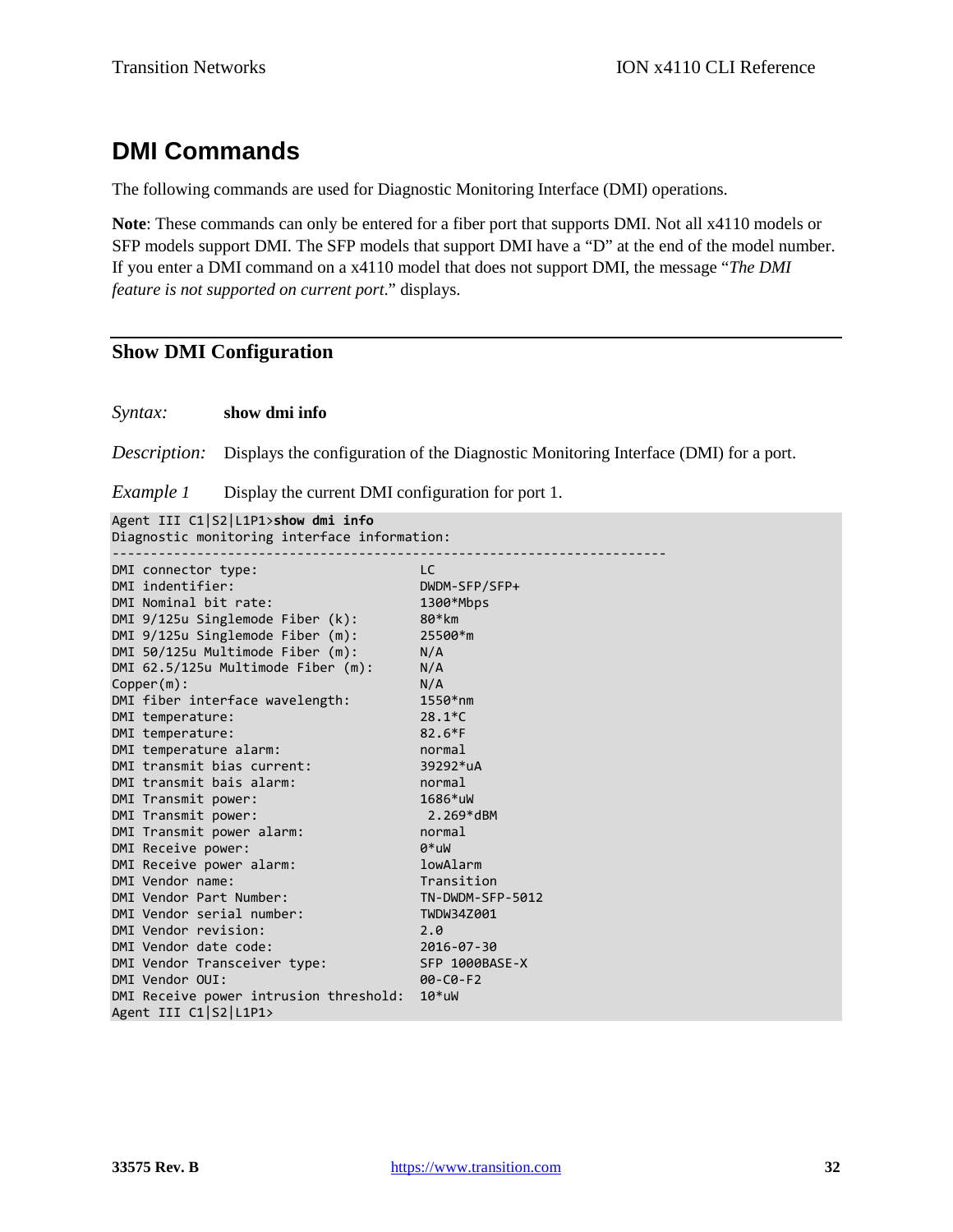# **DMI Commands**

The following commands are used for Diagnostic Monitoring Interface (DMI) operations.

**Note**: These commands can only be entered for a fiber port that supports DMI. Not all x4110 models or SFP models support DMI. The SFP models that support DMI have a "D" at the end of the model number. If you enter a DMI command on a x4110 model that does not support DMI, the message "*The DMI feature is not supported on current port*." displays.

#### **Show DMI Configuration**

#### *Syntax:* **show dmi info**

*Description:* Displays the configuration of the Diagnostic Monitoring Interface (DMI) for a port.

*Example 1* Display the current DMI configuration for port 1.

Agent III C1|S2|L1P1>**show dmi info**

Diagnostic monitoring interface information: ------------------------------------------------------------------------

| DMI connector type:                    | LC               |
|----------------------------------------|------------------|
| DMI indentifier:                       | DWDM-SFP/SFP+    |
| DMI Nominal bit rate:                  | 1300*Mbps        |
| DMI $9/125u$ Singlemode Fiber $(k)$ :  | 80*km            |
| DMI 9/125u Singlemode Fiber (m):       | 25500*m          |
| DMI 50/125u Multimode Fiber (m):       | N/A              |
| DMI 62.5/125u Multimode Fiber (m):     | N/A              |
| Copper(m):                             | N/A              |
| DMI fiber interface wavelength:        | $1550*nm$        |
| DMI temperature:                       | $28.1*C$         |
| DMI temperature:                       | $82.6*F$         |
| DMI temperature alarm:                 | normal           |
| DMI transmit bias current:             | 39292*uA         |
| DMI transmit bais alarm:               | normal           |
| DMI Transmit power:                    | $1686*$ uW       |
| DMI Transmit power:                    | 2.269*dBM        |
| DMI Transmit power alarm:              | normal           |
| DMI Receive power:                     | $0^*$ uW         |
| DMI Receive power alarm:               | lowAlarm         |
| DMI Vendor name:                       | Transition       |
| DMI Vendor Part Number:                | TN-DWDM-SFP-5012 |
| DMI Vendor serial number:              | TWDW34Z001       |
| DMI Vendor revision:                   | 2.0              |
| DMI Vendor date code:                  | 2016-07-30       |
| DMI Vendor Transceiver type:           | SFP 1000BASE-X   |
| DMI Vendor OUI:                        | $00 - C0 - F2$   |
| DMI Receive power intrusion threshold: | $10*$ uW         |
| Agent III C1 S2 L1P1>                  |                  |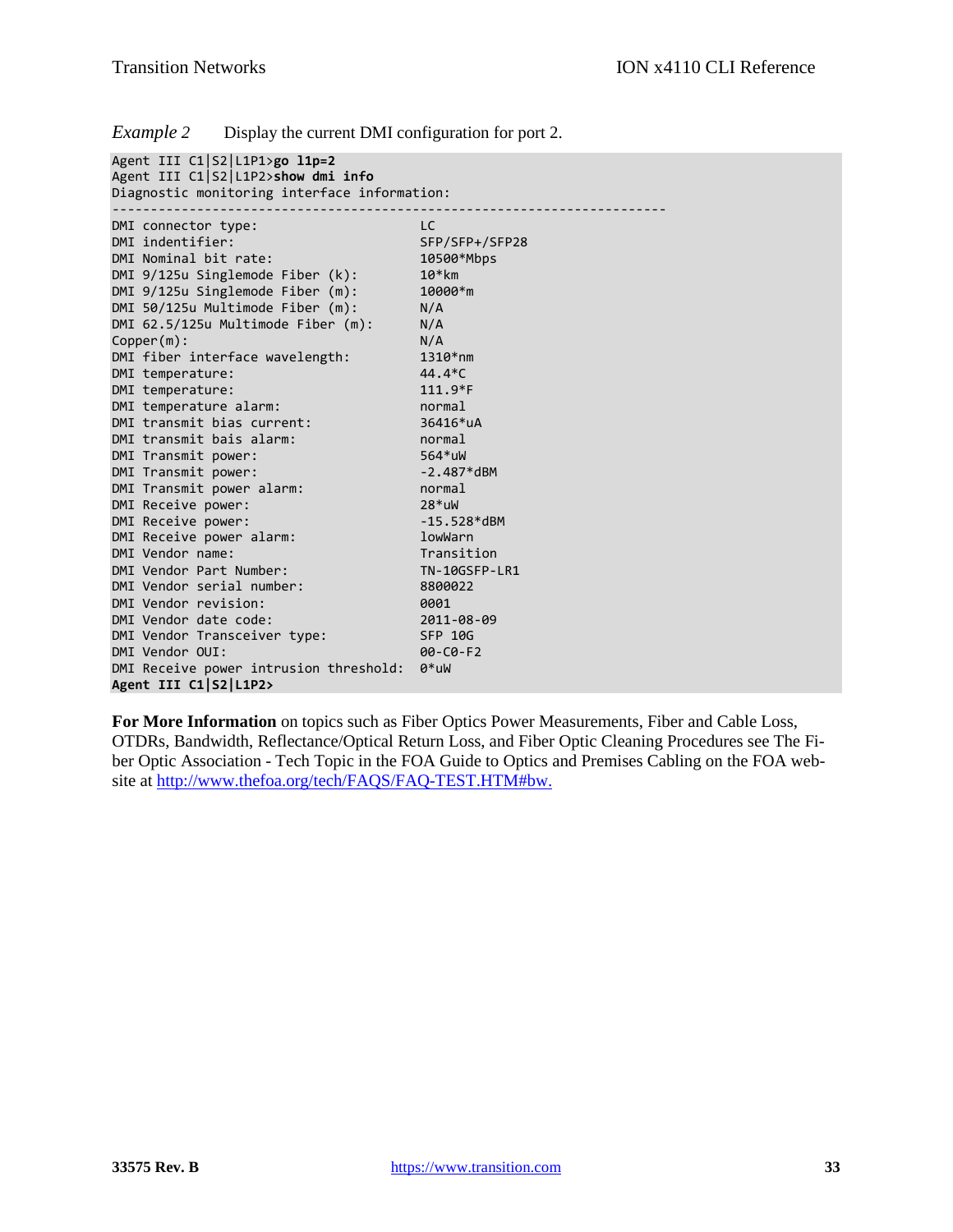| Example 2 |  | Display the current DMI configuration for port 2. |  |
|-----------|--|---------------------------------------------------|--|
|           |  |                                                   |  |

| Agent III C1 S2 L1P1>go l1p=2                |                      |  |
|----------------------------------------------|----------------------|--|
| Agent III C1 S2 L1P2>show dmi info           |                      |  |
| Diagnostic monitoring interface information: |                      |  |
|                                              |                      |  |
| DMI connector type:                          | LC.                  |  |
| DMI indentifier:                             | SFP/SFP+/SFP28       |  |
| DMI Nominal bit rate:                        | 10500*Mbps           |  |
| $DMI$ 9/125u Singlemode Fiber (k):           | $10*km$              |  |
| DMI 9/125u Singlemode Fiber (m):             | $10000*$ m           |  |
| DMI 50/125u Multimode Fiber (m):             | N/A                  |  |
| DMI 62.5/125u Multimode Fiber (m):           | N/A                  |  |
| Copper(m):                                   | N/A                  |  |
| DMI fiber interface wavelength:              | $1310*nm$            |  |
| DMI temperature:                             | $44.4*C$             |  |
| DMI temperature:                             | $111.9*F$            |  |
| DMI temperature alarm:                       | normal               |  |
| DMI transmit bias current:                   | 36416*uA             |  |
| DMI transmit bais alarm:                     | normal               |  |
| DMI Transmit power:                          | $564*$ uW            |  |
| DMI Transmit power:                          | $-2.487*dBM$         |  |
| DMI Transmit power alarm:                    | normal               |  |
| DMI Receive power:                           | $28*$ uW             |  |
| DMI Receive power:                           | $-15.528*dBM$        |  |
| DMI Receive power alarm:                     | lowWarn              |  |
| DMI Vendor name:                             | Transition           |  |
| DMI Vendor Part Number:                      | <b>TN-10GSFP-LR1</b> |  |
| DMI Vendor serial number:                    | 8800022              |  |
| DMI Vendor revision:                         | 0001                 |  |
| DMI Vendor date code:                        | 2011-08-09           |  |
| DMI Vendor Transceiver type:                 | <b>SFP 10G</b>       |  |
| DMI Vendor OUI:                              | $00 - C0 - F2$       |  |
| DMI Receive power intrusion threshold:       | $0^*$ uW             |  |
| Agent III C1 S2 L1P2>                        |                      |  |

**For More Information** on topics such as Fiber Optics Power Measurements, Fiber and Cable Loss, OTDRs, Bandwidth, Reflectance/Optical Return Loss, and Fiber Optic Cleaning Procedures see The Fiber Optic Association - Tech Topic in the FOA Guide to Optics and Premises Cabling on the FOA website at [http://www.thefoa.org/tech/FAQS/FAQ-TEST.HTM#bw.](http://www.thefoa.org/tech/FAQS/FAQ-TEST.HTM%23bw.)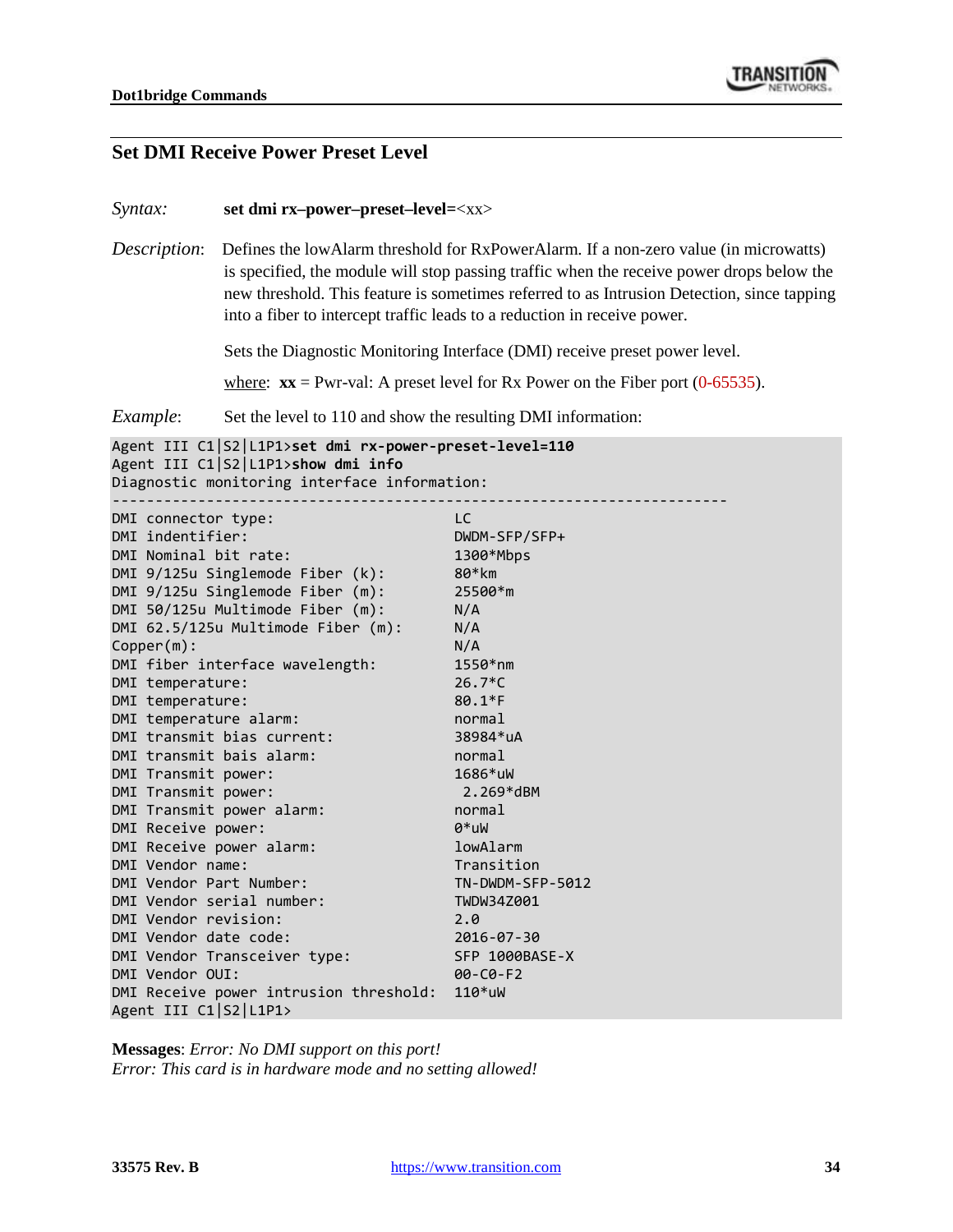

#### **Set DMI Receive Power Preset Level**

#### *Syntax:* **set dmi rx–power–preset–level=**<xx>

*Description*: Defines the lowAlarm threshold for RxPowerAlarm. If a non-zero value (in microwatts) is specified, the module will stop passing traffic when the receive power drops below the new threshold. This feature is sometimes referred to as Intrusion Detection, since tapping into a fiber to intercept traffic leads to a reduction in receive power.

Sets the Diagnostic Monitoring Interface (DMI) receive preset power level.

where:  $\mathbf{x} \mathbf{x} = \text{Pwr-val}$ : A preset level for Rx Power on the Fiber port (0-65535).

*Example*: Set the level to 110 and show the resulting DMI information:

```
Agent III C1|S2|L1P1>set dmi rx-power-preset-level=110
Agent III C1|S2|L1P1>show dmi info
Diagnostic monitoring interface information:
------------------------------------------------------------------------
DMI connector type: LC
DMI indentifier: DWDM-SFP/SFP+
DMI Nominal bit rate: 1300*Mbps
DMI 9/125u Singlemode Fiber (k): 80*km
DMI 9/125u Singlemode Fiber (m): 25500*m
DMI 50/125u Multimode Fiber (m): N/A
DMI 62.5/125u Multimode Fiber (m): N/A
Copper(m): N/A
DMI fiber interface wavelength: 1550*nm
DMI temperature: 26.7*C
DMI temperature: 80.1*F
DMI temperature alarm: normal
DMI transmit bias current: 38984*uA
DMI transmit bais alarm: normal
DMI Transmit power: 1686*uW
DMI Transmit power: 2.269*dBM
DMI Transmit power alarm: normal
DMI Receive power: 0*uW
DMI Receive power alarm: lowAlarm
DMI Vendor name: Transition
DMI Vendor Part Number: TN-DWDM-SFP-5012
DMI Vendor serial number: TWDW34Z001
DMI Vendor revision: 2.0
DMI Vendor date code: 2016-07-30
DMI Vendor Transceiver type: SFP 1000BASE-X
DMI Vendor OUI: 00-C0-F2
DMI Receive power intrusion threshold: 110*uW
Agent III C1|S2|L1P1>
```
**Messages**: *Error: No DMI support on this port! Error: This card is in hardware mode and no setting allowed!*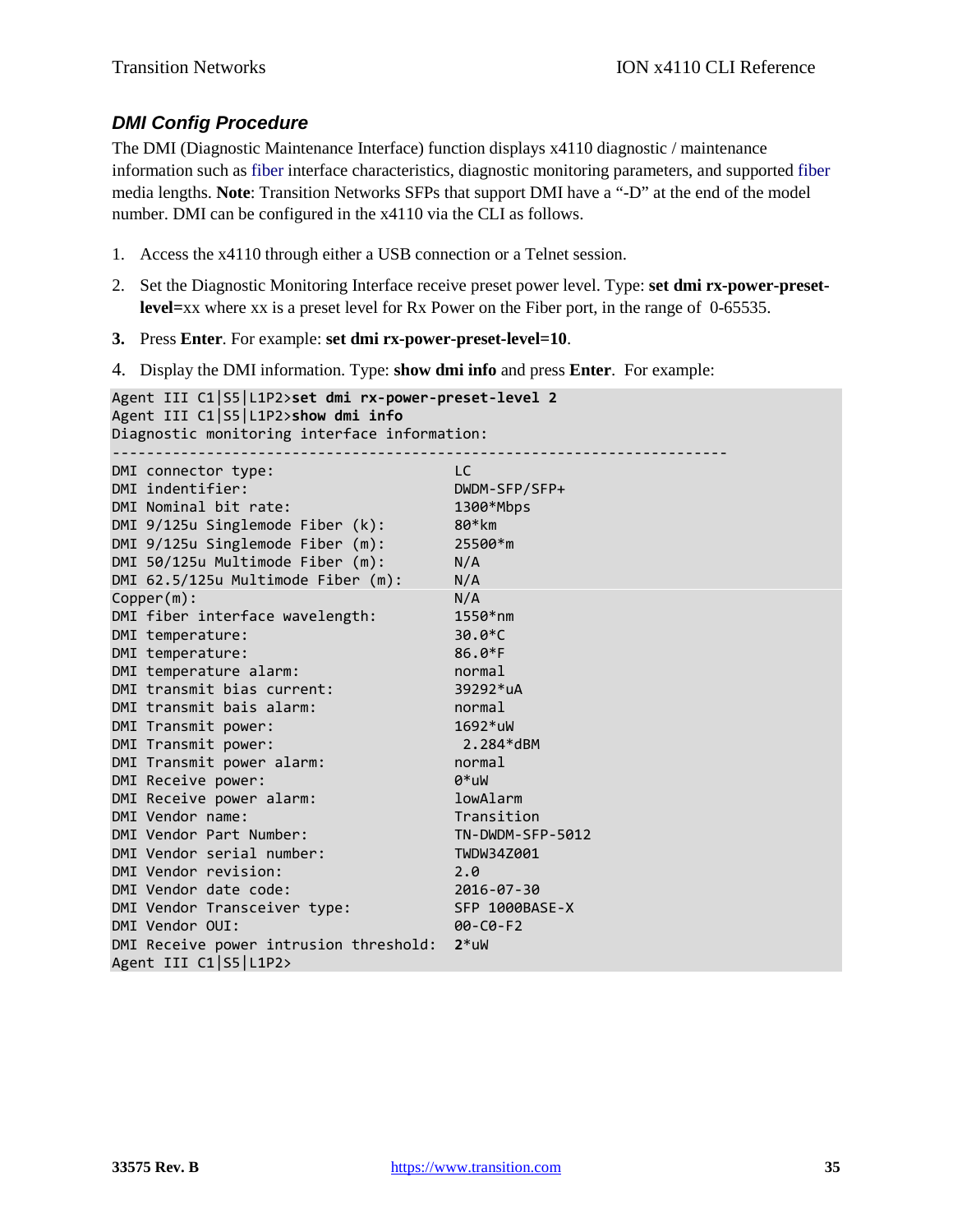#### *DMI Config Procedure*

The DMI (Diagnostic Maintenance Interface) function displays x4110 diagnostic / maintenance information such as fiber interface characteristics, diagnostic monitoring parameters, and supported fiber media lengths. **Note**: Transition Networks SFPs that support DMI have a "-D" at the end of the model number. DMI can be configured in the x4110 via the CLI as follows.

- 1. Access the x4110 through either a USB connection or a Telnet session.
- 2. Set the Diagnostic Monitoring Interface receive preset power level. Type: **set dmi rx-power-presetlevel=**xx where xx is a preset level for Rx Power on the Fiber port, in the range of 0-65535.
- **3.** Press **Enter**. For example: **set dmi rx-power-preset-level=10**.
- 4. Display the DMI information. Type: **show dmi info** and press **Enter**. For example:

```
Agent III C1|S5|L1P2>set dmi rx-power-preset-level 2
Agent III C1|S5|L1P2>show dmi info
Diagnostic monitoring interface information:
------------------------------------------------------------------------
DMI connector type: LC
DMI indentifier: DWDM-SFP/SFP+
DMI Nominal bit rate: 1300*Mbps
DMI 9/125u Singlemode Fiber (k): 80*km
DMI 9/125u Singlemode Fiber (m): 25500*m
DMI 50/125u Multimode Fiber (m): N/A
DMI 62.5/125u Multimode Fiber (m): N/A
Copper(m): N/A
DMI fiber interface wavelength: 1550*nm
DMI temperature: 30.0*C
DMI temperature: 86.0*F<br>
DMI temperature alarm: http://www.mormal<br>
DMI transmit bias current: 39292*uA<br>
DMI Transmit power: 1692*uW<br>
DMI Transmit power: 2.284*dF
DMI temperature alarm:
DMI transmit bias current:
DMI transmit bais alarm:
DMI Transmit power:
DMI Transmit power: 2.284*dBM
DMI Transmit power alarm: normal
DMI Receive power: 0*uW
DMI Receive power alarm: lowAlarm lowAlarm<br>
DMI Vendor name: low Transition
DMI Vendor name:
DMI Vendor name:<br>
DMI Vendor Part Number: TN-DWDM-SFP-5012<br>
DMI Vendor serial number: TWDW34Z001<br>
DMI Vendor revision: 2.0<br>
2016-07-30
DMI Vendor serial number:
DMI Vendor revision:
DMI Vendor date code: 2016-07-30
DMI Vendor Transceiver type: SFP 1000BASE-X
DMI Vendor OUI: 00-C0-F2
DMI Receive power intrusion threshold: 2*uW
Agent III C1|S5|L1P2>
```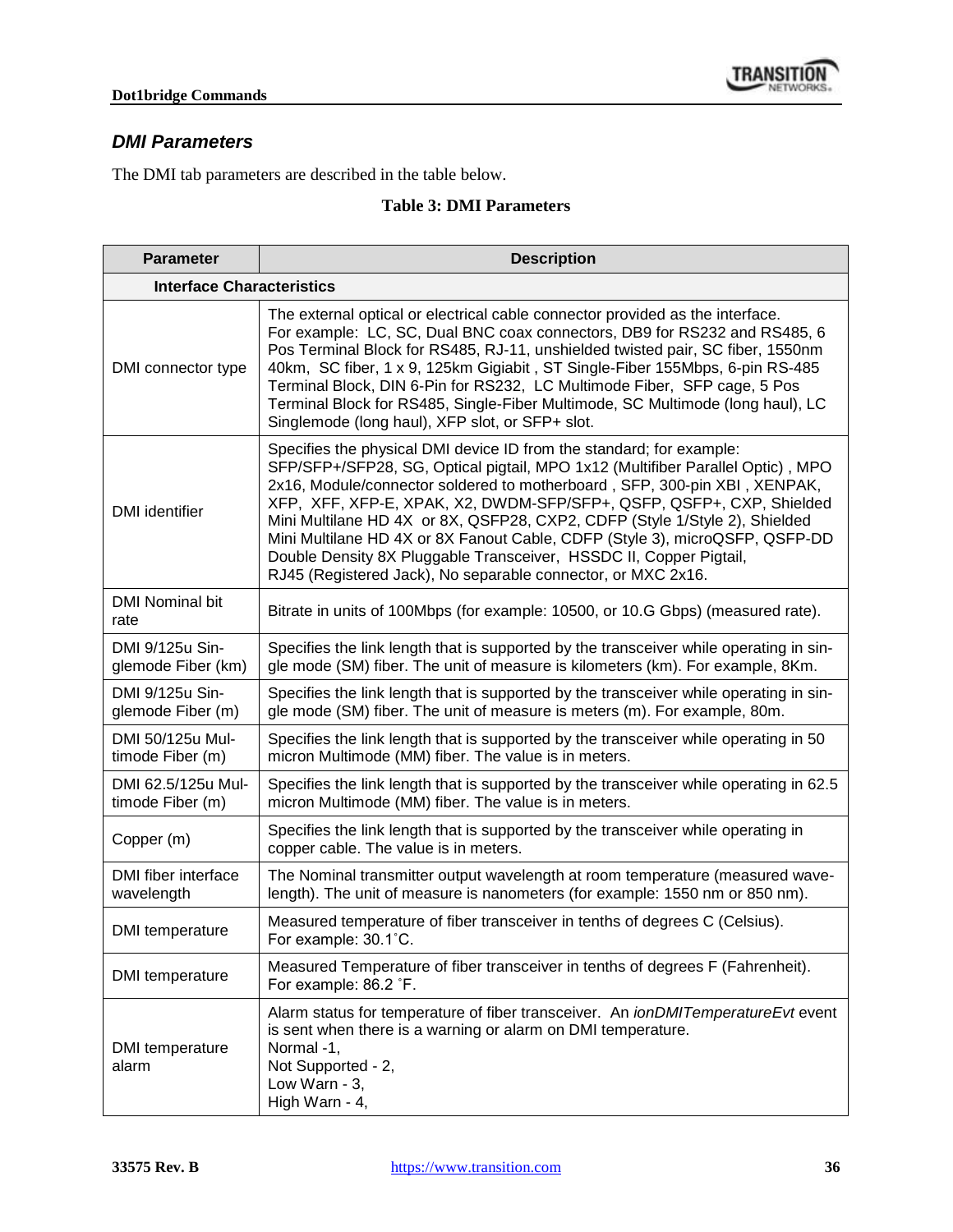#### *DMI Parameters*

The DMI tab parameters are described in the table below.

#### **Table 3: DMI Parameters**

| <b>Parameter</b>                       | <b>Description</b>                                                                                                                                                                                                                                                                                                                                                                                                                                                                                                                                                                                             |  |
|----------------------------------------|----------------------------------------------------------------------------------------------------------------------------------------------------------------------------------------------------------------------------------------------------------------------------------------------------------------------------------------------------------------------------------------------------------------------------------------------------------------------------------------------------------------------------------------------------------------------------------------------------------------|--|
| <b>Interface Characteristics</b>       |                                                                                                                                                                                                                                                                                                                                                                                                                                                                                                                                                                                                                |  |
| DMI connector type                     | The external optical or electrical cable connector provided as the interface.<br>For example: LC, SC, Dual BNC coax connectors, DB9 for RS232 and RS485, 6<br>Pos Terminal Block for RS485, RJ-11, unshielded twisted pair, SC fiber, 1550nm<br>40km, SC fiber, 1 x 9, 125km Gigiabit, ST Single-Fiber 155Mbps, 6-pin RS-485<br>Terminal Block, DIN 6-Pin for RS232, LC Multimode Fiber, SFP cage, 5 Pos<br>Terminal Block for RS485, Single-Fiber Multimode, SC Multimode (long haul), LC<br>Singlemode (long haul), XFP slot, or SFP+ slot.                                                                  |  |
| <b>DMI</b> identifier                  | Specifies the physical DMI device ID from the standard; for example:<br>SFP/SFP+/SFP28, SG, Optical pigtail, MPO 1x12 (Multifiber Parallel Optic), MPO<br>2x16, Module/connector soldered to motherboard, SFP, 300-pin XBI, XENPAK,<br>XFP, XFF, XFP-E, XPAK, X2, DWDM-SFP/SFP+, QSFP, QSFP+, CXP, Shielded<br>Mini Multilane HD 4X or 8X, QSFP28, CXP2, CDFP (Style 1/Style 2), Shielded<br>Mini Multilane HD 4X or 8X Fanout Cable, CDFP (Style 3), microQSFP, QSFP-DD<br>Double Density 8X Pluggable Transceiver, HSSDC II, Copper Pigtail,<br>RJ45 (Registered Jack), No separable connector, or MXC 2x16. |  |
| <b>DMI Nominal bit</b><br>rate         | Bitrate in units of 100Mbps (for example: 10500, or 10.G Gbps) (measured rate).                                                                                                                                                                                                                                                                                                                                                                                                                                                                                                                                |  |
| DMI 9/125u Sin-<br>glemode Fiber (km)  | Specifies the link length that is supported by the transceiver while operating in sin-<br>gle mode (SM) fiber. The unit of measure is kilometers (km). For example, 8Km.                                                                                                                                                                                                                                                                                                                                                                                                                                       |  |
| DMI 9/125u Sin-<br>glemode Fiber (m)   | Specifies the link length that is supported by the transceiver while operating in sin-<br>gle mode (SM) fiber. The unit of measure is meters (m). For example, 80m.                                                                                                                                                                                                                                                                                                                                                                                                                                            |  |
| DMI 50/125u Mul-<br>timode Fiber (m)   | Specifies the link length that is supported by the transceiver while operating in 50<br>micron Multimode (MM) fiber. The value is in meters.                                                                                                                                                                                                                                                                                                                                                                                                                                                                   |  |
| DMI 62.5/125u Mul-<br>timode Fiber (m) | Specifies the link length that is supported by the transceiver while operating in 62.5<br>micron Multimode (MM) fiber. The value is in meters.                                                                                                                                                                                                                                                                                                                                                                                                                                                                 |  |
| Copper (m)                             | Specifies the link length that is supported by the transceiver while operating in<br>copper cable. The value is in meters.                                                                                                                                                                                                                                                                                                                                                                                                                                                                                     |  |
| DMI fiber interface<br>wavelength      | The Nominal transmitter output wavelength at room temperature (measured wave-<br>length). The unit of measure is nanometers (for example: 1550 nm or 850 nm).                                                                                                                                                                                                                                                                                                                                                                                                                                                  |  |
| DMI temperature                        | Measured temperature of fiber transceiver in tenths of degrees C (Celsius).<br>For example: 30.1°C.                                                                                                                                                                                                                                                                                                                                                                                                                                                                                                            |  |
| DMI temperature                        | Measured Temperature of fiber transceiver in tenths of degrees F (Fahrenheit).<br>For example: 86.2 °F.                                                                                                                                                                                                                                                                                                                                                                                                                                                                                                        |  |
| DMI temperature<br>alarm               | Alarm status for temperature of fiber transceiver. An <i>ionDMITemperatureEvt</i> event<br>is sent when there is a warning or alarm on DMI temperature.<br>Normal -1,<br>Not Supported - 2,<br>Low Warn - 3,<br>High Warn - 4,                                                                                                                                                                                                                                                                                                                                                                                 |  |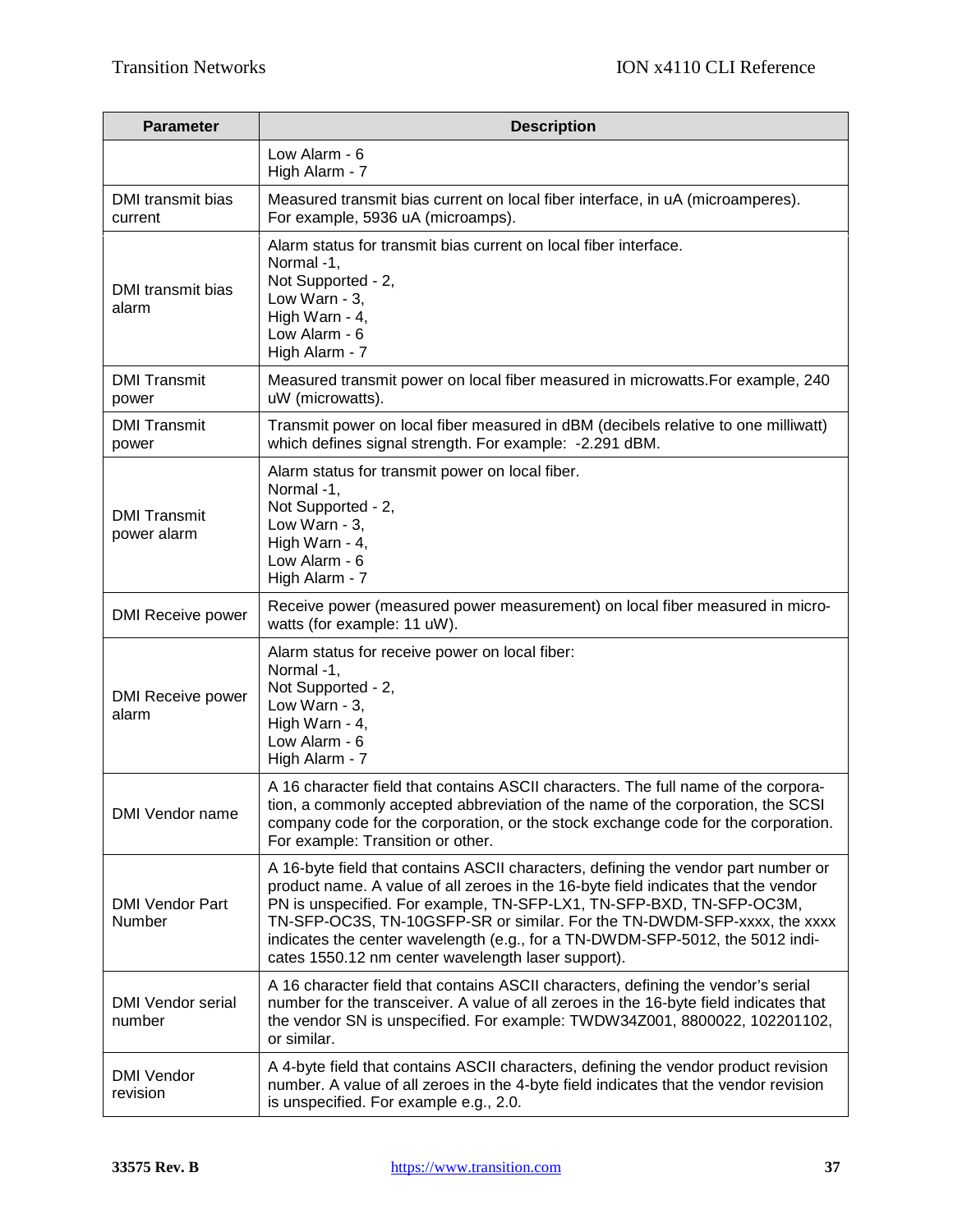| <b>Parameter</b>                   | <b>Description</b>                                                                                                                                                                                                                                                                                                                                                                                                                                                  |  |  |
|------------------------------------|---------------------------------------------------------------------------------------------------------------------------------------------------------------------------------------------------------------------------------------------------------------------------------------------------------------------------------------------------------------------------------------------------------------------------------------------------------------------|--|--|
|                                    | Low Alarm - 6<br>High Alarm - 7                                                                                                                                                                                                                                                                                                                                                                                                                                     |  |  |
| DMI transmit bias<br>current       | Measured transmit bias current on local fiber interface, in uA (microamperes).<br>For example, 5936 uA (microamps).                                                                                                                                                                                                                                                                                                                                                 |  |  |
| DMI transmit bias<br>alarm         | Alarm status for transmit bias current on local fiber interface.<br>Normal -1,<br>Not Supported - 2,<br>Low Warn - 3,<br>High Warn - 4,<br>Low Alarm - 6<br>High Alarm - 7                                                                                                                                                                                                                                                                                          |  |  |
| <b>DMI Transmit</b><br>power       | Measured transmit power on local fiber measured in microwatts. For example, 240<br>uW (microwatts).                                                                                                                                                                                                                                                                                                                                                                 |  |  |
| <b>DMI Transmit</b><br>power       | Transmit power on local fiber measured in dBM (decibels relative to one milliwatt)<br>which defines signal strength. For example: -2.291 dBM.                                                                                                                                                                                                                                                                                                                       |  |  |
| <b>DMI Transmit</b><br>power alarm | Alarm status for transmit power on local fiber.<br>Normal -1,<br>Not Supported - 2,<br>Low Warn - 3,<br>High Warn - 4,<br>Low Alarm - 6<br>High Alarm - 7                                                                                                                                                                                                                                                                                                           |  |  |
| <b>DMI Receive power</b>           | Receive power (measured power measurement) on local fiber measured in micro-<br>watts (for example: 11 uW).                                                                                                                                                                                                                                                                                                                                                         |  |  |
| DMI Receive power<br>alarm         | Alarm status for receive power on local fiber:<br>Normal -1,<br>Not Supported - 2,<br>Low Warn - 3,<br>High Warn - 4,<br>Low Alarm - 6<br>High Alarm - 7                                                                                                                                                                                                                                                                                                            |  |  |
| DMI Vendor name                    | A 16 character field that contains ASCII characters. The full name of the corpora-<br>tion, a commonly accepted abbreviation of the name of the corporation, the SCSI<br>company code for the corporation, or the stock exchange code for the corporation.<br>For example: Transition or other.                                                                                                                                                                     |  |  |
| <b>DMI Vendor Part</b><br>Number   | A 16-byte field that contains ASCII characters, defining the vendor part number or<br>product name. A value of all zeroes in the 16-byte field indicates that the vendor<br>PN is unspecified. For example, TN-SFP-LX1, TN-SFP-BXD, TN-SFP-OC3M,<br>TN-SFP-OC3S, TN-10GSFP-SR or similar. For the TN-DWDM-SFP-xxxx, the xxxx<br>indicates the center wavelength (e.g., for a TN-DWDM-SFP-5012, the 5012 indi-<br>cates 1550.12 nm center wavelength laser support). |  |  |
| <b>DMI Vendor serial</b><br>number | A 16 character field that contains ASCII characters, defining the vendor's serial<br>number for the transceiver. A value of all zeroes in the 16-byte field indicates that<br>the vendor SN is unspecified. For example: TWDW34Z001, 8800022, 102201102,<br>or similar.                                                                                                                                                                                             |  |  |
| <b>DMI Vendor</b><br>revision      | A 4-byte field that contains ASCII characters, defining the vendor product revision<br>number. A value of all zeroes in the 4-byte field indicates that the vendor revision<br>is unspecified. For example e.g., 2.0.                                                                                                                                                                                                                                               |  |  |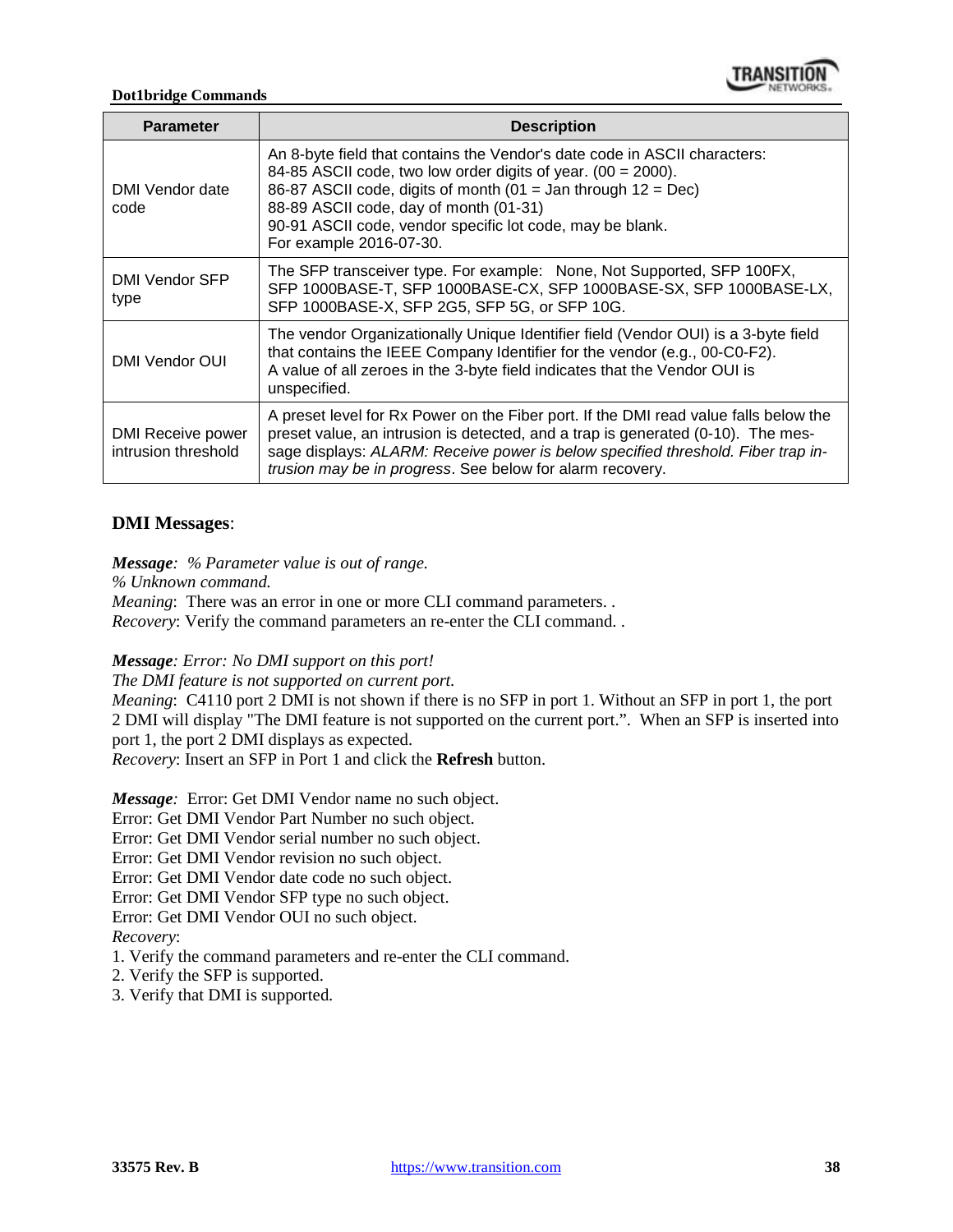

#### **Dot1bridge Commands**

| <b>Parameter</b>                         | <b>Description</b>                                                                                                                                                                                                                                                                                                                              |  |  |  |  |
|------------------------------------------|-------------------------------------------------------------------------------------------------------------------------------------------------------------------------------------------------------------------------------------------------------------------------------------------------------------------------------------------------|--|--|--|--|
| DMI Vendor date<br>code                  | An 8-byte field that contains the Vendor's date code in ASCII characters:<br>84-85 ASCII code, two low order digits of year. (00 = 2000).<br>86-87 ASCII code, digits of month (01 = Jan through $12 = Dec$ )<br>88-89 ASCII code, day of month (01-31)<br>90-91 ASCII code, vendor specific lot code, may be blank.<br>For example 2016-07-30. |  |  |  |  |
| DMI Vendor SFP<br>type                   | The SFP transceiver type. For example: None, Not Supported, SFP 100FX,<br>SFP 1000BASE-T, SFP 1000BASE-CX, SFP 1000BASE-SX, SFP 1000BASE-LX,<br>SFP 1000BASE-X, SFP 2G5, SFP 5G, or SFP 10G.                                                                                                                                                    |  |  |  |  |
| DMI Vendor OUI                           | The vendor Organizationally Unique Identifier field (Vendor OUI) is a 3-byte field<br>that contains the IEEE Company Identifier for the vendor (e.g., 00-C0-F2).<br>A value of all zeroes in the 3-byte field indicates that the Vendor OUI is<br>unspecified.                                                                                  |  |  |  |  |
| DMI Receive power<br>intrusion threshold | A preset level for Rx Power on the Fiber port. If the DMI read value falls below the<br>preset value, an intrusion is detected, and a trap is generated (0-10). The mes-<br>sage displays: ALARM: Receive power is below specified threshold. Fiber trap in-<br>trusion may be in progress. See below for alarm recovery.                       |  |  |  |  |

# **DMI Messages**:

*Message: % Parameter value is out of range.*

*% Unknown command.*

*Meaning*: There was an error in one or more CLI command parameters... *Recovery*: Verify the command parameters an re-enter the CLI command. .

*Message: Error: No DMI support on this port!*

*The DMI feature is not supported on current port.*

*Meaning*: C4110 port 2 DMI is not shown if there is no SFP in port 1. Without an SFP in port 1, the port 2 DMI will display "The DMI feature is not supported on the current port.". When an SFP is inserted into port 1, the port 2 DMI displays as expected.

*Recovery*: Insert an SFP in Port 1 and click the **Refresh** button.

*Message:* Error: Get DMI Vendor name no such object.

Error: Get DMI Vendor Part Number no such object.

Error: Get DMI Vendor serial number no such object.

Error: Get DMI Vendor revision no such object.

Error: Get DMI Vendor date code no such object.

Error: Get DMI Vendor SFP type no such object.

Error: Get DMI Vendor OUI no such object.

# *Recovery*:

1. Verify the command parameters and re-enter the CLI command.

- 2. Verify the SFP is supported.
- 3. Verify that DMI is supported.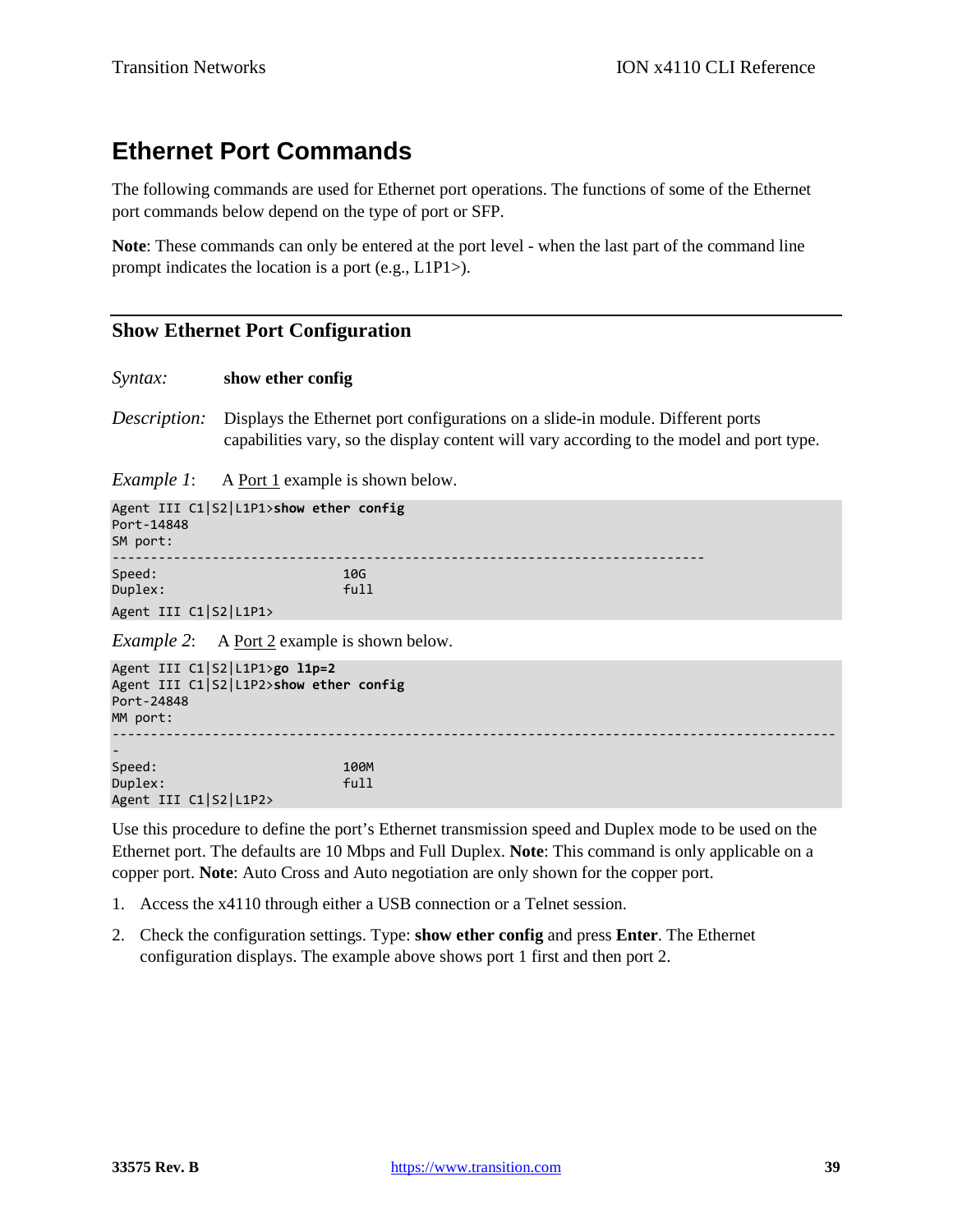# **Ethernet Port Commands**

The following commands are used for Ethernet port operations. The functions of some of the Ethernet port commands below depend on the type of port or SFP.

**Note**: These commands can only be entered at the port level - when the last part of the command line prompt indicates the location is a port (e.g., L1P1>).

# **Show Ethernet Port Configuration**

### *Syntax:* **show ether config**

*Description:* Displays the Ethernet port configurations on a slide-in module. Different ports capabilities vary, so the display content will vary according to the model and port type.

*Example 1*: A Port 1 example is shown below.

| Port-14848<br>SM port:                                                                            | Agent III C1 S2 L1P1>show ether config                     |  |  |  |  |
|---------------------------------------------------------------------------------------------------|------------------------------------------------------------|--|--|--|--|
| Speed:<br>Duplex:                                                                                 | 10G<br>full                                                |  |  |  |  |
|                                                                                                   | Agent III C1 S2 L1P1>                                      |  |  |  |  |
|                                                                                                   | <i>Example 2</i> : A <u>Port 2</u> example is shown below. |  |  |  |  |
| Agent III C1 S2 L1P1>go l1p=2<br>Agent III C1 S2 L1P2>show ether config<br>Port-24848<br>MM port: |                                                            |  |  |  |  |
|                                                                                                   |                                                            |  |  |  |  |
|                                                                                                   |                                                            |  |  |  |  |
| Speed:                                                                                            | 100M                                                       |  |  |  |  |
| Duplex:                                                                                           | full                                                       |  |  |  |  |

Agent III C1|S2|L1P2>

Use this procedure to define the port's Ethernet transmission speed and Duplex mode to be used on the Ethernet port. The defaults are 10 Mbps and Full Duplex. **Note**: This command is only applicable on a copper port. **Note**: Auto Cross and Auto negotiation are only shown for the copper port.

- 1. Access the x4110 through either a USB connection or a Telnet session.
- 2. Check the configuration settings. Type: **show ether config** and press **Enter**. The Ethernet configuration displays. The example above shows port 1 first and then port 2.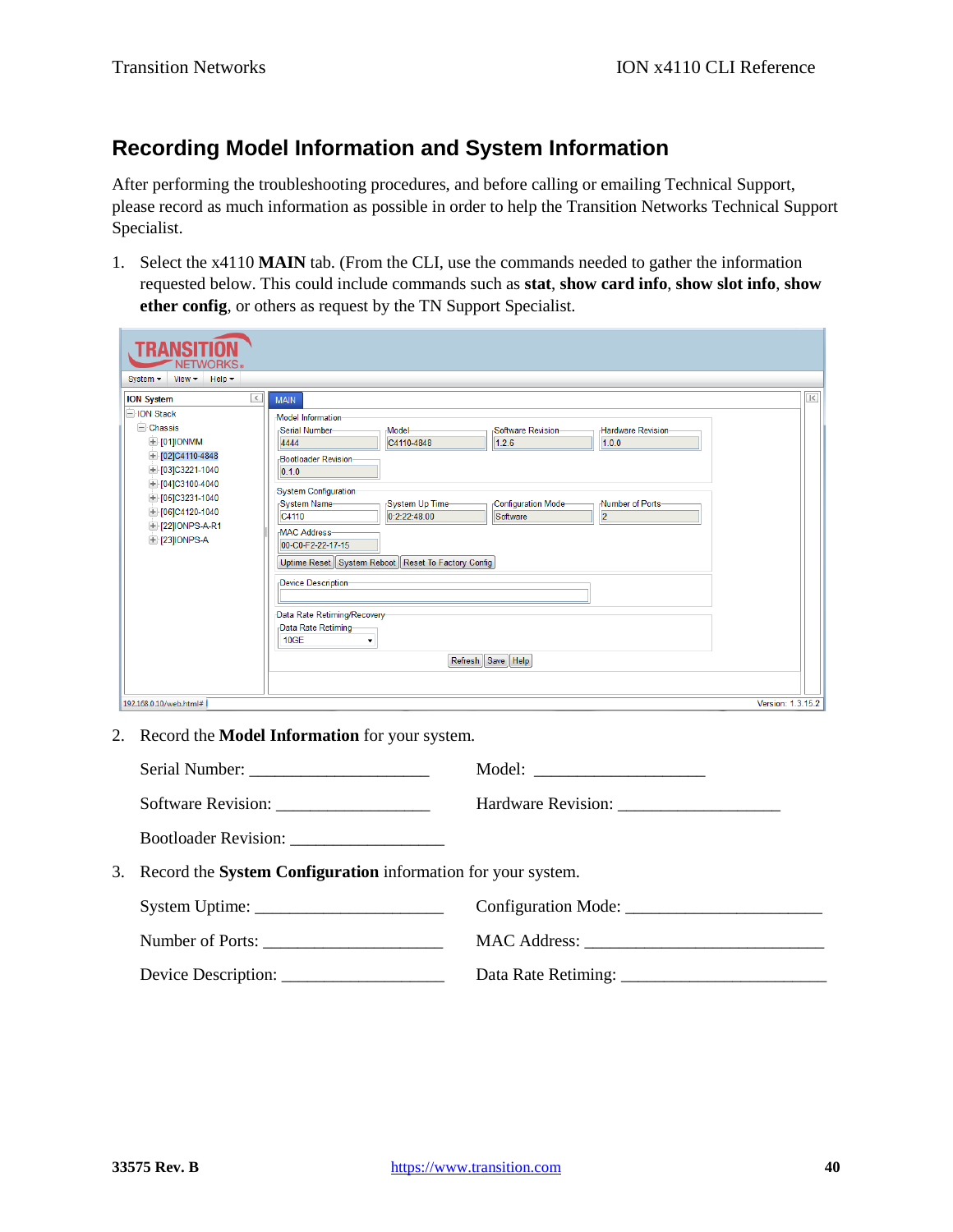# **Recording Model Information and System Information**

After performing the troubleshooting procedures, and before calling or emailing Technical Support, please record as much information as possible in order to help the Transition Networks Technical Support Specialist.

1. Select the x4110 **MAIN** tab. (From the CLI, use the commands needed to gather the information requested below. This could include commands such as **stat**, **show card info**, **show slot info**, **show ether config**, or others as request by the TN Support Specialist.

| WORKS。<br>Help $\blacktriangledown$<br>View $\blacktriangledown$<br>System $\blacktriangledown$                                                                                                                                                                |                                                                                                                                                                                                                                                                                                                                                                                                                                                                                                                                                                              |                                     |
|----------------------------------------------------------------------------------------------------------------------------------------------------------------------------------------------------------------------------------------------------------------|------------------------------------------------------------------------------------------------------------------------------------------------------------------------------------------------------------------------------------------------------------------------------------------------------------------------------------------------------------------------------------------------------------------------------------------------------------------------------------------------------------------------------------------------------------------------------|-------------------------------------|
| $\overline{\left. \right. }$<br><b>ION System</b><br>-ION Stack<br><b>Chassis</b><br><b>E</b> [01]IONMM<br>$+$ [02]C4110-4848<br>$+$ [03]C3221-1040<br>$+$ [04]C3100-4040<br>$+$ [05]C3231-1040<br>$+$ [06]C4120-1040<br>+ [22] IONPS-A-R1<br>$+$ [23] IONPS-A | <b>MAIN</b><br>Model Information<br>Software Revision-<br><b>Hardware Revision-</b><br>Model-<br>Serial Number-<br>1.0.0<br>4444<br>C4110-4848<br>1.2.6<br>-Bootloader Revision-<br>0.1.0<br>System Configuration-<br>System Name-<br>System Up Time-<br>Configuration Mode-<br>Number of Ports-<br>0:2:22:48.00<br>$\overline{2}$<br>Software<br>C4110<br><b>MAC Address-</b><br>00-C0-F2-22-17-15<br>Uptime Reset   System Reboot   Reset To Factory Config<br>Device Description-<br>Data Rate Retiming/Recovery<br>Data Rate Retiming-<br>10GE<br>٠<br>Refresh Save Help | $\vert\!\vert\!\vert\!\vert\!\vert$ |
| 192.168.0.10/web.html#                                                                                                                                                                                                                                         |                                                                                                                                                                                                                                                                                                                                                                                                                                                                                                                                                                              | Version: 1.3.15.2                   |

2. Record the **Model Information** for your system.

| 3. Record the <b>System Configuration</b> information for your system. |  |  |
|------------------------------------------------------------------------|--|--|
|                                                                        |  |  |
|                                                                        |  |  |
| Device Description:                                                    |  |  |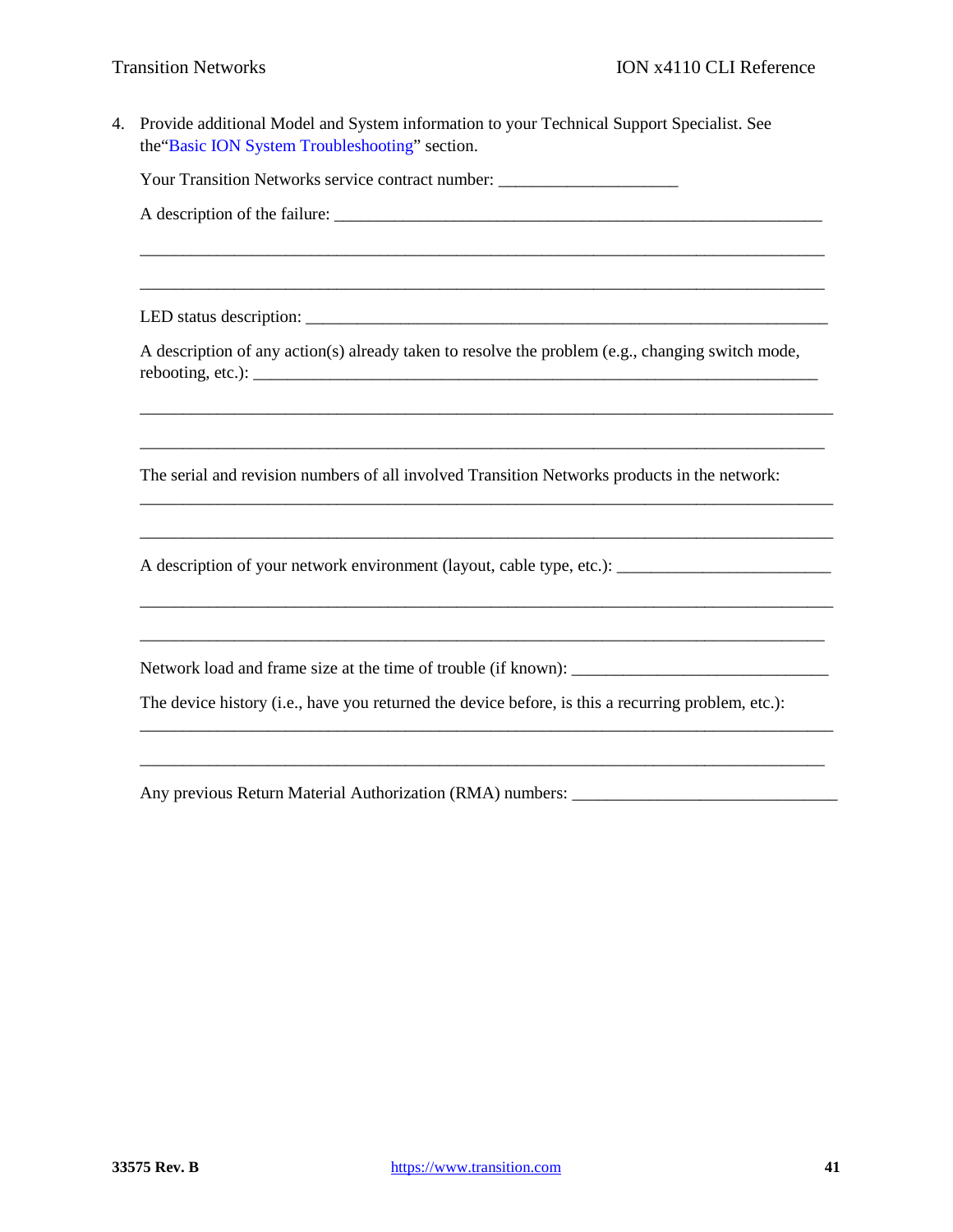4. Provide additional Model and System information to your Technical Support Specialist. See the"Basic ION System Troubleshooting" section.

Your Transition Networks service contract number:

A description of the failure:

LED status description: \_\_\_\_\_\_\_\_\_\_\_\_\_\_\_\_\_\_\_\_\_\_\_\_\_\_\_\_\_\_\_\_\_\_\_\_\_\_\_\_\_\_\_\_\_\_\_\_\_\_\_\_\_\_\_\_\_\_\_\_\_

A description of any action(s) already taken to resolve the problem (e.g., changing switch mode,  $rebooting, etc.):$ 

\_\_\_\_\_\_\_\_\_\_\_\_\_\_\_\_\_\_\_\_\_\_\_\_\_\_\_\_\_\_\_\_\_\_\_\_\_\_\_\_\_\_\_\_\_\_\_\_\_\_\_\_\_\_\_\_\_\_\_\_\_\_\_\_\_\_\_\_\_\_\_\_\_\_\_\_\_\_\_\_\_

\_\_\_\_\_\_\_\_\_\_\_\_\_\_\_\_\_\_\_\_\_\_\_\_\_\_\_\_\_\_\_\_\_\_\_\_\_\_\_\_\_\_\_\_\_\_\_\_\_\_\_\_\_\_\_\_\_\_\_\_\_\_\_\_\_\_\_\_\_\_\_\_\_\_\_\_\_\_\_\_

\_\_\_\_\_\_\_\_\_\_\_\_\_\_\_\_\_\_\_\_\_\_\_\_\_\_\_\_\_\_\_\_\_\_\_\_\_\_\_\_\_\_\_\_\_\_\_\_\_\_\_\_\_\_\_\_\_\_\_\_\_\_\_\_\_\_\_\_\_\_\_\_\_\_\_\_\_\_\_\_\_

\_\_\_\_\_\_\_\_\_\_\_\_\_\_\_\_\_\_\_\_\_\_\_\_\_\_\_\_\_\_\_\_\_\_\_\_\_\_\_\_\_\_\_\_\_\_\_\_\_\_\_\_\_\_\_\_\_\_\_\_\_\_\_\_\_\_\_\_\_\_\_\_\_\_\_\_\_\_\_\_\_

\_\_\_\_\_\_\_\_\_\_\_\_\_\_\_\_\_\_\_\_\_\_\_\_\_\_\_\_\_\_\_\_\_\_\_\_\_\_\_\_\_\_\_\_\_\_\_\_\_\_\_\_\_\_\_\_\_\_\_\_\_\_\_\_\_\_\_\_\_\_\_\_\_\_\_\_\_\_\_\_\_

\_\_\_\_\_\_\_\_\_\_\_\_\_\_\_\_\_\_\_\_\_\_\_\_\_\_\_\_\_\_\_\_\_\_\_\_\_\_\_\_\_\_\_\_\_\_\_\_\_\_\_\_\_\_\_\_\_\_\_\_\_\_\_\_\_\_\_\_\_\_\_\_\_\_\_\_\_\_\_\_

\_\_\_\_\_\_\_\_\_\_\_\_\_\_\_\_\_\_\_\_\_\_\_\_\_\_\_\_\_\_\_\_\_\_\_\_\_\_\_\_\_\_\_\_\_\_\_\_\_\_\_\_\_\_\_\_\_\_\_\_\_\_\_\_\_\_\_\_\_\_\_\_\_\_\_\_\_\_\_\_\_

\_\_\_\_\_\_\_\_\_\_\_\_\_\_\_\_\_\_\_\_\_\_\_\_\_\_\_\_\_\_\_\_\_\_\_\_\_\_\_\_\_\_\_\_\_\_\_\_\_\_\_\_\_\_\_\_\_\_\_\_\_\_\_\_\_\_\_\_\_\_\_\_\_\_\_\_\_\_\_\_

\_\_\_\_\_\_\_\_\_\_\_\_\_\_\_\_\_\_\_\_\_\_\_\_\_\_\_\_\_\_\_\_\_\_\_\_\_\_\_\_\_\_\_\_\_\_\_\_\_\_\_\_\_\_\_\_\_\_\_\_\_\_\_\_\_\_\_\_\_\_\_\_\_\_\_\_\_\_\_\_

\_\_\_\_\_\_\_\_\_\_\_\_\_\_\_\_\_\_\_\_\_\_\_\_\_\_\_\_\_\_\_\_\_\_\_\_\_\_\_\_\_\_\_\_\_\_\_\_\_\_\_\_\_\_\_\_\_\_\_\_\_\_\_\_\_\_\_\_\_\_\_\_\_\_\_\_\_\_\_\_

The serial and revision numbers of all involved Transition Networks products in the network:

A description of your network environment (layout, cable type, etc.):

Network load and frame size at the time of trouble (if known):

The device history (i.e., have you returned the device before, is this a recurring problem, etc.):

Any previous Return Material Authorization (RMA) numbers: \_\_\_\_\_\_\_\_\_\_\_\_\_\_\_\_\_\_\_\_\_\_\_\_\_\_\_\_\_\_\_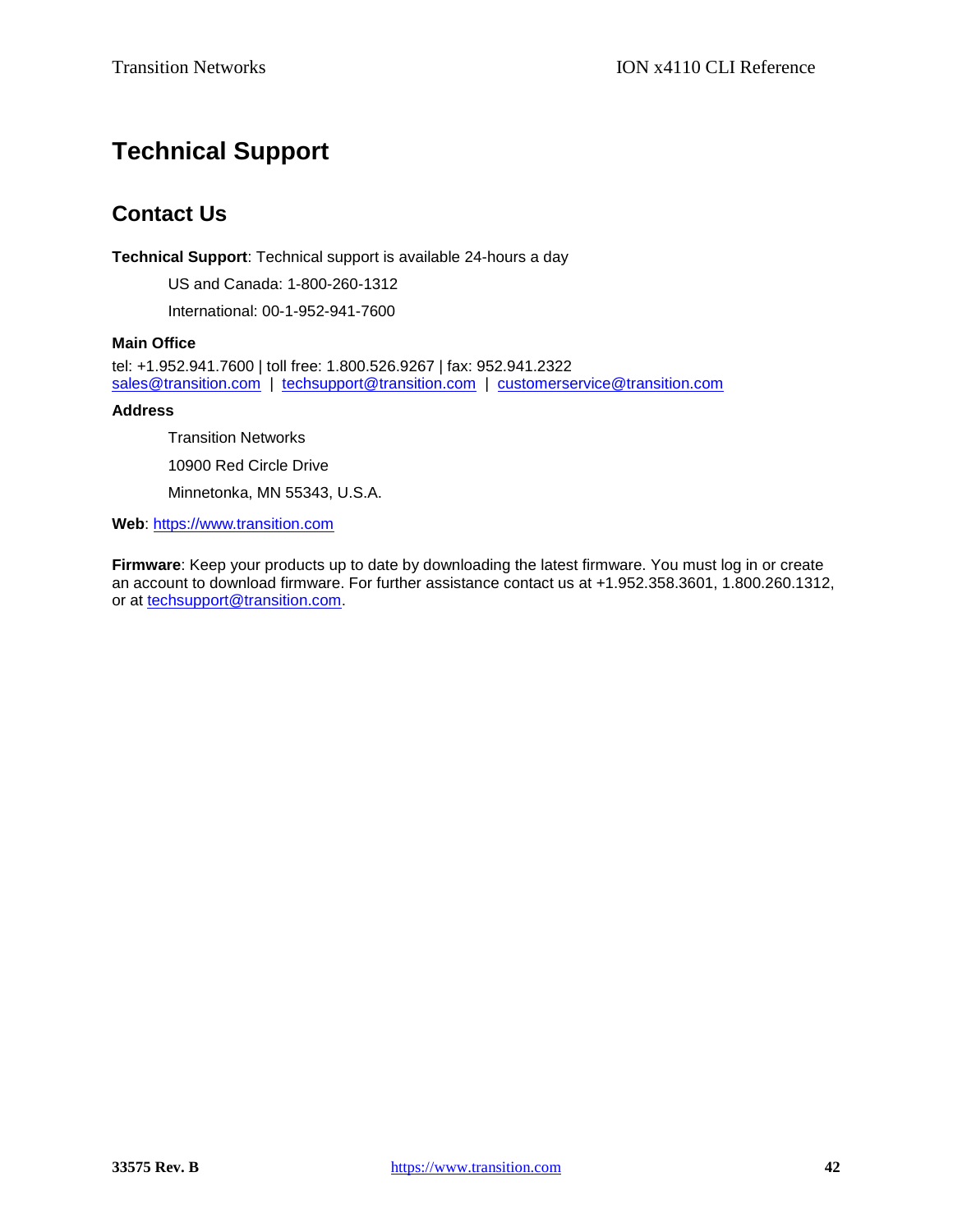# **Technical Support**

# **Contact Us**

**Technical Support**: Technical support is available 24-hours a day

US and Canada: 1-800-260-1312

International: 00-1-952-941-7600

# **Main Office**

tel: +1.952.941.7600 | toll free: 1.800.526.9267 | fax: 952.941.2322 [sales@transition.com](mailto:sales@transition.com) | [techsupport@transition.com](mailto:techsupport@transition.com) | [customerservice@transition.com](mailto:customerservice@transition.com)

### **Address**

Transition Networks 10900 Red Circle Drive Minnetonka, MN 55343, U.S.A.

**Web**: [https://www.transition.com](https://www.transition.com/) 

**Firmware**: Keep your products up to date by downloading the latest firmware. You must log in or create an account to download firmware. For further assistance contact us at +1.952.358.3601, 1.800.260.1312, or at [techsupport@transition.com.](mailto:techsupport@transition.com)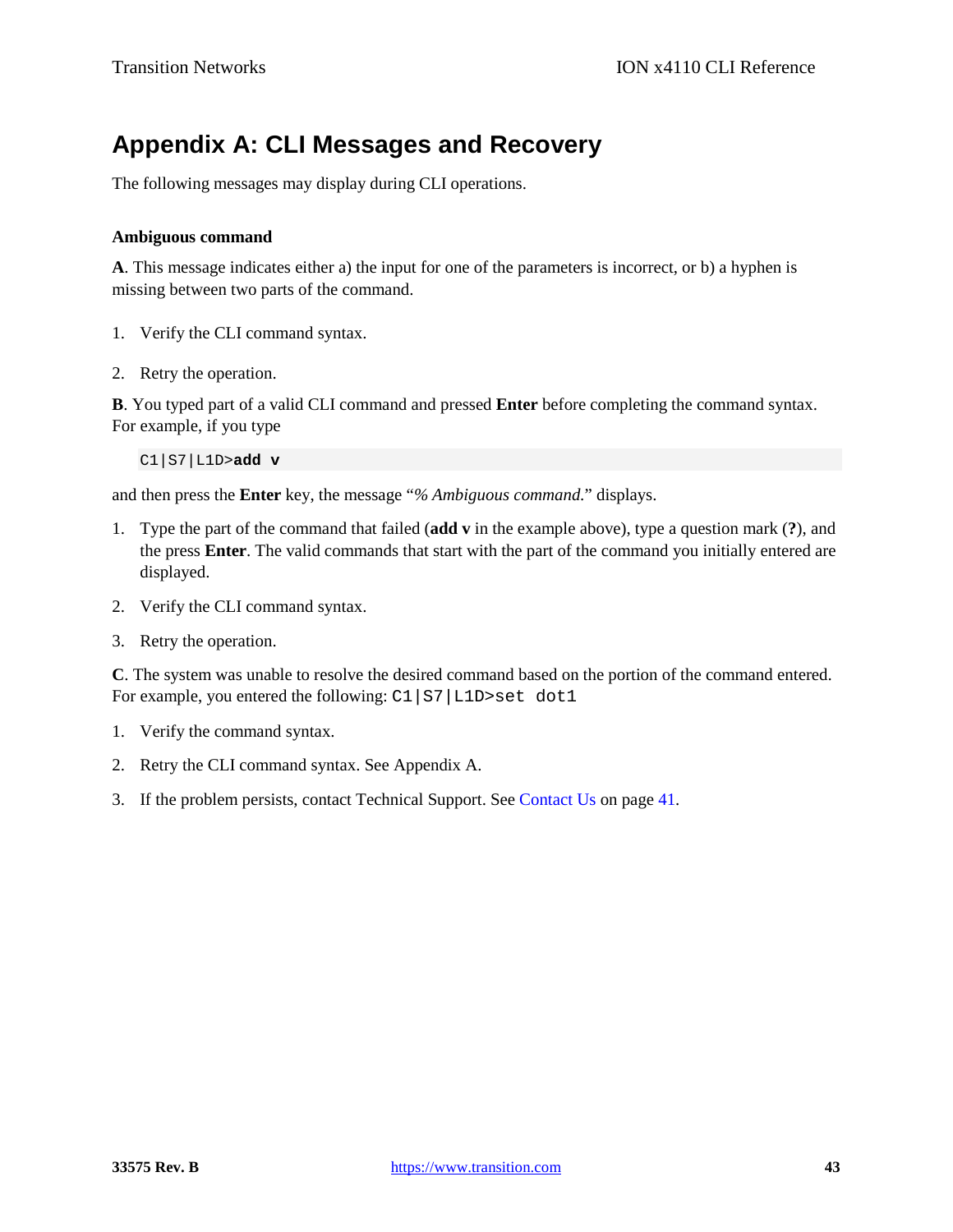# **Appendix A: CLI Messages and Recovery**

The following messages may display during CLI operations.

# **Ambiguous command**

**A**. This message indicates either a) the input for one of the parameters is incorrect, or b) a hyphen is missing between two parts of the command.

- 1. Verify the CLI command syntax.
- 2. Retry the operation.

**B**. You typed part of a valid CLI command and pressed **Enter** before completing the command syntax. For example, if you type

C1|S7|L1D>**add v**

and then press the **Enter** key, the message "*% Ambiguous command.*" displays.

- 1. Type the part of the command that failed (**add v** in the example above), type a question mark (**?**), and the press **Enter**. The valid commands that start with the part of the command you initially entered are displayed.
- 2. Verify the CLI command syntax.
- 3. Retry the operation.

**C**. The system was unable to resolve the desired command based on the portion of the command entered. For example, you entered the following: C1|S7|L1D>set dot1

- 1. Verify the command syntax.
- 2. Retry the CLI command syntax. See Appendix A.
- 3. If the problem persists, contact Technical Support. See Contact Us on page 41.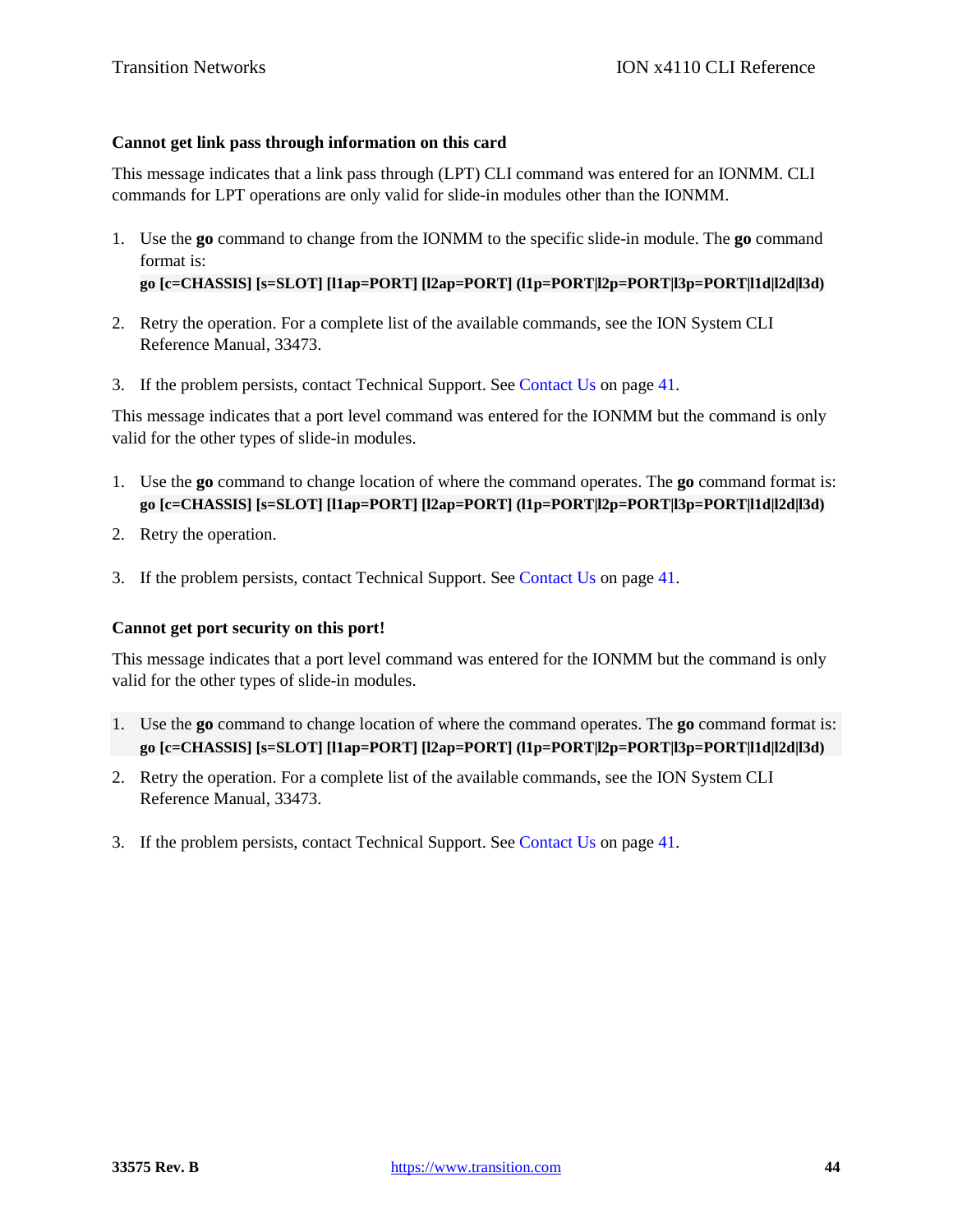# **Cannot get link pass through information on this card**

This message indicates that a link pass through (LPT) CLI command was entered for an IONMM. CLI commands for LPT operations are only valid for slide-in modules other than the IONMM.

1. Use the **go** command to change from the IONMM to the specific slide-in module. The **go** command format is:

**go [c=CHASSIS] [s=SLOT] [l1ap=PORT] [l2ap=PORT] (l1p=PORT|l2p=PORT|l3p=PORT|l1d|l2d|l3d)**

- 2. Retry the operation. For a complete list of the available commands, see the ION System CLI Reference Manual, 33473.
- 3. If the problem persists, contact Technical Support. See Contact Us on page 41.

This message indicates that a port level command was entered for the IONMM but the command is only valid for the other types of slide-in modules.

- 1. Use the **go** command to change location of where the command operates. The **go** command format is: **go [c=CHASSIS] [s=SLOT] [l1ap=PORT] [l2ap=PORT] (l1p=PORT|l2p=PORT|l3p=PORT|l1d|l2d|l3d)**
- 2. Retry the operation.
- 3. If the problem persists, contact Technical Support. See Contact Us on page 41.

# **Cannot get port security on this port!**

This message indicates that a port level command was entered for the IONMM but the command is only valid for the other types of slide-in modules.

- 1. Use the **go** command to change location of where the command operates. The **go** command format is: **go [c=CHASSIS] [s=SLOT] [l1ap=PORT] [l2ap=PORT] (l1p=PORT|l2p=PORT|l3p=PORT|l1d|l2d|l3d)**
- 2. Retry the operation. For a complete list of the available commands, see the ION System CLI Reference Manual, 33473.
- 3. If the problem persists, contact Technical Support. See Contact Us on page 41.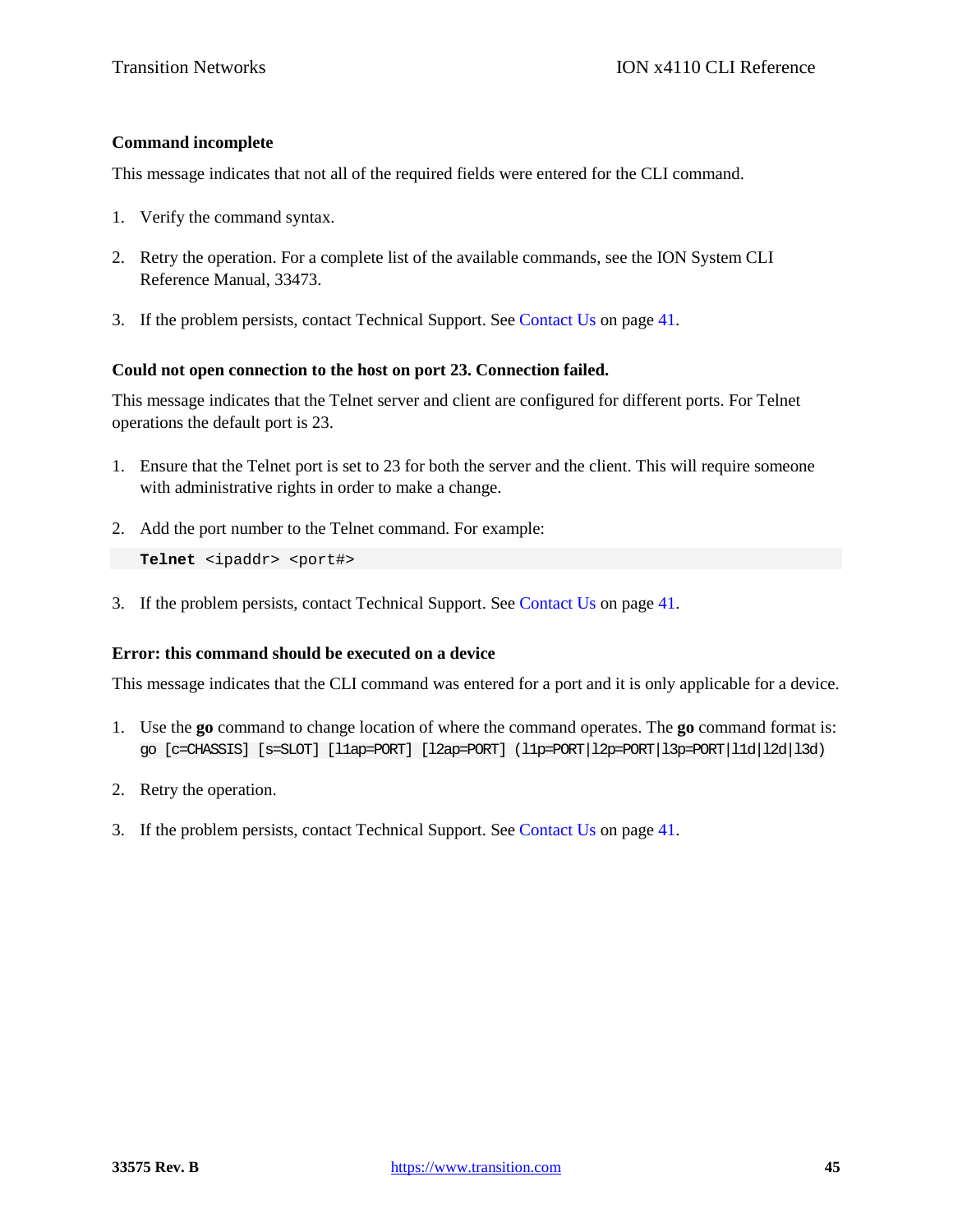# **Command incomplete**

This message indicates that not all of the required fields were entered for the CLI command.

- 1. Verify the command syntax.
- 2. Retry the operation. For a complete list of the available commands, see the ION System CLI Reference Manual, 33473.
- 3. If the problem persists, contact Technical Support. See Contact Us on page 41.

## **Could not open connection to the host on port 23. Connection failed.**

This message indicates that the Telnet server and client are configured for different ports. For Telnet operations the default port is 23.

- 1. Ensure that the Telnet port is set to 23 for both the server and the client. This will require someone with administrative rights in order to make a change.
- 2. Add the port number to the Telnet command. For example:

```
Telnet <ipaddr> <port#>
```
3. If the problem persists, contact Technical Support. See Contact Us on page 41.

# **Error: this command should be executed on a device**

This message indicates that the CLI command was entered for a port and it is only applicable for a device.

- 1. Use the **go** command to change location of where the command operates. The **go** command format is: go [c=CHASSIS] [s=SLOT] [l1ap=PORT] [l2ap=PORT] (l1p=PORT|l2p=PORT|l3p=PORT|l1d|l2d|l3d)
- 2. Retry the operation.
- 3. If the problem persists, contact Technical Support. See Contact Us on page 41.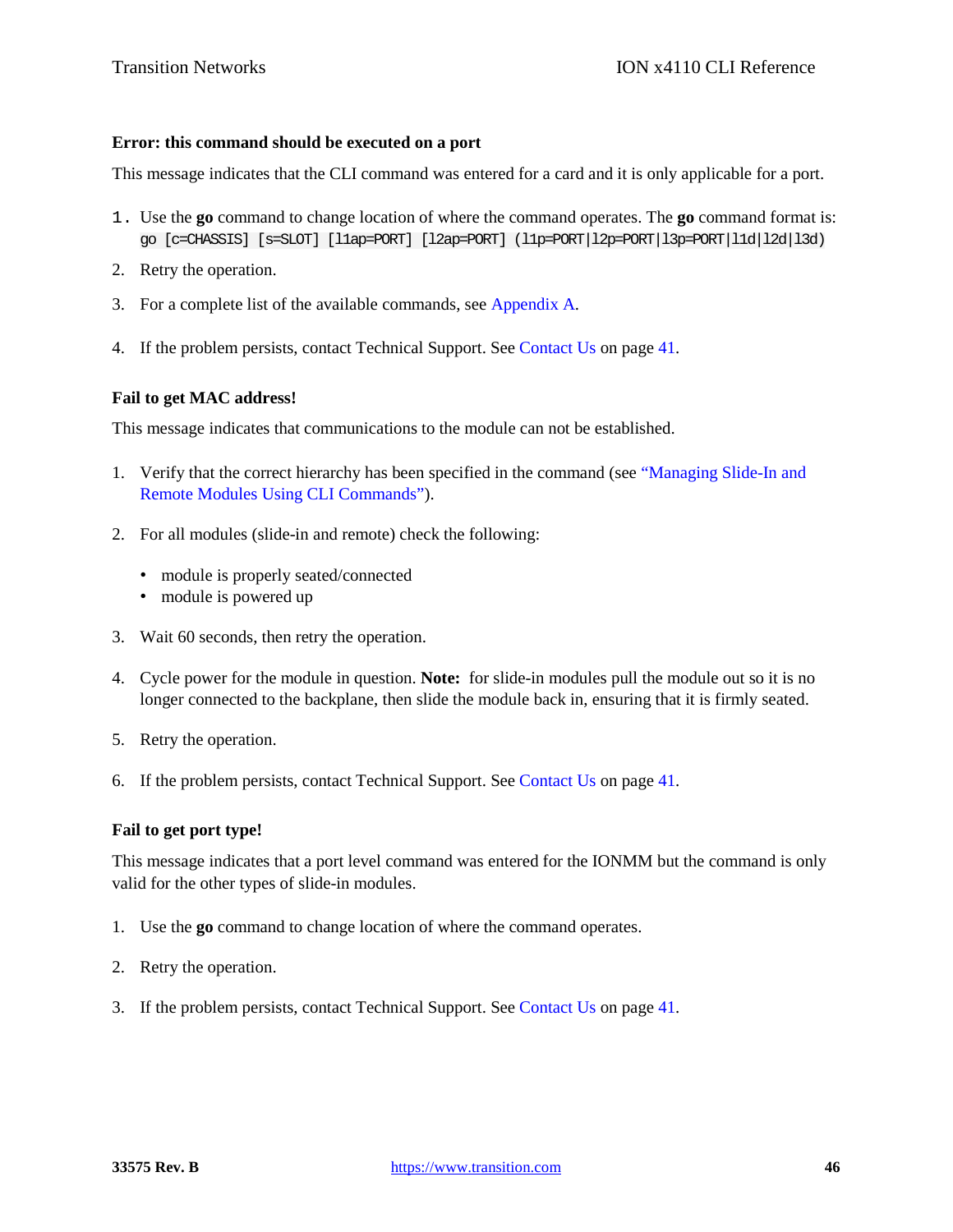### **Error: this command should be executed on a port**

This message indicates that the CLI command was entered for a card and it is only applicable for a port.

- 1. Use the **go** command to change location of where the command operates. The **go** command format is: go [c=CHASSIS] [s=SLOT] [l1ap=PORT] [l2ap=PORT] (l1p=PORT|l2p=PORT|l3p=PORT|l1d|l2d|l3d)
- 2. Retry the operation.
- 3. For a complete list of the available commands, see Appendix A.
- 4. If the problem persists, contact Technical Support. See Contact Us on page 41.

### **Fail to get MAC address!**

This message indicates that communications to the module can not be established.

- 1. Verify that the correct hierarchy has been specified in the command (see "Managing Slide-In and Remote Modules Using CLI Commands").
- 2. For all modules (slide-in and remote) check the following:
	- module is properly seated/connected
	- module is powered up
- 3. Wait 60 seconds, then retry the operation.
- 4. Cycle power for the module in question. **Note:** for slide-in modules pull the module out so it is no longer connected to the backplane, then slide the module back in, ensuring that it is firmly seated.
- 5. Retry the operation.
- 6. If the problem persists, contact Technical Support. See Contact Us on page 41.

### **Fail to get port type!**

This message indicates that a port level command was entered for the IONMM but the command is only valid for the other types of slide-in modules.

- 1. Use the **go** command to change location of where the command operates.
- 2. Retry the operation.
- 3. If the problem persists, contact Technical Support. See Contact Us on page 41.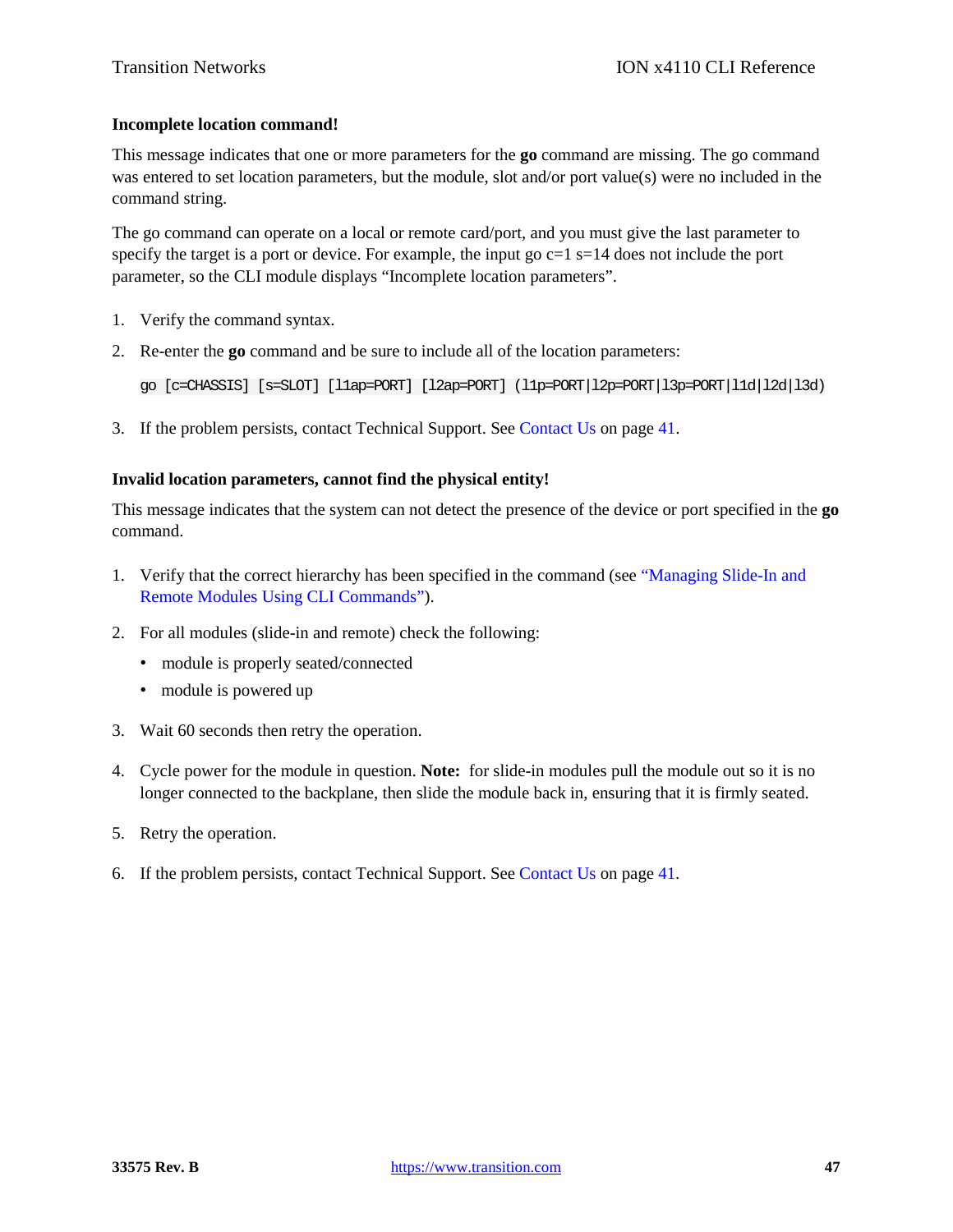# **Incomplete location command!**

This message indicates that one or more parameters for the **go** command are missing. The go command was entered to set location parameters, but the module, slot and/or port value(s) were no included in the command string.

The go command can operate on a local or remote card/port, and you must give the last parameter to specify the target is a port or device. For example, the input go  $c=1$  s=14 does not include the port parameter, so the CLI module displays "Incomplete location parameters".

- 1. Verify the command syntax.
- 2. Re-enter the **go** command and be sure to include all of the location parameters:

go [c=CHASSIS] [s=SLOT] [l1ap=PORT] [l2ap=PORT] (l1p=PORT|l2p=PORT|l3p=PORT|l1d|l2d|l3d)

3. If the problem persists, contact Technical Support. See Contact Us on page 41.

# **Invalid location parameters, cannot find the physical entity!**

This message indicates that the system can not detect the presence of the device or port specified in the **go** command.

- 1. Verify that the correct hierarchy has been specified in the command (see "Managing Slide-In and Remote Modules Using CLI Commands").
- 2. For all modules (slide-in and remote) check the following:
	- module is properly seated/connected
	- module is powered up
- 3. Wait 60 seconds then retry the operation.
- 4. Cycle power for the module in question. **Note:** for slide-in modules pull the module out so it is no longer connected to the backplane, then slide the module back in, ensuring that it is firmly seated.
- 5. Retry the operation.
- 6. If the problem persists, contact Technical Support. See Contact Us on page 41.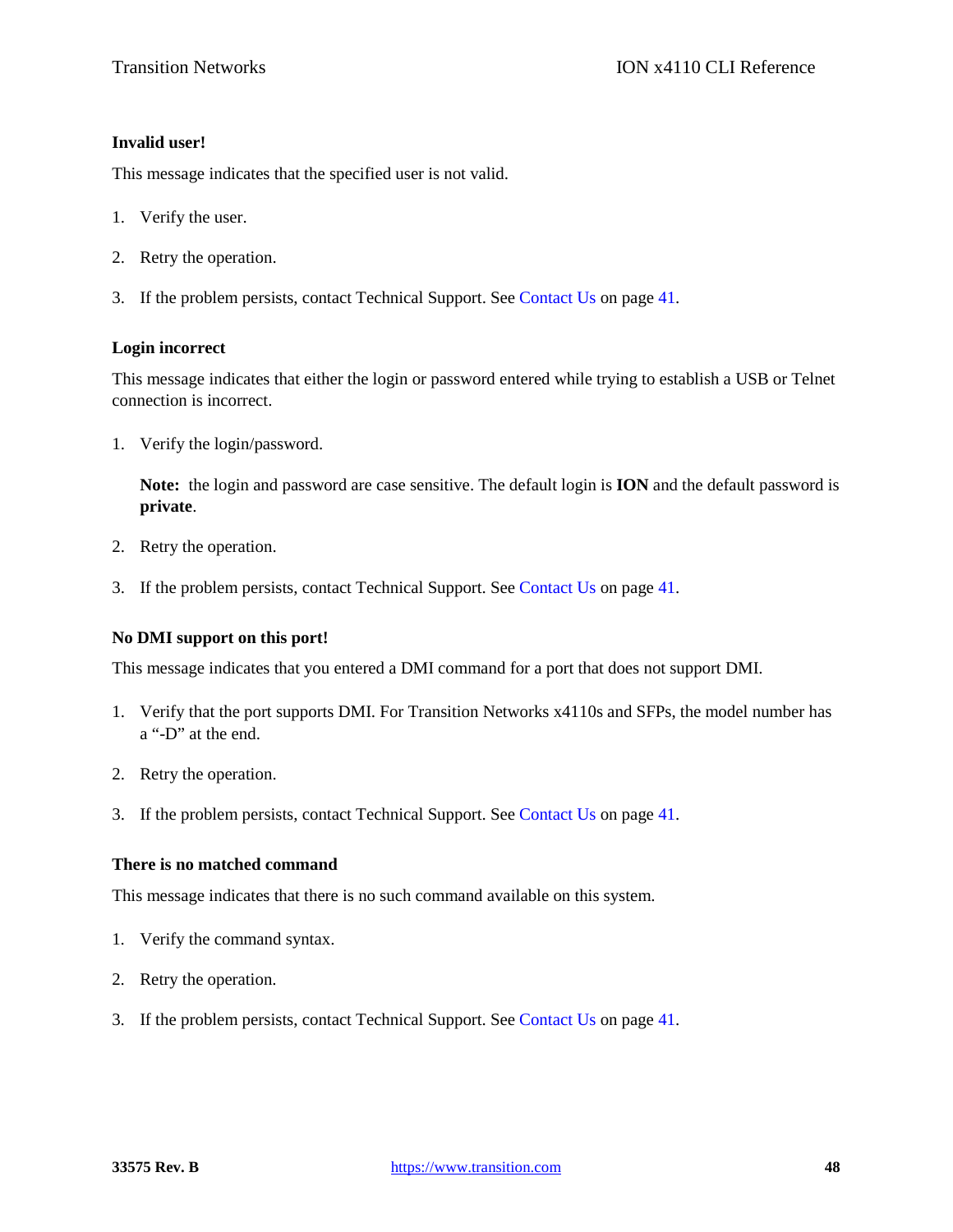# **Invalid user!**

This message indicates that the specified user is not valid.

- 1. Verify the user.
- 2. Retry the operation.
- 3. If the problem persists, contact Technical Support. See Contact Us on page 41.

### **Login incorrect**

This message indicates that either the login or password entered while trying to establish a USB or Telnet connection is incorrect.

1. Verify the login/password.

**Note:** the login and password are case sensitive. The default login is **ION** and the default password is **private**.

- 2. Retry the operation.
- 3. If the problem persists, contact Technical Support. See Contact Us on page 41.

# **No DMI support on this port!**

This message indicates that you entered a DMI command for a port that does not support DMI.

- 1. Verify that the port supports DMI. For Transition Networks x4110s and SFPs, the model number has a "-D" at the end.
- 2. Retry the operation.
- 3. If the problem persists, contact Technical Support. See Contact Us on page 41.

# **There is no matched command**

This message indicates that there is no such command available on this system.

- 1. Verify the command syntax.
- 2. Retry the operation.
- 3. If the problem persists, contact Technical Support. See Contact Us on page 41.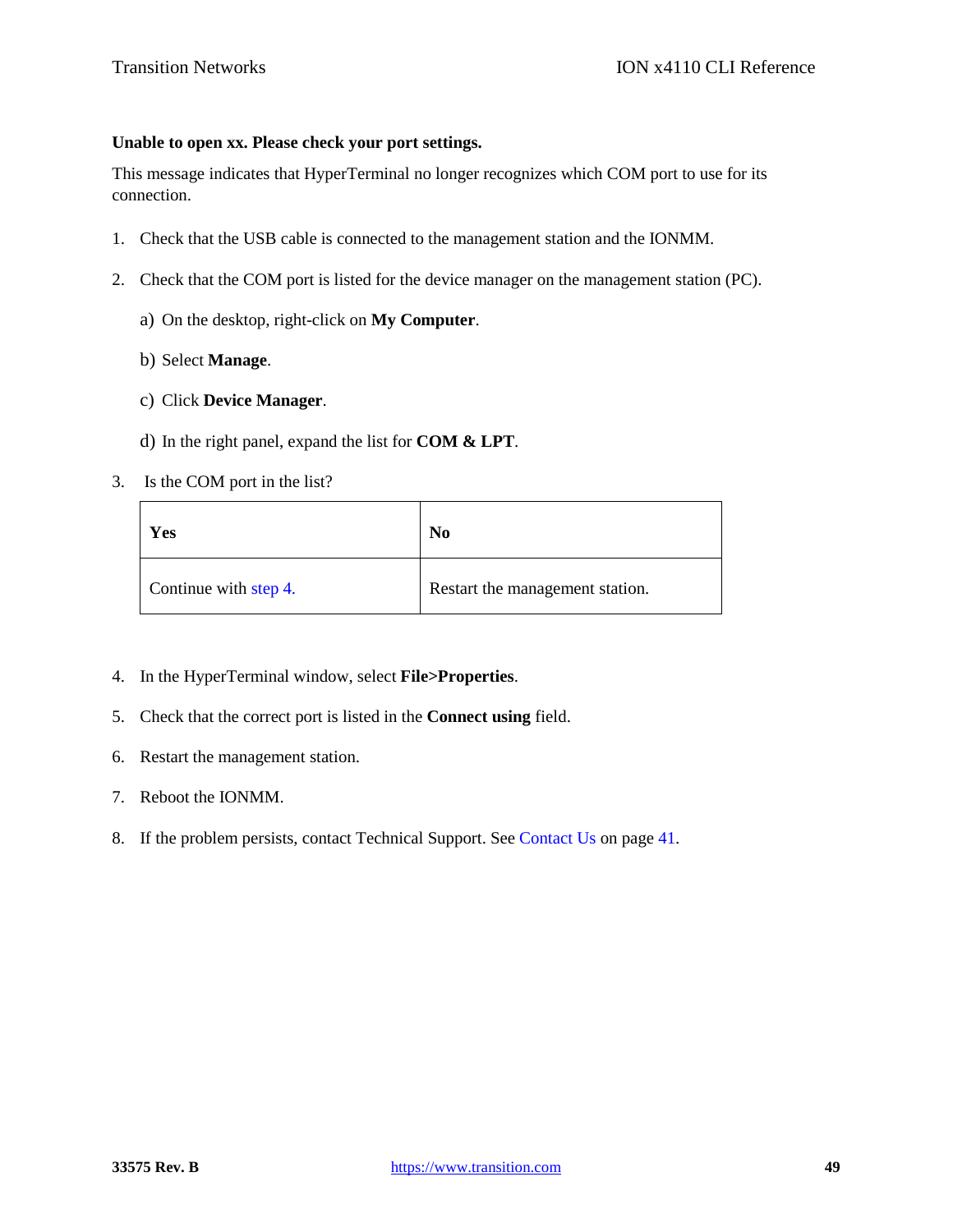# **Unable to open xx. Please check your port settings.**

This message indicates that HyperTerminal no longer recognizes which COM port to use for its connection.

- 1. Check that the USB cable is connected to the management station and the IONMM.
- 2. Check that the COM port is listed for the device manager on the management station (PC).
	- a) On the desktop, right-click on **My Computer**.
	- b) Select **Manage**.
	- c) Click **Device Manager**.
	- d) In the right panel, expand the list for **COM & LPT**.
- 3. Is the COM port in the list?

| Yes                   | No                              |  |
|-----------------------|---------------------------------|--|
| Continue with step 4. | Restart the management station. |  |

- 4. In the HyperTerminal window, select **File>Properties**.
- 5. Check that the correct port is listed in the **Connect using** field.
- 6. Restart the management station.
- 7. Reboot the IONMM.
- 8. If the problem persists, contact Technical Support. See Contact Us on page 41.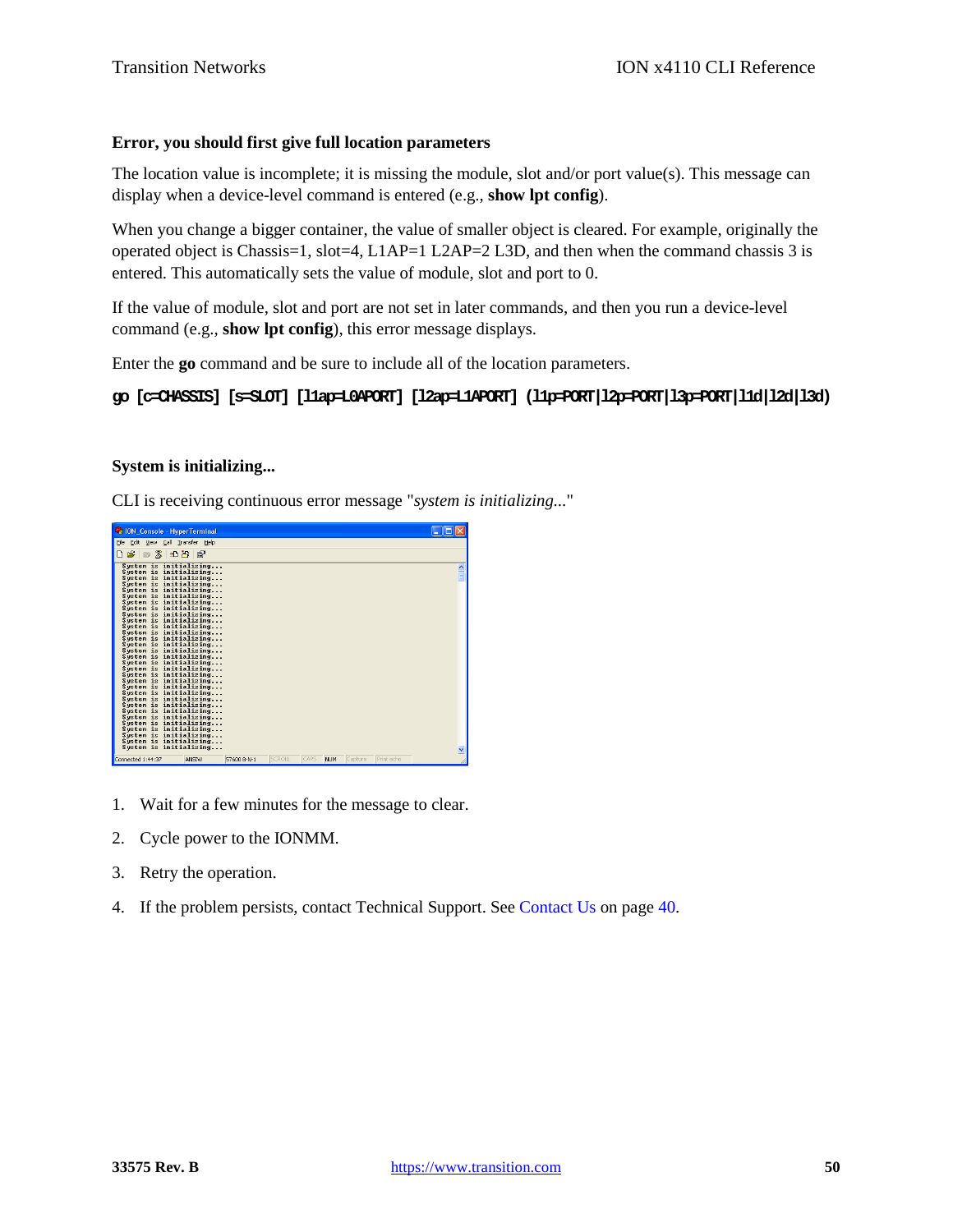# **Error, you should first give full location parameters**

The location value is incomplete; it is missing the module, slot and/or port value(s). This message can display when a device-level command is entered (e.g., **show lpt config**).

When you change a bigger container, the value of smaller object is cleared. For example, originally the operated object is Chassis=1, slot=4, L1AP=1 L2AP=2 L3D, and then when the command chassis 3 is entered. This automatically sets the value of module, slot and port to 0.

If the value of module, slot and port are not set in later commands, and then you run a device-level command (e.g., **show lpt config**), this error message displays.

Enter the **go** command and be sure to include all of the location parameters.

# **go [c=CHASSIS] [s=SLOT] [l1ap=L0APORT] [l2ap=L1APORT] (l1p=PORT|l2p=PORT|l3p=PORT|l1d|l2d|l3d)**

# **System is initializing...**

CLI is receiving continuous error message "*system is initializing...*"

| Console - HyperTerminal                                                                                                                                                                                                                                                                                                                                                                                                                                                                                                                                                                                                                                                |                      |        |                         |         |            | L IDIX              |
|------------------------------------------------------------------------------------------------------------------------------------------------------------------------------------------------------------------------------------------------------------------------------------------------------------------------------------------------------------------------------------------------------------------------------------------------------------------------------------------------------------------------------------------------------------------------------------------------------------------------------------------------------------------------|----------------------|--------|-------------------------|---------|------------|---------------------|
| File Edit View Call Transfer Help                                                                                                                                                                                                                                                                                                                                                                                                                                                                                                                                                                                                                                      |                      |        |                         |         |            |                     |
| 0 <del>6</del> 6 3 0 8 6                                                                                                                                                                                                                                                                                                                                                                                                                                                                                                                                                                                                                                               |                      |        |                         |         |            |                     |
| System is initializing<br>System is initializing<br>System is initializing<br>Sustem is initializing<br>System is initializing<br>Sustem is initializing<br>System is initializing<br>System is initializing<br>System is initializing<br>System is initializing<br>System is initializing<br>Sustem is initializing<br>System is initializing<br>System is initializing<br>System is initializing<br>System is initializing<br>System is initializing<br>System is initializing<br>System is initializing<br>System is initializing<br>System is initializing<br>System is initializing<br>System is initializing<br>System is initializing<br>System is initializing |                      |        |                         |         |            | $\hat{\phantom{a}}$ |
| System is initializing<br>System is initializing<br>System is initializing<br>Sustem is initializing<br>System is initializing<br>System is initializing                                                                                                                                                                                                                                                                                                                                                                                                                                                                                                               |                      |        |                         |         |            | $\checkmark$        |
| Connected 1:44:37                                                                                                                                                                                                                                                                                                                                                                                                                                                                                                                                                                                                                                                      | ANSIW<br>57600 8-N-1 | SCROLL | CAPS<br>NUM <sub></sub> | Capture | Print echo |                     |

- 1. Wait for a few minutes for the message to clear.
- 2. Cycle power to the IONMM.
- 3. Retry the operation.
- 4. If the problem persists, contact Technical Support. See Contact Us on page 40.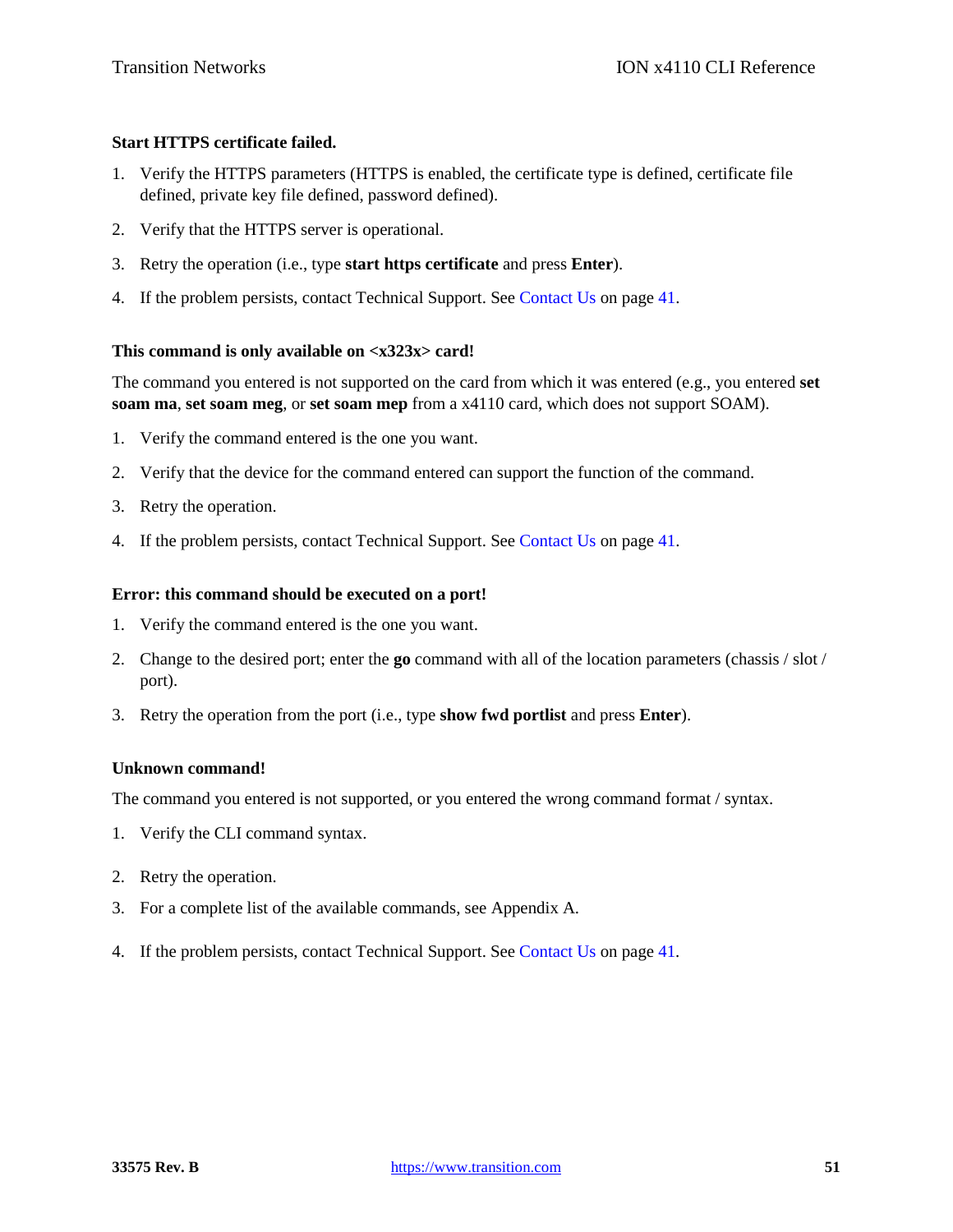# **Start HTTPS certificate failed.**

- 1. Verify the HTTPS parameters (HTTPS is enabled, the certificate type is defined, certificate file defined, private key file defined, password defined).
- 2. Verify that the HTTPS server is operational.
- 3. Retry the operation (i.e., type **start https certificate** and press **Enter**).
- 4. If the problem persists, contact Technical Support. See Contact Us on page 41.

# **This command is only available on <x323x> card!**

The command you entered is not supported on the card from which it was entered (e.g., you entered **set soam ma**, **set soam meg**, or **set soam mep** from a x4110 card, which does not support SOAM).

- 1. Verify the command entered is the one you want.
- 2. Verify that the device for the command entered can support the function of the command.
- 3. Retry the operation.
- 4. If the problem persists, contact Technical Support. See Contact Us on page 41.

# **Error: this command should be executed on a port!**

- 1. Verify the command entered is the one you want.
- 2. Change to the desired port; enter the **go** command with all of the location parameters (chassis / slot / port).
- 3. Retry the operation from the port (i.e., type **show fwd portlist** and press **Enter**).

# **Unknown command!**

The command you entered is not supported, or you entered the wrong command format / syntax.

- 1. Verify the CLI command syntax.
- 2. Retry the operation.
- 3. For a complete list of the available commands, see Appendix A.
- 4. If the problem persists, contact Technical Support. See Contact Us on page 41.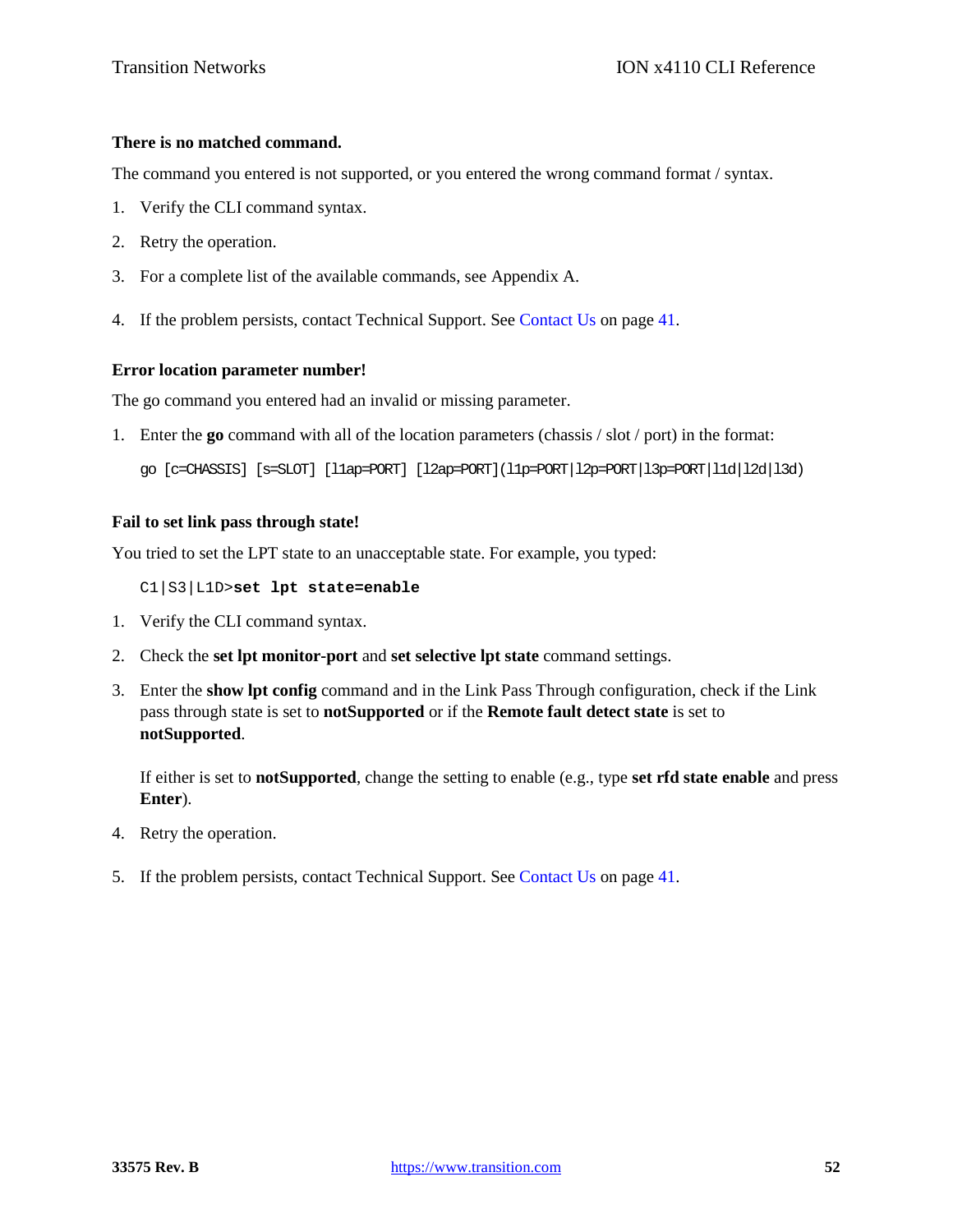# **There is no matched command.**

The command you entered is not supported, or you entered the wrong command format / syntax.

- 1. Verify the CLI command syntax.
- 2. Retry the operation.
- 3. For a complete list of the available commands, see Appendix A.
- 4. If the problem persists, contact Technical Support. See Contact Us on page 41.

### **Error location parameter number!**

The go command you entered had an invalid or missing parameter.

1. Enter the **go** command with all of the location parameters (chassis / slot / port) in the format:

```
go [c=CHASSIS] [s=SLOT] [l1ap=PORT] [l2ap=PORT](l1p=PORT|l2p=PORT|l3p=PORT|l1d|l2d|l3d)
```
### **Fail to set link pass through state!**

You tried to set the LPT state to an unacceptable state. For example, you typed:

C1|S3|L1D>**set lpt state=enable**

- 1. Verify the CLI command syntax.
- 2. Check the **set lpt monitor-port** and **set selective lpt state** command settings.
- 3. Enter the **show lpt config** command and in the Link Pass Through configuration, check if the Link pass through state is set to **notSupported** or if the **Remote fault detect state** is set to **notSupported**.

If either is set to **notSupported**, change the setting to enable (e.g., type **set rfd state enable** and press **Enter**).

- 4. Retry the operation.
- 5. If the problem persists, contact Technical Support. See Contact Us on page 41.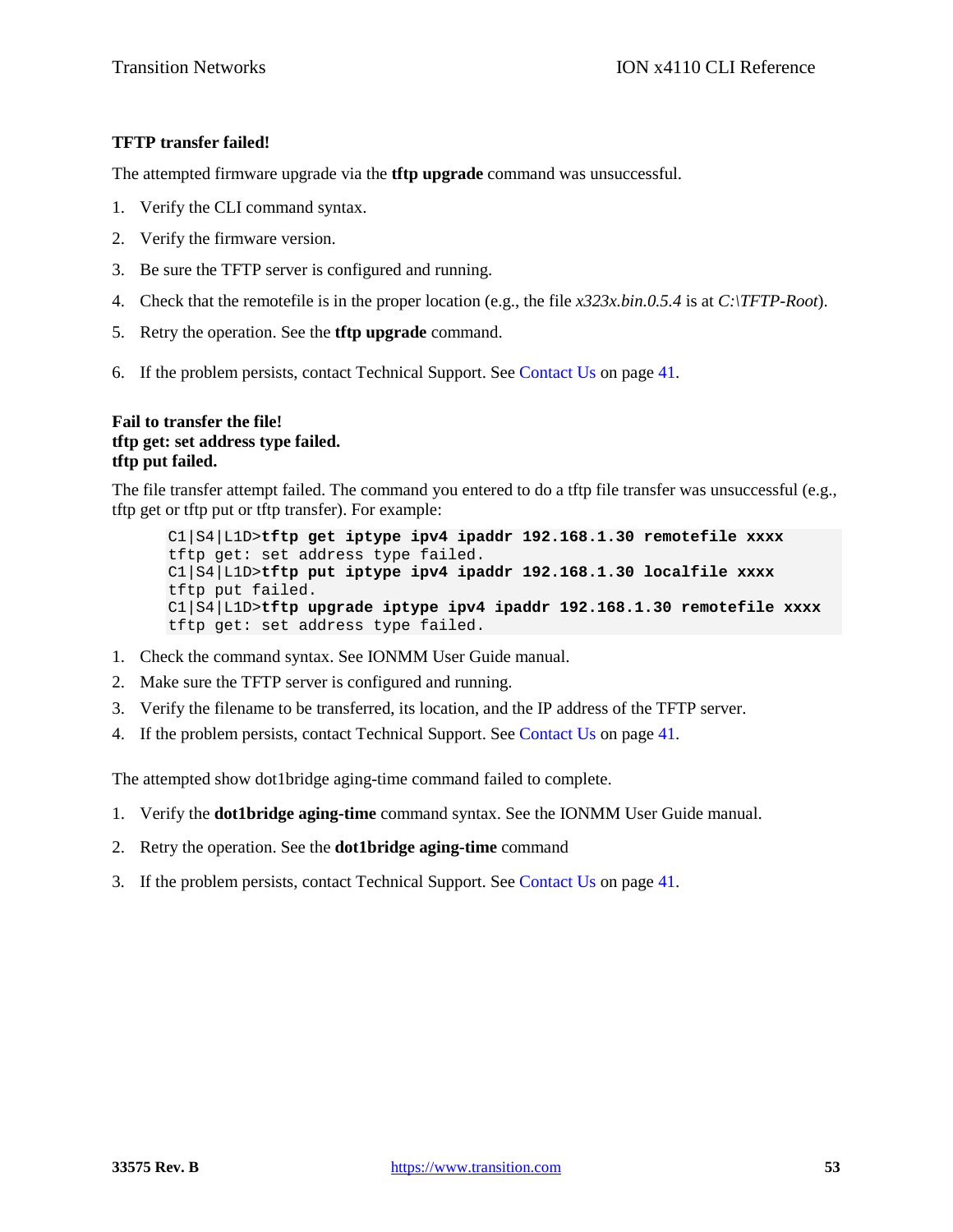# **TFTP transfer failed!**

The attempted firmware upgrade via the **tftp upgrade** command was unsuccessful.

- 1. Verify the CLI command syntax.
- 2. Verify the firmware version.
- 3. Be sure the TFTP server is configured and running.
- 4. Check that the remotefile is in the proper location (e.g., the file *x323x.bin.0.5.4* is at *C:\TFTP-Root*).
- 5. Retry the operation. See the **tftp upgrade** command.
- 6. If the problem persists, contact Technical Support. See Contact Us on page 41.

# **Fail to transfer the file! tftp get: set address type failed. tftp put failed.**

The file transfer attempt failed. The command you entered to do a tftp file transfer was unsuccessful (e.g., tftp get or tftp put or tftp transfer). For example:

C1|S4|L1D>**tftp get iptype ipv4 ipaddr 192.168.1.30 remotefile xxxx** tftp get: set address type failed. C1|S4|L1D>**tftp put iptype ipv4 ipaddr 192.168.1.30 localfile xxxx** tftp put failed. C1|S4|L1D>**tftp upgrade iptype ipv4 ipaddr 192.168.1.30 remotefile xxxx** tftp get: set address type failed.

- 1. Check the command syntax. See IONMM User Guide manual.
- 2. Make sure the TFTP server is configured and running.
- 3. Verify the filename to be transferred, its location, and the IP address of the TFTP server.
- 4. If the problem persists, contact Technical Support. See Contact Us on page 41.

The attempted show dot1bridge aging-time command failed to complete.

- 1. Verify the **dot1bridge aging-time** command syntax. See the IONMM User Guide manual.
- 2. Retry the operation. See the **dot1bridge aging-time** command
- 3. If the problem persists, contact Technical Support. See Contact Us on page 41.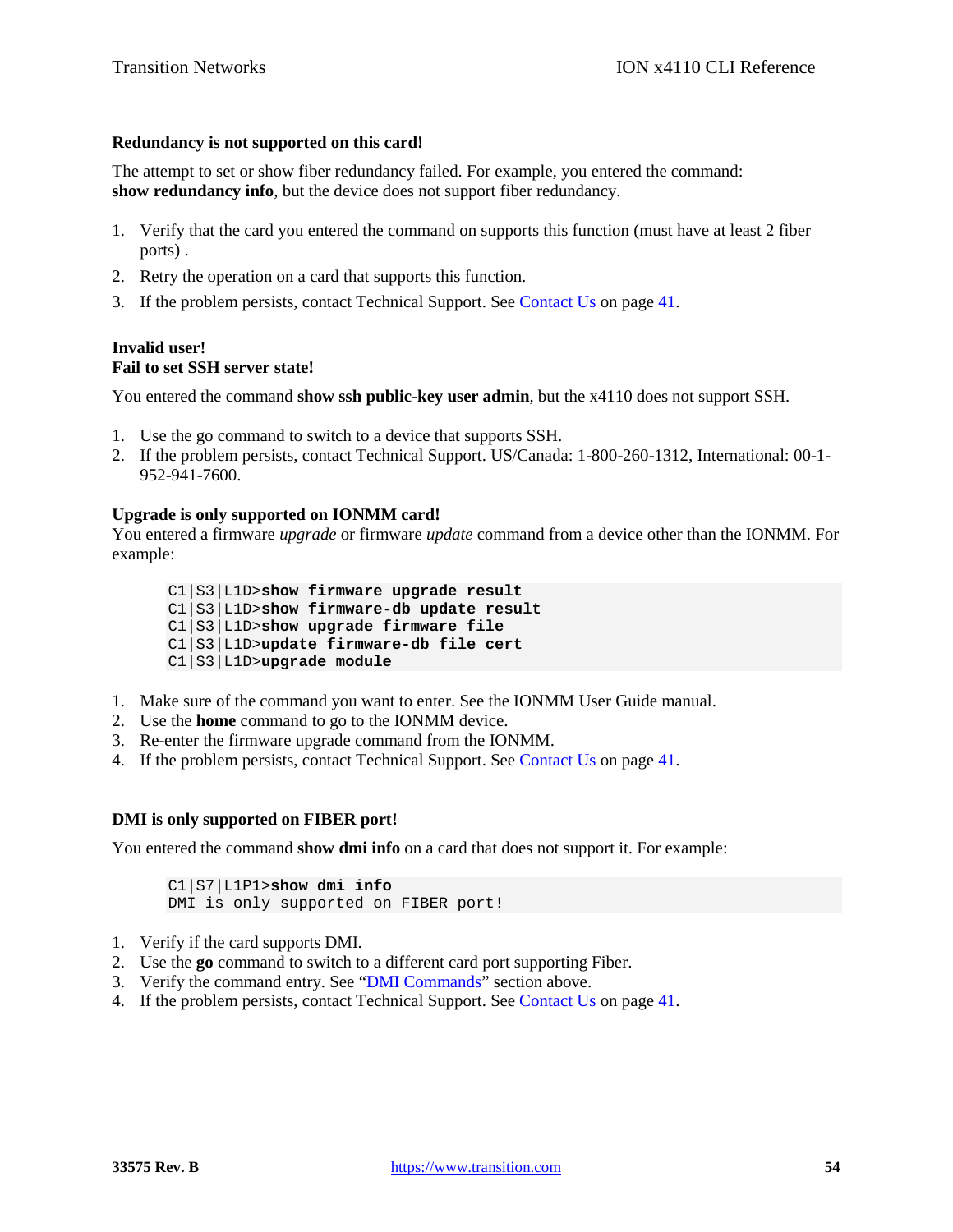## **Redundancy is not supported on this card!**

The attempt to set or show fiber redundancy failed. For example, you entered the command: **show redundancy info**, but the device does not support fiber redundancy.

- 1. Verify that the card you entered the command on supports this function (must have at least 2 fiber ports) .
- 2. Retry the operation on a card that supports this function.
- 3. If the problem persists, contact Technical Support. See Contact Us on page 41.

### **Invalid user! Fail to set SSH server state!**

You entered the command **show ssh public-key user admin**, but the x4110 does not support SSH.

- 1. Use the go command to switch to a device that supports SSH.
- 2. If the problem persists, contact Technical Support. US/Canada: 1-800-260-1312, International: 00-1- 952-941-7600.

# **Upgrade is only supported on IONMM card!**

You entered a firmware *upgrade* or firmware *update* command from a device other than the IONMM. For example:

C1|S3|L1D>**show firmware upgrade result** C1|S3|L1D>**show firmware-db update result** C1|S3|L1D>**show upgrade firmware file** C1|S3|L1D>**update firmware-db file cert** C1|S3|L1D>**upgrade module**

- 1. Make sure of the command you want to enter. See the IONMM User Guide manual.
- 2. Use the **home** command to go to the IONMM device.
- 3. Re-enter the firmware upgrade command from the IONMM.
- 4. If the problem persists, contact Technical Support. See Contact Us on page 41.

#### **DMI is only supported on FIBER port!**

You entered the command **show dmi info** on a card that does not support it. For example:

C1|S7|L1P1>**show dmi info** DMI is only supported on FIBER port!

- 1. Verify if the card supports DMI.
- 2. Use the **go** command to switch to a different card port supporting Fiber.
- 3. Verify the command entry. See "DMI Commands" section above.
- 4. If the problem persists, contact Technical Support. See Contact Us on page 41.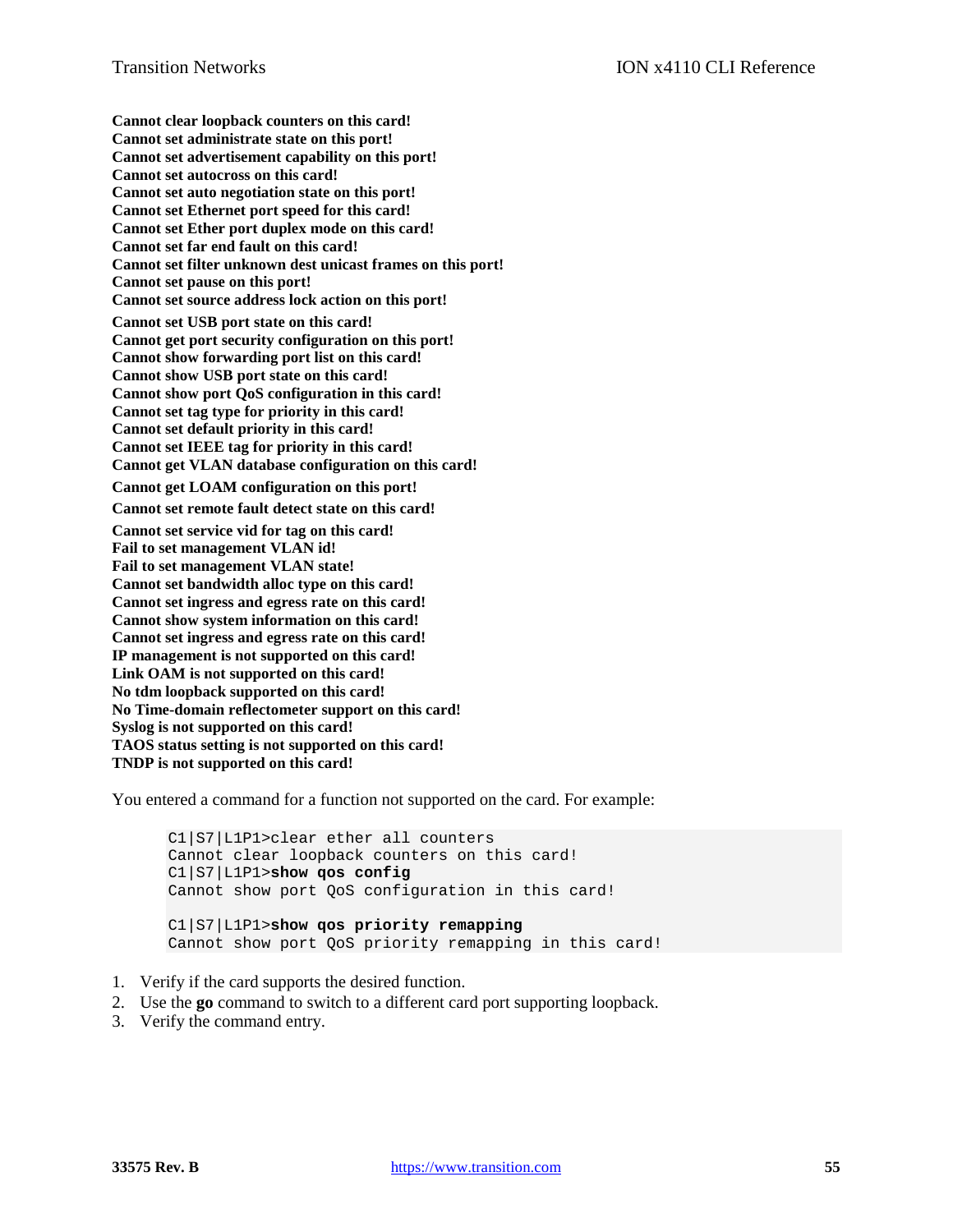**Cannot clear loopback counters on this card! Cannot set administrate state on this port! Cannot set advertisement capability on this port! Cannot set autocross on this card! Cannot set auto negotiation state on this port! Cannot set Ethernet port speed for this card! Cannot set Ether port duplex mode on this card! Cannot set far end fault on this card! Cannot set filter unknown dest unicast frames on this port! Cannot set pause on this port! Cannot set source address lock action on this port! Cannot set USB port state on this card! Cannot get port security configuration on this port! Cannot show forwarding port list on this card! Cannot show USB port state on this card! Cannot show port QoS configuration in this card! Cannot set tag type for priority in this card! Cannot set default priority in this card! Cannot set IEEE tag for priority in this card! Cannot get VLAN database configuration on this card! Cannot get LOAM configuration on this port! Cannot set remote fault detect state on this card! Cannot set service vid for tag on this card! Fail to set management VLAN id! Fail to set management VLAN state! Cannot set bandwidth alloc type on this card! Cannot set ingress and egress rate on this card! Cannot show system information on this card! Cannot set ingress and egress rate on this card! IP management is not supported on this card! Link OAM is not supported on this card! No tdm loopback supported on this card! No Time-domain reflectometer support on this card! Syslog is not supported on this card! TAOS status setting is not supported on this card! TNDP is not supported on this card!**

You entered a command for a function not supported on the card. For example:

C1|S7|L1P1>clear ether all counters Cannot clear loopback counters on this card! C1|S7|L1P1>**show qos config** Cannot show port QoS configuration in this card! C1|S7|L1P1>**show qos priority remapping** Cannot show port QoS priority remapping in this card!

- 1. Verify if the card supports the desired function.
- 2. Use the **go** command to switch to a different card port supporting loopback.
- 3. Verify the command entry.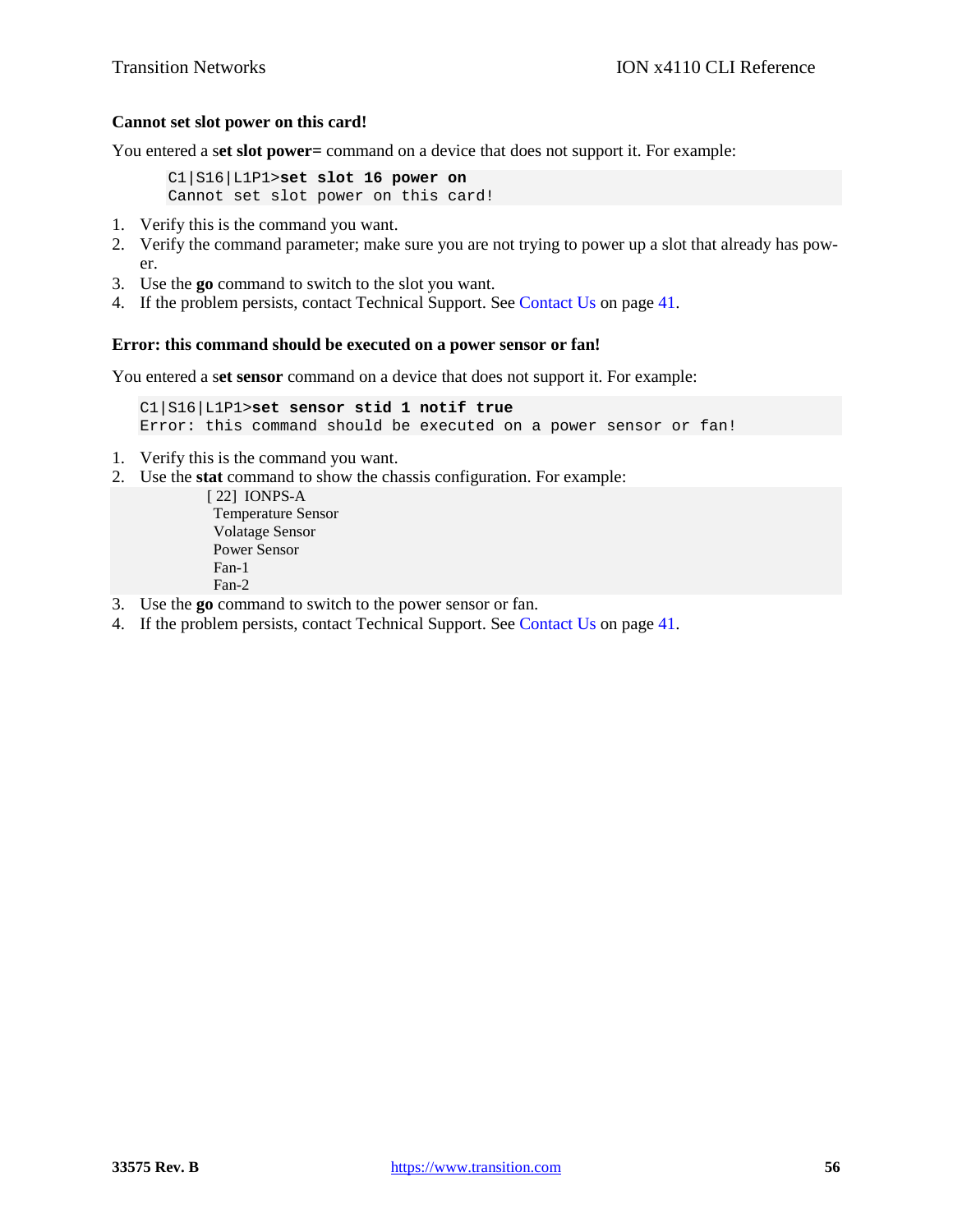### **Cannot set slot power on this card!**

You entered a s**et slot power=** command on a device that does not support it. For example:

C1|S16|L1P1>**set slot 16 power on** Cannot set slot power on this card!

- 1. Verify this is the command you want.
- 2. Verify the command parameter; make sure you are not trying to power up a slot that already has power.
- 3. Use the **go** command to switch to the slot you want.
- 4. If the problem persists, contact Technical Support. See Contact Us on page 41.

### **Error: this command should be executed on a power sensor or fan!**

You entered a s**et sensor** command on a device that does not support it. For example:

```
C1|S16|L1P1>set sensor stid 1 notif true
Error: this command should be executed on a power sensor or fan!
```
- 1. Verify this is the command you want.
- 2. Use the **stat** command to show the chassis configuration. For example:

 [ 22] IONPS-A Temperature Sensor Volatage Sensor Power Sensor Fan-1 Fan-2

- 3. Use the **go** command to switch to the power sensor or fan.
- 4. If the problem persists, contact Technical Support. See Contact Us on page 41.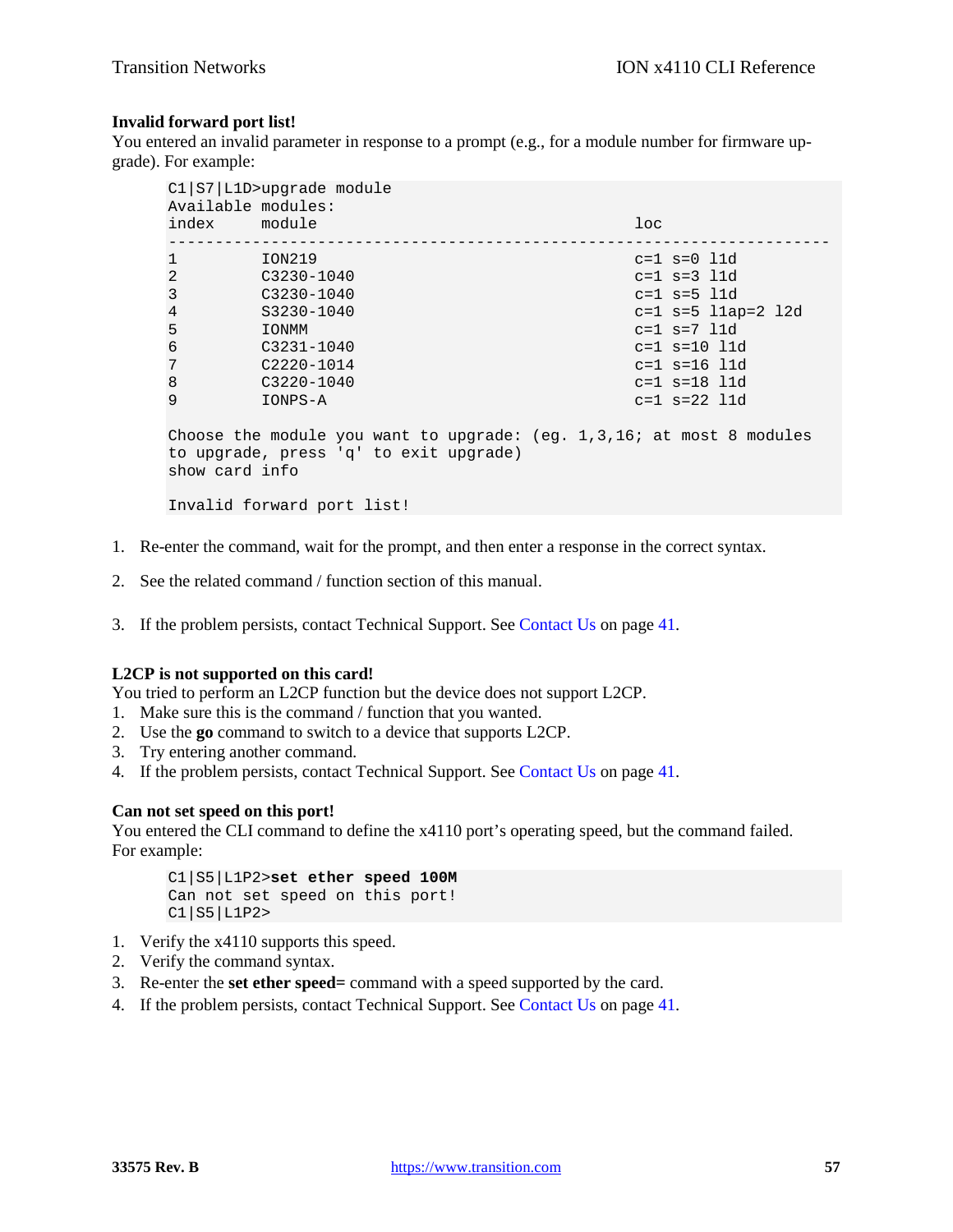## **Invalid forward port list!**

You entered an invalid parameter in response to a prompt (e.g., for a module number for firmware upgrade). For example:

| $Cl   S7   L1D>upgrade$ module<br>Available modules:                      |                |                      |  |  |
|---------------------------------------------------------------------------|----------------|----------------------|--|--|
| index module                                                              |                | $1$ oc               |  |  |
| $\mathbf{1}$                                                              | ION219         | $c=1$ $s=0$ 11d      |  |  |
| 2                                                                         | $C3230 - 1040$ | $c=1 s=3 l1d$        |  |  |
| 3                                                                         | $C3230 - 1040$ | $c=1 s=5 l1d$        |  |  |
| $\overline{4}$                                                            | S3230-1040     | $c=1 s=5 11ap=2 12d$ |  |  |
| 5                                                                         | <b>IONMM</b>   | $c = 1 s = 7 l1d$    |  |  |
| 6                                                                         | $C3231 - 1040$ | $c=1 s=10 l1d$       |  |  |
| 7                                                                         | $C2220 - 1014$ | $c=1 s=16 l1d$       |  |  |
| 8                                                                         | $C3220 - 1040$ | $c=1 s=18 l1d$       |  |  |
| 9                                                                         | IONPS-A        | $c=1$ $s=22$ 11d     |  |  |
| Choose the module you want to upgrade: $(eq. 1, 3, 16)$ at most 8 modules |                |                      |  |  |
| to upgrade, press 'q' to exit upgrade)                                    |                |                      |  |  |
| show card info                                                            |                |                      |  |  |
| Invalid forward port list!                                                |                |                      |  |  |

- 1. Re-enter the command, wait for the prompt, and then enter a response in the correct syntax.
- 2. See the related command / function section of this manual.
- 3. If the problem persists, contact Technical Support. See Contact Us on page 41.

# **L2CP is not supported on this card!**

You tried to perform an L2CP function but the device does not support L2CP.

- 1. Make sure this is the command / function that you wanted.
- 2. Use the **go** command to switch to a device that supports L2CP.
- 3. Try entering another command.
- 4. If the problem persists, contact Technical Support. See Contact Us on page 41.

# **Can not set speed on this port!**

You entered the CLI command to define the x4110 port's operating speed, but the command failed. For example:

C1|S5|L1P2>**set ether speed 100M** Can not set speed on this port! C1|S5|L1P2>

- 1. Verify the x4110 supports this speed.
- 2. Verify the command syntax.
- 3. Re-enter the **set ether speed=** command with a speed supported by the card.
- 4. If the problem persists, contact Technical Support. See Contact Us on page 41.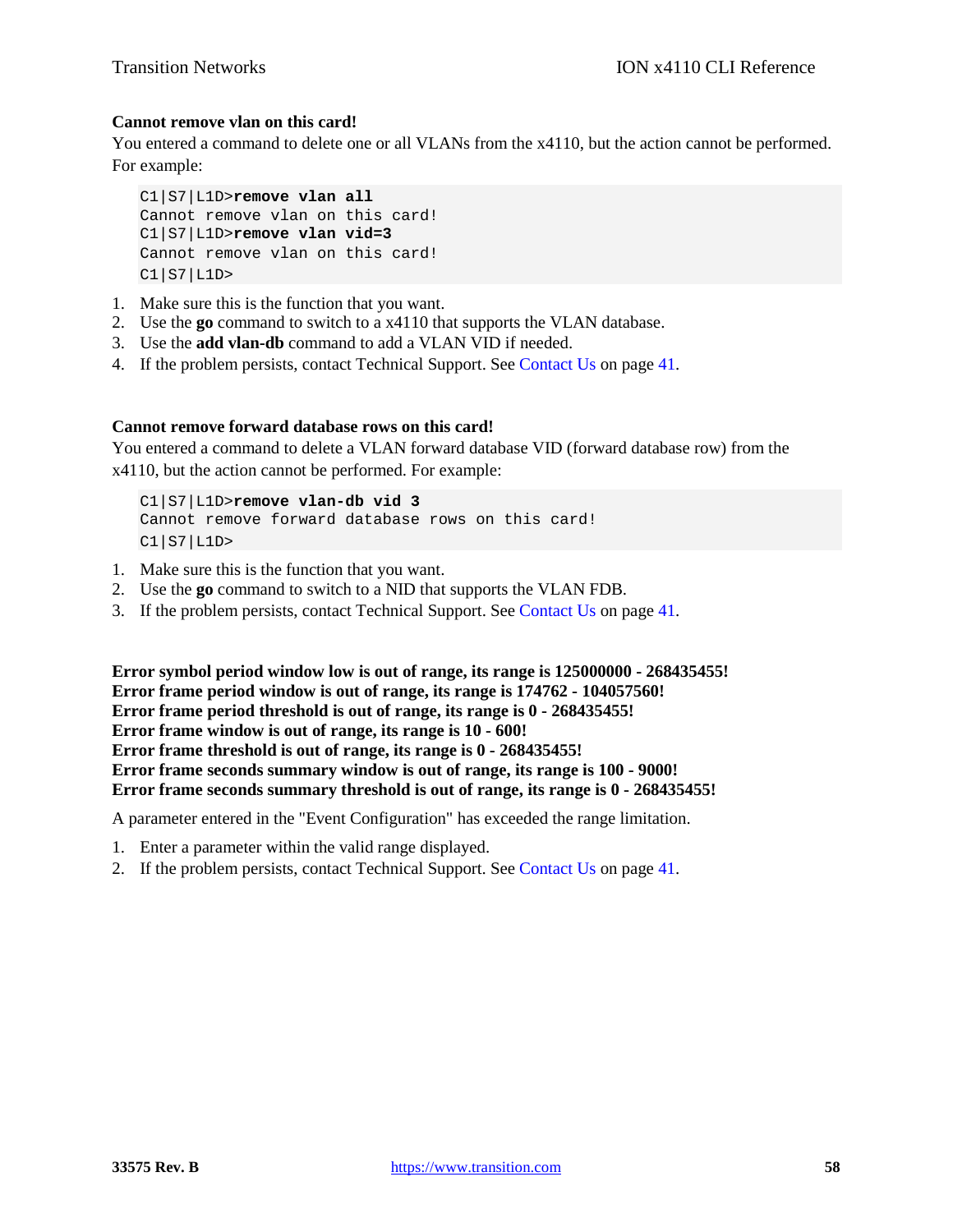# **Cannot remove vlan on this card!**

You entered a command to delete one or all VLANs from the x4110, but the action cannot be performed. For example:

```
C1|S7|L1D>remove vlan all
Cannot remove vlan on this card!
C1|S7|L1D>remove vlan vid=3
Cannot remove vlan on this card!
C1|S7|L1D>
```
- 1. Make sure this is the function that you want.
- 2. Use the **go** command to switch to a x4110 that supports the VLAN database.
- 3. Use the **add vlan-db** command to add a VLAN VID if needed.
- 4. If the problem persists, contact Technical Support. See Contact Us on page 41.

### **Cannot remove forward database rows on this card!**

You entered a command to delete a VLAN forward database VID (forward database row) from the x4110, but the action cannot be performed. For example:

C1|S7|L1D>**remove vlan-db vid 3** Cannot remove forward database rows on this card! C1|S7|L1D>

- 1. Make sure this is the function that you want.
- 2. Use the **go** command to switch to a NID that supports the VLAN FDB.
- 3. If the problem persists, contact Technical Support. See Contact Us on page 41.

**Error symbol period window low is out of range, its range is 125000000 - 268435455! Error frame period window is out of range, its range is 174762 - 104057560! Error frame period threshold is out of range, its range is 0 - 268435455! Error frame window is out of range, its range is 10 - 600! Error frame threshold is out of range, its range is 0 - 268435455! Error frame seconds summary window is out of range, its range is 100 - 9000! Error frame seconds summary threshold is out of range, its range is 0 - 268435455!**

A parameter entered in the "Event Configuration" has exceeded the range limitation.

- 1. Enter a parameter within the valid range displayed.
- 2. If the problem persists, contact Technical Support. See Contact Us on page 41.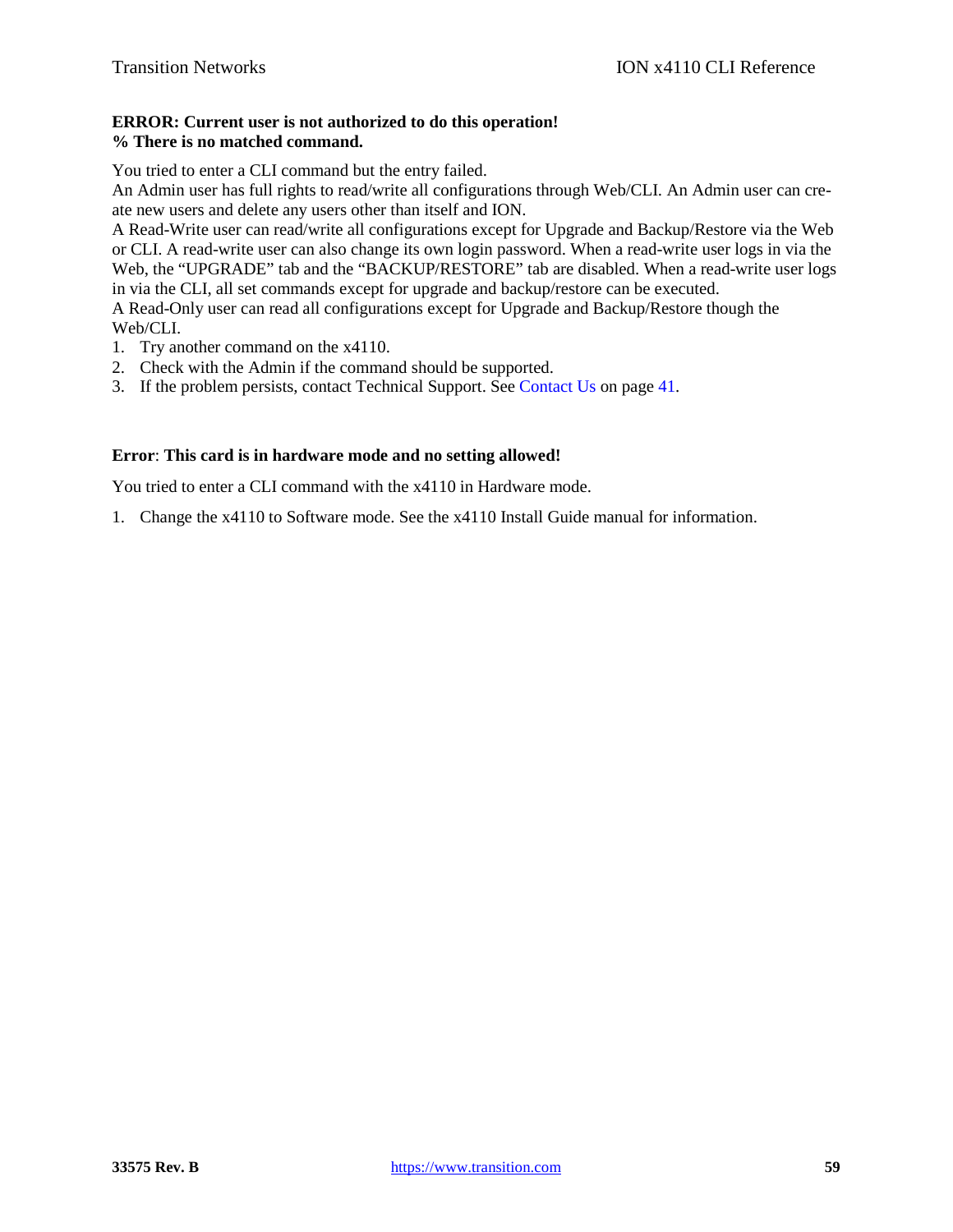# **ERROR: Current user is not authorized to do this operation! % There is no matched command.**

You tried to enter a CLI command but the entry failed.

An Admin user has full rights to read/write all configurations through Web/CLI. An Admin user can create new users and delete any users other than itself and ION.

A Read-Write user can read/write all configurations except for Upgrade and Backup/Restore via the Web or CLI. A read-write user can also change its own login password. When a read-write user logs in via the Web, the "UPGRADE" tab and the "BACKUP/RESTORE" tab are disabled. When a read-write user logs in via the CLI, all set commands except for upgrade and backup/restore can be executed.

A Read-Only user can read all configurations except for Upgrade and Backup/Restore though the Web/CLI.

- 1. Try another command on the x4110.
- 2. Check with the Admin if the command should be supported.
- 3. If the problem persists, contact Technical Support. See Contact Us on page 41.

# **Error**: **This card is in hardware mode and no setting allowed!**

You tried to enter a CLI command with the x4110 in Hardware mode.

1. Change the x4110 to Software mode. See the x4110 Install Guide manual for information.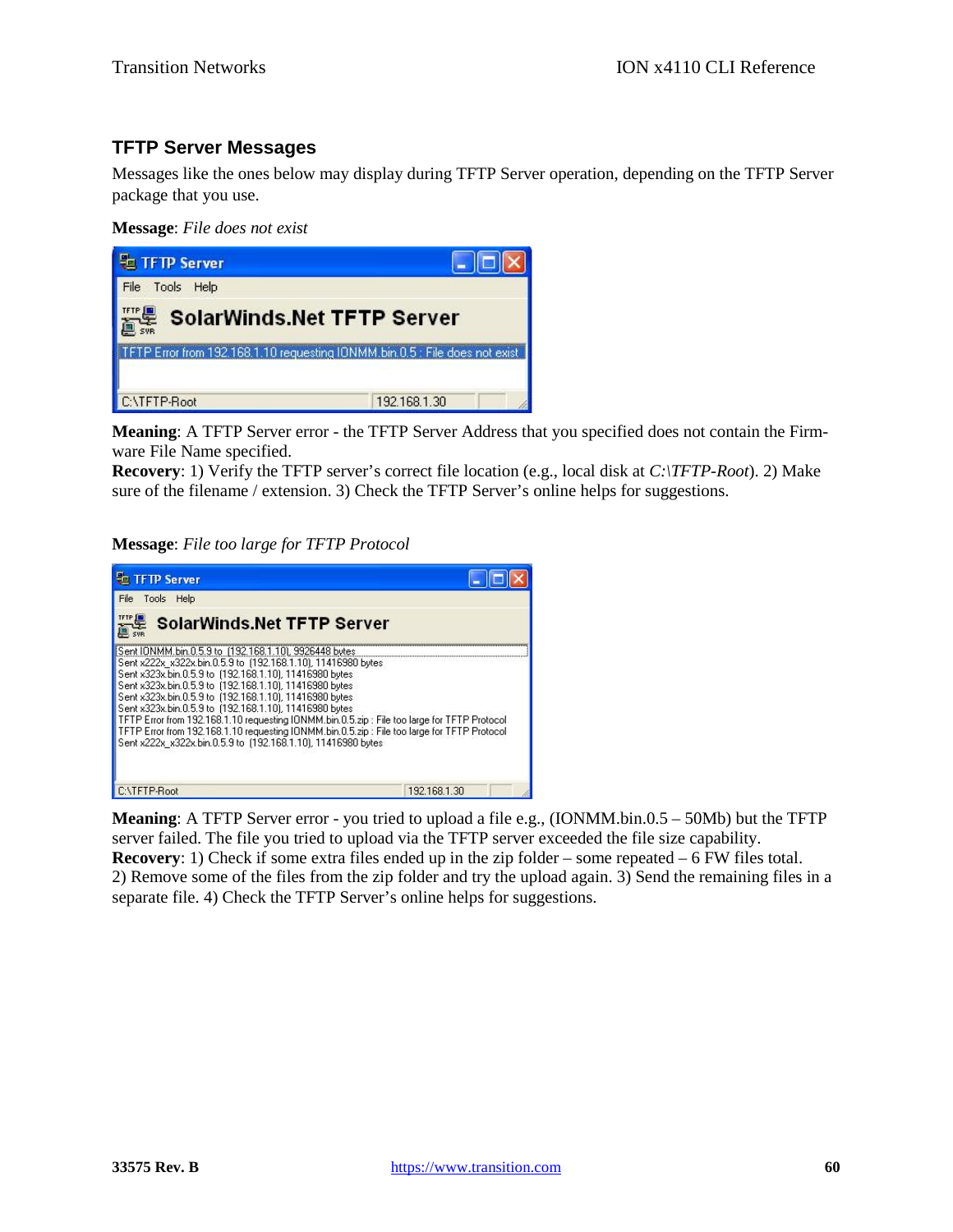# **TFTP Server Messages**

Messages like the ones below may display during TFTP Server operation, depending on the TFTP Server package that you use.

**Message**: *File does not exist*



**Meaning**: A TFTP Server error - the TFTP Server Address that you specified does not contain the Firmware File Name specified.

**Recovery**: 1) Verify the TFTP server's correct file location (e.g., local disk at *C:\TFTP-Root*). 2) Make sure of the filename / extension. 3) Check the TFTP Server's online helps for suggestions.

# **Message**: *File too large for TFTP Protocol*



**Meaning**: A TFTP Server error - you tried to upload a file e.g., (IONMM.bin.0.5 – 50Mb) but the TFTP server failed. The file you tried to upload via the TFTP server exceeded the file size capability. **Recovery**: 1) Check if some extra files ended up in the zip folder – some repeated – 6 FW files total. 2) Remove some of the files from the zip folder and try the upload again. 3) Send the remaining files in a separate file. 4) Check the TFTP Server's online helps for suggestions.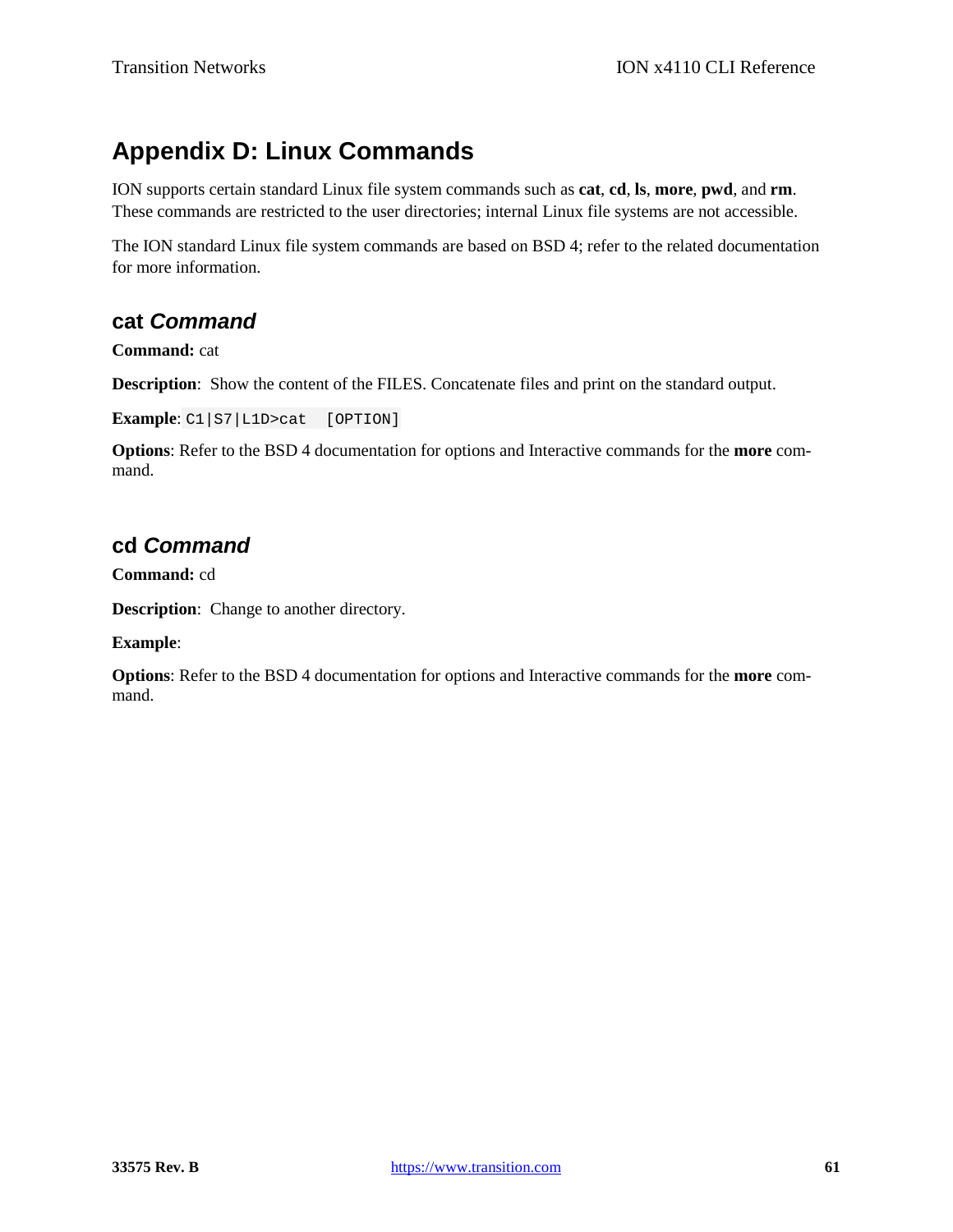# **Appendix D: Linux Commands**

ION supports certain standard Linux file system commands such as **cat**, **cd**, **ls**, **more**, **pwd**, and **rm**. These commands are restricted to the user directories; internal Linux file systems are not accessible.

The ION standard Linux file system commands are based on BSD 4; refer to the related documentation for more information.

# **cat** *Command*

**Command:** cat

**Description**: Show the content of the FILES. Concatenate files and print on the standard output.

**Example**: C1|S7|L1D>cat [OPTION]

**Options**: Refer to the BSD 4 documentation for options and Interactive commands for the **more** command.

# **cd** *Command*

**Command:** cd

**Description**: Change to another directory.

**Example**:

**Options**: Refer to the BSD 4 documentation for options and Interactive commands for the **more** command.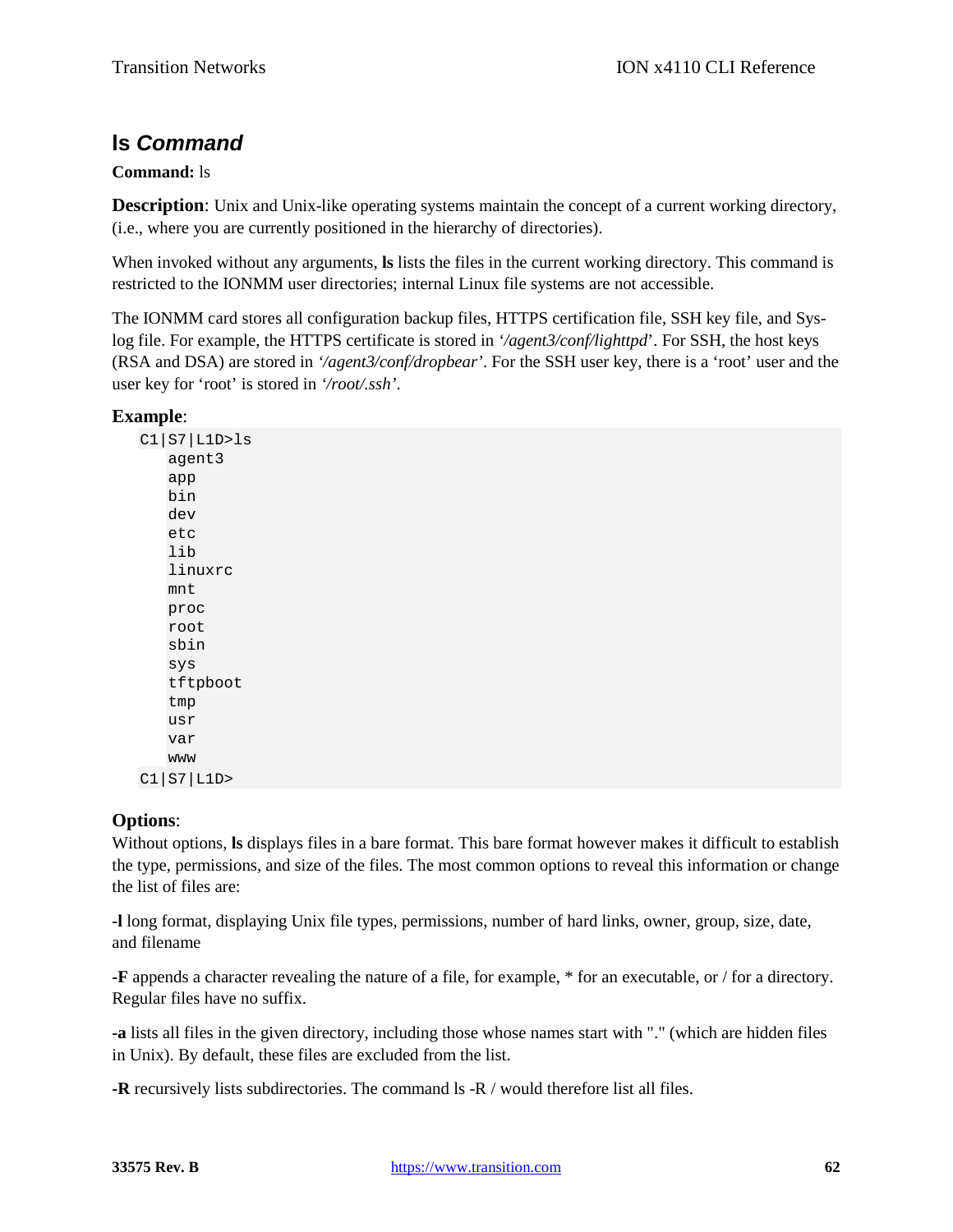# **ls** *Command*

# **Command:** ls

**Description**: Unix and Unix-like operating systems maintain the concept of a current working directory, (i.e., where you are currently positioned in the hierarchy of directories).

When invoked without any arguments, **ls** lists the files in the current working directory. This command is restricted to the IONMM user directories; internal Linux file systems are not accessible.

The IONMM card stores all configuration backup files, HTTPS certification file, SSH key file, and Syslog file. For example, the HTTPS certificate is stored in *'/agent3/conf/lighttpd*'. For SSH, the host keys (RSA and DSA) are stored in *'/agent3/conf/dropbear'*. For the SSH user key, there is a 'root' user and the user key for 'root' is stored in *'/root/.ssh'*.

# **Example**:

C1|S7|L1D>ls agent3 app bin dev etc lib linuxrc mnt proc root sbin sys tftpboot tmp usr var www C1|S7|L1D>

# **Options**:

Without options, **ls** displays files in a bare format. This bare format however makes it difficult to establish the type, permissions, and size of the files. The most common options to reveal this information or change the list of files are:

**-l** long format, displaying Unix file types, permissions, number of hard links, owner, group, size, date, and filename

**-F** appends a character revealing the nature of a file, for example, \* for an executable, or / for a directory. Regular files have no suffix.

**-a** lists all files in the given directory, including those whose names start with "." (which are hidden files in Unix). By default, these files are excluded from the list.

**-R** recursively lists subdirectories. The command ls -R / would therefore list all files.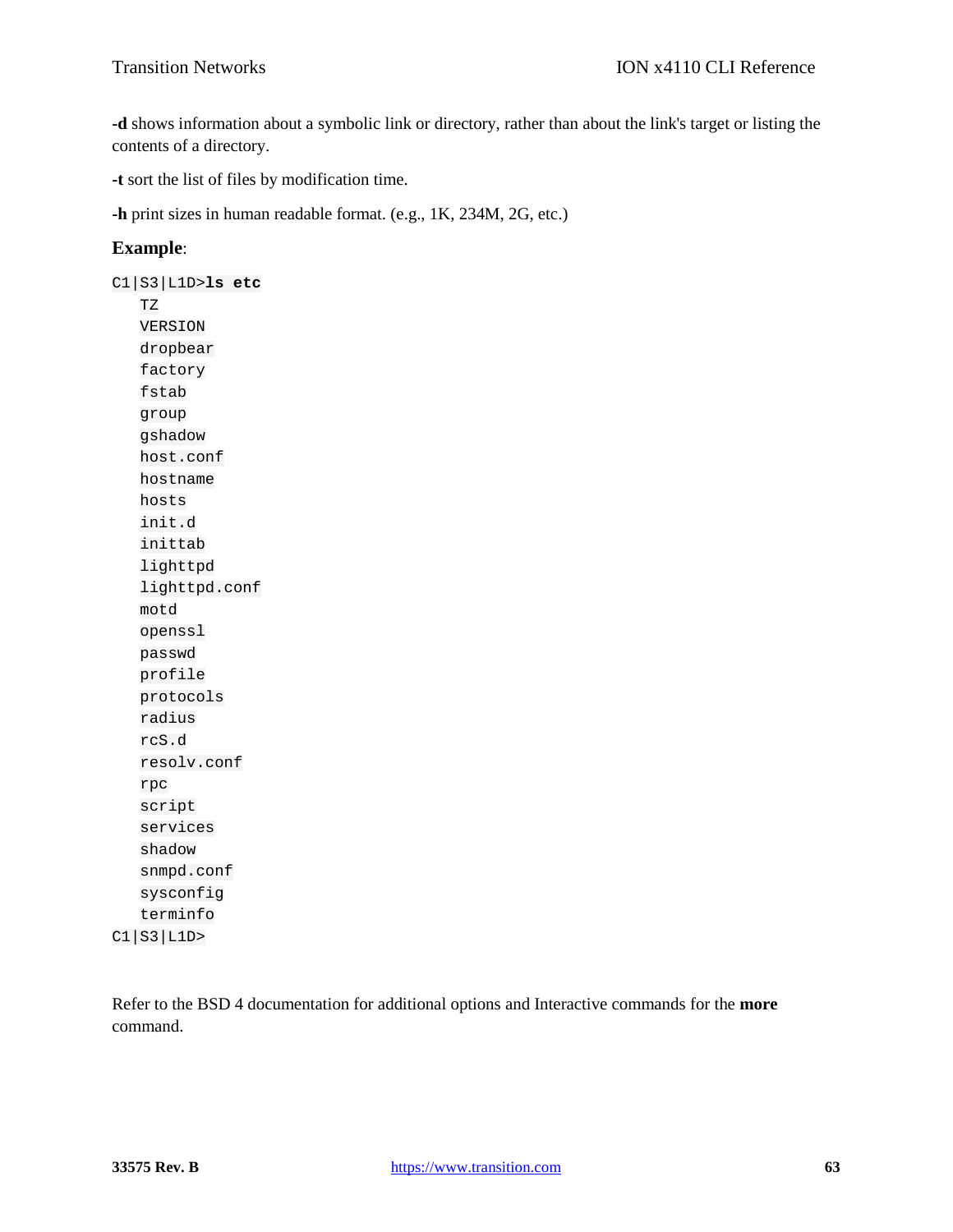**-d** shows information about a symbolic link or directory, rather than about the link's target or listing the contents of a directory.

**-t** sort the list of files by modification time.

**-h** print sizes in human readable format. (e.g., 1K, 234M, 2G, etc.)

# **Example**:

C1|S3|L1D>**ls etc** TZ VERSION dropbear factory fstab group gshadow host.conf hostname hosts init.d inittab lighttpd lighttpd.conf motd openssl passwd profile protocols radius rcS.d resolv.conf rpc script services shadow snmpd.conf sysconfig terminfo C1|S3|L1D>

Refer to the BSD 4 documentation for additional options and Interactive commands for the **more** command.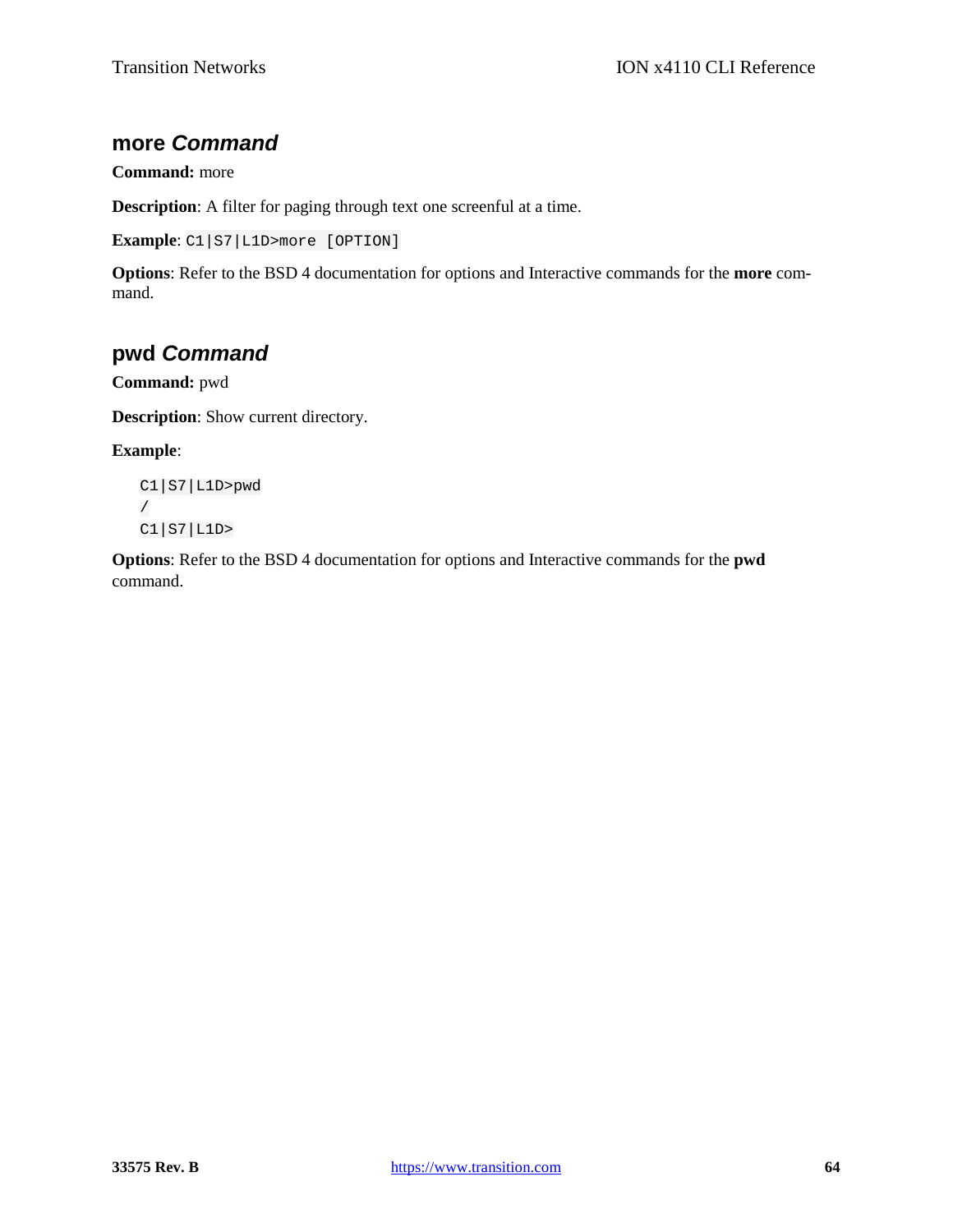# **more** *Command*

# **Command:** more

**Description**: A filter for paging through text one screenful at a time.

```
Example: C1|S7|L1D>more [OPTION]
```
**Options**: Refer to the BSD 4 documentation for options and Interactive commands for the **more** command.

# **pwd** *Command*

**Command:** pwd

**Description**: Show current directory.

### **Example**:

```
C1|S7|L1D>pwd
/
C1|S7|L1D>
```
**Options**: Refer to the BSD 4 documentation for options and Interactive commands for the **pwd** command.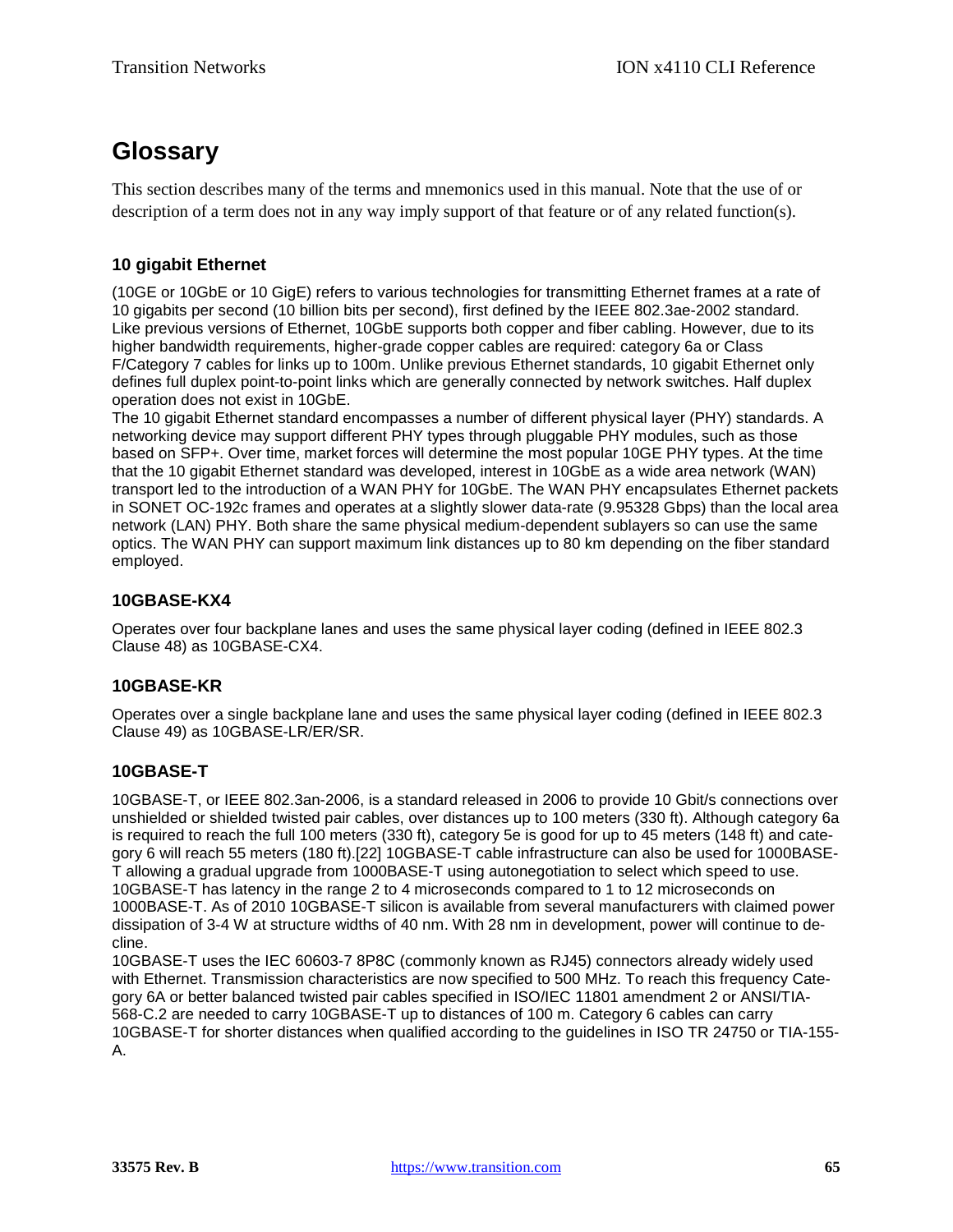# **Glossary**

This section describes many of the terms and mnemonics used in this manual. Note that the use of or description of a term does not in any way imply support of that feature or of any related function(s).

# **10 gigabit Ethernet**

(10GE or 10GbE or 10 GigE) refers to various technologies for transmitting Ethernet frames at a rate of 10 gigabits per second (10 billion bits per second), first defined by the IEEE 802.3ae-2002 standard. Like previous versions of Ethernet, 10GbE supports both copper and fiber cabling. However, due to its higher bandwidth requirements, higher-grade copper cables are required: category 6a or Class F/Category 7 cables for links up to 100m. Unlike previous Ethernet standards, 10 gigabit Ethernet only defines full duplex point-to-point links which are generally connected by network switches. Half duplex operation does not exist in 10GbE.

The 10 gigabit Ethernet standard encompasses a number of different physical layer (PHY) standards. A networking device may support different PHY types through pluggable PHY modules, such as those based on SFP+. Over time, market forces will determine the most popular 10GE PHY types. At the time that the 10 gigabit Ethernet standard was developed, interest in 10GbE as a wide area network (WAN) transport led to the introduction of a WAN PHY for 10GbE. The WAN PHY encapsulates Ethernet packets in SONET OC-192c frames and operates at a slightly slower data-rate (9.95328 Gbps) than the local area network (LAN) PHY. Both share the same physical medium-dependent sublayers so can use the same optics. The WAN PHY can support maximum link distances up to 80 km depending on the fiber standard employed.

# **10GBASE-KX4**

Operates over four backplane lanes and uses the same physical layer coding (defined in IEEE 802.3 Clause 48) as 10GBASE-CX4.

# **10GBASE-KR**

Operates over a single backplane lane and uses the same physical layer coding (defined in IEEE 802.3 Clause 49) as 10GBASE-LR/ER/SR.

# **10GBASE-T**

10GBASE-T, or IEEE 802.3an-2006, is a standard released in 2006 to provide 10 Gbit/s connections over unshielded or shielded twisted pair cables, over distances up to 100 meters (330 ft). Although category 6a is required to reach the full 100 meters (330 ft), category 5e is good for up to 45 meters (148 ft) and category 6 will reach 55 meters (180 ft).[22] 10GBASE-T cable infrastructure can also be used for 1000BASE-T allowing a gradual upgrade from 1000BASE-T using autonegotiation to select which speed to use. 10GBASE-T has latency in the range 2 to 4 microseconds compared to 1 to 12 microseconds on 1000BASE-T. As of 2010 10GBASE-T silicon is available from several manufacturers with claimed power dissipation of 3-4 W at structure widths of 40 nm. With 28 nm in development, power will continue to decline.

10GBASE-T uses the IEC 60603-7 8P8C (commonly known as RJ45) connectors already widely used with Ethernet. Transmission characteristics are now specified to 500 MHz. To reach this frequency Category 6A or better balanced twisted pair cables specified in ISO/IEC 11801 amendment 2 or ANSI/TIA-568-C.2 are needed to carry 10GBASE-T up to distances of 100 m. Category 6 cables can carry 10GBASE-T for shorter distances when qualified according to the guidelines in ISO TR 24750 or TIA-155- A.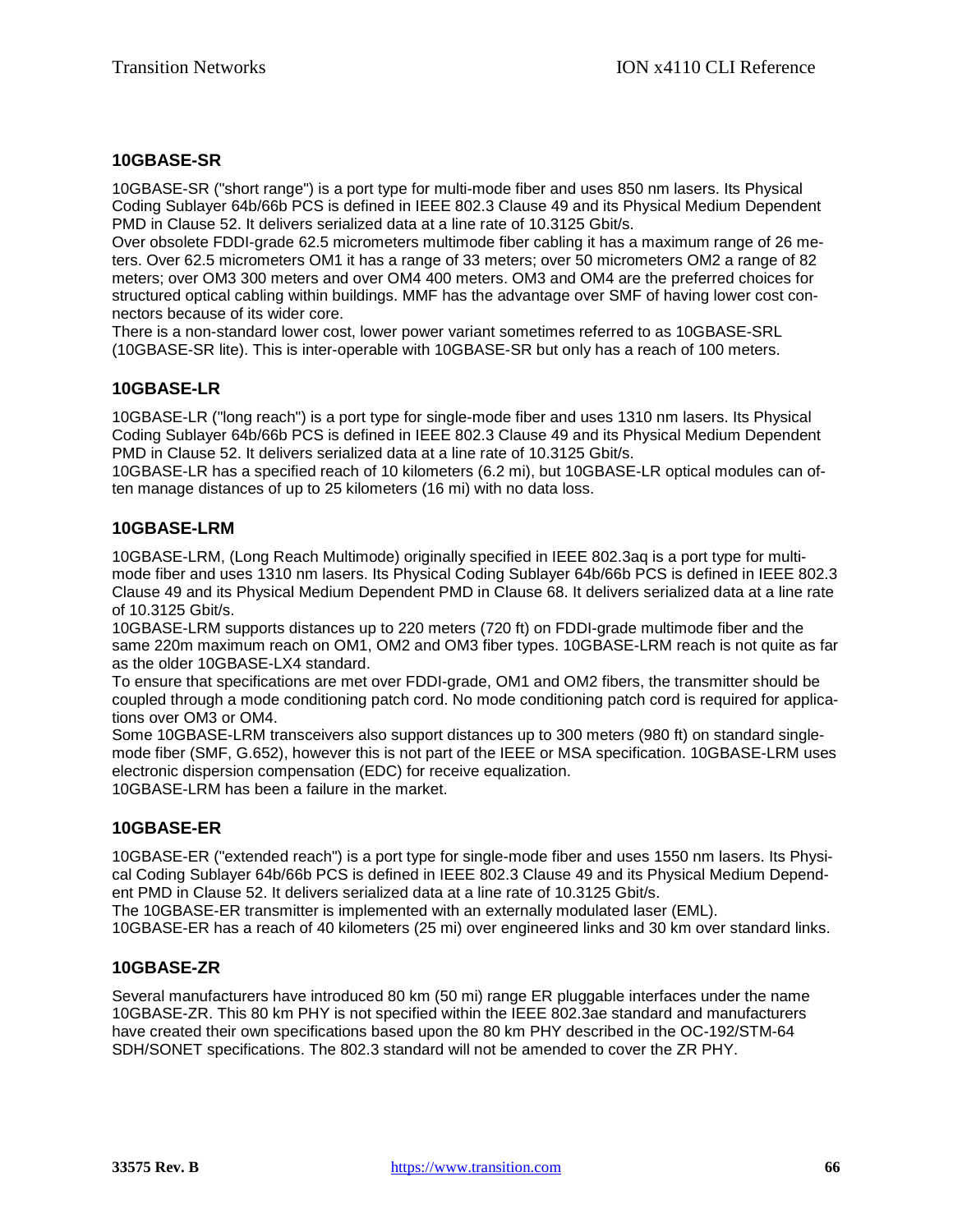# **10GBASE-SR**

10GBASE-SR ("short range") is a port type for multi-mode fiber and uses 850 nm lasers. Its Physical Coding Sublayer 64b/66b PCS is defined in IEEE 802.3 Clause 49 and its Physical Medium Dependent PMD in Clause 52. It delivers serialized data at a line rate of 10.3125 Gbit/s.

Over obsolete FDDI-grade 62.5 micrometers multimode fiber cabling it has a maximum range of 26 meters. Over 62.5 micrometers OM1 it has a range of 33 meters; over 50 micrometers OM2 a range of 82 meters; over OM3 300 meters and over OM4 400 meters. OM3 and OM4 are the preferred choices for structured optical cabling within buildings. MMF has the advantage over SMF of having lower cost connectors because of its wider core.

There is a non-standard lower cost, lower power variant sometimes referred to as 10GBASE-SRL (10GBASE-SR lite). This is inter-operable with 10GBASE-SR but only has a reach of 100 meters.

# **10GBASE-LR**

10GBASE-LR ("long reach") is a port type for single-mode fiber and uses 1310 nm lasers. Its Physical Coding Sublayer 64b/66b PCS is defined in IEEE 802.3 Clause 49 and its Physical Medium Dependent PMD in Clause 52. It delivers serialized data at a line rate of 10.3125 Gbit/s.

10GBASE-LR has a specified reach of 10 kilometers (6.2 mi), but 10GBASE-LR optical modules can often manage distances of up to 25 kilometers (16 mi) with no data loss.

# **10GBASE-LRM**

10GBASE-LRM, (Long Reach Multimode) originally specified in IEEE 802.3aq is a port type for multimode fiber and uses 1310 nm lasers. Its Physical Coding Sublayer 64b/66b PCS is defined in IEEE 802.3 Clause 49 and its Physical Medium Dependent PMD in Clause 68. It delivers serialized data at a line rate of 10.3125 Gbit/s.

10GBASE-LRM supports distances up to 220 meters (720 ft) on FDDI-grade multimode fiber and the same 220m maximum reach on OM1, OM2 and OM3 fiber types. 10GBASE-LRM reach is not quite as far as the older 10GBASE-LX4 standard.

To ensure that specifications are met over FDDI-grade, OM1 and OM2 fibers, the transmitter should be coupled through a mode conditioning patch cord. No mode conditioning patch cord is required for applications over OM3 or OM4.

Some 10GBASE-LRM transceivers also support distances up to 300 meters (980 ft) on standard singlemode fiber (SMF, G.652), however this is not part of the IEEE or MSA specification. 10GBASE-LRM uses electronic dispersion compensation (EDC) for receive equalization. 10GBASE-LRM has been a failure in the market.

# **10GBASE-ER**

10GBASE-ER ("extended reach") is a port type for single-mode fiber and uses 1550 nm lasers. Its Physical Coding Sublayer 64b/66b PCS is defined in IEEE 802.3 Clause 49 and its Physical Medium Dependent PMD in Clause 52. It delivers serialized data at a line rate of 10.3125 Gbit/s.

The 10GBASE-ER transmitter is implemented with an externally modulated laser (EML).

10GBASE-ER has a reach of 40 kilometers (25 mi) over engineered links and 30 km over standard links.

#### **10GBASE-ZR**

Several manufacturers have introduced 80 km (50 mi) range ER pluggable interfaces under the name 10GBASE-ZR. This 80 km PHY is not specified within the IEEE 802.3ae standard and manufacturers have created their own specifications based upon the 80 km PHY described in the OC-192/STM-64 SDH/SONET specifications. The 802.3 standard will not be amended to cover the ZR PHY.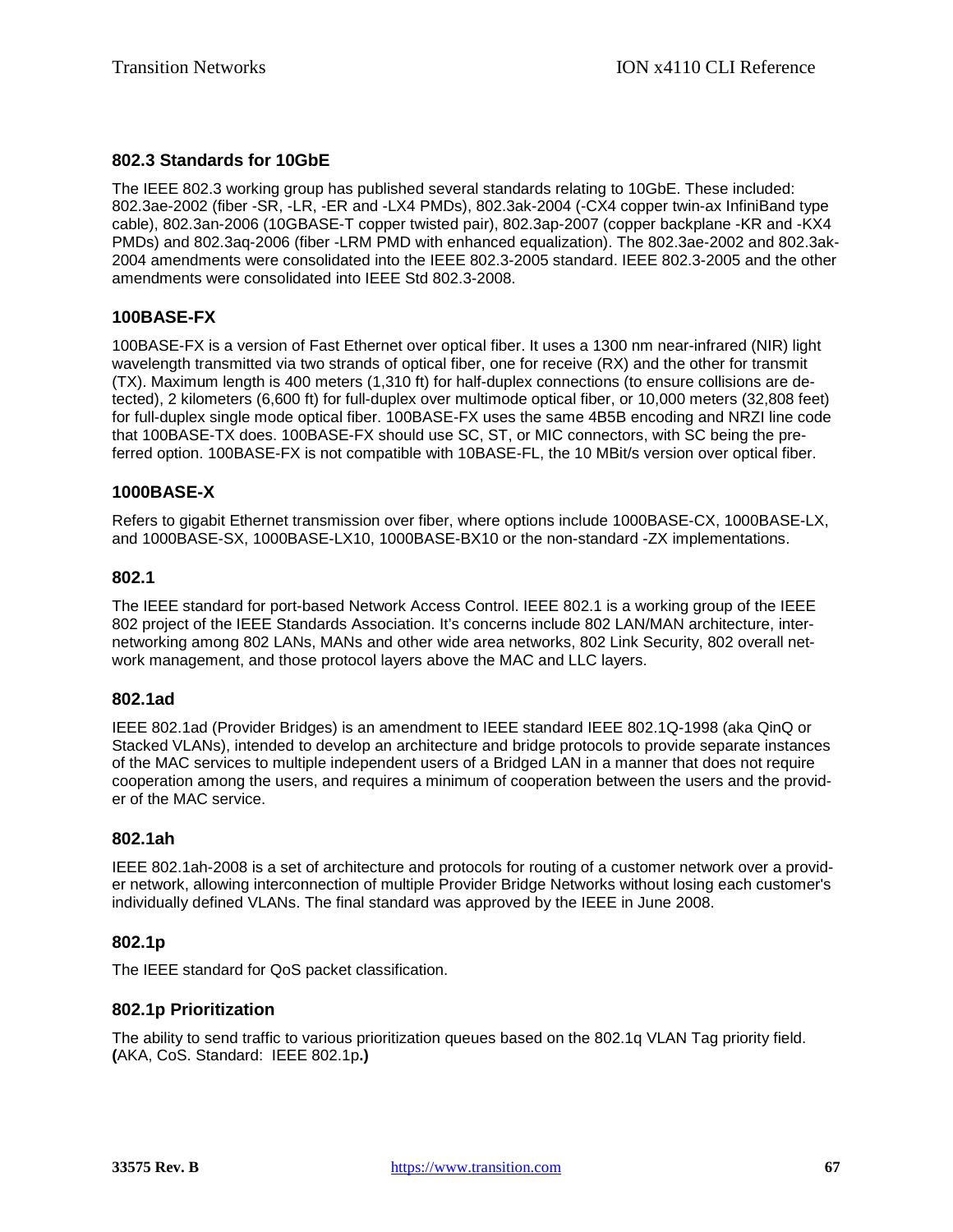# **802.3 Standards for 10GbE**

The IEEE 802.3 working group has published several standards relating to 10GbE. These included: 802.3ae-2002 (fiber -SR, -LR, -ER and -LX4 PMDs), 802.3ak-2004 (-CX4 copper twin-ax InfiniBand type cable), 802.3an-2006 (10GBASE-T copper twisted pair), 802.3ap-2007 (copper backplane -KR and -KX4 PMDs) and 802.3aq-2006 (fiber -LRM PMD with enhanced equalization). The 802.3ae-2002 and 802.3ak-2004 amendments were consolidated into the IEEE 802.3-2005 standard. IEEE 802.3-2005 and the other amendments were consolidated into IEEE Std 802.3-2008.

# **100BASE-FX**

100BASE-FX is a version of Fast Ethernet over optical fiber. It uses a 1300 nm near-infrared (NIR) light wavelength transmitted via two strands of optical fiber, one for receive (RX) and the other for transmit (TX). Maximum length is 400 meters (1,310 ft) for half-duplex connections (to ensure collisions are detected), 2 kilometers (6,600 ft) for full-duplex over multimode optical fiber, or 10,000 meters (32,808 feet) for full-duplex single mode optical fiber. 100BASE-FX uses the same 4B5B encoding and NRZI line code that 100BASE-TX does. 100BASE-FX should use SC, ST, or MIC connectors, with SC being the preferred option. 100BASE-FX is not compatible with 10BASE-FL, the 10 MBit/s version over optical fiber.

### **1000BASE-X**

Refers to gigabit Ethernet transmission over fiber, where options include 1000BASE-CX, 1000BASE-LX, and 1000BASE-SX, 1000BASE-LX10, 1000BASE-BX10 or the non-standard -ZX implementations.

#### **802.1**

The IEEE standard for port-based Network Access Control. IEEE 802.1 is a working group of the IEEE 802 project of the IEEE Standards Association. It's concerns include 802 LAN/MAN architecture, internetworking among 802 LANs, MANs and other wide area networks, 802 Link Security, 802 overall network management, and those protocol layers above the MAC and LLC layers.

#### **802.1ad**

IEEE 802.1ad (Provider Bridges) is an amendment to IEEE standard IEEE 802.1Q-1998 (aka QinQ or Stacked VLANs), intended to develop an architecture and bridge protocols to provide separate instances of the MAC services to multiple independent users of a Bridged LAN in a manner that does not require cooperation among the users, and requires a minimum of cooperation between the users and the provider of the MAC service.

#### **802.1ah**

IEEE 802.1ah-2008 is a set of architecture and protocols for routing of a customer network over a provider network, allowing interconnection of multiple Provider Bridge Networks without losing each customer's individually defined VLANs. The final standard was approved by the IEEE in June 2008.

#### **802.1p**

The IEEE standard for QoS packet classification.

#### **802.1p Prioritization**

The ability to send traffic to various prioritization queues based on the 802.1q VLAN Tag priority field. **(**AKA, CoS. Standard: IEEE 802.1p**.)**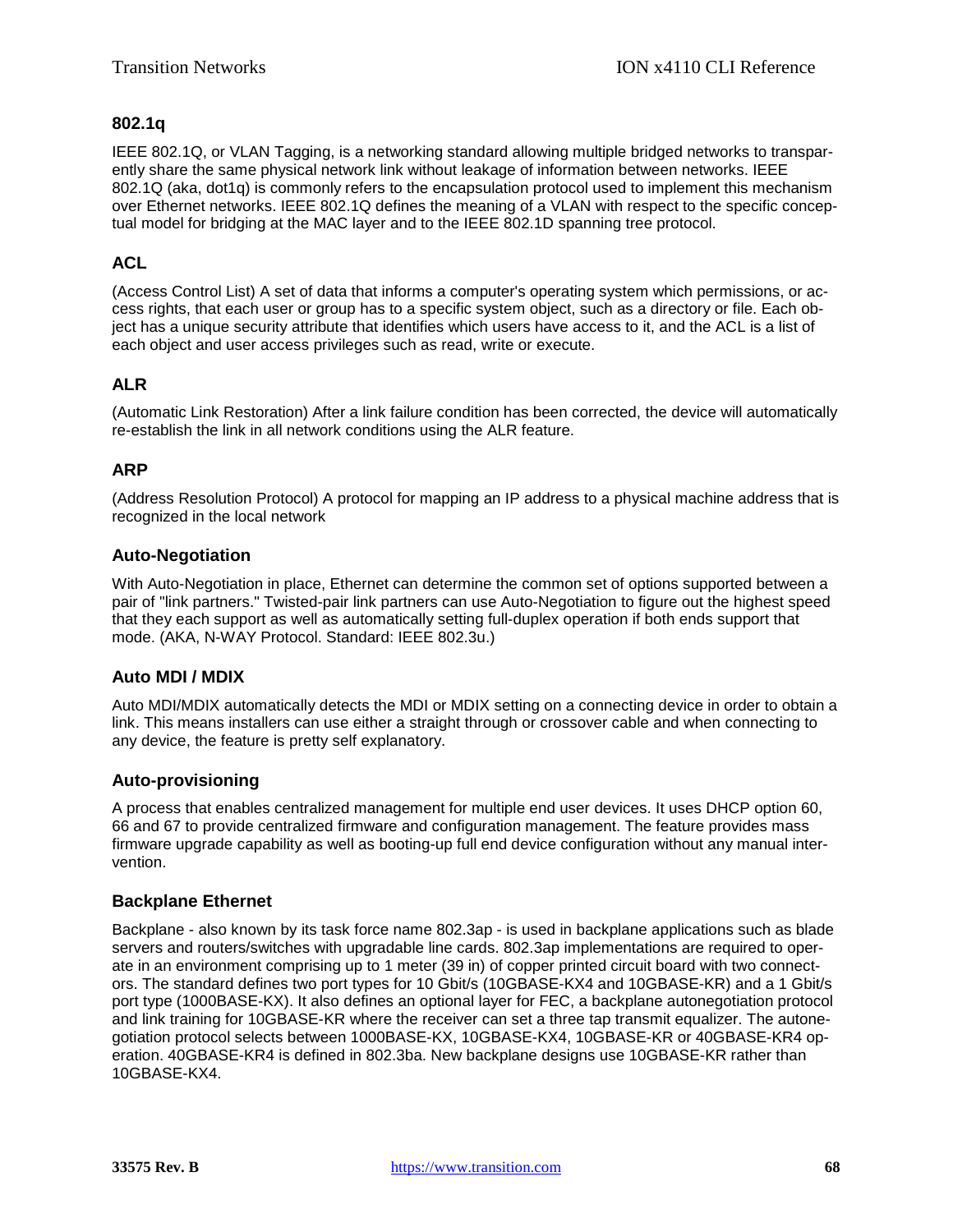# **802.1q**

IEEE 802.1Q, or VLAN Tagging, is a networking standard allowing multiple bridged networks to transparently share the same physical network link without leakage of information between networks. IEEE 802.1Q (aka, dot1q) is commonly refers to the encapsulation protocol used to implement this mechanism over Ethernet networks. IEEE 802.1Q defines the meaning of a VLAN with respect to the specific conceptual model for bridging at the MAC layer and to the IEEE 802.1D spanning tree protocol.

# **ACL**

(Access Control List) A set of data that informs a computer's operating system which permissions, or access rights, that each user or group has to a specific system object, such as a directory or file. Each object has a unique security attribute that identifies which users have access to it, and the ACL is a list of each object and user access privileges such as read, write or execute.

# **ALR**

(Automatic Link Restoration) After a link failure condition has been corrected, the device will automatically re-establish the link in all network conditions using the ALR feature.

# **ARP**

(Address Resolution Protocol) A protocol for mapping an [IP](#page-74-0) address to a physical machine address that is recognized in the local network

# **Auto-Negotiation**

With Auto-Negotiation in place, Ethernet can determine the common set of options supported between a pair of "link partners." Twisted-pair link partners can use Auto-Negotiation to figure out the highest speed that they each support as well as automatically setting full-duplex operation if both ends support that mode. (AKA, N-WAY Protocol. Standard: IEEE 802.3u.)

# **Auto MDI / MDIX**

Auto MDI/MDIX automatically detects the MDI or MDIX setting on a connecting device in order to obtain a link. This means installers can use either a straight through or crossover cable and when connecting to any device, the feature is pretty self explanatory.

# **Auto-provisioning**

A process that enables centralized management for multiple end user devices. It uses DHCP option 60, 66 and 67 to provide centralized firmware and configuration management. The feature provides mass firmware upgrade capability as well as booting-up full end device configuration without any manual intervention.

# **Backplane Ethernet**

Backplane - also known by its task force name 802.3ap - is used in backplane applications such as blade servers and routers/switches with upgradable line cards. 802.3ap implementations are required to operate in an environment comprising up to 1 meter (39 in) of copper printed circuit board with two connectors. The standard defines two port types for 10 Gbit/s (10GBASE-KX4 and 10GBASE-KR) and a 1 Gbit/s port type (1000BASE-KX). It also defines an optional layer for FEC, a backplane autonegotiation protocol and link training for 10GBASE-KR where the receiver can set a three tap transmit equalizer. The autonegotiation protocol selects between 1000BASE-KX, 10GBASE-KX4, 10GBASE-KR or 40GBASE-KR4 operation. 40GBASE-KR4 is defined in 802.3ba. New backplane designs use 10GBASE-KR rather than 10GBASE-KX4.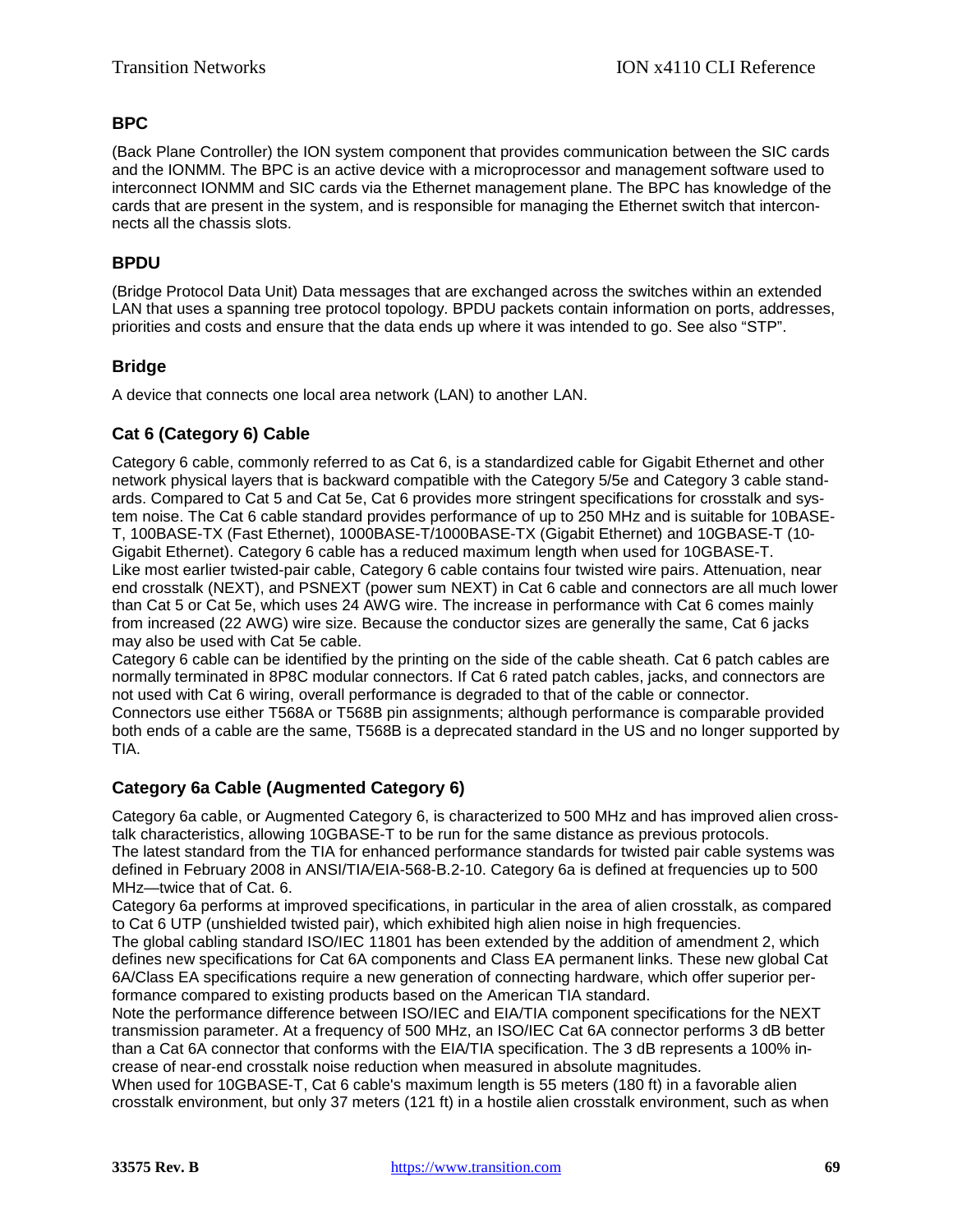# **BPC**

(Back Plane Controller) the ION system component that provides communication between the SIC cards and the IONMM. The BPC is an active device with a microprocessor and management software used to interconnect IONMM and SIC cards via the Ethernet management plane. The BPC has knowledge of the cards that are present in the system, and is responsible for managing the Ethernet switch that interconnects all the chassis slots.

# **BPDU**

(Bridge Protocol Data Unit) Data messages that are exchanged across the switches within an extended [LAN](#page-75-0) that uses a spanning tree protocol topology. BPDU packets contain information on ports, addresses, priorities and costs and ensure that the data ends up where it was intended to go. See also "STP".

# **Bridge**

A device that connects one local area network (LAN) to another LAN.

# **Cat 6 (Category 6) Cable**

Category 6 cable, commonly referred to as Cat 6, is a standardized cable for Gigabit Ethernet and other network physical layers that is backward compatible with the Category 5/5e and Category 3 cable standards. Compared to Cat 5 and Cat 5e, Cat 6 provides more stringent specifications for crosstalk and system noise. The Cat 6 cable standard provides performance of up to 250 MHz and is suitable for 10BASE-T, 100BASE-TX (Fast Ethernet), 1000BASE-T/1000BASE-TX (Gigabit Ethernet) and 10GBASE-T (10- Gigabit Ethernet). Category 6 cable has a reduced maximum length when used for 10GBASE-T. Like most earlier twisted-pair cable, Category 6 cable contains four twisted wire pairs. Attenuation, near end crosstalk (NEXT), and PSNEXT (power sum NEXT) in Cat 6 cable and connectors are all much lower than Cat 5 or Cat 5e, which uses 24 AWG wire. The increase in performance with Cat 6 comes mainly from increased (22 AWG) wire size. Because the conductor sizes are generally the same, Cat 6 jacks may also be used with Cat 5e cable.

Category 6 cable can be identified by the printing on the side of the cable sheath. Cat 6 patch cables are normally terminated in 8P8C modular connectors. If Cat 6 rated patch cables, jacks, and connectors are not used with Cat 6 wiring, overall performance is degraded to that of the cable or connector.

Connectors use either T568A or T568B pin assignments; although performance is comparable provided both ends of a cable are the same, T568B is a deprecated standard in the US and no longer supported by TIA.

# **Category 6a Cable (Augmented Category 6)**

Category 6a cable, or Augmented Category 6, is characterized to 500 MHz and has improved alien crosstalk characteristics, allowing 10GBASE-T to be run for the same distance as previous protocols. The latest standard from the TIA for enhanced performance standards for twisted pair cable systems was defined in February 2008 in ANSI/TIA/EIA-568-B.2-10. Category 6a is defined at frequencies up to 500 MHz—twice that of Cat. 6.

Category 6a performs at improved specifications, in particular in the area of alien crosstalk, as compared to Cat 6 UTP (unshielded twisted pair), which exhibited high alien noise in high frequencies.

The global cabling standard ISO/IEC 11801 has been extended by the addition of amendment 2, which defines new specifications for Cat 6A components and Class EA permanent links. These new global Cat 6A/Class EA specifications require a new generation of connecting hardware, which offer superior performance compared to existing products based on the American TIA standard.

Note the performance difference between ISO/IEC and EIA/TIA component specifications for the NEXT transmission parameter. At a frequency of 500 MHz, an ISO/IEC Cat 6A connector performs 3 dB better than a Cat 6A connector that conforms with the EIA/TIA specification. The 3 dB represents a 100% increase of near-end crosstalk noise reduction when measured in absolute magnitudes.

When used for 10GBASE-T, Cat 6 cable's maximum length is 55 meters (180 ft) in a favorable alien crosstalk environment, but only 37 meters (121 ft) in a hostile alien crosstalk environment, such as when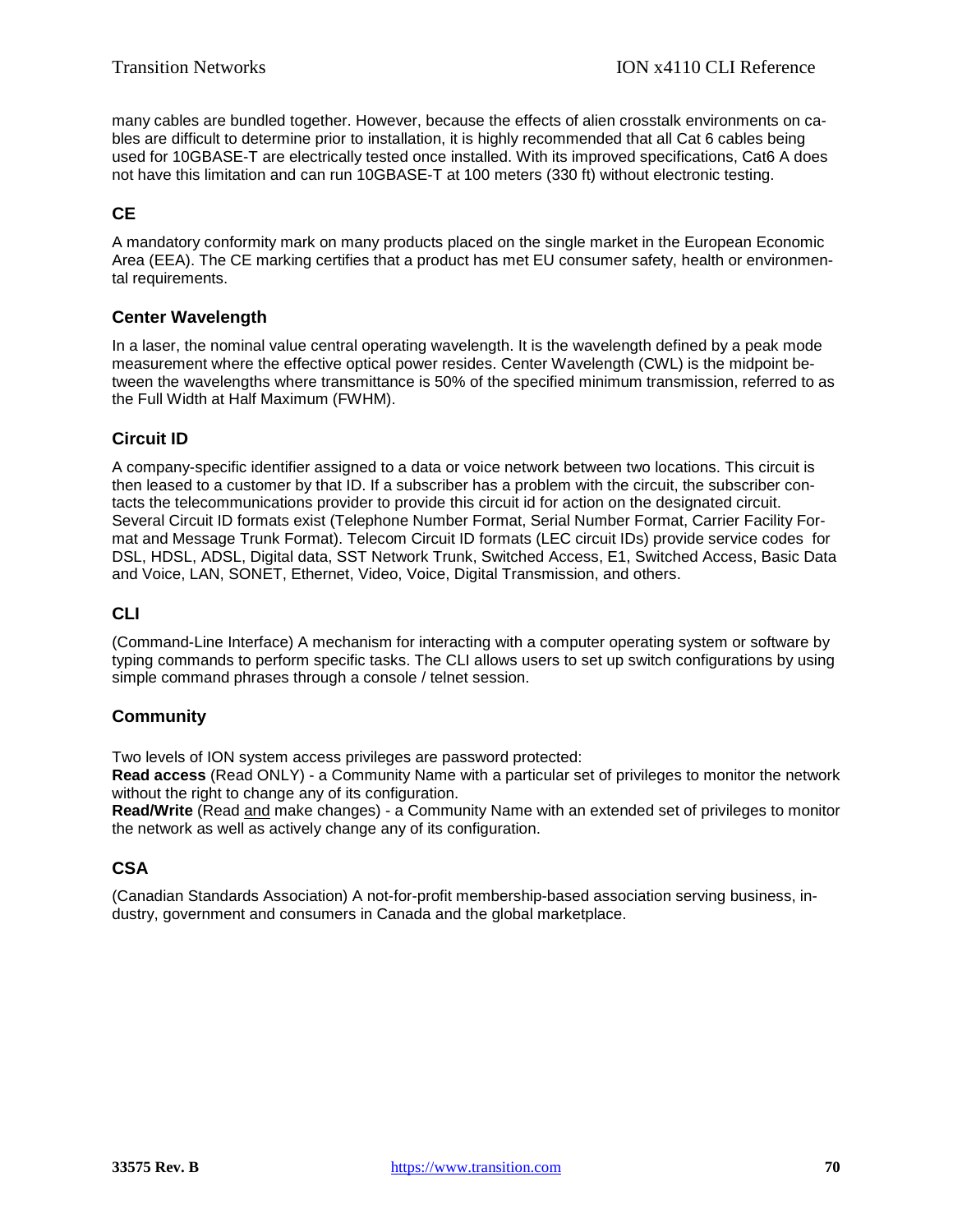many cables are bundled together. However, because the effects of alien crosstalk environments on cables are difficult to determine prior to installation, it is highly recommended that all Cat 6 cables being used for 10GBASE-T are electrically tested once installed. With its improved specifications, Cat6 A does not have this limitation and can run 10GBASE-T at 100 meters (330 ft) without electronic testing.

# **CE**

A mandatory conformity mark on many products placed on the single market in the European Economic Area (EEA). The CE marking certifies that a product has met EU consumer safety, health or environmental requirements.

# **Center Wavelength**

In a laser, the nominal value central operating wavelength. It is the wavelength defined by a peak mode measurement where the effective optical power resides. Center Wavelength (CWL) is the midpoint between the wavelengths where transmittance is 50% of the specified minimum transmission, referred to as the Full Width at Half Maximum (FWHM).

# **Circuit ID**

A company-specific identifier assigned to a data or voice network between two locations. This circuit is then leased to a customer by that ID. If a subscriber has a problem with the circuit, the subscriber contacts the telecommunications provider to provide this circuit id for action on the designated circuit. Several Circuit ID formats exist (Telephone Number Format, Serial Number Format, Carrier Facility Format and Message Trunk Format). Telecom Circuit ID formats (LEC circuit IDs) provide service codes for DSL, HDSL, ADSL, Digital data, SST Network Trunk, Switched Access, E1, Switched Access, Basic Data and Voice, LAN, SONET, Ethernet, Video, Voice, Digital Transmission, and others.

# **CLI**

(Command-Line Interface) A mechanism for interacting with a computer operating system or software by typing commands to perform specific tasks. The CLI allows users to set up switch configurations by using simple command phrases through a console / telnet session.

# **Community**

Two levels of ION system access privileges are password protected:

**Read access** (Read ONLY) - a Community Name with a particular set of privileges to monitor the network without the right to change any of its configuration.

**Read/Write** (Read and make changes) - a Community Name with an extended set of privileges to monitor the network as well as actively change any of its configuration.

# **CSA**

(Canadian Standards Association) A not-for-profit membership-based association serving business, industry, government and consumers in Canada and the global marketplace.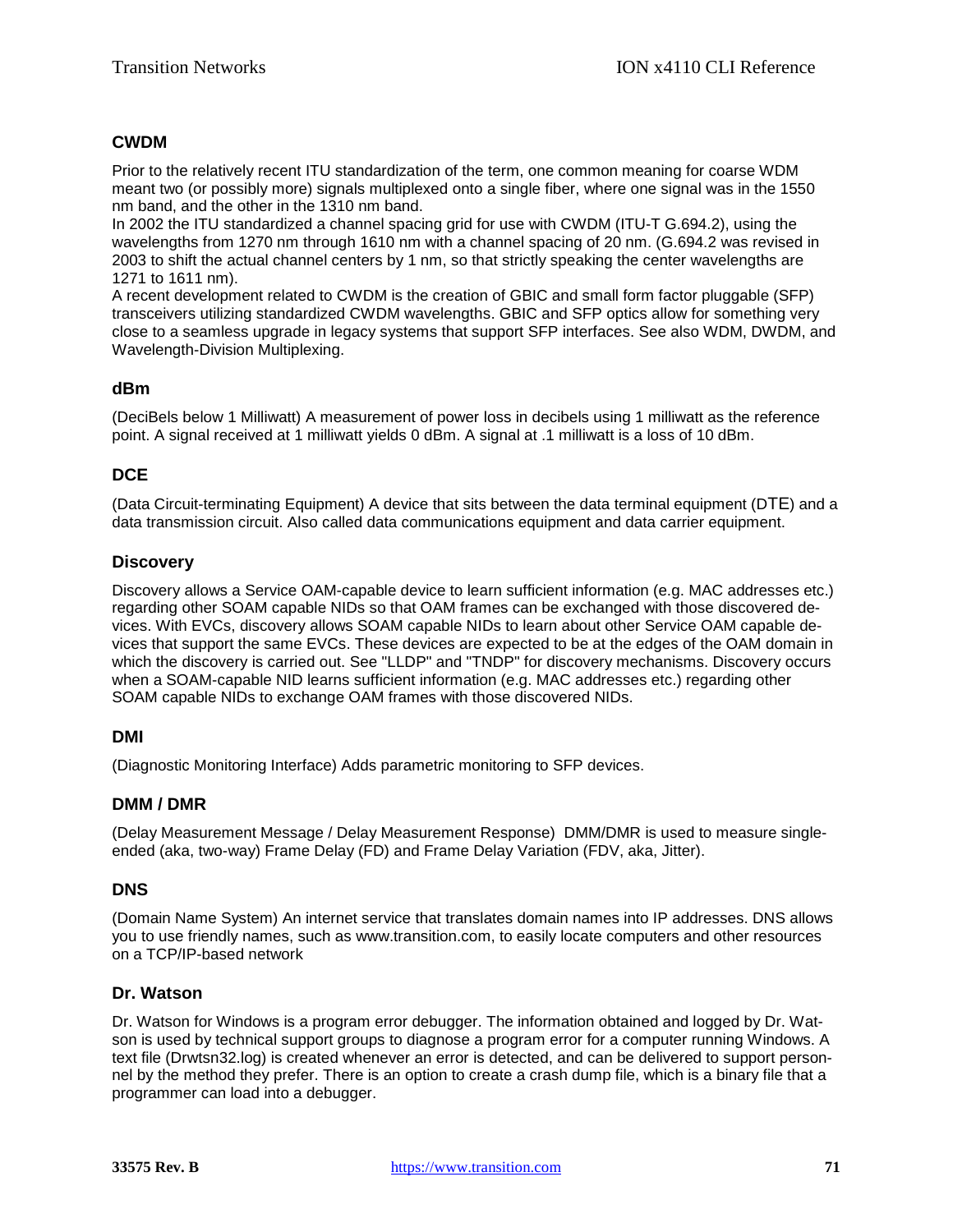# **CWDM**

Prior to the relatively recent ITU standardization of the term, one common meaning for coarse WDM meant two (or possibly more) signals multiplexed onto a single fiber, where one signal was in the 1550 nm band, and the other in the 1310 nm band.

In 2002 the ITU standardized a channel spacing grid for use with CWDM (ITU-T G.694.2), using the wavelengths from 1270 nm through 1610 nm with a channel spacing of 20 nm. (G.694.2 was revised in 2003 to shift the actual channel centers by 1 nm, so that strictly speaking the center wavelengths are 1271 to 1611 nm).

A recent development related to CWDM is the creation of GBIC and small form factor pluggable (SFP) transceivers utilizing standardized CWDM wavelengths. GBIC and SFP optics allow for something very close to a seamless upgrade in legacy systems that support SFP interfaces. See also WDM, DWDM, and Wavelength-Division Multiplexing.

# **dBm**

(DeciBels below 1 Milliwatt) A measurement of power loss in decibels using 1 milliwatt as the reference point. A signal received at 1 milliwatt yields 0 dBm. A signal at .1 milliwatt is a loss of 10 dBm.

# **DCE**

(Data Circuit-terminating Equipment) A device that sits between the data terminal equipment (DTE) and a data transmission circuit. Also called data communications equipment and data carrier equipment.

# **Discovery**

Discovery allows a Service OAM-capable device to learn sufficient information (e.g. MAC addresses etc.) regarding other SOAM capable NIDs so that OAM frames can be exchanged with those discovered devices. With EVCs, discovery allows SOAM capable NIDs to learn about other Service OAM capable devices that support the same EVCs. These devices are expected to be at the edges of the OAM domain in which the discovery is carried out. See "LLDP" and "TNDP" for discovery mechanisms. Discovery occurs when a SOAM-capable NID learns sufficient information (e.g. MAC addresses etc.) regarding other SOAM capable NIDs to exchange OAM frames with those discovered NIDs.

# **DMI**

(Diagnostic Monitoring Interface) Adds parametric monitoring to SFP devices.

# **DMM / DMR**

(Delay Measurement Message / Delay Measurement Response) DMM/DMR is used to measure singleended (aka, two-way) Frame Delay (FD) and Frame Delay Variation (FDV, aka, Jitter).

# **DNS**

(Domain Name System) An internet service that translates domain names into [IP](#page-74-0) addresses. DNS allows you to use friendly names, such as www.transition.com, to easily locate computers and other resources on a [TCP/IP-](#page-79-0)based network

# **Dr. Watson**

Dr. Watson for Windows is a program error debugger. The information obtained and logged by Dr. Watson is used by technical support groups to diagnose a program error for a computer running Windows. A text file (Drwtsn32.log) is created whenever an error is detected, and can be delivered to support personnel by the method they prefer. There is an option to create a crash dump file, which is a binary file that a programmer can load into a debugger.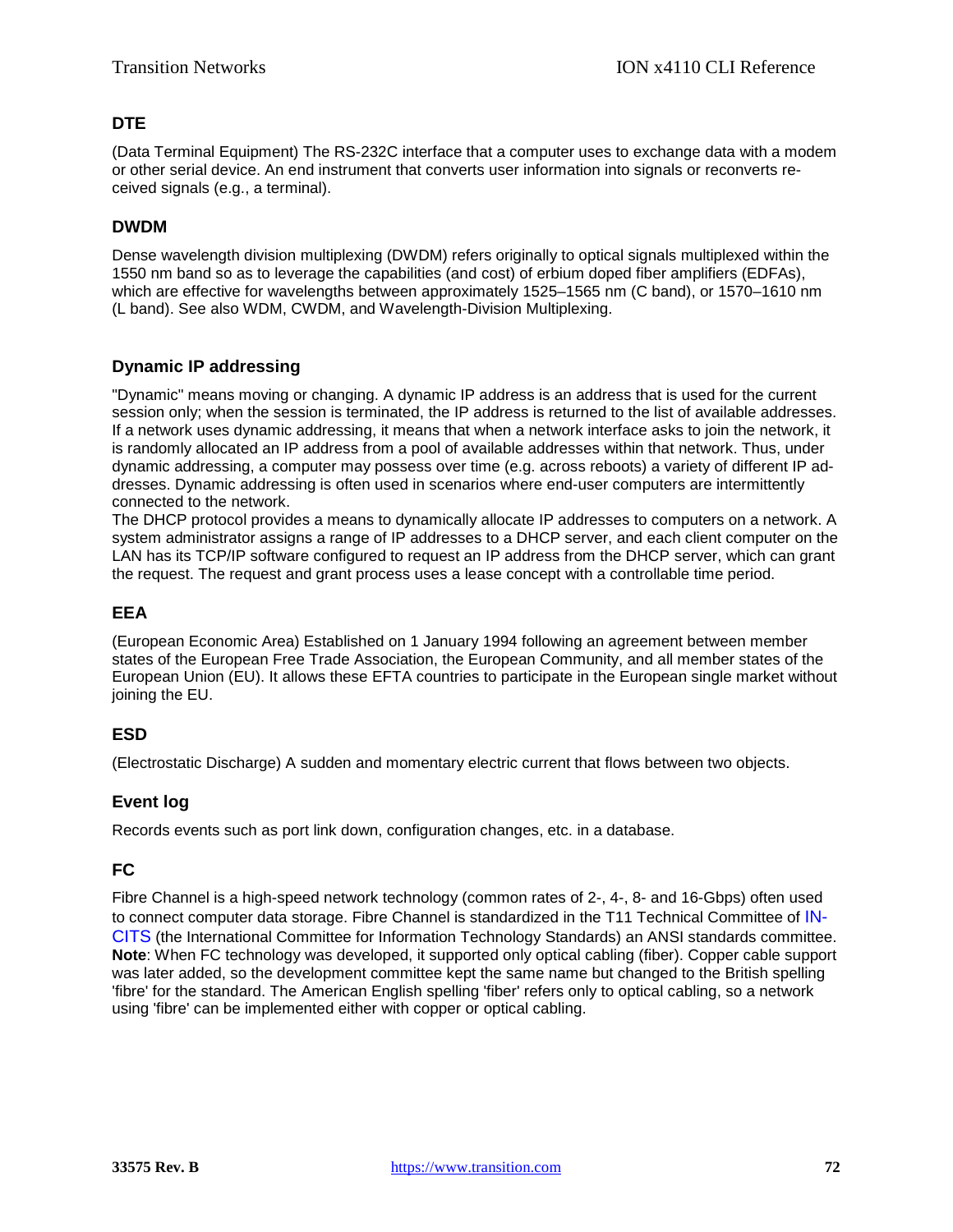# **DTE**

(Data Terminal Equipment) The RS-232C interface that a computer uses to exchange data with a modem or other serial device. An end instrument that converts user information into signals or reconverts received signals (e.g., a terminal).

# **DWDM**

Dense wavelength division multiplexing (DWDM) refers originally to optical signals multiplexed within the 1550 nm band so as to leverage the capabilities (and cost) of erbium doped fiber amplifiers (EDFAs), which are effective for wavelengths between approximately 1525–1565 nm (C band), or 1570–1610 nm (L band). See also WDM, CWDM, and Wavelength-Division Multiplexing.

# **Dynamic IP addressing**

"Dynamic" means moving or changing. A dynamic IP address is an address that is used for the current session only; when the session is terminated, the IP address is returned to the list of available addresses. If a network uses dynamic addressing, it means that when a network interface asks to join the network, it is randomly allocated an IP address from a pool of available addresses within that network. Thus, under dynamic addressing, a computer may possess over time (e.g. across reboots) a variety of different IP addresses. Dynamic addressing is often used in scenarios where end-user computers are intermittently connected to the network.

The DHCP protocol provides a means to dynamically allocate IP addresses to computers on a network. A system administrator assigns a range of IP addresses to a DHCP server, and each client computer on the LAN has its TCP/IP software configured to request an IP address from the DHCP server, which can grant the request. The request and grant process uses a lease concept with a controllable time period.

# **EEA**

(European Economic Area) Established on 1 January 1994 following an agreement between member states of the European Free Trade Association, the European Community, and all member states of the European Union (EU). It allows these EFTA countries to participate in the European single market without joining the EU.

# **ESD**

(Electrostatic Discharge) A sudden and momentary electric current that flows between two objects.

# **Event log**

Records events such as port link down, configuration changes, etc. in a database.

# **FC**

Fibre Channel is a high-speed network technology (common rates of 2-, 4-, 8- and 16-Gbps) often used to connect computer data storage. Fibre Channel is standardized in the T11 Technical Committee of [IN-](http://www.incits.org/)[CITS](http://www.incits.org/) (the International Committee for Information Technology Standards) an ANSI standards committee. **Note**: When FC technology was developed, it supported only optical cabling (fiber). Copper cable support was later added, so the development committee kept the same name but changed to the British spelling 'fibre' for the standard. The American English spelling 'fiber' refers only to optical cabling, so a network using 'fibre' can be implemented either with copper or optical cabling.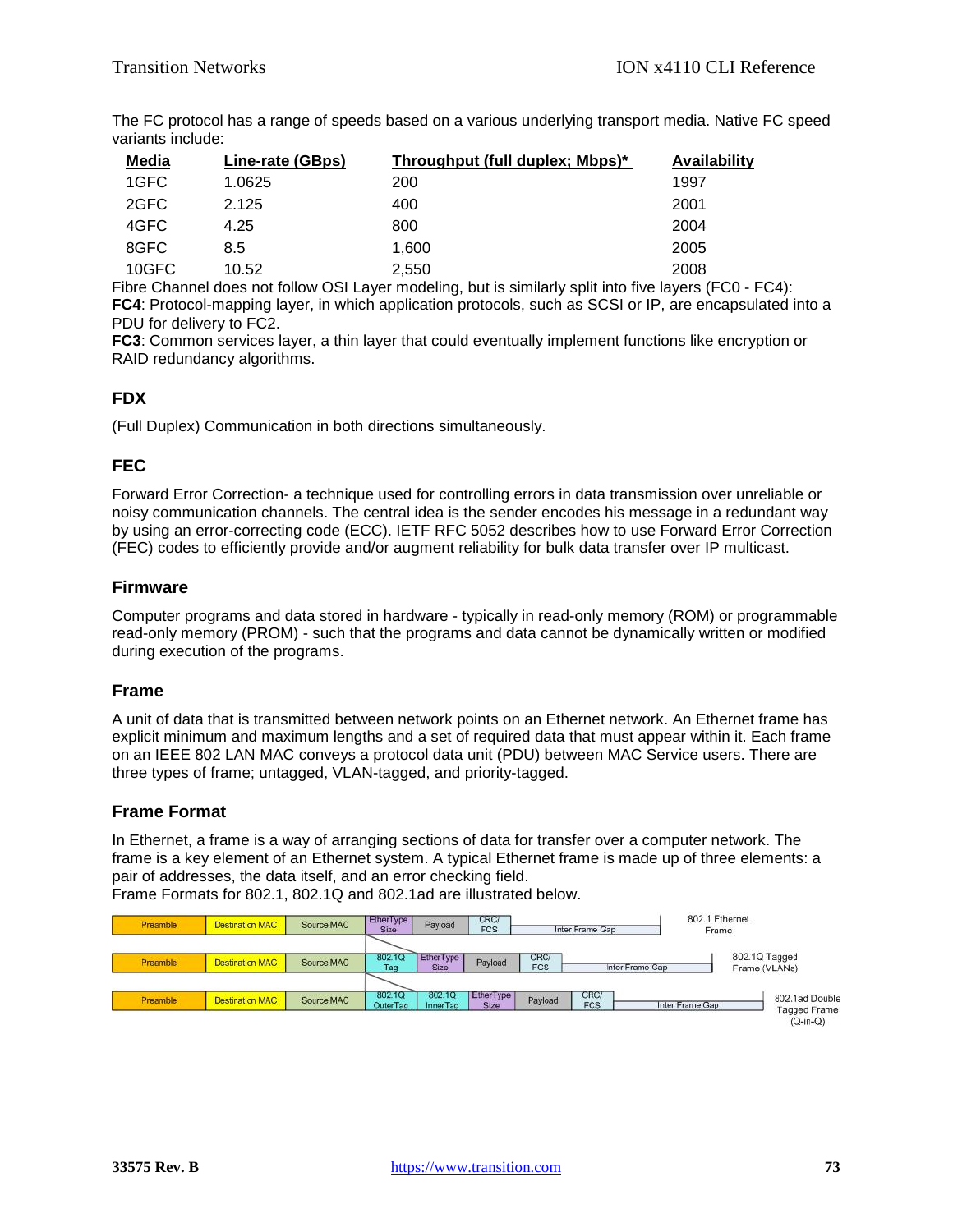The FC protocol has a range of speeds based on a various underlying transport media. Native FC speed variants include:

| Media | Line-rate (GBps) | Throughput (full duplex; Mbps)* | <b>Availability</b> |
|-------|------------------|---------------------------------|---------------------|
| 1GFC  | 1.0625           | 200                             | 1997                |
| 2GFC  | 2.125            | 400                             | 2001                |
| 4GFC  | 4.25             | 800                             | 2004                |
| 8GFC  | 8.5              | 1.600                           | 2005                |
| 10GFC | 10.52            | 2,550                           | 2008                |

Fibre Channel does not follow OSI Layer modeling, but is similarly split into five layers (FC0 - FC4): **FC4**: Protocol-mapping layer, in which application protocols, such as SCSI or IP, are encapsulated into a PDU for delivery to FC2.

**FC3**: Common services layer, a thin layer that could eventually implement functions like encryption or RAID redundancy algorithms.

# **FDX**

(Full Duplex) Communication in both directions simultaneously.

# **FEC**

Forward Error Correction- a technique used for controlling errors in data transmission over unreliable or noisy communication channels. The central idea is the sender encodes his message in a redundant way by using an error-correcting code (ECC). IETF RFC 5052 describes how to use Forward Error Correction (FEC) codes to efficiently provide and/or augment reliability for bulk data transfer over IP multicast.

## **Firmware**

Computer programs and data stored in hardware - typically in read-only memory (ROM) or programmable read-only memory (PROM) - such that the programs and data cannot be dynamically written or modified during execution of the programs.

# **Frame**

A unit of data that is transmitted between network points on an Ethernet network. An Ethernet frame has explicit minimum and maximum lengths and a set of required data that must appear within it. Each frame on an IEEE 802 LAN MAC conveys a protocol data unit (PDU) between MAC Service users. There are three types of frame; untagged, VLAN-tagged, and priority-tagged.

# **Frame Format**

In Ethernet, a frame is a way of arranging sections of data for transfer over a computer network. The frame is a key element of an Ethernet system. A typical Ethernet frame is made up of three elements: a pair of addresses, the data itself, and an error checking field. Frame Formats for 802.1, 802.1Q and 802.1ad are illustrated below.

802 1 Ethernet **EtherTyp** CRC/<br>FCS Preamble **Destination MAC** Source MAC Payload nter Frame Ga Size Frame 802.1Q Tagged **ERETA** EtherType CRC/<br>FCS Preamble **Destination MAC** Source MAC Payload Inter Frame Gan Tag Size Frame (VLANs) 802.1Q 802.1Q EtherType CRC **Destination MAC** Source MAC Payload 802.1ad Double Preamble OuterTag InnerTag Siz **FCS Inter Frame Gar** Tagged Frame  $(Q-in-Q)$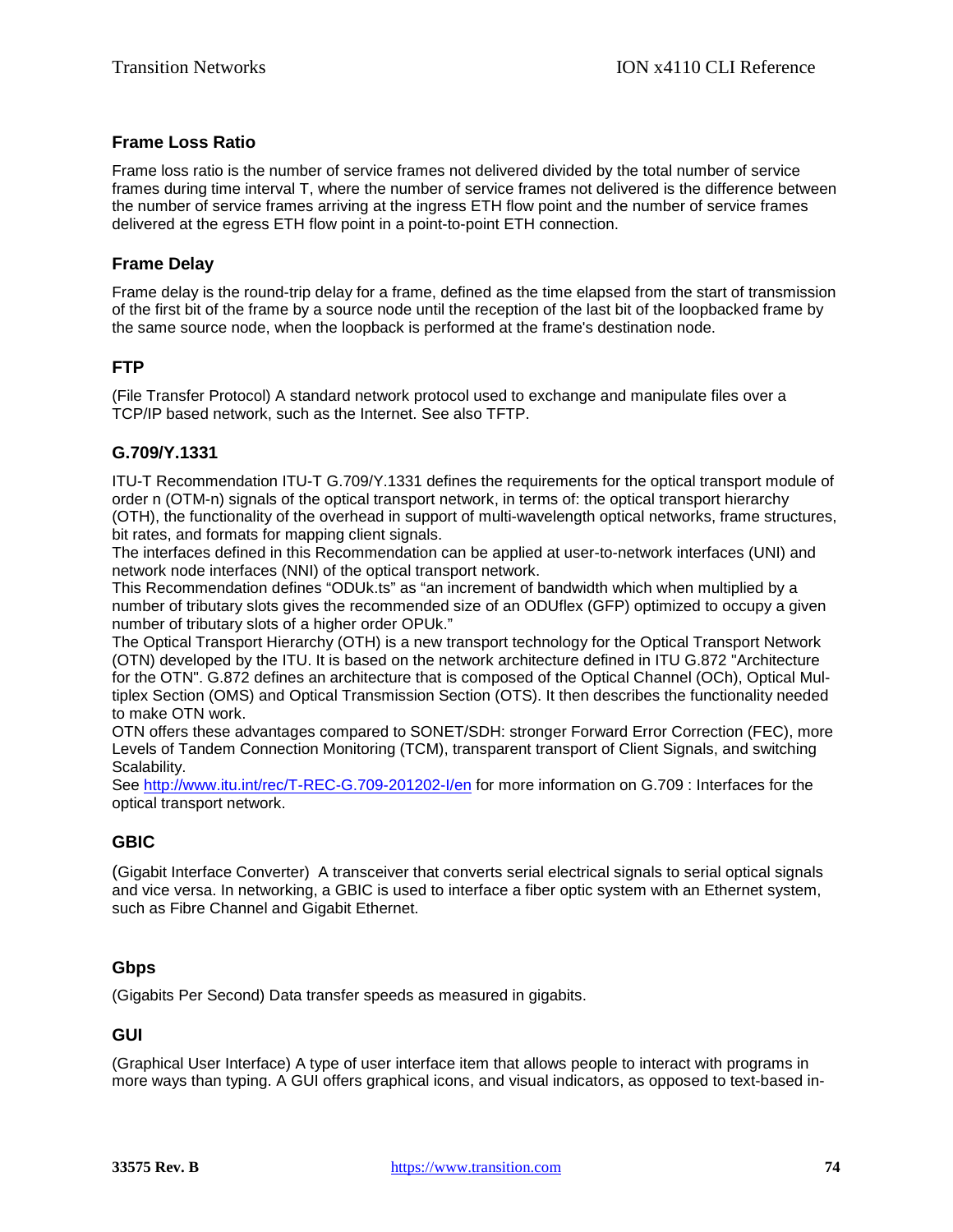## **Frame Loss Ratio**

Frame loss ratio is the number of service frames not delivered divided by the total number of service frames during time interval T, where the number of service frames not delivered is the difference between the number of service frames arriving at the ingress ETH flow point and the number of service frames delivered at the egress ETH flow point in a point-to-point ETH connection.

#### **Frame Delay**

Frame delay is the round-trip delay for a frame, defined as the time elapsed from the start of transmission of the first bit of the frame by a source node until the reception of the last bit of the loopbacked frame by the same source node, when the loopback is performed at the frame's destination node.

## <span id="page-73-0"></span>**FTP**

(File Transfer Protocol) A standard network protocol used to exchange and manipulate files over a [TCP/IP](#page-79-0) based network, such as the Internet. See also TFTP.

## **G.709/Y.1331**

ITU-T Recommendation ITU-T G.709/Y.1331 defines the requirements for the optical transport module of order n (OTM-n) signals of the optical transport network, in terms of: the optical transport hierarchy (OTH), the functionality of the overhead in support of multi-wavelength optical networks, frame structures, bit rates, and formats for mapping client signals.

The interfaces defined in this Recommendation can be applied at user-to-network interfaces (UNI) and network node interfaces (NNI) of the optical transport network.

This Recommendation defines "ODUk.ts" as "an increment of bandwidth which when multiplied by a number of tributary slots gives the recommended size of an ODUflex (GFP) optimized to occupy a given number of tributary slots of a higher order OPUk."

The Optical Transport Hierarchy (OTH) is a new transport technology for the Optical Transport Network (OTN) developed by the ITU. It is based on the network architecture defined in ITU G.872 "Architecture for the OTN". G.872 defines an architecture that is composed of the Optical Channel (OCh), Optical Multiplex Section (OMS) and Optical Transmission Section (OTS). It then describes the functionality needed to make OTN work.

OTN offers these advantages compared to SONET/SDH: stronger Forward Error Correction (FEC), more Levels of Tandem Connection Monitoring (TCM), transparent transport of Client Signals, and switching Scalability.

See<http://www.itu.int/rec/T-REC-G.709-201202-I/en> for more information on G.709 : Interfaces for the optical transport network.

# **GBIC**

(Gigabit Interface Converter) A transceiver that converts serial electrical signals to serial optical signals and vice versa. In networking, a GBIC is used to interface a fiber optic system with an Ethernet system, such as Fibre Channel and Gigabit Ethernet.

# **Gbps**

(Gigabits Per Second) Data transfer speeds as measured in gigabits.

#### **GUI**

(Graphical User Interface) A type of user interface item that allows people to interact with programs in more ways than typing. A GUI offers graphical icons, and visual indicators, as opposed to text-based in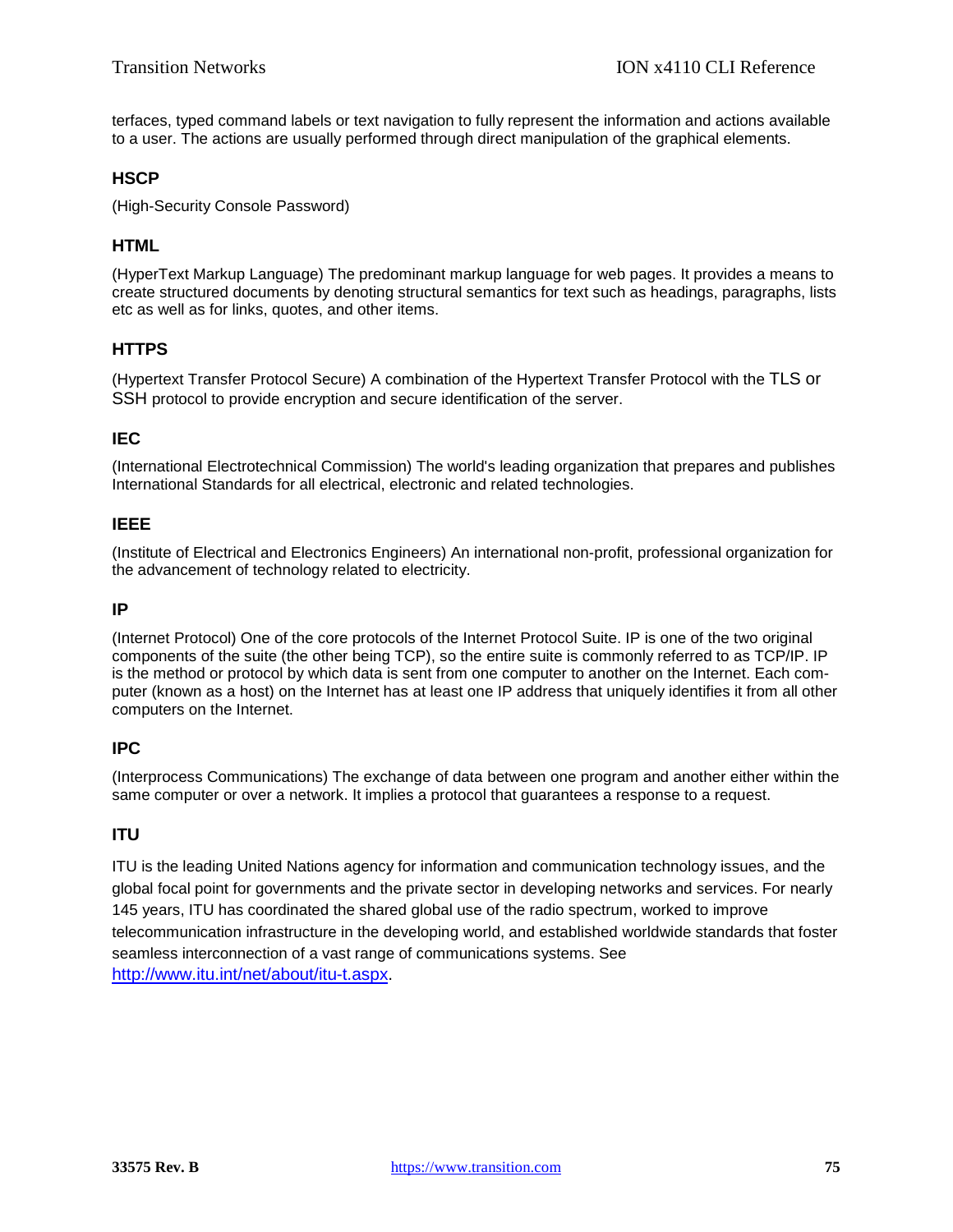terfaces, typed command labels or text navigation to fully represent the information and actions available to a user. The actions are usually performed through direct manipulation of the graphical elements.

## **HSCP**

(High-Security Console Password)

## **HTML**

(HyperText Markup Language) The predominant markup language for web pages. It provides a means to create structured documents by denoting structural semantics for text such as headings, paragraphs, lists etc as well as for links, quotes, and other items.

## **HTTPS**

(Hypertext Transfer Protocol Secure) A combination of the Hypertext Transfer Protocol with the TLS or SSH protocol to provide encryption and secure identification of the server.

# **IEC**

(International Electrotechnical Commission) The world's leading organization that prepares and publishes International Standards for all electrical, electronic and related technologies.

## **IEEE**

(Institute of Electrical and Electronics Engineers) An international non-profit, professional organization for the advancement of technology related to electricity.

## <span id="page-74-0"></span>**IP**

(Internet Protocol) One of the core protocols of the Internet Protocol Suite. IP is one of the two original components of the suite (the other being [TCP\)](#page-79-1), so the entire suite is commonly referred to as [TCP/IP.](#page-79-0) IP is the method or protocol by which data is sent from one computer to another on the Internet. Each computer (known as a host) on the Internet has at least one IP address that uniquely identifies it from all other computers on the Internet.

# **IPC**

(Interprocess Communications) The exchange of data between one program and another either within the same computer or over a network. It implies a protocol that guarantees a response to a request.

# **ITU**

ITU is the leading United Nations agency for information and communication technology issues, and the global focal point for governments and the private sector in developing networks and services. For nearly 145 years, ITU has coordinated the shared global use of the radio spectrum, worked to improve telecommunication infrastructure in the developing world, and established worldwide standards that foster seamless interconnection of a vast range of communications systems. See [http://www.itu.int/net/about/itu-t.aspx.](http://www.itu.int/net/about/itu-t.aspx)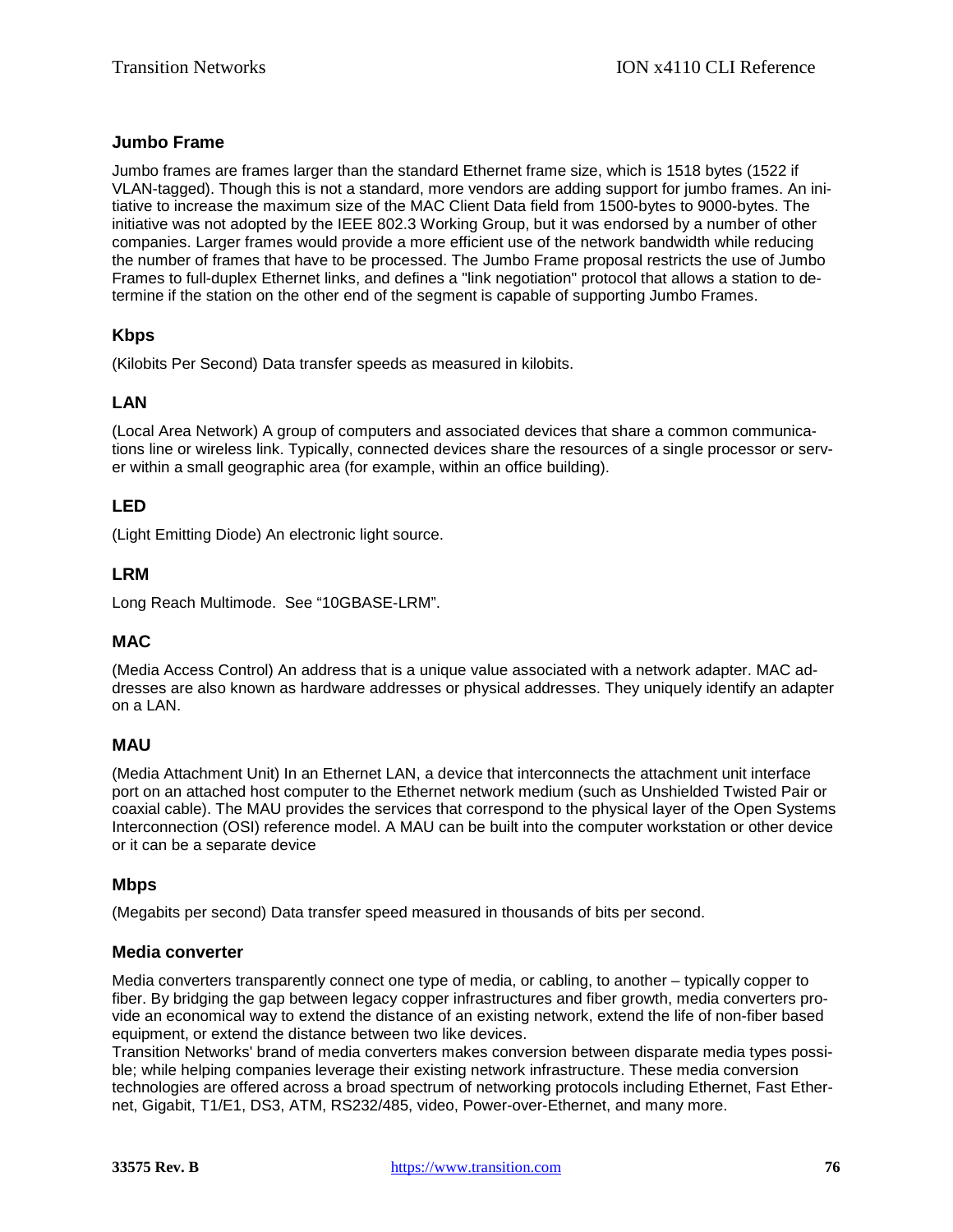## **Jumbo Frame**

Jumbo frames are frames larger than the standard Ethernet frame size, which is 1518 bytes (1522 if VLAN-tagged). Though this is not a standard, more vendors are adding support for jumbo frames. An initiative to increase the maximum size of the MAC Client Data field from 1500-bytes to 9000-bytes. The initiative was not adopted by the IEEE 802.3 Working Group, but it was endorsed by a number of other companies. Larger frames would provide a more efficient use of the network bandwidth while reducing the number of frames that have to be processed. The Jumbo Frame proposal restricts the use of Jumbo Frames to full-duplex Ethernet links, and defines a "link negotiation" protocol that allows a station to determine if the station on the other end of the segment is capable of supporting Jumbo Frames.

## **Kbps**

<span id="page-75-0"></span>(Kilobits Per Second) Data transfer speeds as measured in kilobits.

# **LAN**

(Local Area Network) A group of computers and associated devices that share a common communications line or wireless link. Typically, connected devices share the resources of a single processor or server within a small geographic area (for example, within an office building).

# **LED**

(Light Emitting Diode) An electronic light source.

## **LRM**

<span id="page-75-1"></span>Long Reach Multimode. See "10GBASE-LRM".

#### **MAC**

(Media Access Control) An address that is a unique value associated with a network adapter. MAC addresses are also known as hardware addresses or physical addresses. They uniquely identify an adapter on a [LAN.](#page-75-0)

#### **MAU**

(Media Attachment Unit) In an Ethernet [LAN,](#page-75-0) a device that interconnects the attachment unit interface port on an attached host computer to the Ethernet network medium (such as Unshielded Twisted Pair or coaxial cable). The MAU provides the services that correspond to the physical layer of the Open Systems Interconnection [\(OSI\)](#page-77-0) reference model. A MAU can be built into the computer workstation or other device or it can be a separate device

#### **Mbps**

(Megabits per second) Data transfer speed measured in thousands of bits per second.

#### **Media converter**

Media converters transparently connect one type of media, or cabling, to another – typically copper to fiber. By bridging the gap between legacy copper infrastructures and fiber growth, media converters provide an economical way to extend the distance of an existing network, extend the life of non-fiber based equipment, or extend the distance between two like devices.

Transition Networks' brand of media converters makes conversion between disparate media types possible; while helping companies leverage their existing network infrastructure. These media conversion technologies are offered across a broad spectrum of networking protocols including Ethernet, Fast Ethernet, Gigabit, T1/E1, DS3, ATM, RS232/485, video, Power-over-Ethernet, and many more.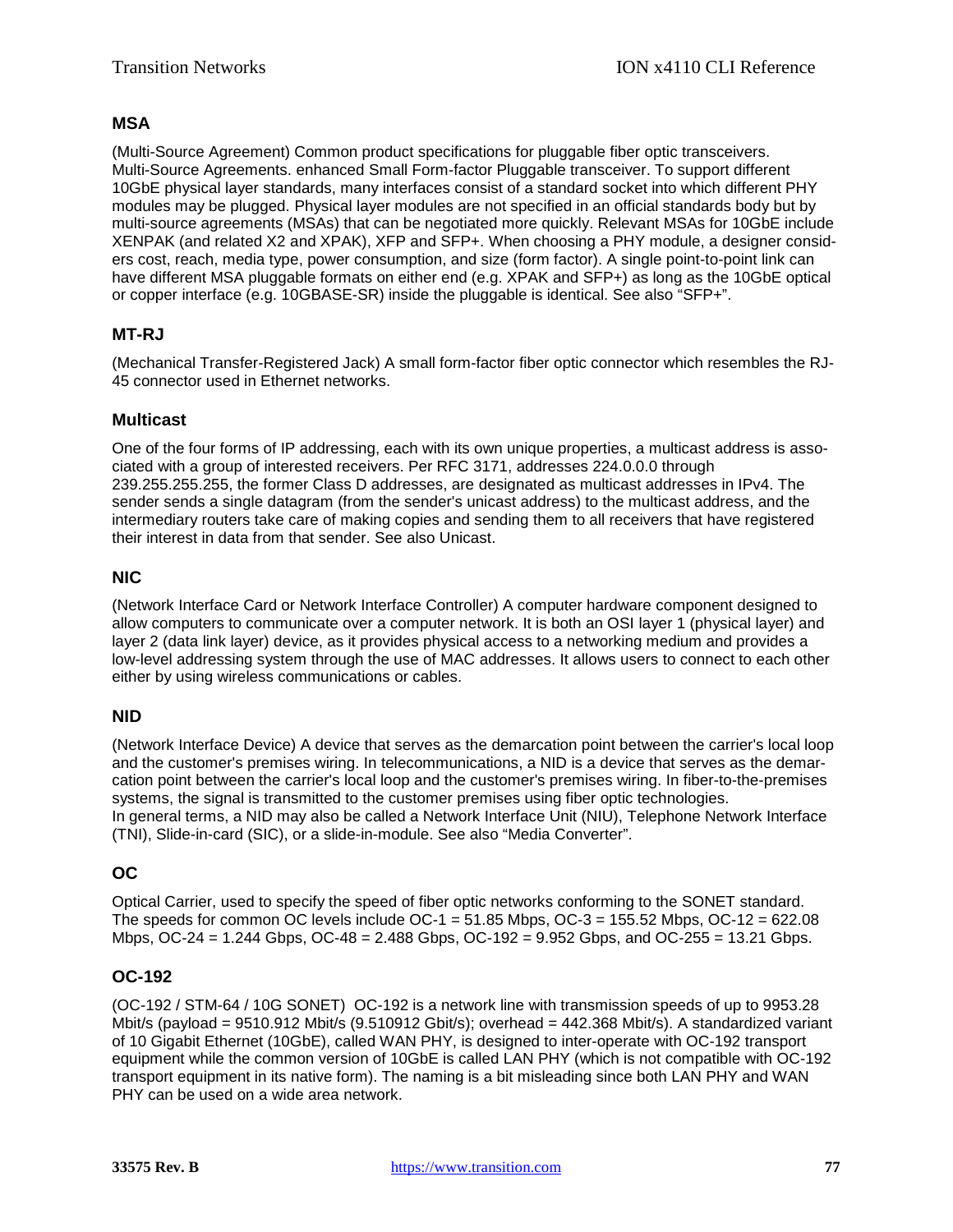## **MSA**

(Multi-Source Agreement) Common product specifications for pluggable fiber optic transceivers. Multi-Source Agreements. enhanced Small Form-factor Pluggable transceiver. To support different 10GbE physical layer standards, many interfaces consist of a standard socket into which different PHY modules may be plugged. Physical layer modules are not specified in an official standards body but by multi-source agreements (MSAs) that can be negotiated more quickly. Relevant MSAs for 10GbE include XENPAK (and related X2 and XPAK), XFP and SFP+. When choosing a PHY module, a designer considers cost, reach, media type, power consumption, and size (form factor). A single point-to-point link can have different MSA pluggable formats on either end (e.g. XPAK and SFP+) as long as the 10GbE optical or copper interface (e.g. 10GBASE-SR) inside the pluggable is identical. See also "SFP+".

# **MT-RJ**

(Mechanical Transfer-Registered Jack) A small form-factor fiber optic connector which resembles the RJ-45 connector used in Ethernet networks.

## **Multicast**

One of the four forms of IP addressing, each with its own unique properties, a multicast address is associated with a group of interested receivers. Per RFC 3171, addresses 224.0.0.0 through 239.255.255.255, the former Class D addresses, are designated as multicast addresses in IPv4. The sender sends a single datagram (from the sender's unicast address) to the multicast address, and the intermediary routers take care of making copies and sending them to all receivers that have registered their interest in data from that sender. See also Unicast.

## **NIC**

(Network Interface Card or Network Interface Controller) A computer hardware component designed to allow computers to communicate over a computer network. It is both an [OSI](#page-77-0) layer 1 (physical layer) and layer 2 (data link layer) device, as it provides physical access to a networking medium and provides a low-level addressing system through the use of [MAC](#page-75-1) addresses. It allows users to connect to each other either by using wireless communications or cables.

# **NID**

(Network Interface Device) A device that serves as the demarcation point between the carrier's local loop and the customer's premises wiring. In telecommunications, a NID is a device that serves as the demarcation point between the carrier's local loop and the customer's premises wiring. In fiber-to-the-premises systems, the signal is transmitted to the customer premises using fiber optic technologies. In general terms, a NID may also be called a Network Interface Unit (NIU), Telephone Network Interface (TNI), Slide-in-card (SIC), or a slide-in-module. See also "Media Converter".

# **OC**

Optical Carrier, used to specify the speed of fiber optic networks conforming to the SONET standard. The speeds for common OC levels include OC-1 =  $51.85$  Mbps, OC-3 =  $155.52$  Mbps, OC-12 =  $622.08$ Mbps, OC-24 = 1.244 Gbps, OC-48 = 2.488 Gbps, OC-192 = 9.952 Gbps, and OC-255 = 13.21 Gbps.

# **OC-192**

(OC-192 / STM-64 / 10G SONET) OC-192 is a network line with transmission speeds of up to 9953.28 Mbit/s (payload = 9510.912 Mbit/s (9.510912 Gbit/s); overhead = 442.368 Mbit/s). A standardized variant of 10 Gigabit Ethernet (10GbE), called WAN PHY, is designed to inter-operate with OC-192 transport equipment while the common version of 10GbE is called LAN PHY (which is not compatible with OC-192 transport equipment in its native form). The naming is a bit misleading since both LAN PHY and WAN PHY can be used on a wide area network.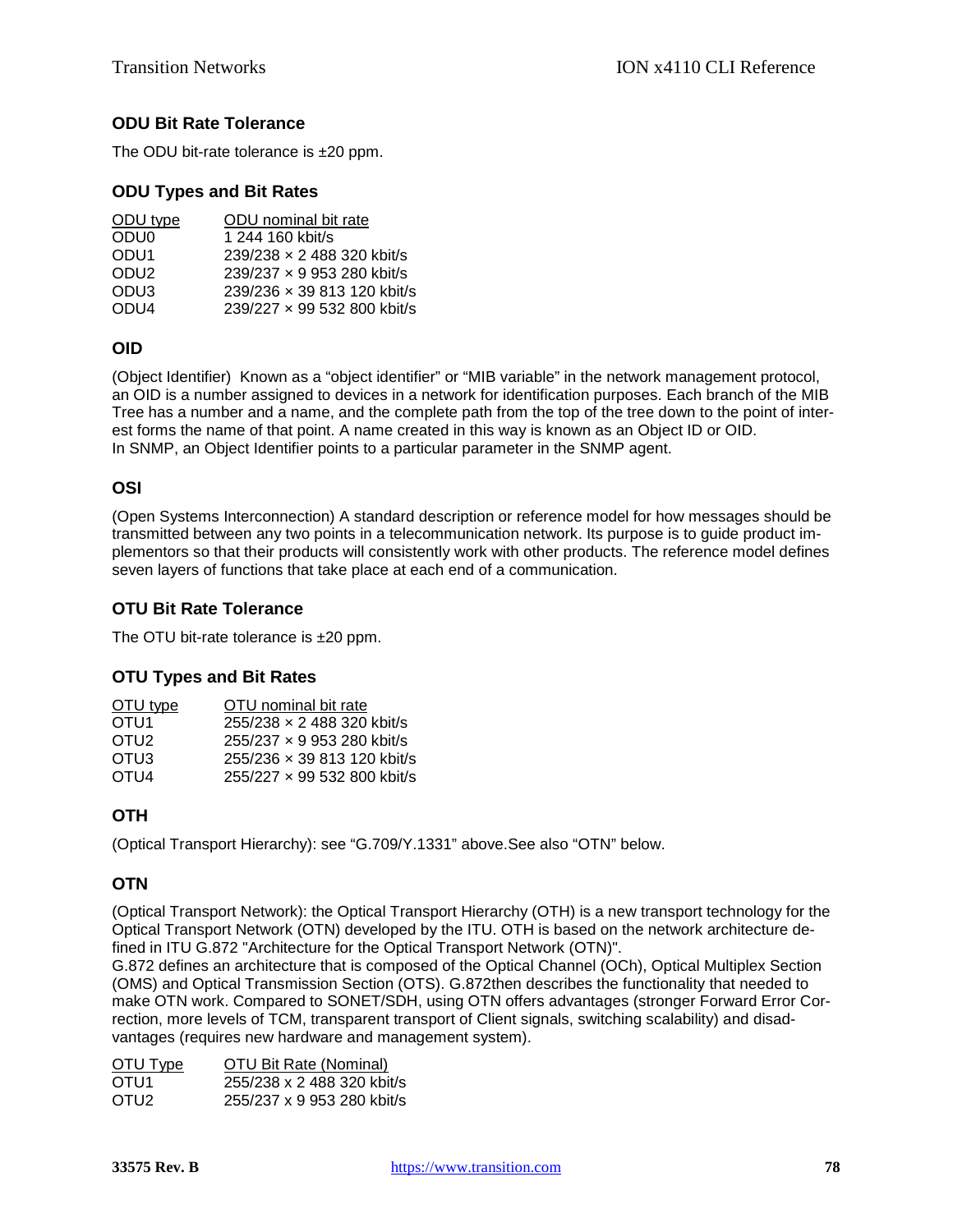# **ODU Bit Rate Tolerance**

The ODU bit-rate tolerance is ±20 ppm.

#### **ODU Types and Bit Rates**

| ODU type         | ODU nominal bit rate        |
|------------------|-----------------------------|
| ODU <sub>0</sub> | 1 244 160 kbit/s            |
| ODU <sub>1</sub> | 239/238 x 2 488 320 kbit/s  |
| ODU <sub>2</sub> | 239/237 x 9 953 280 kbit/s  |
| ODU <sub>3</sub> | 239/236 x 39 813 120 kbit/s |
| ODU <sub>4</sub> | 239/227 x 99 532 800 kbit/s |
|                  |                             |

## **OID**

(Object Identifier) Known as a "object identifier" or "MIB variable" in the network management protocol, an OID is a number assigned to devices in a network for identification purposes. Each branch of the MIB Tree has a number and a name, and the complete path from the top of the tree down to the point of interest forms the name of that point. A name created in this way is known as an Object ID or OID. In SNMP, an Object Identifier points to a particular parameter in the SNMP agent.

#### <span id="page-77-0"></span>**OSI**

(Open Systems Interconnection) A standard description or reference model for how messages should be transmitted between any two points in a telecommunication network. Its purpose is to guide product implementors so that their products will consistently work with other products. The reference model defines seven layers of functions that take place at each end of a communication.

# **OTU Bit Rate Tolerance**

The OTU bit-rate tolerance is ±20 ppm.

#### **OTU Types and Bit Rates**

| OTU type         | OTU nominal bit rate        |
|------------------|-----------------------------|
| OTU <sub>1</sub> | 255/238 x 2 488 320 kbit/s  |
| OTU <sub>2</sub> | 255/237 x 9 953 280 kbit/s  |
| OTU3             | 255/236 x 39 813 120 kbit/s |
| OTU <sub>4</sub> | 255/227 x 99 532 800 kbit/s |

# **OTH**

(Optical Transport Hierarchy): see "G.709/Y.1331" above.See also "OTN" below.

# **OTN**

(Optical Transport Network): the Optical Transport Hierarchy (OTH) is a new transport technology for the Optical Transport Network (OTN) developed by the ITU. OTH is based on the network architecture defined in ITU G.872 "Architecture for the Optical Transport Network (OTN)".

G.872 defines an architecture that is composed of the Optical Channel (OCh), Optical Multiplex Section (OMS) and Optical Transmission Section (OTS). G.872then describes the functionality that needed to make OTN work. Compared to SONET/SDH, using OTN offers advantages (stronger Forward Error Correction, more levels of TCM, transparent transport of Client signals, switching scalability) and disadvantages (requires new hardware and management system).

| OTU Bit Rate (Nominal)     |
|----------------------------|
| 255/238 x 2 488 320 kbit/s |
| 255/237 x 9 953 280 kbit/s |
|                            |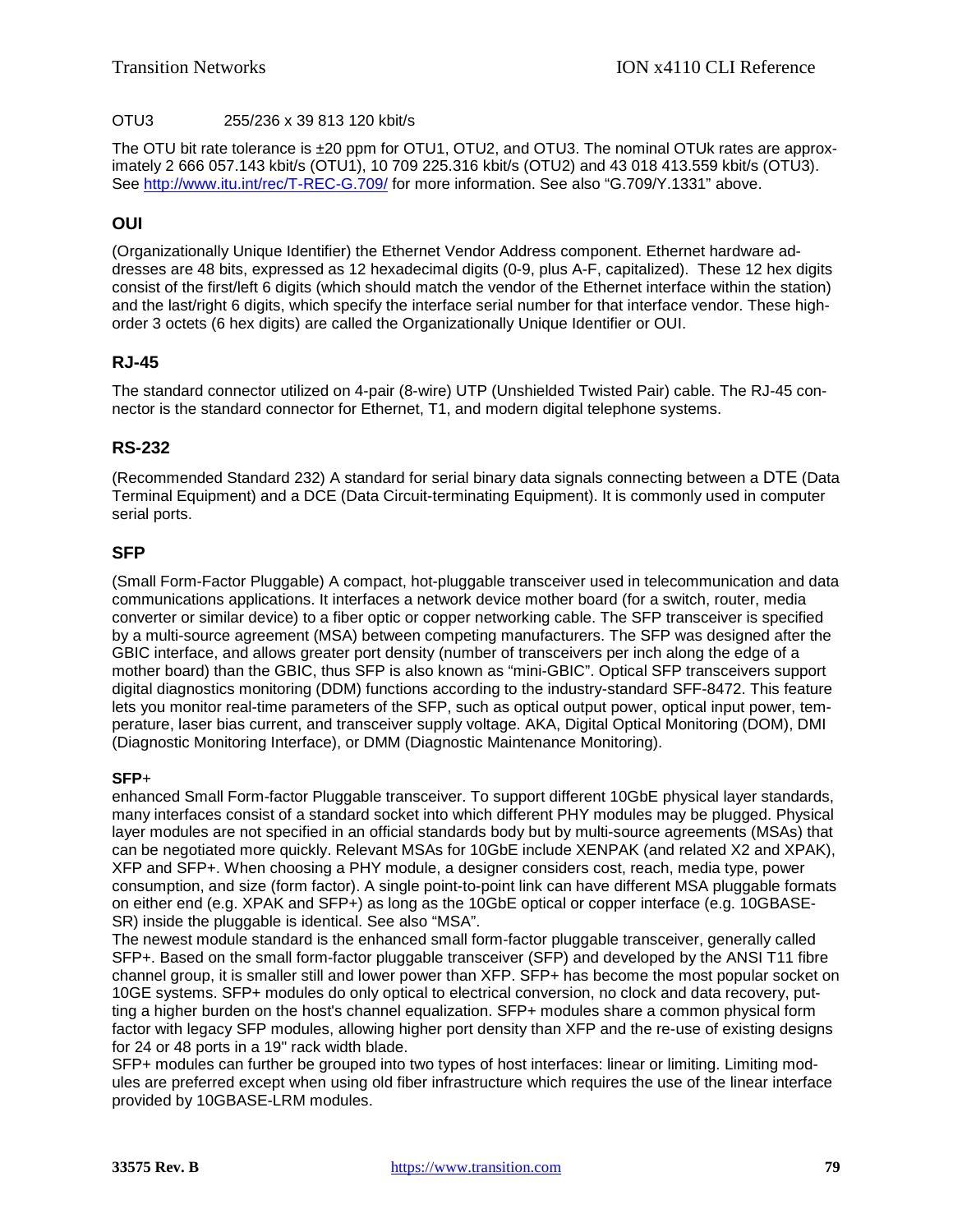#### OTU3 255/236 x 39 813 120 kbit/s

The OTU bit rate tolerance is  $\pm 20$  ppm for OTU1, OTU2, and OTU3. The nominal OTUk rates are approximately 2 666 057.143 kbit/s (OTU1), 10 709 225.316 kbit/s (OTU2) and 43 018 413.559 kbit/s (OTU3). See<http://www.itu.int/rec/T-REC-G.709/> for more information. See also "G.709/Y.1331" above.

## **OUI**

(Organizationally Unique Identifier) the Ethernet Vendor Address component. Ethernet hardware addresses are 48 bits, expressed as 12 hexadecimal digits (0-9, plus A-F, capitalized). These 12 hex digits consist of the first/left 6 digits (which should match the vendor of the Ethernet interface within the station) and the last/right 6 digits, which specify the interface serial number for that interface vendor. These highorder 3 octets (6 hex digits) are called the Organizationally Unique Identifier or OUI.

## **RJ-45**

The standard connector utilized on 4-pair (8-wire) UTP (Unshielded Twisted Pair) cable. The RJ-45 connector is the standard connector for Ethernet, T1, and modern digital telephone systems.

## **RS-232**

(Recommended Standard 232) A standard for serial binary data signals connecting between a DTE (Data Terminal Equipment) and a [DCE](#page-70-0) (Data Circuit-terminating Equipment). It is commonly used in computer serial ports.

#### **SFP**

(Small Form-Factor Pluggable) A compact, hot-pluggable transceiver used in telecommunication and data communications applications. It interfaces a network device mother board (for a switch, router, media converter or similar device) to a fiber optic or copper networking cable. The SFP transceiver is specified by a multi-source agreement (MSA) between competing manufacturers. The SFP was designed after the GBIC interface, and allows greater port density (number of transceivers per inch along the edge of a mother board) than the GBIC, thus SFP is also known as "mini-GBIC". Optical SFP transceivers support digital diagnostics monitoring (DDM) functions according to the industry-standard SFF-8472. This feature lets you monitor real-time parameters of the SFP, such as optical output power, optical input power, temperature, laser bias current, and transceiver supply voltage. AKA, Digital Optical Monitoring (DOM), DMI (Diagnostic Monitoring Interface), or DMM (Diagnostic Maintenance Monitoring).

#### **SFP**+

enhanced Small Form-factor Pluggable transceiver. To support different 10GbE physical layer standards, many interfaces consist of a standard socket into which different PHY modules may be plugged. Physical layer modules are not specified in an official standards body but by multi-source agreements (MSAs) that can be negotiated more quickly. Relevant MSAs for 10GbE include XENPAK (and related X2 and XPAK), XFP and SFP+. When choosing a PHY module, a designer considers cost, reach, media type, power consumption, and size (form factor). A single point-to-point link can have different MSA pluggable formats on either end (e.g. XPAK and SFP+) as long as the 10GbE optical or copper interface (e.g. 10GBASE-SR) inside the pluggable is identical. See also "MSA".

The newest module standard is the enhanced small form-factor pluggable transceiver, generally called SFP+. Based on the small form-factor pluggable transceiver (SFP) and developed by the ANSI T11 fibre channel group, it is smaller still and lower power than XFP. SFP+ has become the most popular socket on 10GE systems. SFP+ modules do only optical to electrical conversion, no clock and data recovery, putting a higher burden on the host's channel equalization. SFP+ modules share a common physical form factor with legacy SFP modules, allowing higher port density than XFP and the re-use of existing designs for 24 or 48 ports in a 19" rack width blade.

SFP+ modules can further be grouped into two types of host interfaces: linear or limiting. Limiting modules are preferred except when using old fiber infrastructure which requires the use of the linear interface provided by 10GBASE-LRM modules.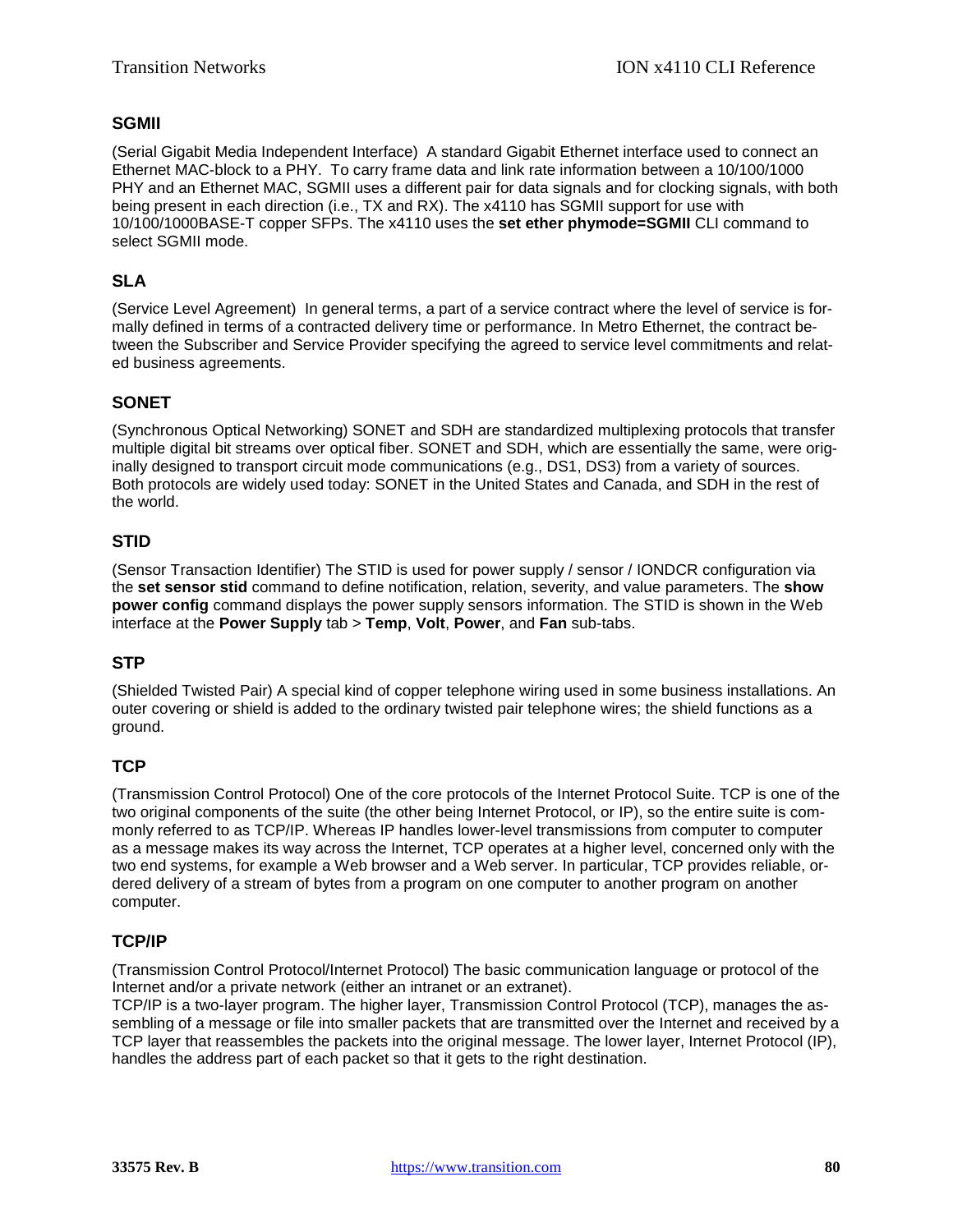## **SGMII**

(Serial Gigabit Media Independent Interface) A standard Gigabit Ethernet interface used to connect an Ethernet MAC-block to a PHY. To carry frame data and link rate information between a 10/100/1000 PHY and an Ethernet MAC, SGMII uses a different pair for data signals and for clocking signals, with both being present in each direction (i.e., TX and RX). The x4110 has SGMII support for use with 10/100/1000BASE-T copper SFPs. The x4110 uses the **set ether phymode=SGMII** CLI command to select SGMII mode.

# **SLA**

(Service Level Agreement) In general terms, a part of a service contract where the level of service is formally defined in terms of a contracted delivery time or performance. In Metro Ethernet, the contract between the Subscriber and Service Provider specifying the agreed to service level commitments and related business agreements.

# **SONET**

(Synchronous Optical Networking) SONET and SDH are standardized multiplexing protocols that transfer multiple digital bit streams over optical fiber. SONET and SDH, which are essentially the same, were originally designed to transport circuit mode communications (e.g., DS1, DS3) from a variety of sources. Both protocols are widely used today: SONET in the United States and Canada, and SDH in the rest of the world.

# **STID**

(Sensor Transaction Identifier) The STID is used for power supply / sensor / IONDCR configuration via the **set sensor stid** command to define notification, relation, severity, and value parameters. The **show power config** command displays the power supply sensors information. The STID is shown in the Web interface at the **Power Supply** tab > **Temp**, **Volt**, **Power**, and **Fan** sub-tabs.

# **STP**

(Shielded Twisted Pair) A special kind of copper telephone wiring used in some business installations. An outer covering or shield is added to the ordinary twisted pair telephone wires; the shield functions as a ground.

# <span id="page-79-1"></span>**TCP**

(Transmission Control Protocol) One of the core protocols of the Internet Protocol Suite. TCP is one of the two original components of the suite (the other being Internet Protocol, or [IP\)](#page-74-0), so the entire suite is commonly referred to as [TCP/IP.](#page-79-0) Whereas IP handles lower-level transmissions from computer to computer as a message makes its way across the Internet, TCP operates at a higher level, concerned only with the two end systems, for example a Web browser and a Web server. In particular, TCP provides reliable, ordered delivery of a stream of bytes from a program on one computer to another program on another computer.

# <span id="page-79-0"></span>**TCP/IP**

(Transmission Control Protocol/Internet Protocol) The basic communication language or protocol of the Internet and/or a private network (either an intranet or an extranet).

TCP/IP is a two-layer program. The higher layer, Transmission Control Protocol [\(TCP\)](#page-79-1), manages the assembling of a message or file into smaller packets that are transmitted over the Internet and received by a TCP layer that reassembles the packets into the original message. The lower layer, Internet Protocol [\(IP\)](#page-74-0), handles the address part of each packet so that it gets to the right destination.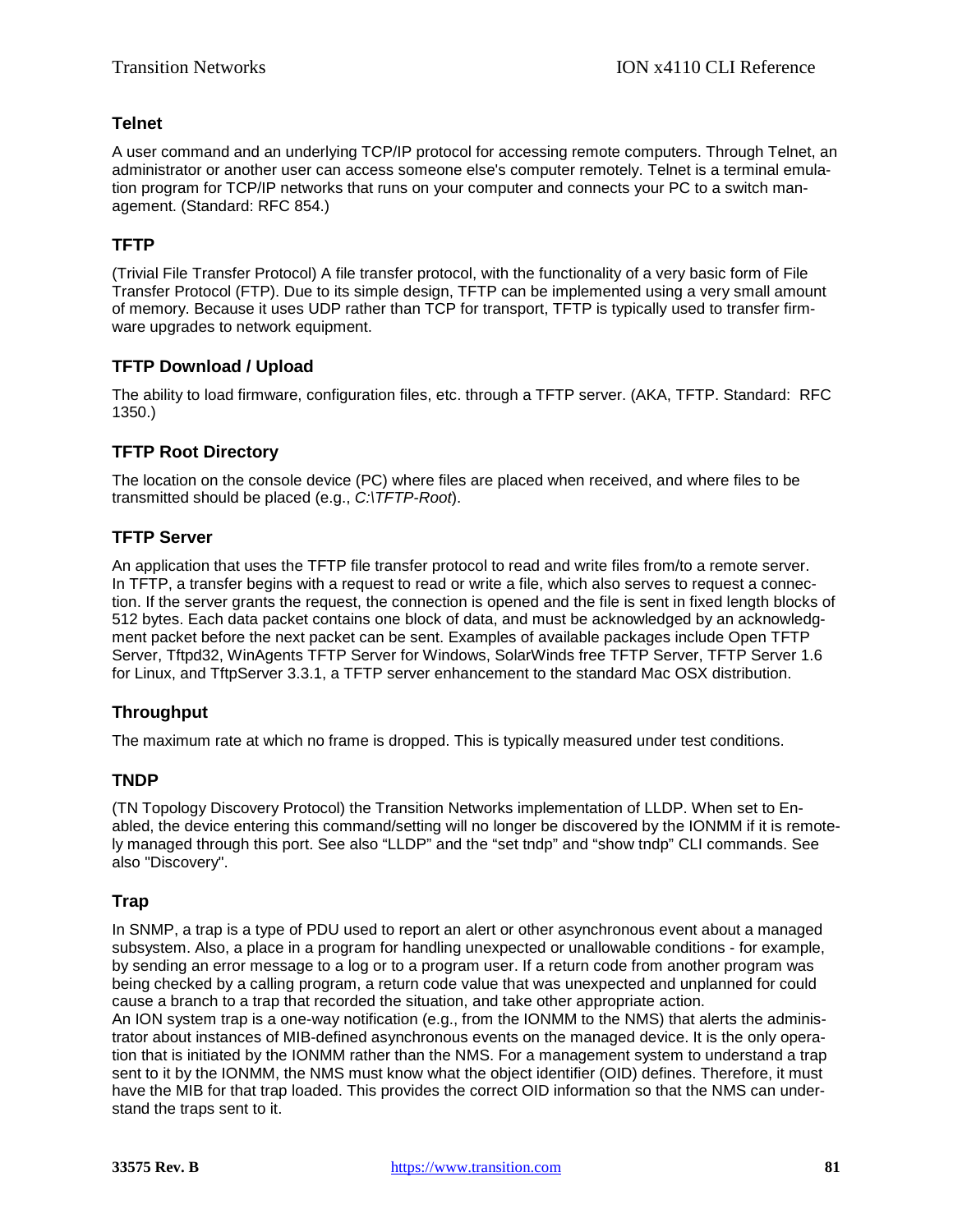#### **Telnet**

A user command and an underlying [TCP/IP](#page-79-0) protocol for accessing remote computers. Through Telnet, an administrator or another user can access someone else's computer remotely. Telnet is a terminal emulation program for TCP/IP networks that runs on your computer and connects your PC to a switch management. (Standard: RFC 854.)

## **TFTP**

(Trivial File Transfer Protocol) A file transfer protocol, with the functionality of a very basic form of File Transfer Protocol [\(FTP\)](#page-73-0). Due to its simple design, TFTP can be implemented using a very small amount of memory. Because it uses [UDP](#page-81-0) rather than [TCP](#page-79-1) for transport, TFTP is typically used to transfer firmware upgrades to network equipment.

#### **TFTP Download / Upload**

The ability to load firmware, configuration files, etc. through a TFTP server. (AKA, TFTP. Standard: RFC 1350.)

#### **TFTP Root Directory**

The location on the console device (PC) where files are placed when received, and where files to be transmitted should be placed (e.g., *C:\TFTP-Root*).

#### **TFTP Server**

An application that uses the TFTP file transfer protocol to read and write files from/to a remote server. In TFTP, a transfer begins with a request to read or write a file, which also serves to request a connection. If the server grants the request, the connection is opened and the file is sent in fixed length blocks of 512 bytes. Each data packet contains one block of data, and must be acknowledged by an acknowledgment packet before the next packet can be sent. Examples of available packages include Open TFTP Server, Tftpd32, WinAgents TFTP Server for Windows, SolarWinds free TFTP Server, TFTP Server 1.6 for Linux, and TftpServer 3.3.1, a TFTP server enhancement to the standard Mac OSX distribution.

#### **Throughput**

The maximum rate at which no frame is dropped. This is typically measured under test conditions.

#### **TNDP**

(TN Topology Discovery Protocol) the Transition Networks implementation of LLDP. When set to Enabled, the device entering this command/setting will no longer be discovered by the IONMM if it is remotely managed through this port. See also "LLDP" and the "set tndp" and "show tndp" CLI commands. See also "Discovery".

#### **Trap**

In SNMP, a trap is a type of PDU used to report an alert or other asynchronous event about a managed subsystem. Also, a place in a program for handling unexpected or unallowable conditions - for example, by sending an error message to a log or to a program user. If a return code from another program was being checked by a calling program, a return code value that was unexpected and unplanned for could cause a branch to a trap that recorded the situation, and take other appropriate action.

An ION system trap is a one-way notification (e.g., from the IONMM to the NMS) that alerts the administrator about instances of MIB-defined asynchronous events on the managed device. It is the only operation that is initiated by the IONMM rather than the NMS. For a management system to understand a trap sent to it by the IONMM, the NMS must know what the object identifier (OID) defines. Therefore, it must have the MIB for that trap loaded. This provides the correct OID information so that the NMS can understand the traps sent to it.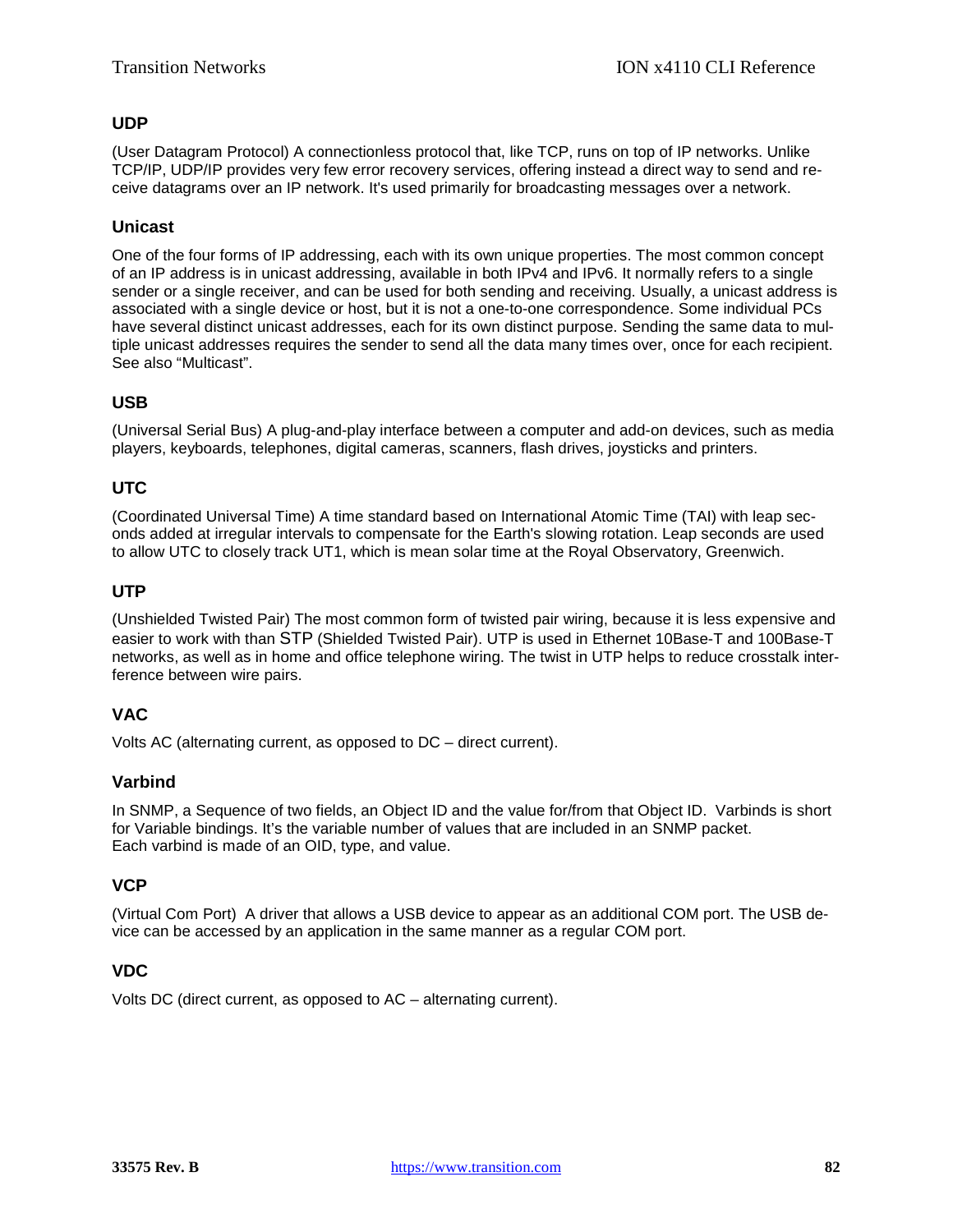# <span id="page-81-0"></span>**UDP**

(User Datagram Protocol) A connectionless protocol that, like [TCP,](#page-79-1) runs on top of IP networks. Unlike [TCP/IP,](#page-79-0) UDP/IP provides very few error recovery services, offering instead a direct way to send and receive datagrams over an [IP](#page-74-0) network. It's used primarily for broadcasting messages over a network.

## **Unicast**

One of the four forms of IP addressing, each with its own unique properties. The most common concept of an IP address is in unicast addressing, available in both IPv4 and IPv6. It normally refers to a single sender or a single receiver, and can be used for both sending and receiving. Usually, a unicast address is associated with a single device or host, but it is not a one-to-one correspondence. Some individual PCs have several distinct unicast addresses, each for its own distinct purpose. Sending the same data to multiple unicast addresses requires the sender to send all the data many times over, once for each recipient. See also "Multicast".

## <span id="page-81-1"></span>**USB**

(Universal Serial Bus) A plug-and-play interface between a computer and add-on devices, such as media players, keyboards, telephones, digital cameras, scanners, flash drives, joysticks and printers.

## **UTC**

(Coordinated Universal Time) A time standard based on International Atomic Time (TAI) with leap seconds added at irregular intervals to compensate for the Earth's slowing rotation. Leap seconds are used to allow UTC to closely track UT1, which is mean solar time at the Royal Observatory, Greenwich.

#### **UTP**

(Unshielded Twisted Pair) The most common form of twisted pair wiring, because it is less expensive and easier to work with than STP (Shielded Twisted Pair). UTP is used in Ethernet 10Base-T and 100Base-T networks, as well as in home and office telephone wiring. The twist in UTP helps to reduce crosstalk interference between wire pairs.

#### **VAC**

Volts AC (alternating current, as opposed to DC – direct current).

#### **Varbind**

In SNMP, a Sequence of two fields, an Object ID and the value for/from that Object ID. Varbinds is short for Variable bindings. It's the variable number of values that are included in an SNMP packet. Each varbind is made of an OID, type, and value.

#### **VCP**

(Virtual Com Port) A driver that allows a [USB](#page-81-1) device to appear as an additional COM port. The USB device can be accessed by an application in the same manner as a regular COM port.

#### **VDC**

Volts DC (direct current, as opposed to AC – alternating current).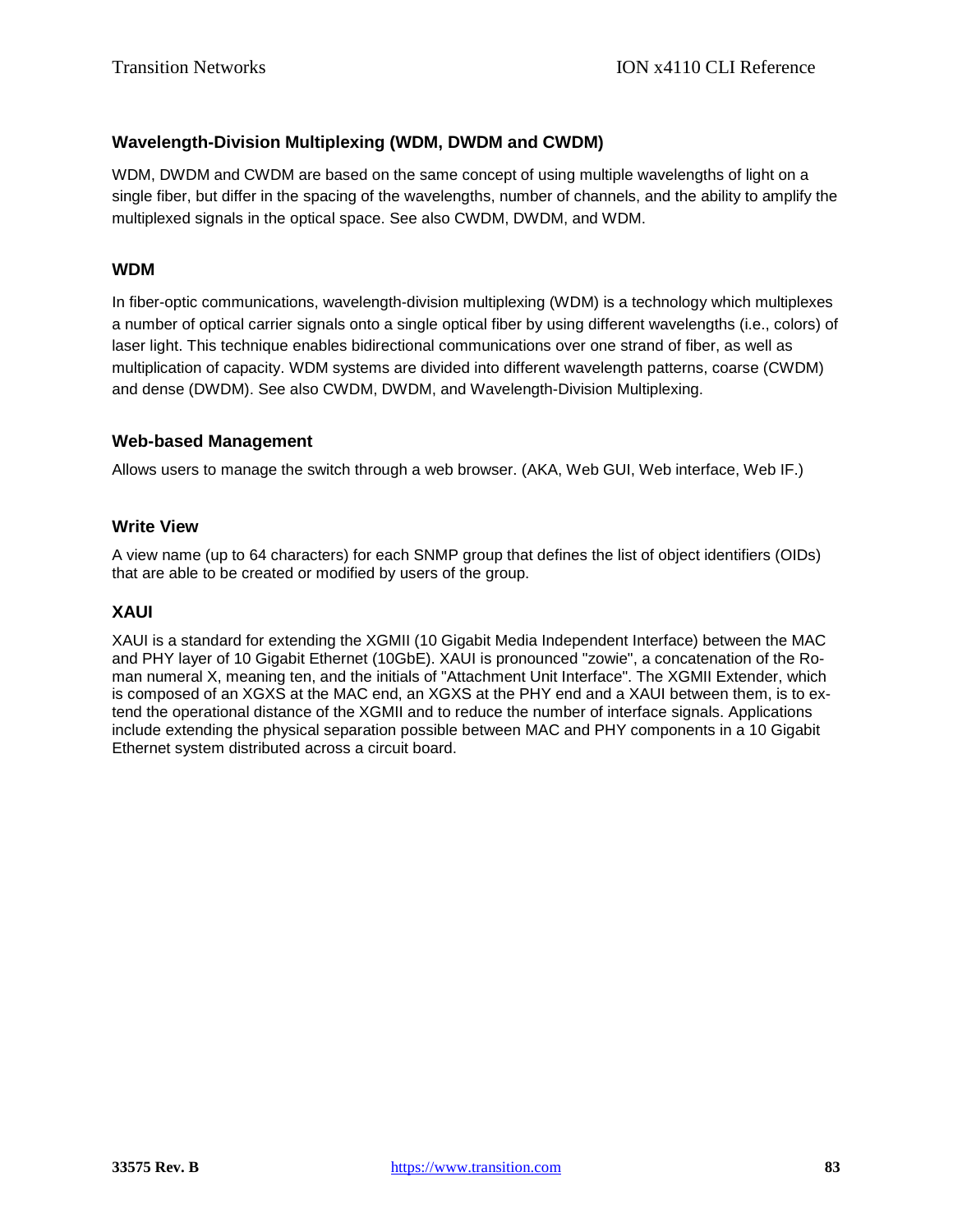# **Wavelength-Division Multiplexing (WDM, DWDM and CWDM)**

WDM, DWDM and CWDM are based on the same concept of using multiple wavelengths of light on a single fiber, but differ in the spacing of the wavelengths, number of channels, and the ability to amplify the multiplexed signals in the optical space. See also CWDM, DWDM, and WDM.

## **WDM**

In fiber-optic communications, wavelength-division multiplexing (WDM) is a technology which multiplexes a number of optical carrier signals onto a single optical fiber by using different wavelengths (i.e., colors) of laser light. This technique enables bidirectional communications over one strand of fiber, as well as multiplication of capacity. WDM systems are divided into different wavelength patterns, coarse (CWDM) and dense (DWDM). See also CWDM, DWDM, and Wavelength-Division Multiplexing.

#### **Web-based Management**

Allows users to manage the switch through a web browser. (AKA, Web GUI, Web interface, Web IF.)

## **Write View**

A view name (up to 64 characters) for each SNMP group that defines the list of object identifiers (OIDs) that are able to be created or modified by users of the group.

#### **XAUI**

XAUI is a standard for extending the XGMII (10 Gigabit Media Independent Interface) between the MAC and PHY layer of 10 Gigabit Ethernet (10GbE). XAUI is pronounced "zowie", a concatenation of the Roman numeral X, meaning ten, and the initials of "Attachment Unit Interface". The XGMII Extender, which is composed of an XGXS at the MAC end, an XGXS at the PHY end and a XAUI between them, is to extend the operational distance of the XGMII and to reduce the number of interface signals. Applications include extending the physical separation possible between MAC and PHY components in a 10 Gigabit Ethernet system distributed across a circuit board.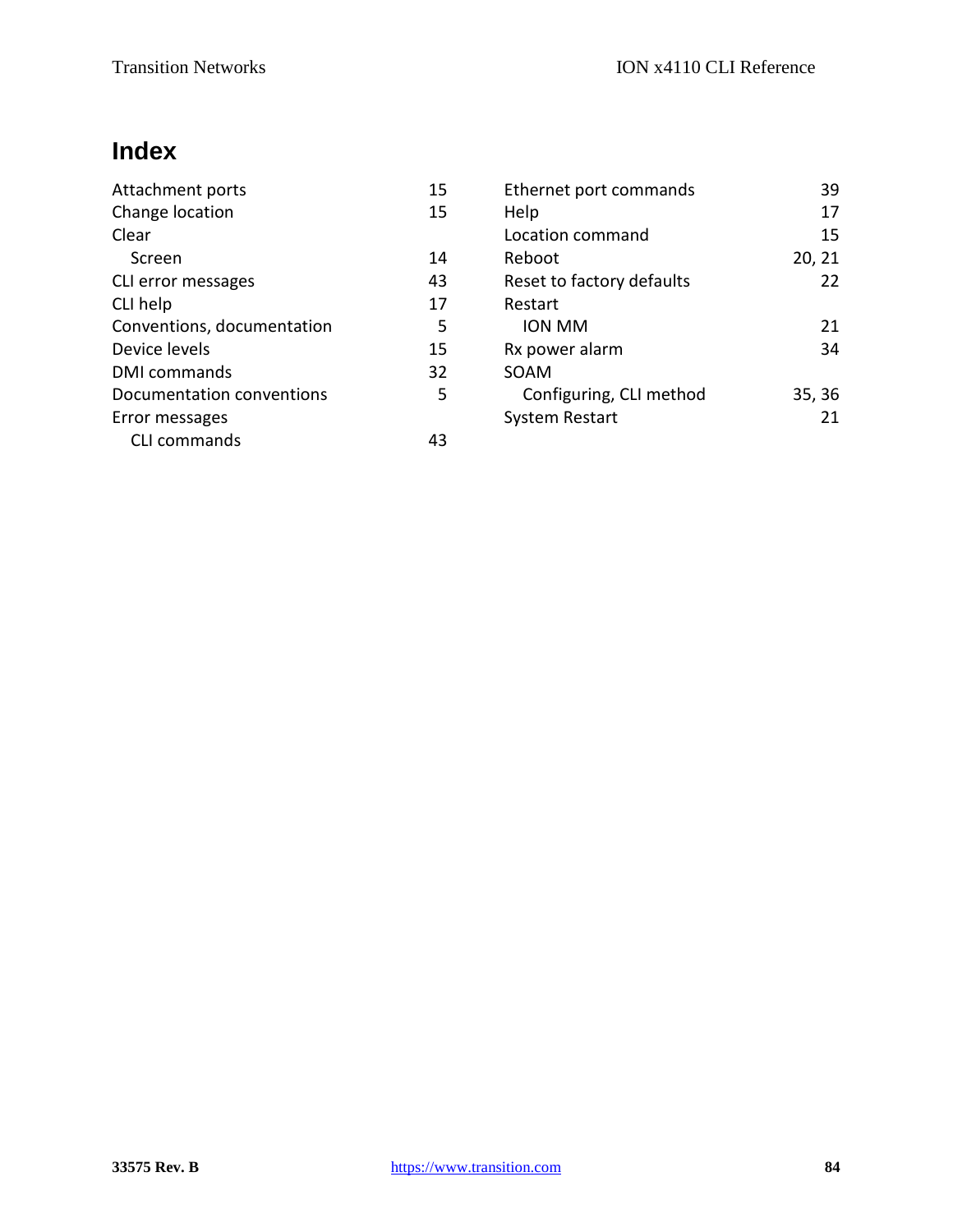# **Index**

| Attachment ports           | 15 | Ethernet port commands    | 39     |
|----------------------------|----|---------------------------|--------|
| Change location            | 15 | Help                      | 17     |
| Clear                      |    | Location command          | 15     |
| Screen                     | 14 | Reboot                    | 20, 21 |
| CLI error messages         | 43 | Reset to factory defaults | 22     |
| CLI help                   | 17 | Restart                   |        |
| Conventions, documentation | 5  | ION MM                    | 21     |
| Device levels              | 15 | Rx power alarm            | 34     |
| <b>DMI</b> commands        | 32 | SOAM                      |        |
| Documentation conventions  | 5  | Configuring, CLI method   | 35, 36 |
| Error messages             |    | <b>System Restart</b>     | 21     |
| CLI commands               | 43 |                           |        |